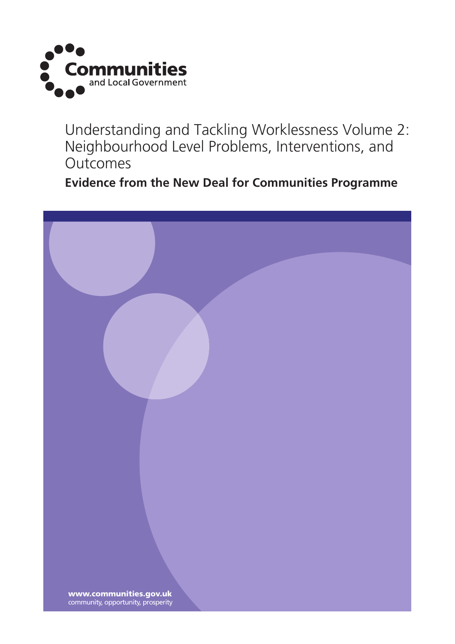

Understanding and Tackling Worklessness Volume 2: Neighbourhood Level Problems, Interventions, and **Outcomes** 

**Evidence from the New Deal for Communities Programme**

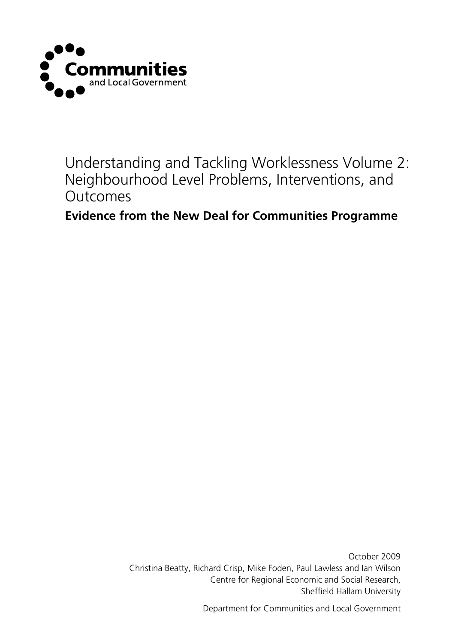

Understanding and Tackling Worklessness Volume 2: Neighbourhood Level Problems, Interventions, and **Outcomes** 

**Evidence from the New Deal for Communities Programme**

October 2009 Christina Beatty, Richard Crisp, Mike Foden, Paul Lawless and Ian Wilson Centre for Regional Economic and Social Research, Sheffield Hallam University

Department for Communities and Local Government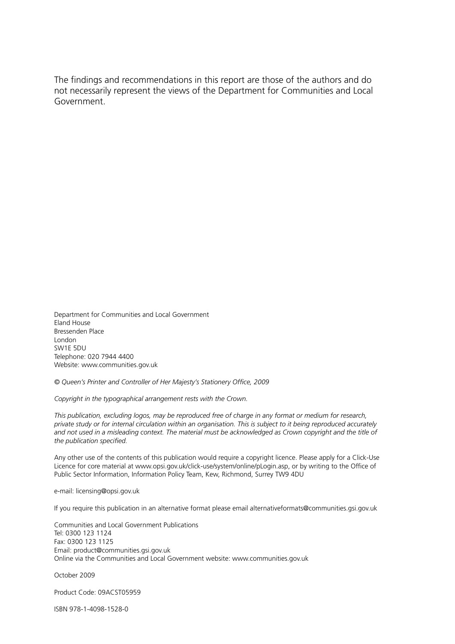The findings and recommendations in this report are those of the authors and do not necessarily represent the views of the Department for Communities and Local Government.

Department for Communities and Local Government Eland House Bressenden Place London SW1E 5DU Telephone: 020 7944 4400 Website: www.communities.gov.uk

*© Queen's Printer and Controller of Her Majesty's Stationery Office, 2009*

*Copyright in the typographical arrangement rests with the Crown.*

*This publication, excluding logos, may be reproduced free of charge in any format or medium for research, private study or for internal circulation within an organisation. This is subject to it being reproduced accurately and not used in a misleading context. The material must be acknowledged as Crown copyright and the title of the publication specified.*

Any other use of the contents of this publication would require a copyright licence. Please apply for a Click-Use Licence for core material at www.opsi.gov.uk/click-use/system/online/pLogin.asp, or by writing to the Office of Public Sector Information, Information Policy Team, Kew, Richmond, Surrey TW9 4DU

e-mail: licensing@opsi.gov.uk

If you require this publication in an alternative format please email alternativeformats@communities.gsi.gov.uk

Communities and Local Government Publications Tel: 0300 123 1124 Fax: 0300 123 1125 Email: product@communities.gsi.gov.uk Online via the Communities and Local Government website: www.communities.gov.uk

October 2009

Product Code: 09ACST05959

ISBN 978-1-4098-1528-0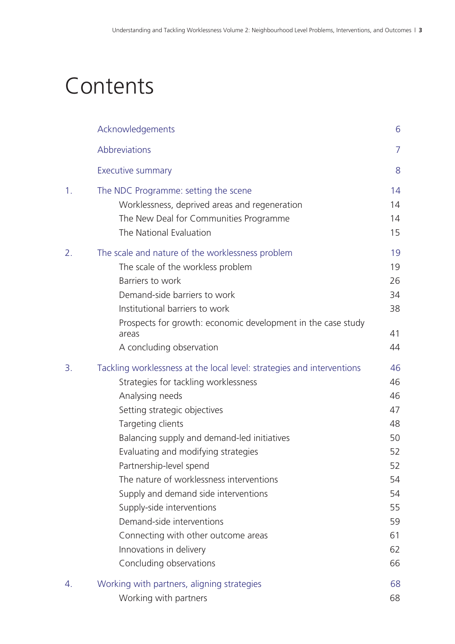# **Contents**

|    | Acknowledgements                                                                                                                                                                                                                                                                                                                                                                                                                                                                                                                                   | 6                                                                                      |
|----|----------------------------------------------------------------------------------------------------------------------------------------------------------------------------------------------------------------------------------------------------------------------------------------------------------------------------------------------------------------------------------------------------------------------------------------------------------------------------------------------------------------------------------------------------|----------------------------------------------------------------------------------------|
|    | Abbreviations                                                                                                                                                                                                                                                                                                                                                                                                                                                                                                                                      | $\overline{7}$                                                                         |
|    | <b>Executive summary</b>                                                                                                                                                                                                                                                                                                                                                                                                                                                                                                                           | 8                                                                                      |
| 1. | The NDC Programme: setting the scene<br>Worklessness, deprived areas and regeneration<br>The New Deal for Communities Programme<br>The National Evaluation                                                                                                                                                                                                                                                                                                                                                                                         | 14<br>14<br>14<br>15                                                                   |
| 2. | The scale and nature of the worklessness problem<br>The scale of the workless problem<br>Barriers to work<br>Demand-side barriers to work<br>Institutional barriers to work<br>Prospects for growth: economic development in the case study<br>areas<br>A concluding observation                                                                                                                                                                                                                                                                   | 19<br>19<br>26<br>34<br>38<br>41<br>44                                                 |
| 3. | Tackling worklessness at the local level: strategies and interventions<br>Strategies for tackling worklessness<br>Analysing needs<br>Setting strategic objectives<br>Targeting clients<br>Balancing supply and demand-led initiatives<br>Evaluating and modifying strategies<br>Partnership-level spend<br>The nature of worklessness interventions<br>Supply and demand side interventions<br>Supply-side interventions<br>Demand-side interventions<br>Connecting with other outcome areas<br>Innovations in delivery<br>Concluding observations | 46<br>46<br>46<br>47<br>48<br>50<br>52<br>52<br>54<br>54<br>55<br>59<br>61<br>62<br>66 |
| 4. | Working with partners, aligning strategies<br>Working with partners                                                                                                                                                                                                                                                                                                                                                                                                                                                                                | 68<br>68                                                                               |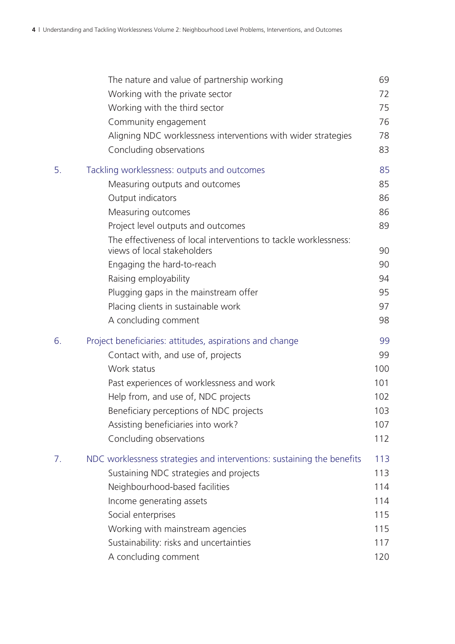|    | The nature and value of partnership working                            | 69  |
|----|------------------------------------------------------------------------|-----|
|    | Working with the private sector                                        | 72  |
|    | Working with the third sector                                          | 75  |
|    | Community engagement                                                   | 76  |
|    | Aligning NDC worklessness interventions with wider strategies          | 78  |
|    | Concluding observations                                                | 83  |
| 5. | Tackling worklessness: outputs and outcomes                            | 85  |
|    | Measuring outputs and outcomes                                         | 85  |
|    | Output indicators                                                      | 86  |
|    | Measuring outcomes                                                     | 86  |
|    | Project level outputs and outcomes                                     | 89  |
|    | The effectiveness of local interventions to tackle worklessness:       |     |
|    | views of local stakeholders                                            | 90  |
|    | Engaging the hard-to-reach                                             | 90  |
|    | Raising employability                                                  | 94  |
|    | Plugging gaps in the mainstream offer                                  | 95  |
|    | Placing clients in sustainable work                                    | 97  |
|    | A concluding comment                                                   | 98  |
| 6. | Project beneficiaries: attitudes, aspirations and change               | 99  |
|    | Contact with, and use of, projects                                     | 99  |
|    | Work status                                                            | 100 |
|    | Past experiences of worklessness and work                              | 101 |
|    | Help from, and use of, NDC projects                                    | 102 |
|    | Beneficiary perceptions of NDC projects                                | 103 |
|    | Assisting beneficiaries into work?                                     | 107 |
|    | Concluding observations                                                | 112 |
| 7. | NDC worklessness strategies and interventions: sustaining the benefits | 113 |
|    | Sustaining NDC strategies and projects                                 | 113 |
|    | Neighbourhood-based facilities                                         | 114 |
|    | Income generating assets                                               | 114 |
|    | Social enterprises                                                     | 115 |
|    | Working with mainstream agencies                                       | 115 |
|    | Sustainability: risks and uncertainties                                | 117 |
|    | A concluding comment                                                   | 120 |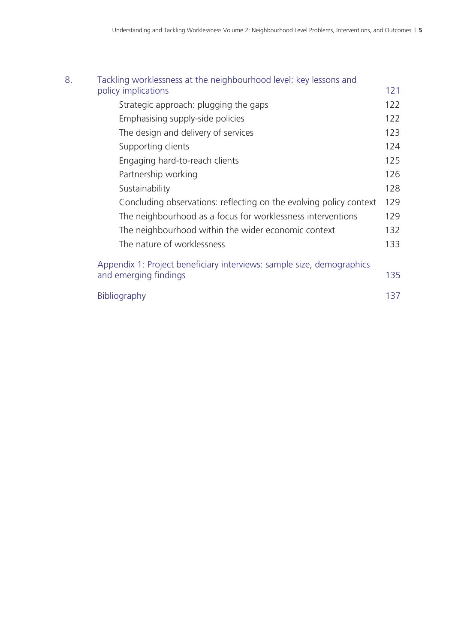| 121                                                                       |
|---------------------------------------------------------------------------|
| 122                                                                       |
| 122                                                                       |
| 123                                                                       |
| 124                                                                       |
| 125                                                                       |
| 126                                                                       |
| 128                                                                       |
| 129<br>Concluding observations: reflecting on the evolving policy context |
| The neighbourhood as a focus for worklessness interventions<br>129        |
| 132                                                                       |
| 133                                                                       |
| Appendix 1: Project beneficiary interviews: sample size, demographics     |
| 135                                                                       |
| 137                                                                       |
|                                                                           |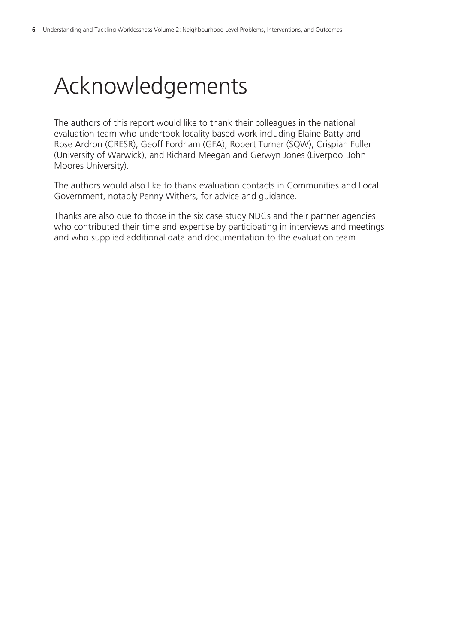# Acknowledgements

The authors of this report would like to thank their colleagues in the national evaluation team who undertook locality based work including Elaine Batty and Rose Ardron (CRESR), Geoff Fordham (GFA), Robert Turner (SQW), Crispian Fuller (University of Warwick), and Richard Meegan and Gerwyn Jones (Liverpool John Moores University).

The authors would also like to thank evaluation contacts in Communities and Local Government, notably Penny Withers, for advice and guidance.

Thanks are also due to those in the six case study NDCs and their partner agencies who contributed their time and expertise by participating in interviews and meetings and who supplied additional data and documentation to the evaluation team.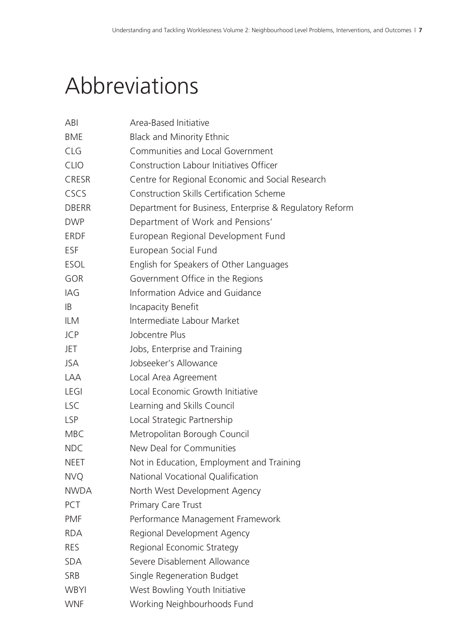# Abbreviations

| ABI          | Area-Based Initiative                                   |
|--------------|---------------------------------------------------------|
| <b>BME</b>   | <b>Black and Minority Ethnic</b>                        |
| <b>CLG</b>   | Communities and Local Government                        |
| <b>CLIO</b>  | Construction Labour Initiatives Officer                 |
| <b>CRESR</b> | Centre for Regional Economic and Social Research        |
| CSCS         | <b>Construction Skills Certification Scheme</b>         |
| <b>DBERR</b> | Department for Business, Enterprise & Regulatory Reform |
| <b>DWP</b>   | Department of Work and Pensions'                        |
| <b>ERDF</b>  | European Regional Development Fund                      |
| <b>ESF</b>   | European Social Fund                                    |
| <b>ESOL</b>  | English for Speakers of Other Languages                 |
| <b>GOR</b>   | Government Office in the Regions                        |
| IAG          | Information Advice and Guidance                         |
| IB           | Incapacity Benefit                                      |
| <b>ILM</b>   | Intermediate Labour Market                              |
| <b>JCP</b>   | Jobcentre Plus                                          |
| JET          | Jobs, Enterprise and Training                           |
| JSA          | Jobseeker's Allowance                                   |
| <b>LAA</b>   | Local Area Agreement                                    |
| <b>LEGI</b>  | Local Economic Growth Initiative                        |
| <b>LSC</b>   | Learning and Skills Council                             |
| <b>LSP</b>   | Local Strategic Partnership                             |
| <b>MBC</b>   | Metropolitan Borough Council                            |
| <b>NDC</b>   | New Deal for Communities                                |
| <b>NEET</b>  | Not in Education, Employment and Training               |
| <b>NVQ</b>   | National Vocational Qualification                       |
| <b>NWDA</b>  | North West Development Agency                           |
| PCT          | <b>Primary Care Trust</b>                               |
| <b>PMF</b>   | Performance Management Framework                        |
| <b>RDA</b>   | Regional Development Agency                             |
| <b>RES</b>   | Regional Economic Strategy                              |
| <b>SDA</b>   | Severe Disablement Allowance                            |
| <b>SRB</b>   | Single Regeneration Budget                              |
| <b>WBYI</b>  | West Bowling Youth Initiative                           |
| <b>WNF</b>   | Working Neighbourhoods Fund                             |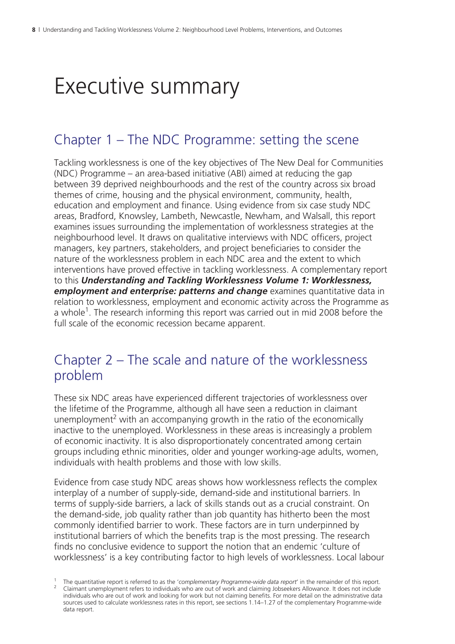# Executive summary

### Chapter 1 – The NDC Programme: setting the scene

Tackling worklessness is one of the key objectives of The New Deal for Communities (NDC) Programme – an area-based initiative (ABI) aimed at reducing the gap between 39 deprived neighbourhoods and the rest of the country across six broad themes of crime, housing and the physical environment, community, health, education and employment and finance. Using evidence from six case study NDC areas, Bradford, Knowsley, Lambeth, Newcastle, Newham, and Walsall, this report examines issues surrounding the implementation of worklessness strategies at the neighbourhood level. It draws on qualitative interviews with NDC officers, project managers, key partners, stakeholders, and project beneficiaries to consider the nature of the worklessness problem in each NDC area and the extent to which interventions have proved effective in tackling worklessness. A complementary report to this *Understanding and Tackling Worklessness Volume 1: Worklessness, employment and enterprise: patterns and change* examines quantitative data in relation to worklessness, employment and economic activity across the Programme as a whole<sup>1</sup>. The research informing this report was carried out in mid 2008 before the full scale of the economic recession became apparent.

### Chapter 2 – The scale and nature of the worklessness problem

These six NDC areas have experienced different trajectories of worklessness over the lifetime of the Programme, although all have seen a reduction in claimant unemployment<sup>2</sup> with an accompanying growth in the ratio of the economically inactive to the unemployed. Worklessness in these areas is increasingly a problem of economic inactivity. It is also disproportionately concentrated among certain groups including ethnic minorities, older and younger working-age adults, women, individuals with health problems and those with low skills.

Evidence from case study NDC areas shows how worklessness reflects the complex interplay of a number of supply-side, demand-side and institutional barriers. In terms of supply-side barriers, a lack of skills stands out as a crucial constraint. On the demand-side, job quality rather than job quantity has hitherto been the most commonly identified barrier to work. These factors are in turn underpinned by institutional barriers of which the benefits trap is the most pressing. The research finds no conclusive evidence to support the notion that an endemic 'culture of worklessness' is a key contributing factor to high levels of worklessness. Local labour

<sup>&</sup>lt;sup>1</sup> The quantitative report is referred to as the '*complementary Programme-wide data report*' in the remainder of this report.<br><sup>2</sup> Claimant unemployment refers to individuals who are out of work and claiming lobseekers Al <sup>2</sup> Claimant unemployment refers to individuals who are out of work and claiming Jobseekers Allowance. It does not include individuals who are out of work and looking for work but not claiming benefits. For more detail on the administrative data sources used to calculate worklessness rates in this report, see sections 1.14–1.27 of the complementary Programme-wide data report.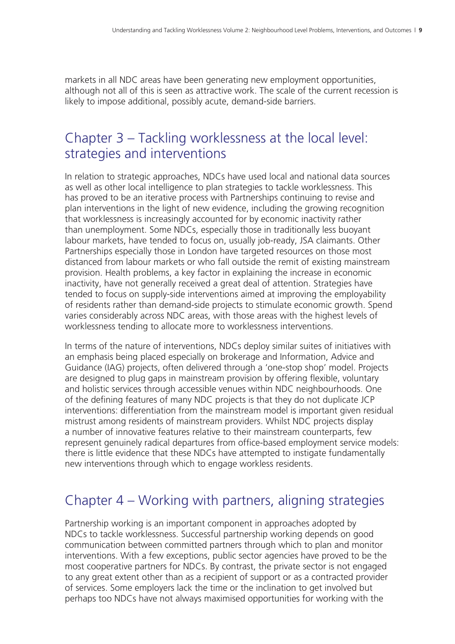markets in all NDC areas have been generating new employment opportunities, although not all of this is seen as attractive work. The scale of the current recession is likely to impose additional, possibly acute, demand-side barriers.

## Chapter 3 – Tackling worklessness at the local level: strategies and interventions

In relation to strategic approaches, NDCs have used local and national data sources as well as other local intelligence to plan strategies to tackle worklessness. This has proved to be an iterative process with Partnerships continuing to revise and plan interventions in the light of new evidence, including the growing recognition that worklessness is increasingly accounted for by economic inactivity rather than unemployment. Some NDCs, especially those in traditionally less buoyant labour markets, have tended to focus on, usually job-ready, JSA claimants. Other Partnerships especially those in London have targeted resources on those most distanced from labour markets or who fall outside the remit of existing mainstream provision. Health problems, a key factor in explaining the increase in economic inactivity, have not generally received a great deal of attention. Strategies have tended to focus on supply-side interventions aimed at improving the employability of residents rather than demand-side projects to stimulate economic growth. Spend varies considerably across NDC areas, with those areas with the highest levels of worklessness tending to allocate more to worklessness interventions.

In terms of the nature of interventions, NDCs deploy similar suites of initiatives with an emphasis being placed especially on brokerage and Information, Advice and Guidance (IAG) projects, often delivered through a 'one-stop shop' model. Projects are designed to plug gaps in mainstream provision by offering flexible, voluntary and holistic services through accessible venues within NDC neighbourhoods. One of the defining features of many NDC projects is that they do not duplicate JCP interventions: differentiation from the mainstream model is important given residual mistrust among residents of mainstream providers. Whilst NDC projects display a number of innovative features relative to their mainstream counterparts, few represent genuinely radical departures from office-based employment service models: there is little evidence that these NDCs have attempted to instigate fundamentally new interventions through which to engage workless residents.

# Chapter 4 – Working with partners, aligning strategies

Partnership working is an important component in approaches adopted by NDCs to tackle worklessness. Successful partnership working depends on good communication between committed partners through which to plan and monitor interventions. With a few exceptions, public sector agencies have proved to be the most cooperative partners for NDCs. By contrast, the private sector is not engaged to any great extent other than as a recipient of support or as a contracted provider of services. Some employers lack the time or the inclination to get involved but perhaps too NDCs have not always maximised opportunities for working with the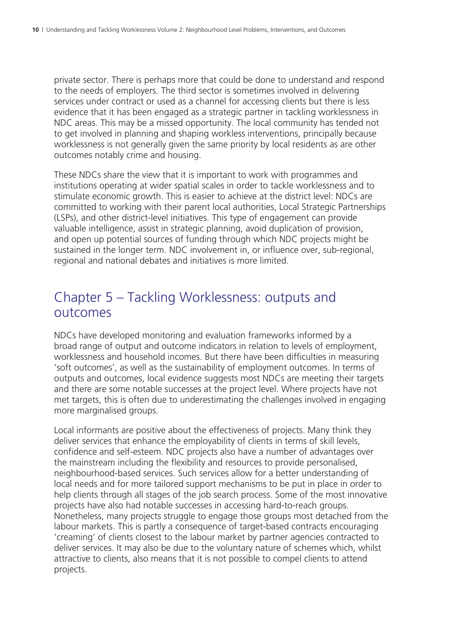private sector. There is perhaps more that could be done to understand and respond to the needs of employers. The third sector is sometimes involved in delivering services under contract or used as a channel for accessing clients but there is less evidence that it has been engaged as a strategic partner in tackling worklessness in NDC areas. This may be a missed opportunity. The local community has tended not to get involved in planning and shaping workless interventions, principally because worklessness is not generally given the same priority by local residents as are other outcomes notably crime and housing.

These NDCs share the view that it is important to work with programmes and institutions operating at wider spatial scales in order to tackle worklessness and to stimulate economic growth. This is easier to achieve at the district level: NDCs are committed to working with their parent local authorities, Local Strategic Partnerships (LSPs), and other district-level initiatives. This type of engagement can provide valuable intelligence, assist in strategic planning, avoid duplication of provision, and open up potential sources of funding through which NDC projects might be sustained in the longer term. NDC involvement in, or influence over, sub-regional, regional and national debates and initiatives is more limited.

### Chapter 5 – Tackling Worklessness: outputs and outcomes

NDCs have developed monitoring and evaluation frameworks informed by a broad range of output and outcome indicators in relation to levels of employment, worklessness and household incomes. But there have been difficulties in measuring 'soft outcomes', as well as the sustainability of employment outcomes. In terms of outputs and outcomes, local evidence suggests most NDCs are meeting their targets and there are some notable successes at the project level. Where projects have not met targets, this is often due to underestimating the challenges involved in engaging more marginalised groups.

Local informants are positive about the effectiveness of projects. Many think they deliver services that enhance the employability of clients in terms of skill levels, confidence and self-esteem. NDC projects also have a number of advantages over the mainstream including the flexibility and resources to provide personalised, neighbourhood-based services. Such services allow for a better understanding of local needs and for more tailored support mechanisms to be put in place in order to help clients through all stages of the job search process. Some of the most innovative projects have also had notable successes in accessing hard-to-reach groups. Nonetheless, many projects struggle to engage those groups most detached from the labour markets. This is partly a consequence of target-based contracts encouraging 'creaming' of clients closest to the labour market by partner agencies contracted to deliver services. It may also be due to the voluntary nature of schemes which, whilst attractive to clients, also means that it is not possible to compel clients to attend projects.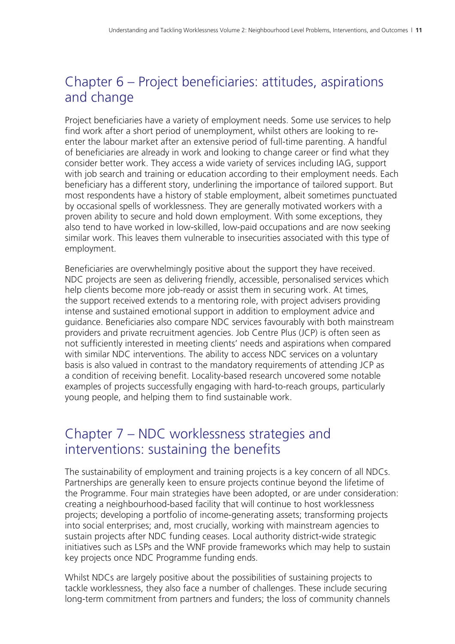# Chapter 6 – Project beneficiaries: attitudes, aspirations and change

Project beneficiaries have a variety of employment needs. Some use services to help find work after a short period of unemployment, whilst others are looking to reenter the labour market after an extensive period of full-time parenting. A handful of beneficiaries are already in work and looking to change career or find what they consider better work. They access a wide variety of services including IAG, support with job search and training or education according to their employment needs. Each beneficiary has a different story, underlining the importance of tailored support. But most respondents have a history of stable employment, albeit sometimes punctuated by occasional spells of worklessness. They are generally motivated workers with a proven ability to secure and hold down employment. With some exceptions, they also tend to have worked in low-skilled, low-paid occupations and are now seeking similar work. This leaves them vulnerable to insecurities associated with this type of employment.

Beneficiaries are overwhelmingly positive about the support they have received. NDC projects are seen as delivering friendly, accessible, personalised services which help clients become more job-ready or assist them in securing work. At times, the support received extends to a mentoring role, with project advisers providing intense and sustained emotional support in addition to employment advice and guidance. Beneficiaries also compare NDC services favourably with both mainstream providers and private recruitment agencies. Job Centre Plus (JCP) is often seen as not sufficiently interested in meeting clients' needs and aspirations when compared with similar NDC interventions. The ability to access NDC services on a voluntary basis is also valued in contrast to the mandatory requirements of attending JCP as a condition of receiving benefit. Locality-based research uncovered some notable examples of projects successfully engaging with hard-to-reach groups, particularly young people, and helping them to find sustainable work.

### Chapter 7 – NDC worklessness strategies and interventions: sustaining the benefits

The sustainability of employment and training projects is a key concern of all NDCs. Partnerships are generally keen to ensure projects continue beyond the lifetime of the Programme. Four main strategies have been adopted, or are under consideration: creating a neighbourhood-based facility that will continue to host worklessness projects; developing a portfolio of income-generating assets; transforming projects into social enterprises; and, most crucially, working with mainstream agencies to sustain projects after NDC funding ceases. Local authority district-wide strategic initiatives such as LSPs and the WNF provide frameworks which may help to sustain key projects once NDC Programme funding ends.

Whilst NDCs are largely positive about the possibilities of sustaining projects to tackle worklessness, they also face a number of challenges. These include securing long-term commitment from partners and funders; the loss of community channels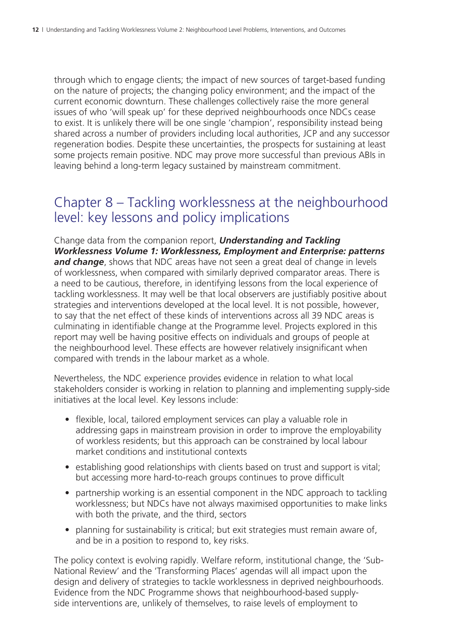through which to engage clients; the impact of new sources of target-based funding on the nature of projects; the changing policy environment; and the impact of the current economic downturn. These challenges collectively raise the more general issues of who 'will speak up' for these deprived neighbourhoods once NDCs cease to exist. It is unlikely there will be one single 'champion', responsibility instead being shared across a number of providers including local authorities, JCP and any successor regeneration bodies. Despite these uncertainties, the prospects for sustaining at least some projects remain positive. NDC may prove more successful than previous ABIs in leaving behind a long-term legacy sustained by mainstream commitment.

## Chapter 8 – Tackling worklessness at the neighbourhood level: key lessons and policy implications

Change data from the companion report, *Understanding and Tackling Worklessness Volume 1: Worklessness, Employment and Enterprise: patterns and change*, shows that NDC areas have not seen a great deal of change in levels of worklessness, when compared with similarly deprived comparator areas. There is a need to be cautious, therefore, in identifying lessons from the local experience of tackling worklessness. It may well be that local observers are justifiably positive about strategies and interventions developed at the local level. It is not possible, however, to say that the net effect of these kinds of interventions across all 39 NDC areas is culminating in identifiable change at the Programme level. Projects explored in this report may well be having positive effects on individuals and groups of people at the neighbourhood level. These effects are however relatively insignificant when compared with trends in the labour market as a whole.

Nevertheless, the NDC experience provides evidence in relation to what local stakeholders consider is working in relation to planning and implementing supply-side initiatives at the local level. Key lessons include:

- flexible, local, tailored employment services can play a valuable role in addressing gaps in mainstream provision in order to improve the employability of workless residents; but this approach can be constrained by local labour market conditions and institutional contexts
- establishing good relationships with clients based on trust and support is vital; but accessing more hard-to-reach groups continues to prove difficult
- partnership working is an essential component in the NDC approach to tackling worklessness; but NDCs have not always maximised opportunities to make links with both the private, and the third, sectors
- planning for sustainability is critical; but exit strategies must remain aware of, and be in a position to respond to, key risks.

The policy context is evolving rapidly. Welfare reform, institutional change, the 'Sub-National Review' and the 'Transforming Places' agendas will all impact upon the design and delivery of strategies to tackle worklessness in deprived neighbourhoods. Evidence from the NDC Programme shows that neighbourhood-based supplyside interventions are, unlikely of themselves, to raise levels of employment to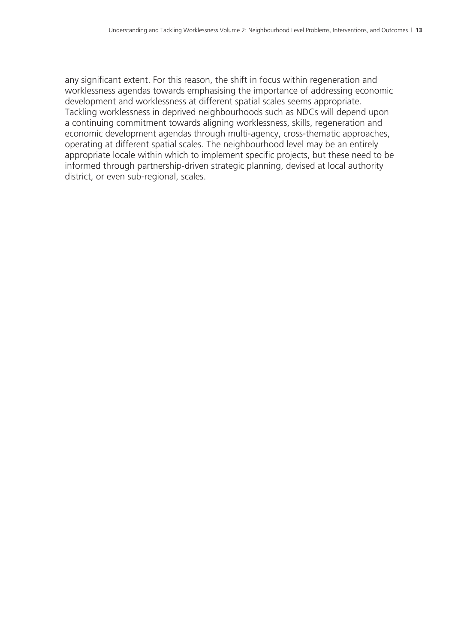any significant extent. For this reason, the shift in focus within regeneration and worklessness agendas towards emphasising the importance of addressing economic development and worklessness at different spatial scales seems appropriate. Tackling worklessness in deprived neighbourhoods such as NDCs will depend upon a continuing commitment towards aligning worklessness, skills, regeneration and economic development agendas through multi-agency, cross-thematic approaches, operating at different spatial scales. The neighbourhood level may be an entirely appropriate locale within which to implement specific projects, but these need to be informed through partnership-driven strategic planning, devised at local authority district, or even sub-regional, scales.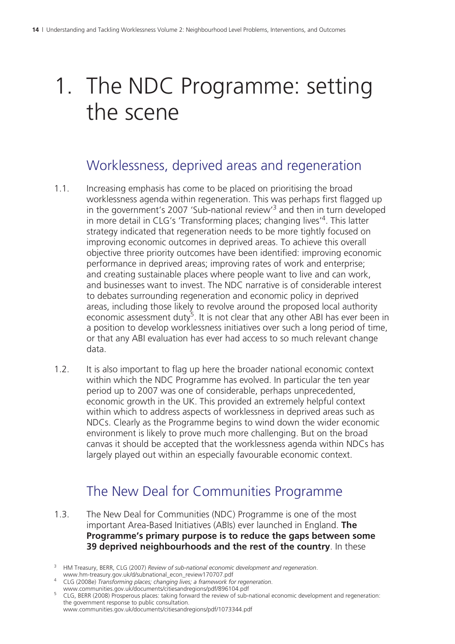# 1. The NDC Programme: setting the scene

## Worklessness, deprived areas and regeneration

- 1.1. Increasing emphasis has come to be placed on prioritising the broad worklessness agenda within regeneration. This was perhaps first flagged up in the government's 2007 'Sub-national review'<sup>3</sup> and then in turn developed in more detail in CLG's 'Transforming places; changing lives<sup>'4</sup>. This latter strategy indicated that regeneration needs to be more tightly focused on improving economic outcomes in deprived areas. To achieve this overall objective three priority outcomes have been identified: improving economic performance in deprived areas; improving rates of work and enterprise; and creating sustainable places where people want to live and can work, and businesses want to invest. The NDC narrative is of considerable interest to debates surrounding regeneration and economic policy in deprived areas, including those likely to revolve around the proposed local authority economic assessment duty<sup>5</sup>. It is not clear that any other ABI has ever been in a position to develop worklessness initiatives over such a long period of time, or that any ABI evaluation has ever had access to so much relevant change data.
- 1.2. It is also important to flag up here the broader national economic context within which the NDC Programme has evolved. In particular the ten year period up to 2007 was one of considerable, perhaps unprecedented, economic growth in the UK. This provided an extremely helpful context within which to address aspects of worklessness in deprived areas such as NDCs. Clearly as the Programme begins to wind down the wider economic environment is likely to prove much more challenging. But on the broad canvas it should be accepted that the worklessness agenda within NDCs has largely played out within an especially favourable economic context.

# The New Deal for Communities Programme

- 1.3. The New Deal for Communities (NDC) Programme is one of the most important Area-Based Initiatives (ABIs) ever launched in England. **The Programme's primary purpose is to reduce the gaps between some 39 deprived neighbourhoods and the rest of the country**. In these
- 3 HM Treasury, BERR, CLG (2007) *Review of sub-national economic development and regeneration*.
- 
- www.hm-treasury.gov.uk/d/subnational\_econ\_review170707.pdf <sup>4</sup> CLG (2008e) *Transforming places; changing lives; a framework for regeneration*. www.communities.gov.uk/documents/citiesandregions/pdf/896104.pdf

<sup>&</sup>lt;sup>5</sup> CLG, BERR (2008) Prosperous places: taking forward the review of sub-national economic development and regeneration: the government response to public consultation.

www.communities.gov.uk/documents/citiesandregions/pdf/1073344.pdf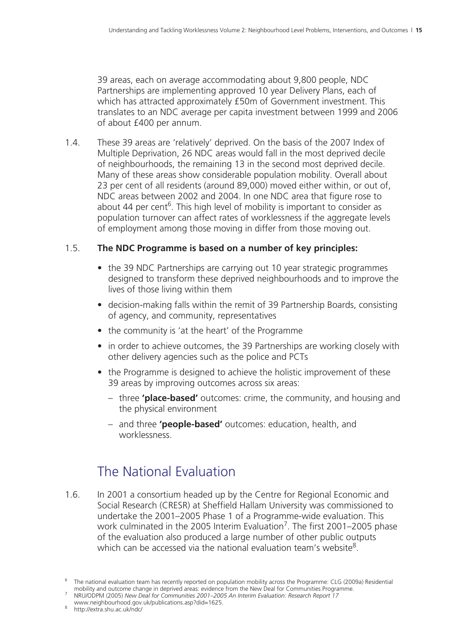39 areas, each on average accommodating about 9,800 people, NDC Partnerships are implementing approved 10 year Delivery Plans, each of which has attracted approximately £50m of Government investment. This translates to an NDC average per capita investment between 1999 and 2006 of about £400 per annum.

1.4. These 39 areas are 'relatively' deprived. On the basis of the 2007 Index of Multiple Deprivation, 26 NDC areas would fall in the most deprived decile of neighbourhoods, the remaining 13 in the second most deprived decile. Many of these areas show considerable population mobility. Overall about 23 per cent of all residents (around 89,000) moved either within, or out of, NDC areas between 2002 and 2004. In one NDC area that figure rose to about 44 per cent<sup>6</sup>. This high level of mobility is important to consider as population turnover can affect rates of worklessness if the aggregate levels of employment among those moving in differ from those moving out.

#### 1.5. **The NDC Programme is based on a number of key principles:**

- the 39 NDC Partnerships are carrying out 10 year strategic programmes designed to transform these deprived neighbourhoods and to improve the lives of those living within them
- decision-making falls within the remit of 39 Partnership Boards, consisting of agency, and community, representatives
- the community is 'at the heart' of the Programme
- in order to achieve outcomes, the 39 Partnerships are working closely with other delivery agencies such as the police and PCTs
- the Programme is designed to achieve the holistic improvement of these 39 areas by improving outcomes across six areas:
	- three **'place-based'** outcomes: crime, the community, and housing and the physical environment
	- and three **'people-based'** outcomes: education, health, and worklessness.

## The National Evaluation

1.6. In 2001 a consortium headed up by the Centre for Regional Economic and Social Research (CRESR) at Sheffield Hallam University was commissioned to undertake the 2001–2005 Phase 1 of a Programme-wide evaluation. This work culminated in the 2005 Interim Evaluation<sup>7</sup>. The first 2001–2005 phase of the evaluation also produced a large number of other public outputs which can be accessed via the national evaluation team's website<sup>8</sup>.

www.neighbourhood.gov.uk/publications.asp?did=1625. <sup>8</sup>

<sup>6</sup> The national evaluation team has recently reported on population mobility across the Programme: CLG (2009a) Residential

mobility and outcome change in deprived areas: evidence from the New Deal for Communities Programme. <sup>7</sup> NRU/ODPM (2005) *New Deal for Communities 2001–2005 An Interim Evaluation: Research Report 17*

<sup>8</sup> http://extra.shu.ac.uk/ndc/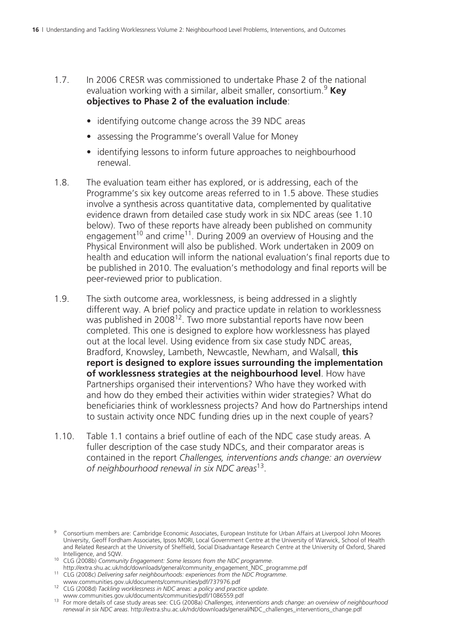- 1.7. In 2006 CRESR was commissioned to undertake Phase 2 of the national evaluation working with a similar, albeit smaller, consortium.<sup>9</sup> Key **objectives to Phase 2 of the evaluation include**:
	- identifying outcome change across the 39 NDC areas
	- assessing the Programme's overall Value for Money
	- identifying lessons to inform future approaches to neighbourhood renewal.
- 1.8. The evaluation team either has explored, or is addressing, each of the Programme's six key outcome areas referred to in 1.5 above. These studies involve a synthesis across quantitative data, complemented by qualitative evidence drawn from detailed case study work in six NDC areas (see 1.10 below). Two of these reports have already been published on community engagement<sup>10</sup> and crime<sup>11</sup>. During 2009 an overview of Housing and the Physical Environment will also be published. Work undertaken in 2009 on health and education will inform the national evaluation's final reports due to be published in 2010. The evaluation's methodology and final reports will be peer-reviewed prior to publication.
- 1.9. The sixth outcome area, worklessness, is being addressed in a slightly different way. A brief policy and practice update in relation to worklessness was published in 2008<sup>12</sup>. Two more substantial reports have now been completed. This one is designed to explore how worklessness has played out at the local level. Using evidence from six case study NDC areas, Bradford, Knowsley, Lambeth, Newcastle, Newham, and Walsall, **this report is designed to explore issues surrounding the implementation of worklessness strategies at the neighbourhood level**. How have Partnerships organised their interventions? Who have they worked with and how do they embed their activities within wider strategies? What do beneficiaries think of worklessness projects? And how do Partnerships intend to sustain activity once NDC funding dries up in the next couple of years?
- 1.10. Table 1.1 contains a brief outline of each of the NDC case study areas. A fuller description of the case study NDCs, and their comparator areas is contained in the report *Challenges, interventions ands change: an overview of neighbourhood renewal in six NDC areas*13.

- Intelligence, and Sext.<br>Intelligence, and SQW. 10 CLG (2008b) *Community Engagement: Some lessons from the NDC programme*.<br>http://extra.shu.ac.uk/ndc/downloads/general/community\_engagement\_NDC\_programme.pdf
- 
- http://extra.shu.ac.uk/ndc/downloads/engagement/downloads/engagement/communities/communities/pdf<br>www.communities.gov.uk/documents/communities/pdf/737976.pdf
- www.communities.gov.uk/documents/communities/pdf/737976.pdf 12 CLG (2008d) *Tackling worklessness in NDC areas: a policy and practice update*.

<sup>9</sup> Consortium members are: Cambridge Economic Associates, European Institute for Urban Affairs at Liverpool John Moores University, Geoff Fordham Associates, Ipsos MORI, Local Government Centre at the University of Warwick, School of Health and Related Research at the University of Sheffield, Social Disadvantage Research Centre at the University of Oxford, Shared

www.communities.gov.uk/documents/communities.com<br><sup>13</sup> For more details of case study areas see: CLG (2008a) *Challenges, interventions ands change: an overview of neighbourhood renewal in six NDC areas*. http://extra.shu.ac.uk/ndc/downloads/general/NDC\_challenges\_interventions\_change.pdf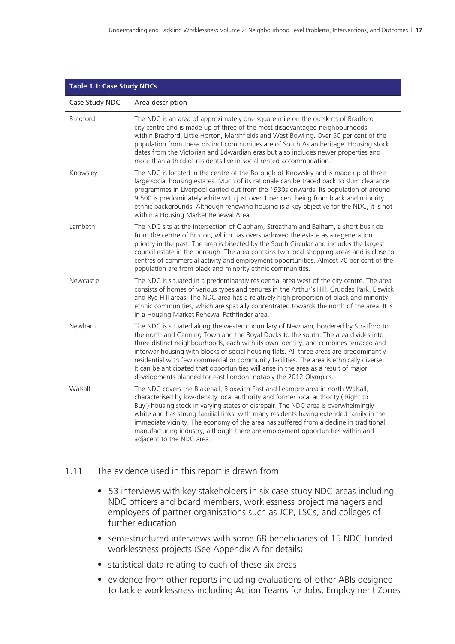| <b>Table 1.1: Case Study NDCs</b> |                                                                                                                                                                                                                                                                                                                                                                                                                                                                                                                                                                                                                     |
|-----------------------------------|---------------------------------------------------------------------------------------------------------------------------------------------------------------------------------------------------------------------------------------------------------------------------------------------------------------------------------------------------------------------------------------------------------------------------------------------------------------------------------------------------------------------------------------------------------------------------------------------------------------------|
| Case Study NDC                    | Area description                                                                                                                                                                                                                                                                                                                                                                                                                                                                                                                                                                                                    |
| <b>Bradford</b>                   | The NDC is an area of approximately one square mile on the outskirts of Bradford<br>city centre and is made up of three of the most disadvantaged neighbourhoods<br>within Bradford: Little Horton, Marshfields and West Bowling. Over 50 per cent of the<br>population from these distinct communities are of South Asian heritage. Housing stock<br>dates from the Victorian and Edwardian eras but also includes newer properties and<br>more than a third of residents live in social rented accommodation.                                                                                                     |
| Knowsley                          | The NDC is located in the centre of the Borough of Knowsley and is made up of three<br>large social housing estates. Much of its rationale can be traced back to slum clearance<br>programmes in Liverpool carried out from the 1930s onwards. Its population of around<br>9,500 is predominately white with just over 1 per cent being from black and minority<br>ethnic backgrounds. Although renewing housing is a key objective for the NDC, it is not<br>within a Housing Market Renewal Area.                                                                                                                 |
| Lambeth                           | The NDC sits at the intersection of Clapham, Streatham and Balham, a short bus ride<br>from the centre of Brixton, which has overshadowed the estate as a regeneration<br>priority in the past. The area is bisected by the South Circular and includes the largest<br>council estate in the borough. The area contains two local shopping areas and is close to<br>centres of commercial activity and employment opportunities. Almost 70 per cent of the<br>population are from black and minority ethnic communities.                                                                                            |
| Newcastle                         | The NDC is situated in a predominantly residential area west of the city centre. The area<br>consists of homes of various types and tenures in the Arthur's Hill, Cruddas Park, Elswick<br>and Rye Hill areas. The NDC area has a relatively high proportion of black and minority<br>ethnic communities, which are spatially concentrated towards the north of the area. It is<br>in a Housing Market Renewal Pathfinder area.                                                                                                                                                                                     |
| Newham                            | The NDC is situated along the western boundary of Newham, bordered by Stratford to<br>the north and Canning Town and the Royal Docks to the south. The area divides into<br>three distinct neighbourhoods, each with its own identity, and combines terraced and<br>interwar housing with blocks of social housing flats. All three areas are predominantly<br>residential with few commercial or community facilities. The area is ethnically diverse.<br>It can be anticipated that opportunities will arise in the area as a result of major<br>developments planned for east London, notably the 2012 Olympics. |
| Walsall                           | The NDC covers the Blakenall, Bloxwich East and Leamore area in north Walsall,<br>characterised by low-density local authority and former local authority ('Right to<br>Buy') housing stock in varying states of disrepair. The NDC area is overwhelmingly<br>white and has strong familial links, with many residents having extended family in the<br>immediate vicinity. The economy of the area has suffered from a decline in traditional<br>manufacturing industry, although there are employment opportunities within and<br>adjacent to the NDC area.                                                       |

#### 1.11. The evidence used in this report is drawn from:

- 53 interviews with key stakeholders in six case study NDC areas including NDC officers and board members, worklessness project managers and employees of partner organisations such as JCP, LSCs, and colleges of further education
- semi-structured interviews with some 68 beneficiaries of 15 NDC funded worklessness projects (See Appendix A for details)
- statistical data relating to each of these six areas
- evidence from other reports including evaluations of other ABIs designed to tackle worklessness including Action Teams for Jobs, Employment Zones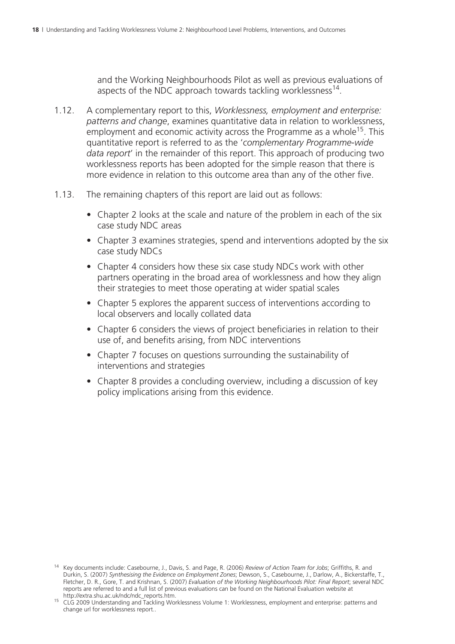and the Working Neighbourhoods Pilot as well as previous evaluations of aspects of the NDC approach towards tackling worklessness<sup>14</sup>.

- 1.12. A complementary report to this, *Worklessness, employment and enterprise: patterns and change*, examines quantitative data in relation to worklessness, employment and economic activity across the Programme as a whole<sup>15</sup>. This quantitative report is referred to as the '*complementary Programme-wide data report*' in the remainder of this report. This approach of producing two worklessness reports has been adopted for the simple reason that there is more evidence in relation to this outcome area than any of the other five.
- 1.13. The remaining chapters of this report are laid out as follows:
	- Chapter 2 looks at the scale and nature of the problem in each of the six case study NDC areas
	- Chapter 3 examines strategies, spend and interventions adopted by the six case study NDCs
	- Chapter 4 considers how these six case study NDCs work with other partners operating in the broad area of worklessness and how they align their strategies to meet those operating at wider spatial scales
	- Chapter 5 explores the apparent success of interventions according to local observers and locally collated data
	- Chapter 6 considers the views of project beneficiaries in relation to their use of, and benefits arising, from NDC interventions
	- Chapter 7 focuses on questions surrounding the sustainability of interventions and strategies
	- Chapter 8 provides a concluding overview, including a discussion of key policy implications arising from this evidence.

<sup>14</sup> Key documents include: Casebourne, J., Davis, S. and Page, R. (2006) *Review of Action Team for Jobs*; Griffiths, R. and Durkin, S. (2007) *Synthesising the Evidence on Employment Zones*; Dewson, S., Casebourne, J., Darlow, A., Bickerstaffe, T., Fletcher, D. R., Gore, T. and Krishnan, S. (2007) *Evaluation of the Working Neighbourhoods Pilot: Final Report*; several NDC reports are referred to and a full list of previous evaluations can be found on the National Evaluation website at http://extra.shu.ac.uk/ndc/ndc\_reports.htm.

http://extra.shu.ac.uk/ndc/ndc\_reports.htm. 15 CLG 2009 Understanding and Tackling Worklessness Volume 1: Worklessness, employment and enterprise: patterns and change url for worklessness report..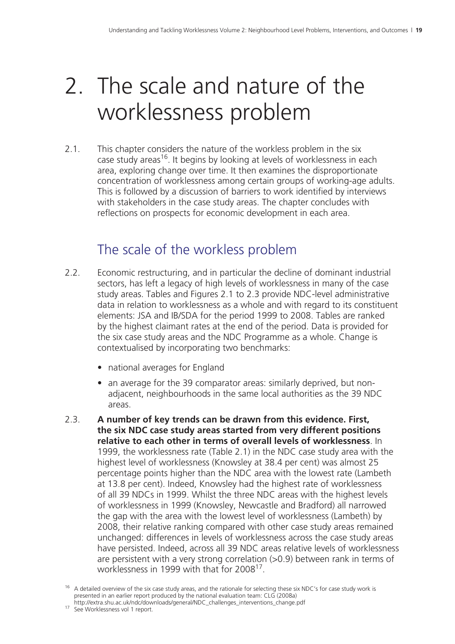# 2. The scale and nature of the worklessness problem

2.1. This chapter considers the nature of the workless problem in the six case study areas<sup>16</sup>. It begins by looking at levels of worklessness in each area, exploring change over time. It then examines the disproportionate concentration of worklessness among certain groups of working-age adults. This is followed by a discussion of barriers to work identified by interviews with stakeholders in the case study areas. The chapter concludes with reflections on prospects for economic development in each area.

## The scale of the workless problem

- 2.2. Economic restructuring, and in particular the decline of dominant industrial sectors, has left a legacy of high levels of worklessness in many of the case study areas. Tables and Figures 2.1 to 2.3 provide NDC-level administrative data in relation to worklessness as a whole and with regard to its constituent elements: JSA and IB/SDA for the period 1999 to 2008. Tables are ranked by the highest claimant rates at the end of the period. Data is provided for the six case study areas and the NDC Programme as a whole. Change is contextualised by incorporating two benchmarks:
	- national averages for England
	- an average for the 39 comparator areas: similarly deprived, but nonadjacent, neighbourhoods in the same local authorities as the 39 NDC areas.
- 2.3. **A number of key trends can be drawn from this evidence. First, the six NDC case study areas started from very different positions relative to each other in terms of overall levels of worklessness**. In 1999, the worklessness rate (Table 2.1) in the NDC case study area with the highest level of worklessness (Knowsley at 38.4 per cent) was almost 25 percentage points higher than the NDC area with the lowest rate (Lambeth at 13.8 per cent). Indeed, Knowsley had the highest rate of worklessness of all 39 NDCs in 1999. Whilst the three NDC areas with the highest levels of worklessness in 1999 (Knowsley, Newcastle and Bradford) all narrowed the gap with the area with the lowest level of worklessness (Lambeth) by 2008, their relative ranking compared with other case study areas remained unchanged: differences in levels of worklessness across the case study areas have persisted. Indeed, across all 39 NDC areas relative levels of worklessness are persistent with a very strong correlation (>0.9) between rank in terms of worklessness in 1999 with that for 2008<sup>17</sup>.

<sup>&</sup>lt;sup>16</sup> A detailed overview of the six case study areas, and the rationale for selecting these six NDC's for case study work is presented in an earlier report produced by the national evaluation team: CLG (2008a)

http://extra.shu.ac.uk/ndc/downloads/general/NDC\_challenges\_interventions\_change.pdf 17 See Worklessness vol 1 report.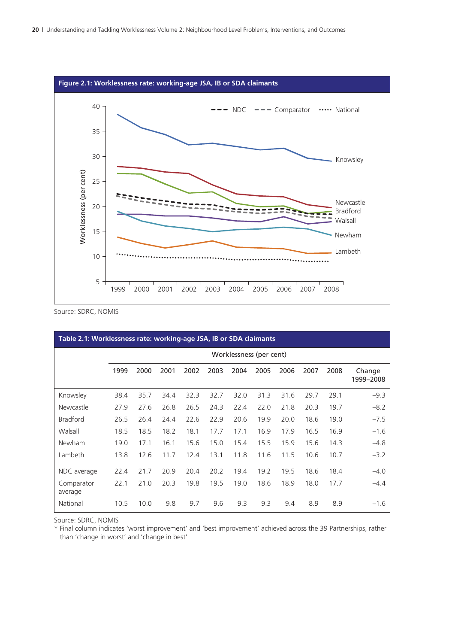

Source: SDRC, NOMIS

| Table 2.1: Worklessness rate: working-age JSA, IB or SDA claimants |                         |      |      |      |      |      |      |      |      |      |                     |  |
|--------------------------------------------------------------------|-------------------------|------|------|------|------|------|------|------|------|------|---------------------|--|
|                                                                    | Worklessness (per cent) |      |      |      |      |      |      |      |      |      |                     |  |
|                                                                    | 1999                    | 2000 | 2001 | 2002 | 2003 | 2004 | 2005 | 2006 | 2007 | 2008 | Change<br>1999-2008 |  |
| Knowsley                                                           | 38.4                    | 35.7 | 34.4 | 32.3 | 32.7 | 32.0 | 31.3 | 31.6 | 29.7 | 29.1 | $-9.3$              |  |
| Newcastle                                                          | 27.9                    | 27.6 | 26.8 | 26.5 | 24.3 | 22.4 | 22.0 | 21.8 | 20.3 | 19.7 | $-8.2$              |  |
| <b>Bradford</b>                                                    | 26.5                    | 26.4 | 24.4 | 22.6 | 22.9 | 20.6 | 19.9 | 20.0 | 18.6 | 19.0 | $-7.5$              |  |
| Walsall                                                            | 18.5                    | 18.5 | 18.2 | 18.1 | 17.7 | 17.1 | 16.9 | 17.9 | 16.5 | 16.9 | $-1.6$              |  |
| Newham                                                             | 19.0                    | 17.1 | 16.1 | 15.6 | 15.0 | 15.4 | 15.5 | 15.9 | 15.6 | 14.3 | $-4.8$              |  |
| Lambeth                                                            | 13.8                    | 12.6 | 11.7 | 12.4 | 13.1 | 11.8 | 11.6 | 11.5 | 10.6 | 10.7 | $-3.2$              |  |
| NDC average                                                        | 22.4                    | 21.7 | 20.9 | 20.4 | 20.2 | 19.4 | 19.2 | 19.5 | 18.6 | 18.4 | $-4.0$              |  |
| Comparator<br>average                                              | 22.1                    | 21.0 | 20.3 | 19.8 | 19.5 | 19.0 | 18.6 | 18.9 | 18.0 | 17.7 | $-4.4$              |  |
| National                                                           | 10.5                    | 10.0 | 9.8  | 9.7  | 9.6  | 9.3  | 9.3  | 9.4  | 8.9  | 8.9  | $-1.6$              |  |

Source: SDRC, NOMIS

\* Final column indicates 'worst improvement' and 'best improvement' achieved across the 39 Partnerships, rather than 'change in worst' and 'change in best'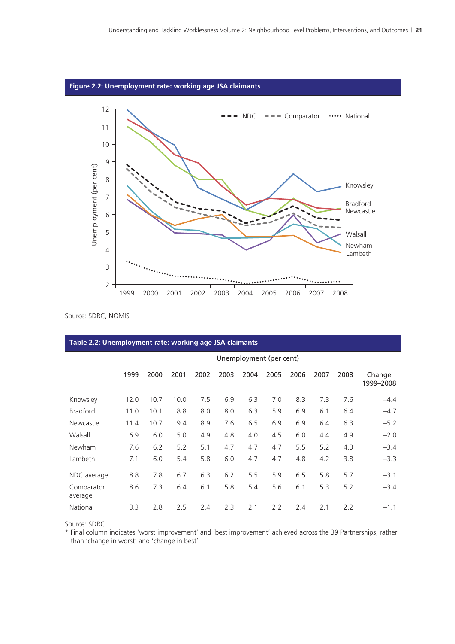

Source: SDRC, NOMIS

| Table 2.2: Unemployment rate: working age JSA claimants |                         |      |      |      |      |      |      |      |      |      |                     |  |
|---------------------------------------------------------|-------------------------|------|------|------|------|------|------|------|------|------|---------------------|--|
|                                                         | Unemployment (per cent) |      |      |      |      |      |      |      |      |      |                     |  |
|                                                         | 1999                    | 2000 | 2001 | 2002 | 2003 | 2004 | 2005 | 2006 | 2007 | 2008 | Change<br>1999-2008 |  |
| Knowsley                                                | 12.0                    | 10.7 | 10.0 | 7.5  | 6.9  | 6.3  | 7.0  | 8.3  | 7.3  | 7.6  | $-4.4$              |  |
| <b>Bradford</b>                                         | 11.0                    | 10.1 | 8.8  | 8.0  | 8.0  | 6.3  | 5.9  | 6.9  | 6.1  | 6.4  | $-4.7$              |  |
| Newcastle                                               | 11.4                    | 10.7 | 9.4  | 8.9  | 7.6  | 6.5  | 6.9  | 6.9  | 6.4  | 6.3  | $-5.2$              |  |
| Walsall                                                 | 6.9                     | 6.0  | 5.0  | 4.9  | 4.8  | 4.0  | 4.5  | 6.0  | 4.4  | 4.9  | $-2.0$              |  |
| Newham                                                  | 7.6                     | 6.2  | 5.2  | 5.1  | 4.7  | 4.7  | 4.7  | 5.5  | 5.2  | 4.3  | $-3.4$              |  |
| Lambeth                                                 | 7.1                     | 6.0  | 5.4  | 5.8  | 6.0  | 4.7  | 4.7  | 4.8  | 4.2  | 3.8  | $-3.3$              |  |
| NDC average                                             | 8.8                     | 7.8  | 6.7  | 6.3  | 6.2  | 5.5  | 5.9  | 6.5  | 5.8  | 5.7  | $-3.1$              |  |
| Comparator<br>average                                   | 8.6                     | 7.3  | 6.4  | 6.1  | 5.8  | 5.4  | 5.6  | 6.1  | 5.3  | 5.2  | $-3.4$              |  |
| National                                                | 3.3                     | 2.8  | 2.5  | 2.4  | 2.3  | 2.1  | 2.2  | 2.4  | 2.1  | 2.2  | $-1.1$              |  |

Source: SDRC

\* Final column indicates 'worst improvement' and 'best improvement' achieved across the 39 Partnerships, rather than 'change in worst' and 'change in best'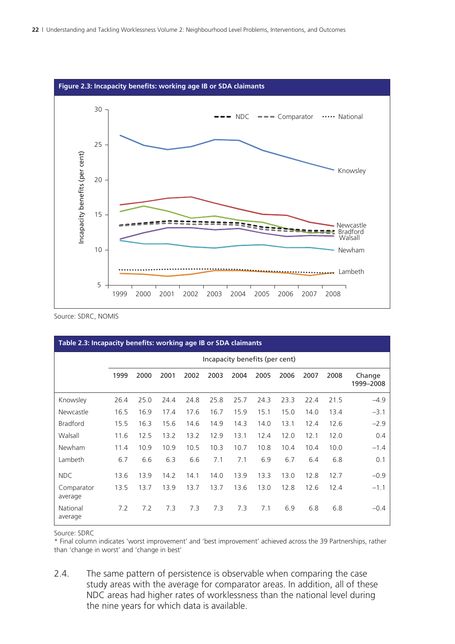

Source: SDRC, NOMIS

| Table 2.3: Incapacity benefits: working age IB or SDA claimants |                                |      |      |      |      |      |      |      |      |      |                     |  |
|-----------------------------------------------------------------|--------------------------------|------|------|------|------|------|------|------|------|------|---------------------|--|
|                                                                 | Incapacity benefits (per cent) |      |      |      |      |      |      |      |      |      |                     |  |
|                                                                 | 1999                           | 2000 | 2001 | 2002 | 2003 | 2004 | 2005 | 2006 | 2007 | 2008 | Change<br>1999-2008 |  |
| Knowsley                                                        | 26.4                           | 25.0 | 24.4 | 24.8 | 25.8 | 25.7 | 24.3 | 23.3 | 22.4 | 21.5 | $-4.9$              |  |
| Newcastle                                                       | 16.5                           | 16.9 | 17.4 | 17.6 | 16.7 | 15.9 | 15.1 | 15.0 | 14.0 | 13.4 | $-3.1$              |  |
| <b>Bradford</b>                                                 | 15.5                           | 16.3 | 15.6 | 14.6 | 14.9 | 14.3 | 14.0 | 13.1 | 12.4 | 12.6 | $-2.9$              |  |
| Walsall                                                         | 11.6                           | 12.5 | 13.2 | 13.2 | 12.9 | 13.1 | 12.4 | 12.0 | 12.1 | 12.0 | 0.4                 |  |
| Newham                                                          | 11.4                           | 10.9 | 10.9 | 10.5 | 10.3 | 10.7 | 10.8 | 10.4 | 10.4 | 10.0 | $-1.4$              |  |
| Lambeth                                                         | 6.7                            | 6.6  | 6.3  | 6.6  | 7.1  | 7.1  | 6.9  | 6.7  | 6.4  | 6.8  | 0.1                 |  |
| NDC                                                             | 13.6                           | 13.9 | 14.2 | 14.1 | 14.0 | 13.9 | 13.3 | 13.0 | 12.8 | 12.7 | $-0.9$              |  |
| Comparator<br>average                                           | 13.5                           | 13.7 | 13.9 | 13.7 | 13.7 | 13.6 | 13.0 | 12.8 | 12.6 | 12.4 | $-1.1$              |  |
| National<br>average                                             | 7.2                            | 7.2  | 7.3  | 7.3  | 7.3  | 7.3  | 7.1  | 6.9  | 6.8  | 6.8  | $-0.4$              |  |

Source: SDRC

\* Final column indicates 'worst improvement' and 'best improvement' achieved across the 39 Partnerships, rather than 'change in worst' and 'change in best'

2.4. The same pattern of persistence is observable when comparing the case study areas with the average for comparator areas. In addition, all of these NDC areas had higher rates of worklessness than the national level during the nine years for which data is available.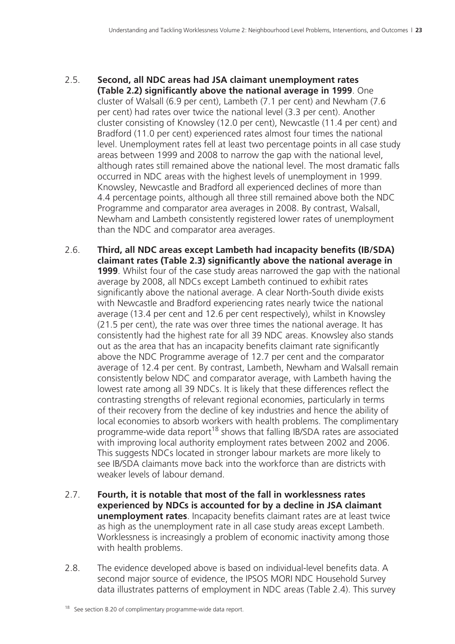- 2.5. **Second, all NDC areas had JSA claimant unemployment rates (Table 2.2) significantly above the national average in 1999**. One cluster of Walsall (6.9 per cent), Lambeth (7.1 per cent) and Newham (7.6 per cent) had rates over twice the national level (3.3 per cent). Another cluster consisting of Knowsley (12.0 per cent), Newcastle (11.4 per cent) and Bradford (11.0 per cent) experienced rates almost four times the national level. Unemployment rates fell at least two percentage points in all case study areas between 1999 and 2008 to narrow the gap with the national level, although rates still remained above the national level. The most dramatic falls occurred in NDC areas with the highest levels of unemployment in 1999. Knowsley, Newcastle and Bradford all experienced declines of more than 4.4 percentage points, although all three still remained above both the NDC Programme and comparator area averages in 2008. By contrast, Walsall, Newham and Lambeth consistently registered lower rates of unemployment than the NDC and comparator area averages.
- 2.6. **Third, all NDC areas except Lambeth had incapacity benefits (IB/SDA) claimant rates (Table 2.3) significantly above the national average in 1999**. Whilst four of the case study areas narrowed the gap with the national average by 2008, all NDCs except Lambeth continued to exhibit rates significantly above the national average. A clear North-South divide exists with Newcastle and Bradford experiencing rates nearly twice the national average (13.4 per cent and 12.6 per cent respectively), whilst in Knowsley (21.5 per cent), the rate was over three times the national average. It has consistently had the highest rate for all 39 NDC areas. Knowsley also stands out as the area that has an incapacity benefits claimant rate significantly above the NDC Programme average of 12.7 per cent and the comparator average of 12.4 per cent. By contrast, Lambeth, Newham and Walsall remain consistently below NDC and comparator average, with Lambeth having the lowest rate among all 39 NDCs. It is likely that these differences reflect the contrasting strengths of relevant regional economies, particularly in terms of their recovery from the decline of key industries and hence the ability of local economies to absorb workers with health problems. The complimentary programme-wide data report<sup>18</sup> shows that falling IB/SDA rates are associated with improving local authority employment rates between 2002 and 2006. This suggests NDCs located in stronger labour markets are more likely to see IB/SDA claimants move back into the workforce than are districts with weaker levels of labour demand.
- 2.7. **Fourth, it is notable that most of the fall in worklessness rates experienced by NDCs is accounted for by a decline in JSA claimant unemployment rates**. Incapacity benefits claimant rates are at least twice as high as the unemployment rate in all case study areas except Lambeth. Worklessness is increasingly a problem of economic inactivity among those with health problems.
- 2.8. The evidence developed above is based on individual-level benefits data. A second major source of evidence, the IPSOS MORI NDC Household Survey data illustrates patterns of employment in NDC areas (Table 2.4). This survey

<sup>&</sup>lt;sup>18</sup> See section 8.20 of complimentary programme-wide data report.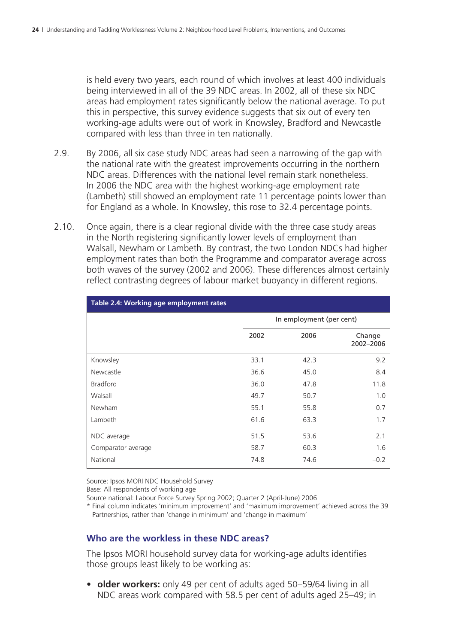is held every two years, each round of which involves at least 400 individuals being interviewed in all of the 39 NDC areas. In 2002, all of these six NDC areas had employment rates significantly below the national average. To put this in perspective, this survey evidence suggests that six out of every ten working-age adults were out of work in Knowsley, Bradford and Newcastle compared with less than three in ten nationally.

- 2.9. By 2006, all six case study NDC areas had seen a narrowing of the gap with the national rate with the greatest improvements occurring in the northern NDC areas. Differences with the national level remain stark nonetheless. In 2006 the NDC area with the highest working-age employment rate (Lambeth) still showed an employment rate 11 percentage points lower than for England as a whole. In Knowsley, this rose to 32.4 percentage points.
- 2.10. Once again, there is a clear regional divide with the three case study areas in the North registering significantly lower levels of employment than Walsall, Newham or Lambeth. By contrast, the two London NDCs had higher employment rates than both the Programme and comparator average across both waves of the survey (2002 and 2006). These differences almost certainly reflect contrasting degrees of labour market buoyancy in different regions.

| Table 2.4: Working age employment rates |                          |      |                     |  |  |  |  |  |  |  |
|-----------------------------------------|--------------------------|------|---------------------|--|--|--|--|--|--|--|
|                                         | In employment (per cent) |      |                     |  |  |  |  |  |  |  |
|                                         | 2002                     | 2006 | Change<br>2002-2006 |  |  |  |  |  |  |  |
| Knowsley                                | 33.1                     | 42.3 | 9.2                 |  |  |  |  |  |  |  |
| Newcastle                               | 36.6                     | 45.0 | 8.4                 |  |  |  |  |  |  |  |
| <b>Bradford</b>                         | 36.0                     | 47.8 | 11.8                |  |  |  |  |  |  |  |
| Walsall                                 | 49.7                     | 50.7 | 1.0                 |  |  |  |  |  |  |  |
| Newham                                  | 55.1                     | 55.8 | 0.7                 |  |  |  |  |  |  |  |
| Lambeth                                 | 61.6                     | 63.3 | 1.7                 |  |  |  |  |  |  |  |
| NDC average                             | 51.5                     | 53.6 | 2.1                 |  |  |  |  |  |  |  |
| Comparator average                      | 58.7                     | 60.3 | 1.6                 |  |  |  |  |  |  |  |
| National                                | 74.8                     | 74.6 | $-0.2$              |  |  |  |  |  |  |  |

Source: Ipsos MORI NDC Household Survey

Base: All respondents of working age

Source national: Labour Force Survey Spring 2002; Quarter 2 (April-June) 2006

\* Final column indicates 'minimum improvement' and 'maximum improvement' achieved across the 39 Partnerships, rather than 'change in minimum' and 'change in maximum'

#### **Who are the workless in these NDC areas?**

 The Ipsos MORI household survey data for working-age adults identifies those groups least likely to be working as:

• **older workers:** only 49 per cent of adults aged 50–59/64 living in all NDC areas work compared with 58.5 per cent of adults aged 25–49; in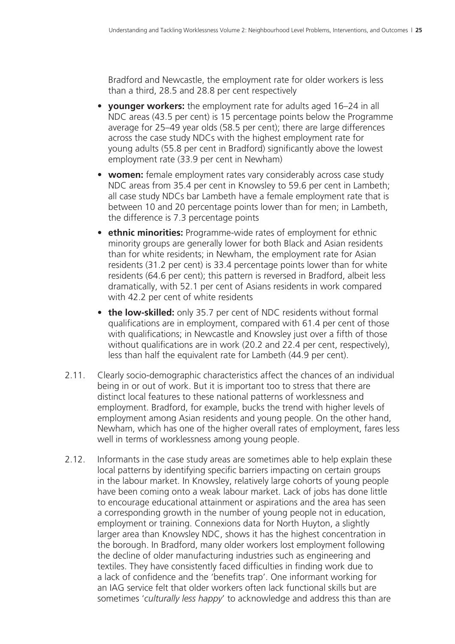Bradford and Newcastle, the employment rate for older workers is less than a third, 28.5 and 28.8 per cent respectively

- **younger workers:** the employment rate for adults aged 16–24 in all NDC areas (43.5 per cent) is 15 percentage points below the Programme average for 25–49 year olds (58.5 per cent); there are large differences across the case study NDCs with the highest employment rate for young adults (55.8 per cent in Bradford) significantly above the lowest employment rate (33.9 per cent in Newham)
- **women:** female employment rates vary considerably across case study NDC areas from 35.4 per cent in Knowsley to 59.6 per cent in Lambeth; all case study NDCs bar Lambeth have a female employment rate that is between 10 and 20 percentage points lower than for men; in Lambeth, the difference is 7.3 percentage points
- **ethnic minorities:** Programme-wide rates of employment for ethnic minority groups are generally lower for both Black and Asian residents than for white residents; in Newham, the employment rate for Asian residents (31.2 per cent) is 33.4 percentage points lower than for white residents (64.6 per cent); this pattern is reversed in Bradford, albeit less dramatically, with 52.1 per cent of Asians residents in work compared with 42.2 per cent of white residents
- **the low-skilled:** only 35.7 per cent of NDC residents without formal qualifications are in employment, compared with 61.4 per cent of those with qualifications; in Newcastle and Knowsley just over a fifth of those without qualifications are in work (20.2 and 22.4 per cent, respectively), less than half the equivalent rate for Lambeth (44.9 per cent).
- 2.11. Clearly socio-demographic characteristics affect the chances of an individual being in or out of work. But it is important too to stress that there are distinct local features to these national patterns of worklessness and employment. Bradford, for example, bucks the trend with higher levels of employment among Asian residents and young people. On the other hand, Newham, which has one of the higher overall rates of employment, fares less well in terms of worklessness among young people.
- 2.12. Informants in the case study areas are sometimes able to help explain these local patterns by identifying specific barriers impacting on certain groups in the labour market. In Knowsley, relatively large cohorts of young people have been coming onto a weak labour market. Lack of jobs has done little to encourage educational attainment or aspirations and the area has seen a corresponding growth in the number of young people not in education, employment or training. Connexions data for North Huyton, a slightly larger area than Knowsley NDC, shows it has the highest concentration in the borough. In Bradford, many older workers lost employment following the decline of older manufacturing industries such as engineering and textiles. They have consistently faced difficulties in finding work due to a lack of confidence and the 'benefits trap'. One informant working for an IAG service felt that older workers often lack functional skills but are sometimes '*culturally less happy*' to acknowledge and address this than are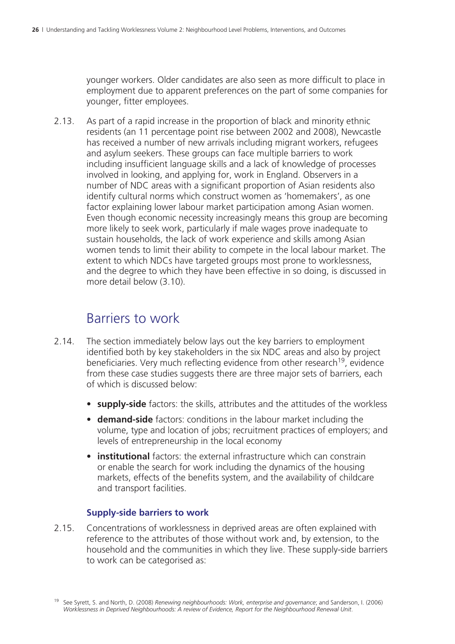younger workers. Older candidates are also seen as more difficult to place in employment due to apparent preferences on the part of some companies for younger, fitter employees.

2.13. As part of a rapid increase in the proportion of black and minority ethnic residents (an 11 percentage point rise between 2002 and 2008), Newcastle has received a number of new arrivals including migrant workers, refugees and asylum seekers. These groups can face multiple barriers to work including insufficient language skills and a lack of knowledge of processes involved in looking, and applying for, work in England. Observers in a number of NDC areas with a significant proportion of Asian residents also identify cultural norms which construct women as 'homemakers', as one factor explaining lower labour market participation among Asian women. Even though economic necessity increasingly means this group are becoming more likely to seek work, particularly if male wages prove inadequate to sustain households, the lack of work experience and skills among Asian women tends to limit their ability to compete in the local labour market. The extent to which NDCs have targeted groups most prone to worklessness, and the degree to which they have been effective in so doing, is discussed in more detail below (3.10).

## Barriers to work

- 2.14. The section immediately below lays out the key barriers to employment identified both by key stakeholders in the six NDC areas and also by project beneficiaries. Very much reflecting evidence from other research<sup>19</sup>, evidence from these case studies suggests there are three major sets of barriers, each of which is discussed below:
	- **supply-side** factors: the skills, attributes and the attitudes of the workless
	- **demand-side** factors: conditions in the labour market including the volume, type and location of jobs; recruitment practices of employers; and levels of entrepreneurship in the local economy
	- **institutional** factors: the external infrastructure which can constrain or enable the search for work including the dynamics of the housing markets, effects of the benefits system, and the availability of childcare and transport facilities.

#### **Supply-side barriers to work**

2.15. Concentrations of worklessness in deprived areas are often explained with reference to the attributes of those without work and, by extension, to the household and the communities in which they live. These supply-side barriers to work can be categorised as:

<sup>19</sup> See Syrett, S. and North, D. (2008) *Renewing neighbourhoods: Work, enterprise and governance*; and Sanderson, I. (2006) *Worklessness in Deprived Neighbourhoods: A review of Evidence, Report for the Neighbourhood Renewal Unit*.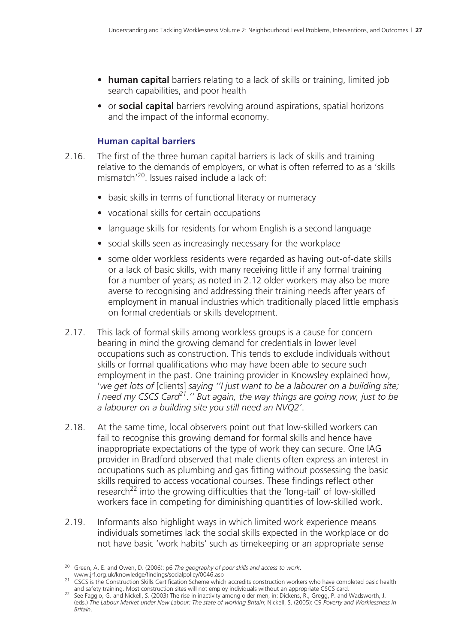- **human capital** barriers relating to a lack of skills or training, limited job search capabilities, and poor health
- or **social capital** barriers revolving around aspirations, spatial horizons and the impact of the informal economy.

#### **Human capital barriers**

- 2.16. The first of the three human capital barriers is lack of skills and training relative to the demands of employers, or what is often referred to as a 'skills mismatch'20. Issues raised include a lack of:
	- basic skills in terms of functional literacy or numeracy
	- vocational skills for certain occupations
	- language skills for residents for whom English is a second language
	- social skills seen as increasingly necessary for the workplace
	- some older workless residents were regarded as having out-of-date skills or a lack of basic skills, with many receiving little if any formal training for a number of years; as noted in 2.12 older workers may also be more averse to recognising and addressing their training needs after years of employment in manual industries which traditionally placed little emphasis on formal credentials or skills development.
- 2.17. This lack of formal skills among workless groups is a cause for concern bearing in mind the growing demand for credentials in lower level occupations such as construction. This tends to exclude individuals without skills or formal qualifications who may have been able to secure such employment in the past. One training provider in Knowsley explained how, '*we get lots of* [clients] *saying ''I just want to be a labourer on a building site; I need my CSCS Card21.'' But again, the way things are going now, just to be a labourer on a building site you still need an NVQ2'*.
- 2.18. At the same time, local observers point out that low-skilled workers can fail to recognise this growing demand for formal skills and hence have inappropriate expectations of the type of work they can secure. One IAG provider in Bradford observed that male clients often express an interest in occupations such as plumbing and gas fitting without possessing the basic skills required to access vocational courses. These findings reflect other research<sup>22</sup> into the growing difficulties that the 'long-tail' of low-skilled workers face in competing for diminishing quantities of low-skilled work.
- 2.19. Informants also highlight ways in which limited work experience means individuals sometimes lack the social skills expected in the workplace or do not have basic 'work habits' such as timekeeping or an appropriate sense

<sup>20</sup> Green, A. E. and Owen, D. (2006): p6 *The geography of poor skills and access to work*.

www.jr.uk.com/indings/social/construction Skills Certification Scheme which accredits construction workers who have completed basic health<br>and safety training. Most construction sites will not employ individuals without an

<sup>&</sup>lt;sup>22</sup> See Faggio, G. and Nickell, S. (2003) The rise in inactivity among older men, in: Dickens, R., Gregg, P. and Wadsworth, J. (eds.) *The Labour Market under New Labour: The state of working Britain*; Nickell, S. (2005): C9 *Poverty and Worklessness in Britain*.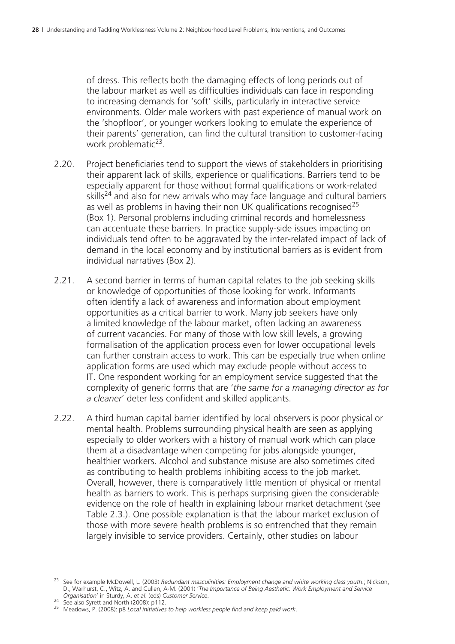of dress. This reflects both the damaging effects of long periods out of the labour market as well as difficulties individuals can face in responding to increasing demands for 'soft' skills, particularly in interactive service environments. Older male workers with past experience of manual work on the 'shopfloor', or younger workers looking to emulate the experience of their parents' generation, can find the cultural transition to customer-facing work problematic<sup>23</sup>.

- 2.20. Project beneficiaries tend to support the views of stakeholders in prioritising their apparent lack of skills, experience or qualifications. Barriers tend to be especially apparent for those without formal qualifications or work-related skills<sup>24</sup> and also for new arrivals who may face language and cultural barriers as well as problems in having their non UK qualifications recognised $^{25}$ (Box 1). Personal problems including criminal records and homelessness can accentuate these barriers. In practice supply-side issues impacting on individuals tend often to be aggravated by the inter-related impact of lack of demand in the local economy and by institutional barriers as is evident from individual narratives (Box 2).
- 2.21. A second barrier in terms of human capital relates to the job seeking skills or knowledge of opportunities of those looking for work. Informants often identify a lack of awareness and information about employment opportunities as a critical barrier to work. Many job seekers have only a limited knowledge of the labour market, often lacking an awareness of current vacancies. For many of those with low skill levels, a growing formalisation of the application process even for lower occupational levels can further constrain access to work. This can be especially true when online application forms are used which may exclude people without access to IT. One respondent working for an employment service suggested that the complexity of generic forms that are '*the same for a managing director as for a cleaner*' deter less confident and skilled applicants.
- 2.22. A third human capital barrier identified by local observers is poor physical or mental health. Problems surrounding physical health are seen as applying especially to older workers with a history of manual work which can place them at a disadvantage when competing for jobs alongside younger, healthier workers. Alcohol and substance misuse are also sometimes cited as contributing to health problems inhibiting access to the job market. Overall, however, there is comparatively little mention of physical or mental health as barriers to work. This is perhaps surprising given the considerable evidence on the role of health in explaining labour market detachment (see Table 2.3.). One possible explanation is that the labour market exclusion of those with more severe health problems is so entrenched that they remain largely invisible to service providers. Certainly, other studies on labour

<sup>23</sup> See for example McDowell, L. (2003) *Redundant masculinities: Employment change and white working class youth*.; Nickson, D., Warhurst, C., Witz, A. and Cullen, A-M. (2001) '*The Importance of Being Aesthetic: Work Employment and Service* 

*Organisation*' in Sturdy, A. *et al*. (eds) *Customer Service*. 24 See also Syrett and North (2008): p112. 25 Meadows, P. (2008): p8 *Local initiatives to help workless people find and keep paid work*.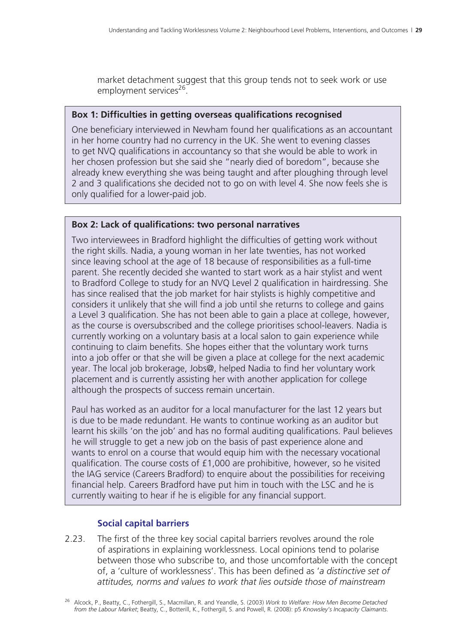market detachment suggest that this group tends not to seek work or use employment services<sup>26</sup>.

#### **Box 1: Difficulties in getting overseas qualifications recognised**

One beneficiary interviewed in Newham found her qualifications as an accountant in her home country had no currency in the UK. She went to evening classes to get NVQ qualifications in accountancy so that she would be able to work in her chosen profession but she said she "nearly died of boredom", because she already knew everything she was being taught and after ploughing through level 2 and 3 qualifications she decided not to go on with level 4. She now feels she is only qualified for a lower-paid job.

#### **Box 2: Lack of qualifications: two personal narratives**

Two interviewees in Bradford highlight the difficulties of getting work without the right skills. Nadia, a young woman in her late twenties, has not worked since leaving school at the age of 18 because of responsibilities as a full-time parent. She recently decided she wanted to start work as a hair stylist and went to Bradford College to study for an NVQ Level 2 qualification in hairdressing. She has since realised that the job market for hair stylists is highly competitive and considers it unlikely that she will find a job until she returns to college and gains a Level 3 qualification. She has not been able to gain a place at college, however, as the course is oversubscribed and the college prioritises school-leavers. Nadia is currently working on a voluntary basis at a local salon to gain experience while continuing to claim benefits. She hopes either that the voluntary work turns into a job offer or that she will be given a place at college for the next academic year. The local job brokerage, Jobs@, helped Nadia to find her voluntary work placement and is currently assisting her with another application for college although the prospects of success remain uncertain.

Paul has worked as an auditor for a local manufacturer for the last 12 years but is due to be made redundant. He wants to continue working as an auditor but learnt his skills 'on the job' and has no formal auditing qualifications. Paul believes he will struggle to get a new job on the basis of past experience alone and wants to enrol on a course that would equip him with the necessary vocational qualification. The course costs of £1,000 are prohibitive, however, so he visited the IAG service (Careers Bradford) to enquire about the possibilities for receiving financial help. Careers Bradford have put him in touch with the LSC and he is currently waiting to hear if he is eligible for any financial support.

#### **Social capital barriers**

2.23. The first of the three key social capital barriers revolves around the role of aspirations in explaining worklessness. Local opinions tend to polarise between those who subscribe to, and those uncomfortable with the concept of, a 'culture of worklessness'. This has been defined as '*a distinctive set of attitudes, norms and values to work that lies outside those of mainstream* 

<sup>26</sup> Alcock, P., Beatty, C., Fothergill, S., Macmillan, R. and Yeandle, S. (2003) *Work to Welfare: How Men Become Detached from the Labour Market*; Beatty, C., Botterill, K., Fothergill, S. and Powell, R. (2008): p5 *Knowsley's Incapacity Claimants*.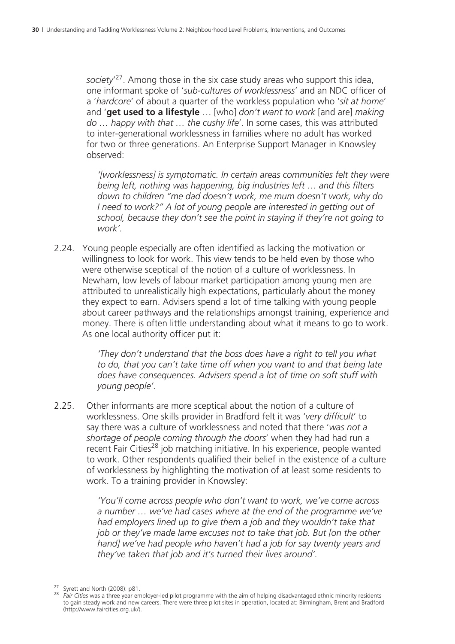*society*' 27. Among those in the six case study areas who support this idea, one informant spoke of '*sub-cultures of worklessness*' and an NDC officer of a '*hardcore*' of about a quarter of the workless population who '*sit at home*' and '**get used to a lifestyle** … [who] *don't want to work* [and are] *making do … happy with that … the cushy life*'. In some cases, this was attributed to inter-generational worklessness in families where no adult has worked for two or three generations. An Enterprise Support Manager in Knowsley observed:

*'[worklessness] is symptomatic. In certain areas communities felt they were being left, nothing was happening, big industries left … and this filters down to children "me dad doesn't work, me mum doesn't work, why do I need to work?" A lot of young people are interested in getting out of school, because they don't see the point in staying if they're not going to work'.*

2.24. Young people especially are often identified as lacking the motivation or willingness to look for work. This view tends to be held even by those who were otherwise sceptical of the notion of a culture of worklessness. In Newham, low levels of labour market participation among young men are attributed to unrealistically high expectations, particularly about the money they expect to earn. Advisers spend a lot of time talking with young people about career pathways and the relationships amongst training, experience and money. There is often little understanding about what it means to go to work. As one local authority officer put it:

> *'They don't understand that the boss does have a right to tell you what to do, that you can't take time off when you want to and that being late does have consequences. Advisers spend a lot of time on soft stuff with young people'.*

2.25. Other informants are more sceptical about the notion of a culture of worklessness. One skills provider in Bradford felt it was '*very difficult*' to say there was a culture of worklessness and noted that there '*was not a shortage of people coming through the doors*' when they had had run a recent Fair Cities<sup>28</sup> job matching initiative. In his experience, people wanted to work. Other respondents qualified their belief in the existence of a culture of worklessness by highlighting the motivation of at least some residents to work. To a training provider in Knowsley:

> *'You'll come across people who don't want to work, we've come across a number … we've had cases where at the end of the programme we've had employers lined up to give them a job and they wouldn't take that job or they've made lame excuses not to take that job. But [on the other hand] we've had people who haven't had a job for say twenty years and they've taken that job and it's turned their lives around'.*

<sup>27</sup> Syrett and North (2008): p81. <sup>28</sup> *Fair Cities* was a three year employer-led pilot programme with the aim of helping disadvantaged ethnic minority residents to gain steady work and new careers. There were three pilot sites in operation, located at: Birmingham, Brent and Bradford (http://www.faircities.org.uk/).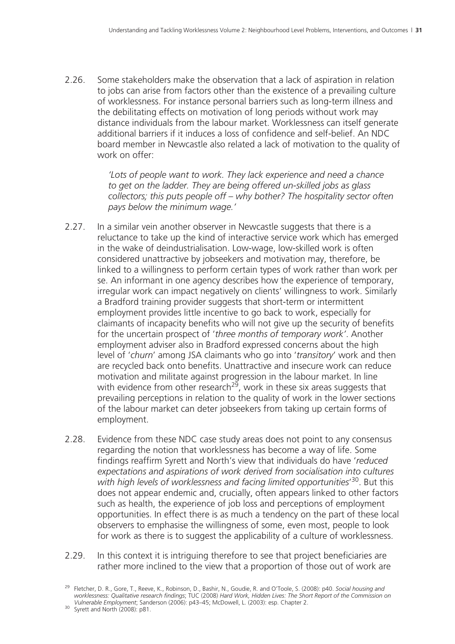2.26. Some stakeholders make the observation that a lack of aspiration in relation to jobs can arise from factors other than the existence of a prevailing culture of worklessness. For instance personal barriers such as long-term illness and the debilitating effects on motivation of long periods without work may distance individuals from the labour market. Worklessness can itself generate additional barriers if it induces a loss of confidence and self-belief. An NDC board member in Newcastle also related a lack of motivation to the quality of work on offer:

> *'Lots of people want to work. They lack experience and need a chance to get on the ladder. They are being offered un-skilled jobs as glass collectors; this puts people off – why bother? The hospitality sector often pays below the minimum wage.'*

- 2.27. In a similar vein another observer in Newcastle suggests that there is a reluctance to take up the kind of interactive service work which has emerged in the wake of deindustrialisation. Low-wage, low-skilled work is often considered unattractive by jobseekers and motivation may, therefore, be linked to a willingness to perform certain types of work rather than work per se. An informant in one agency describes how the experience of temporary, irregular work can impact negatively on clients' willingness to work. Similarly a Bradford training provider suggests that short-term or intermittent employment provides little incentive to go back to work, especially for claimants of incapacity benefits who will not give up the security of benefits for the uncertain prospect of '*three months of temporary work'*. Another employment adviser also in Bradford expressed concerns about the high level of '*churn*' among JSA claimants who go into '*transitory*' work and then are recycled back onto benefits. Unattractive and insecure work can reduce motivation and militate against progression in the labour market. In line with evidence from other research<sup>29</sup>, work in these six areas suggests that prevailing perceptions in relation to the quality of work in the lower sections of the labour market can deter jobseekers from taking up certain forms of employment.
- 2.28. Evidence from these NDC case study areas does not point to any consensus regarding the notion that worklessness has become a way of life. Some findings reaffirm Syrett and North's view that individuals do have '*reduced expectations and aspirations of work derived from socialisation into cultures with high levels of worklessness and facing limited opportunities*' 30. But this does not appear endemic and, crucially, often appears linked to other factors such as health, the experience of job loss and perceptions of employment opportunities. In effect there is as much a tendency on the part of these local observers to emphasise the willingness of some, even most, people to look for work as there is to suggest the applicability of a culture of worklessness.
- 2.29. In this context it is intriguing therefore to see that project beneficiaries are rather more inclined to the view that a proportion of those out of work are

<sup>29</sup> Fletcher, D. R., Gore, T., Reeve, K., Robinson, D., Bashir, N., Goudie, R. and O'Toole, S. (2008): p40. *Social housing and worklessness: Qualitative research findings*; TUC (2008) *Hard Work, Hidden Lives: The Short Report of the Commission on Vulnerable Employment*; Sanderson (2006): p43–45; McDowell, L. (2003): esp. Chapter 2. <sup>30</sup> Syrett and North (2008): p81.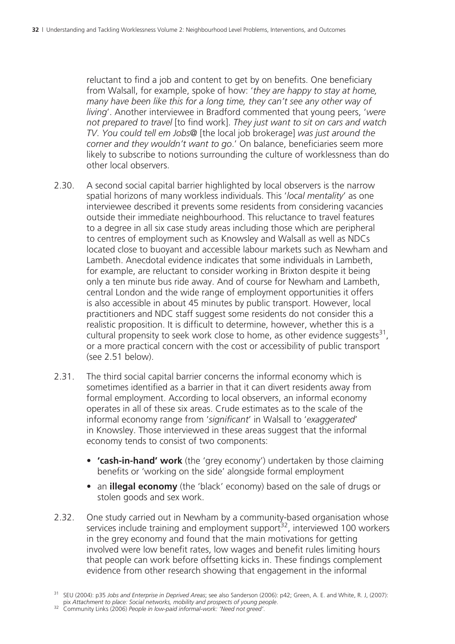reluctant to find a job and content to get by on benefits. One beneficiary from Walsall, for example, spoke of how: '*they are happy to stay at home, many have been like this for a long time, they can't see any other way of living*'. Another interviewee in Bradford commented that young peers, '*were not prepared to travel* [to find work]. *They just want to sit on cars and watch TV*. *You could tell em Jobs@* [the local job brokerage] *was just around the corner and they wouldn't want to go*.' On balance, beneficiaries seem more likely to subscribe to notions surrounding the culture of worklessness than do other local observers.

- 2.30. A second social capital barrier highlighted by local observers is the narrow spatial horizons of many workless individuals. This '*local mentality*' as one interviewee described it prevents some residents from considering vacancies outside their immediate neighbourhood. This reluctance to travel features to a degree in all six case study areas including those which are peripheral to centres of employment such as Knowsley and Walsall as well as NDCs located close to buoyant and accessible labour markets such as Newham and Lambeth. Anecdotal evidence indicates that some individuals in Lambeth, for example, are reluctant to consider working in Brixton despite it being only a ten minute bus ride away. And of course for Newham and Lambeth, central London and the wide range of employment opportunities it offers is also accessible in about 45 minutes by public transport. However, local practitioners and NDC staff suggest some residents do not consider this a realistic proposition. It is difficult to determine, however, whether this is a cultural propensity to seek work close to home, as other evidence suggests<sup>31</sup>, or a more practical concern with the cost or accessibility of public transport (see 2.51 below).
- 2.31. The third social capital barrier concerns the informal economy which is sometimes identified as a barrier in that it can divert residents away from formal employment. According to local observers, an informal economy operates in all of these six areas. Crude estimates as to the scale of the informal economy range from '*significant*' in Walsall to '*exaggerated*' in Knowsley. Those interviewed in these areas suggest that the informal economy tends to consist of two components:
	- **'cash-in-hand' work** (the 'grey economy') undertaken by those claiming benefits or 'working on the side' alongside formal employment
	- an **illegal economy** (the 'black' economy) based on the sale of drugs or stolen goods and sex work.
- 2.32. One study carried out in Newham by a community-based organisation whose services include training and employment support $32$ , interviewed 100 workers in the grey economy and found that the main motivations for getting involved were low benefit rates, low wages and benefit rules limiting hours that people can work before offsetting kicks in. These findings complement evidence from other research showing that engagement in the informal

<sup>31</sup> SEU (2004): p35 *Jobs and Enterprise in Deprived Areas*; see also Sanderson (2006): p42; Green, A. E. and White, R. J, (2007):

pix *Attachment to place: Social networks, mobility and prospects of young people*. 32 Community Links (2006) *People in low-paid informal-work: 'Need not greed'*.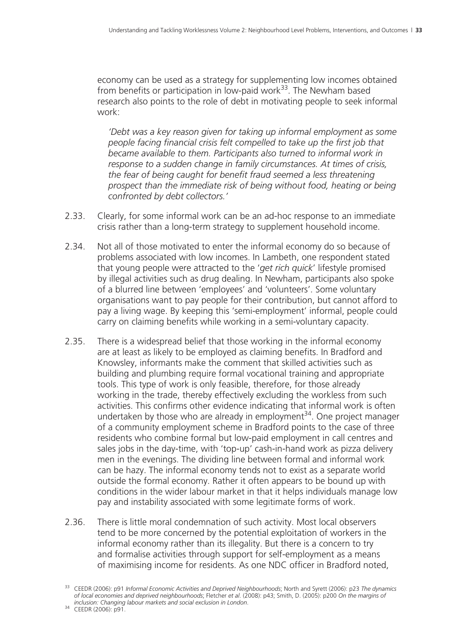economy can be used as a strategy for supplementing low incomes obtained from benefits or participation in low-paid work<sup>33</sup>. The Newham based research also points to the role of debt in motivating people to seek informal work:

*'Debt was a key reason given for taking up informal employment as some people facing financial crisis felt compelled to take up the first job that became available to them. Participants also turned to informal work in response to a sudden change in family circumstances. At times of crisis, the fear of being caught for benefit fraud seemed a less threatening prospect than the immediate risk of being without food, heating or being confronted by debt collectors.'*

- 2.33. Clearly, for some informal work can be an ad-hoc response to an immediate crisis rather than a long-term strategy to supplement household income.
- 2.34. Not all of those motivated to enter the informal economy do so because of problems associated with low incomes. In Lambeth, one respondent stated that young people were attracted to the '*get rich quick*' lifestyle promised by illegal activities such as drug dealing. In Newham, participants also spoke of a blurred line between 'employees' and 'volunteers'. Some voluntary organisations want to pay people for their contribution, but cannot afford to pay a living wage. By keeping this 'semi-employment' informal, people could carry on claiming benefits while working in a semi-voluntary capacity.
- 2.35. There is a widespread belief that those working in the informal economy are at least as likely to be employed as claiming benefits. In Bradford and Knowsley, informants make the comment that skilled activities such as building and plumbing require formal vocational training and appropriate tools. This type of work is only feasible, therefore, for those already working in the trade, thereby effectively excluding the workless from such activities. This confirms other evidence indicating that informal work is often undertaken by those who are already in employment<sup>34</sup>. One project manager of a community employment scheme in Bradford points to the case of three residents who combine formal but low-paid employment in call centres and sales jobs in the day-time, with 'top-up' cash-in-hand work as pizza delivery men in the evenings. The dividing line between formal and informal work can be hazy. The informal economy tends not to exist as a separate world outside the formal economy. Rather it often appears to be bound up with conditions in the wider labour market in that it helps individuals manage low pay and instability associated with some legitimate forms of work.
- 2.36. There is little moral condemnation of such activity. Most local observers tend to be more concerned by the potential exploitation of workers in the informal economy rather than its illegality. But there is a concern to try and formalise activities through support for self-employment as a means of maximising income for residents. As one NDC officer in Bradford noted,

<sup>33</sup> CEEDR (2006): p91 *Informal Economic Activities and Deprived Neighbourhoods*; North and Syrett (2006): p23 *The dynamics of local economies and deprived neighbourhoods*; Fletcher *et al*. (2008): p43; Smith, D. (2005): p200 *On the margins of inclusion: Changing labour markets and social exclusion in London*. 34 CEEDR (2006): p91.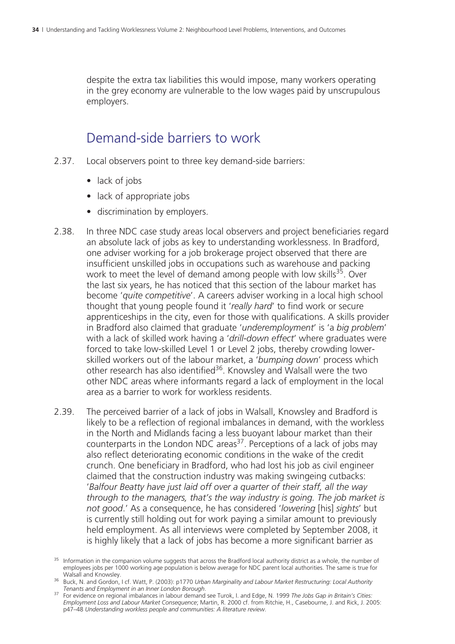despite the extra tax liabilities this would impose, many workers operating in the grey economy are vulnerable to the low wages paid by unscrupulous employers.

### Demand-side barriers to work

- 2.37. Local observers point to three key demand-side barriers:
	- lack of jobs
	- lack of appropriate jobs
	- discrimination by employers.
- 2.38. In three NDC case study areas local observers and project beneficiaries regard an absolute lack of jobs as key to understanding worklessness. In Bradford, one adviser working for a job brokerage project observed that there are insufficient unskilled jobs in occupations such as warehouse and packing work to meet the level of demand among people with low skills<sup>35</sup>. Over the last six years, he has noticed that this section of the labour market has become '*quite competitive*'. A careers adviser working in a local high school thought that young people found it '*really hard*' to find work or secure apprenticeships in the city, even for those with qualifications. A skills provider in Bradford also claimed that graduate '*underemployment*' is 'a *big problem*' with a lack of skilled work having a '*drill-down effect*' where graduates were forced to take low-skilled Level 1 or Level 2 jobs, thereby crowding lowerskilled workers out of the labour market, a '*bumping down*' process which other research has also identified<sup>36</sup>. Knowsley and Walsall were the two other NDC areas where informants regard a lack of employment in the local area as a barrier to work for workless residents.
- 2.39. The perceived barrier of a lack of jobs in Walsall, Knowsley and Bradford is likely to be a reflection of regional imbalances in demand, with the workless in the North and Midlands facing a less buoyant labour market than their counterparts in the London NDC areas<sup>37</sup>. Perceptions of a lack of jobs may also reflect deteriorating economic conditions in the wake of the credit crunch. One beneficiary in Bradford, who had lost his job as civil engineer claimed that the construction industry was making swingeing cutbacks: '*Balfour Beatty have just laid off over a quarter of their staff, all the way through to the managers, that's the way industry is going. The job market is not good*.' As a consequence, he has considered '*lowering* [his] *sights*' but is currently still holding out for work paying a similar amount to previously held employment. As all interviews were completed by September 2008, it is highly likely that a lack of jobs has become a more significant barrier as

 $35$  Information in the companion volume suggests that across the Bradford local authority district as a whole, the number of employees jobs per 1000 working age population is below average for NDC parent local authorities. The same is true for

Walsall and Knowsley. 36 Buck, N. and Gordon, I cf. Watt, P. (2003): p1770 *Urban Marginality and Labour Market Restructuring: Local Authority* 

*Tenants and Employment in an Inner London Borough*. 37 For evidence on regional imbalances in labour demand see Turok, I. and Edge, N. 1999 *The Jobs Gap in Britain's Cities: Employment Loss and Labour Market Consequence*; Martin, R. 2000 cf. from Ritchie, H., Casebourne, J. and Rick, J. 2005: p47–48 *Understanding workless people and communities: A literature review*.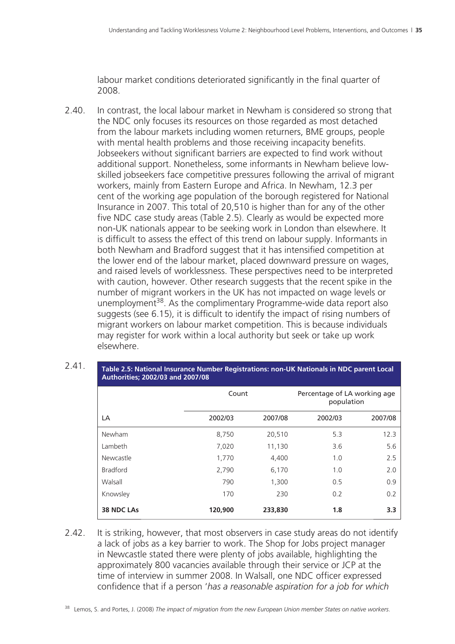labour market conditions deteriorated significantly in the final quarter of 2008.

2.40. In contrast, the local labour market in Newham is considered so strong that the NDC only focuses its resources on those regarded as most detached from the labour markets including women returners, BME groups, people with mental health problems and those receiving incapacity benefits. Jobseekers without significant barriers are expected to find work without additional support. Nonetheless, some informants in Newham believe lowskilled jobseekers face competitive pressures following the arrival of migrant workers, mainly from Eastern Europe and Africa. In Newham, 12.3 per cent of the working age population of the borough registered for National Insurance in 2007. This total of 20,510 is higher than for any of the other five NDC case study areas (Table 2.5). Clearly as would be expected more non-UK nationals appear to be seeking work in London than elsewhere. It is difficult to assess the effect of this trend on labour supply. Informants in both Newham and Bradford suggest that it has intensified competition at the lower end of the labour market, placed downward pressure on wages, and raised levels of worklessness. These perspectives need to be interpreted with caution, however. Other research suggests that the recent spike in the number of migrant workers in the UK has not impacted on wage levels or unemployment<sup>38</sup>. As the complimentary Programme-wide data report also suggests (see 6.15), it is difficult to identify the impact of rising numbers of migrant workers on labour market competition. This is because individuals may register for work within a local authority but seek or take up work elsewhere.

| A                 |         |         |                                            |         |  |
|-------------------|---------|---------|--------------------------------------------|---------|--|
|                   | Count   |         | Percentage of LA working age<br>population |         |  |
| LA                | 2002/03 | 2007/08 | 2002/03                                    | 2007/08 |  |
| Newham            | 8,750   | 20,510  | 5.3                                        | 12.3    |  |
| Lambeth           | 7,020   | 11,130  | 3.6                                        | 5.6     |  |
| Newcastle         | 1,770   | 4,400   | 1.0                                        | 2.5     |  |
| <b>Bradford</b>   | 2,790   | 6,170   | 1.0                                        | 2.0     |  |
| Walsall           | 790     | 1,300   | 0.5                                        | 0.9     |  |
| Knowsley          | 170     | 230     | 0.2                                        | 0.2     |  |
| <b>38 NDC LAs</b> | 120,900 | 233,830 | 1.8                                        | 3.3     |  |

2.41. **Table 2.5: National Insurance Number Registrations: non-UK Nationals in NDC parent Local Authorities; 2002/03 and 2007/08**

2.42. It is striking, however, that most observers in case study areas do not identify a lack of jobs as a key barrier to work. The Shop for Jobs project manager in Newcastle stated there were plenty of jobs available, highlighting the approximately 800 vacancies available through their service or JCP at the time of interview in summer 2008. In Walsall, one NDC officer expressed confidence that if a person '*has a reasonable aspiration for a job for which* 

38 Lemos, S. and Portes, J. (2008) *The impact of migration from the new European Union member States on native workers*.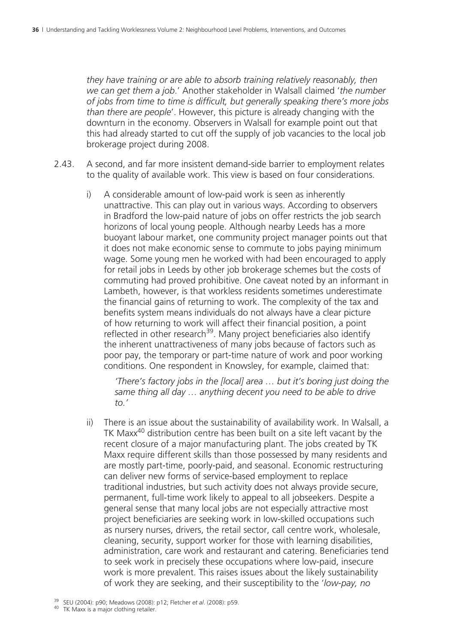*they have training or are able to absorb training relatively reasonably, then we can get them a job*.' Another stakeholder in Walsall claimed '*the number of jobs from time to time is difficult, but generally speaking there's more jobs than there are people*'. However, this picture is already changing with the downturn in the economy. Observers in Walsall for example point out that this had already started to cut off the supply of job vacancies to the local job brokerage project during 2008.

- 2.43. A second, and far more insistent demand-side barrier to employment relates to the quality of available work. This view is based on four considerations.
	- i) A considerable amount of low-paid work is seen as inherently unattractive. This can play out in various ways. According to observers in Bradford the low-paid nature of jobs on offer restricts the job search horizons of local young people. Although nearby Leeds has a more buoyant labour market, one community project manager points out that it does not make economic sense to commute to jobs paying minimum wage. Some young men he worked with had been encouraged to apply for retail jobs in Leeds by other job brokerage schemes but the costs of commuting had proved prohibitive. One caveat noted by an informant in Lambeth, however, is that workless residents sometimes underestimate the financial gains of returning to work. The complexity of the tax and benefits system means individuals do not always have a clear picture of how returning to work will affect their financial position, a point reflected in other research<sup>39</sup>. Many project beneficiaries also identify the inherent unattractiveness of many jobs because of factors such as poor pay, the temporary or part-time nature of work and poor working conditions. One respondent in Knowsley, for example, claimed that:

 *'There's factory jobs in the [local] area … but it's boring just doing the same thing all day … anything decent you need to be able to drive to.'* 

ii) There is an issue about the sustainability of availability work. In Walsall, a TK Maxx40 distribution centre has been built on a site left vacant by the recent closure of a major manufacturing plant. The jobs created by TK Maxx require different skills than those possessed by many residents and are mostly part-time, poorly-paid, and seasonal. Economic restructuring can deliver new forms of service-based employment to replace traditional industries, but such activity does not always provide secure, permanent, full-time work likely to appeal to all jobseekers. Despite a general sense that many local jobs are not especially attractive most project beneficiaries are seeking work in low-skilled occupations such as nursery nurses, drivers, the retail sector, call centre work, wholesale, cleaning, security, support worker for those with learning disabilities, administration, care work and restaurant and catering. Beneficiaries tend to seek work in precisely these occupations where low-paid, insecure work is more prevalent. This raises issues about the likely sustainability of work they are seeking, and their susceptibility to the '*low-pay, no* 

<sup>39</sup> SEU (2004): p90; Meadows (2008): p12; Fletcher *et al*. (2008): p59. 40 TK Maxx is a major clothing retailer.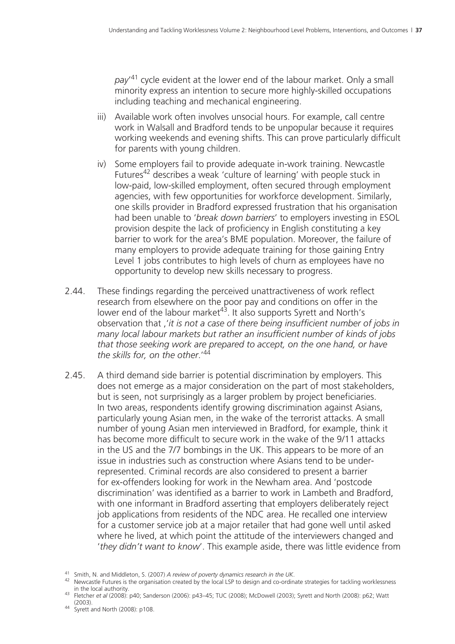*pay*' 41 cycle evident at the lower end of the labour market. Only a small minority express an intention to secure more highly-skilled occupations including teaching and mechanical engineering.

- iii) Available work often involves unsocial hours. For example, call centre work in Walsall and Bradford tends to be unpopular because it requires working weekends and evening shifts. This can prove particularly difficult for parents with young children.
- iv) Some employers fail to provide adequate in-work training. Newcastle Futures<sup>42</sup> describes a weak 'culture of learning' with people stuck in low-paid, low-skilled employment, often secured through employment agencies, with few opportunities for workforce development. Similarly, one skills provider in Bradford expressed frustration that his organisation had been unable to '*break down barriers*' to employers investing in ESOL provision despite the lack of proficiency in English constituting a key barrier to work for the area's BME population. Moreover, the failure of many employers to provide adequate training for those gaining Entry Level 1 jobs contributes to high levels of churn as employees have no opportunity to develop new skills necessary to progress.
- 2.44. These findings regarding the perceived unattractiveness of work reflect research from elsewhere on the poor pay and conditions on offer in the lower end of the labour market<sup>43</sup>. It also supports Syrett and North's observation that ,'*it is not a case of there being insufficient number of jobs in many local labour markets but rather an insufficient number of kinds of jobs that those seeking work are prepared to accept, on the one hand, or have the skills for, on the other*.'44
- 2.45. A third demand side barrier is potential discrimination by employers. This does not emerge as a major consideration on the part of most stakeholders, but is seen, not surprisingly as a larger problem by project beneficiaries. In two areas, respondents identify growing discrimination against Asians, particularly young Asian men, in the wake of the terrorist attacks. A small number of young Asian men interviewed in Bradford, for example, think it has become more difficult to secure work in the wake of the 9/11 attacks in the US and the 7/7 bombings in the UK. This appears to be more of an issue in industries such as construction where Asians tend to be underrepresented. Criminal records are also considered to present a barrier for ex-offenders looking for work in the Newham area. And 'postcode discrimination' was identified as a barrier to work in Lambeth and Bradford, with one informant in Bradford asserting that employers deliberately reject job applications from residents of the NDC area. He recalled one interview for a customer service job at a major retailer that had gone well until asked where he lived, at which point the attitude of the interviewers changed and '*they didn't want to know*'. This example aside, there was little evidence from

(2003). 44 Syrett and North (2008): p108.

<sup>41</sup> Smith, N. and Middleton, S. (2007) *A review of poverty dynamics research in the UK*.<br><sup>42</sup> Newcastle Futures is the organisation created by the local LSP to design and co-ordinate strategies for tackling worklessness<br>in

<sup>&</sup>lt;sup>43</sup> Fletcher *et al* (2008): p40; Sanderson (2006): p43–45; TUC (2008); McDowell (2003); Syrett and North (2008): p62; Watt (2003).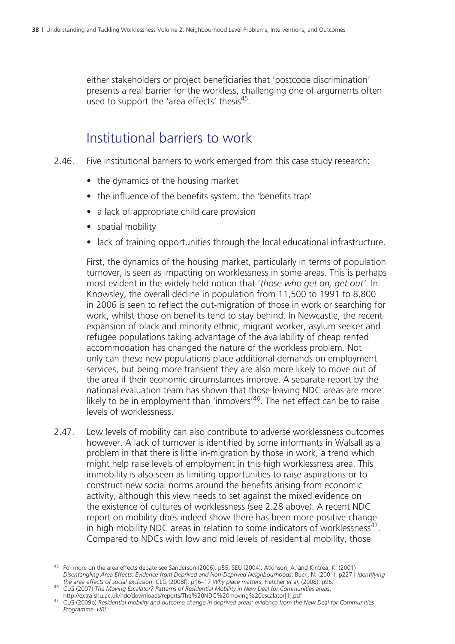either stakeholders or project beneficiaries that 'postcode discrimination' presents a real barrier for the workless, challenging one of arguments often used to support the 'area effects' thesis<sup>45</sup>.

### Institutional barriers to work

- 2.46. Five institutional barriers to work emerged from this case study research:
	- the dynamics of the housing market
	- the influence of the benefits system: the 'benefits trap'
	- a lack of appropriate child care provision
	- spatial mobility
	- lack of training opportunities through the local educational infrastructure.

 First, the dynamics of the housing market, particularly in terms of population turnover, is seen as impacting on worklessness in some areas. This is perhaps most evident in the widely held notion that '*those who get on, get out'*. In Knowsley, the overall decline in population from 11,500 to 1991 to 8,800 in 2006 is seen to reflect the out-migration of those in work or searching for work, whilst those on benefits tend to stay behind. In Newcastle, the recent expansion of black and minority ethnic, migrant worker, asylum seeker and refugee populations taking advantage of the availability of cheap rented accommodation has changed the nature of the workless problem. Not only can these new populations place additional demands on employment services, but being more transient they are also more likely to move out of the area if their economic circumstances improve. A separate report by the national evaluation team has shown that those leaving NDC areas are more likely to be in employment than 'inmovers'  $46$ . The net effect can be to raise levels of worklessness.

2.47. Low levels of mobility can also contribute to adverse worklessness outcomes however. A lack of turnover is identified by some informants in Walsall as a problem in that there is little in-migration by those in work, a trend which might help raise levels of employment in this high worklessness area. This immobility is also seen as limiting opportunities to raise aspirations or to construct new social norms around the benefits arising from economic activity, although this view needs to set against the mixed evidence on the existence of cultures of worklessness (see 2.28 above). A recent NDC report on mobility does indeed show there has been more positive change in high mobility NDC areas in relation to some indicators of worklessness<sup>47</sup>. Compared to NDCs with low and mid levels of residential mobility, those

<sup>45</sup> For more on the area effects debate see Sanderson (2006): p55; SEU (2004); Atkinson, A. and Kintrea, K. (2001) *Disentangling Area Effects: Evidence from Deprived and Non-Deprived Neighbourhoods*; Buck, N. (2001): p2271 *Identifying* 

<sup>&</sup>lt;sup>46</sup> CLG (2007) The Moving Escalator? Patterns of Residential Mobility in New Deal for Communities areas.<br>http://extra.shu.ac.uk/ndc/downloads/reports/The%20NDC%20moving%20escalator[1].pdf

http://extra.shu.ac.uk/ndcare.com/downloads/reports/ndcg.com/downloads/reports/The 2000b) *Residential mobility and outcome change in deprived areas: evidence from the New Deal for Communities Programme. URL*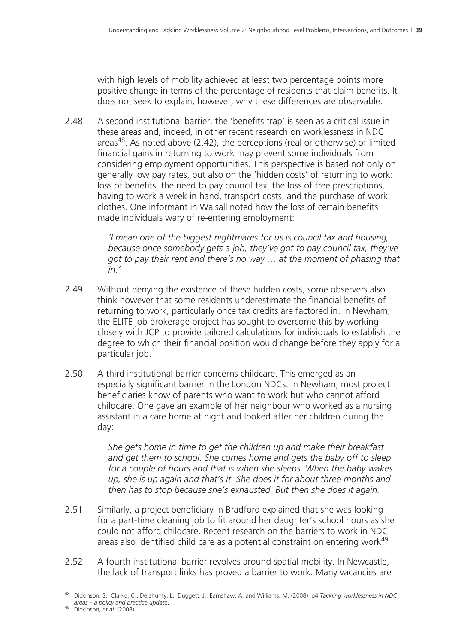with high levels of mobility achieved at least two percentage points more positive change in terms of the percentage of residents that claim benefits. It does not seek to explain, however, why these differences are observable.

2.48. A second institutional barrier, the 'benefits trap' is seen as a critical issue in these areas and, indeed, in other recent research on worklessness in NDC areas $48$ . As noted above (2.42), the perceptions (real or otherwise) of limited financial gains in returning to work may prevent some individuals from considering employment opportunities. This perspective is based not only on generally low pay rates, but also on the 'hidden costs' of returning to work: loss of benefits, the need to pay council tax, the loss of free prescriptions, having to work a week in hand, transport costs, and the purchase of work clothes. One informant in Walsall noted how the loss of certain benefits made individuals wary of re-entering employment:

> *'I mean one of the biggest nightmares for us is council tax and housing, because once somebody gets a job, they've got to pay council tax, they've got to pay their rent and there's no way … at the moment of phasing that in.'*

- 2.49. Without denying the existence of these hidden costs, some observers also think however that some residents underestimate the financial benefits of returning to work, particularly once tax credits are factored in. In Newham, the ELITE job brokerage project has sought to overcome this by working closely with JCP to provide tailored calculations for individuals to establish the degree to which their financial position would change before they apply for a particular job.
- 2.50. A third institutional barrier concerns childcare. This emerged as an especially significant barrier in the London NDCs. In Newham, most project beneficiaries know of parents who want to work but who cannot afford childcare. One gave an example of her neighbour who worked as a nursing assistant in a care home at night and looked after her children during the day:

*She gets home in time to get the children up and make their breakfast and get them to school. She comes home and gets the baby off to sleep for a couple of hours and that is when she sleeps. When the baby wakes up, she is up again and that's it. She does it for about three months and then has to stop because she's exhausted. But then she does it again.* 

- 2.51. Similarly, a project beneficiary in Bradford explained that she was looking for a part-time cleaning job to fit around her daughter's school hours as she could not afford childcare. Recent research on the barriers to work in NDC areas also identified child care as a potential constraint on entering work49
- 2.52. A fourth institutional barrier revolves around spatial mobility. In Newcastle, the lack of transport links has proved a barrier to work. Many vacancies are

<sup>48</sup> Dickinson, S., Clarke, C., Delahunty, L., Duggett, J., Earnshaw, A. and Williams, M. (2008): p4 *Tackling worklessness in NDC* 

*areas – a policy and practice update*. 49 Dickinson, *et al*. (2008).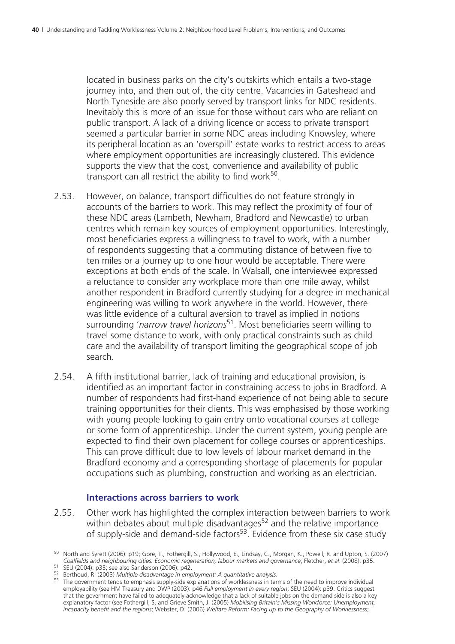located in business parks on the city's outskirts which entails a two-stage journey into, and then out of, the city centre. Vacancies in Gateshead and North Tyneside are also poorly served by transport links for NDC residents. Inevitably this is more of an issue for those without cars who are reliant on public transport. A lack of a driving licence or access to private transport seemed a particular barrier in some NDC areas including Knowsley, where its peripheral location as an 'overspill' estate works to restrict access to areas where employment opportunities are increasingly clustered. This evidence supports the view that the cost, convenience and availability of public transport can all restrict the ability to find work $50$ .

- 2.53. However, on balance, transport difficulties do not feature strongly in accounts of the barriers to work. This may reflect the proximity of four of these NDC areas (Lambeth, Newham, Bradford and Newcastle) to urban centres which remain key sources of employment opportunities. Interestingly, most beneficiaries express a willingness to travel to work, with a number of respondents suggesting that a commuting distance of between five to ten miles or a journey up to one hour would be acceptable. There were exceptions at both ends of the scale. In Walsall, one interviewee expressed a reluctance to consider any workplace more than one mile away, whilst another respondent in Bradford currently studying for a degree in mechanical engineering was willing to work anywhere in the world. However, there was little evidence of a cultural aversion to travel as implied in notions surrounding '*narrow travel horizons*51. Most beneficiaries seem willing to travel some distance to work, with only practical constraints such as child care and the availability of transport limiting the geographical scope of job search.
- 2.54. A fifth institutional barrier, lack of training and educational provision, is identified as an important factor in constraining access to jobs in Bradford. A number of respondents had first-hand experience of not being able to secure training opportunities for their clients. This was emphasised by those working with young people looking to gain entry onto vocational courses at college or some form of apprenticeship. Under the current system, young people are expected to find their own placement for college courses or apprenticeships. This can prove difficult due to low levels of labour market demand in the Bradford economy and a corresponding shortage of placements for popular occupations such as plumbing, construction and working as an electrician.

#### **Interactions across barriers to work**

2.55. Other work has highlighted the complex interaction between barriers to work within debates about multiple disadvantages<sup>52</sup> and the relative importance of supply-side and demand-side factors<sup>53</sup>. Evidence from these six case study

<sup>&</sup>lt;sup>50</sup> North and Syrett (2006): p19; Gore, T., Fothergill, S., Hollywood, E., Lindsay, C., Morgan, K., Powell, R. and Upton, S. (2007)<br>Coalfields and neighbouring cities: Economic regeneration, labour markets and governance;

<sup>51</sup> SEU (2004): p35; see also Sanderson (2006): p42.<br>
<sup>52</sup> Berthoud, R. (2003) *Multiple disadvantage in employment: A quantitative analysis*.<br>
<sup>52</sup> Berthoud, R. (2003) *Multiple disadvantage in employment: A quantitative a* employability (see HM Treasury and DWP (2003): p46 *Full employment in every region*; SEU (2004): p39. Critics suggest that the government have failed to adequately acknowledge that a lack of suitable jobs on the demand side is also a key explanatory factor (see Fothergill, S. and Grieve Smith, J. (2005) *Mobilising Britain's Missing Workforce: Unemployment, incapacity benefit and the regions*; Webster, D. (2006) *Welfare Reform: Facing up to the Geography of Worklessness*;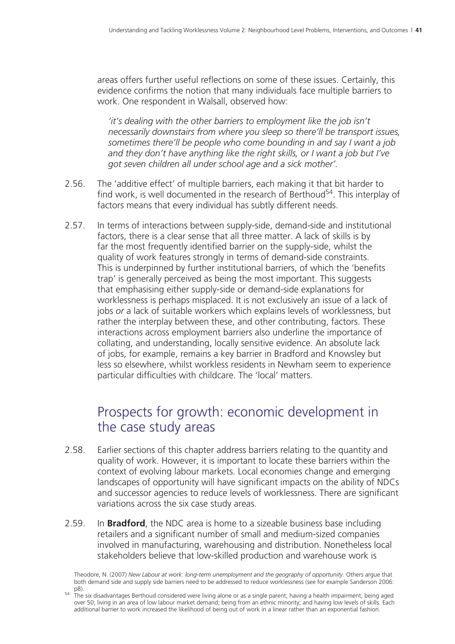areas offers further useful reflections on some of these issues. Certainly, this evidence confirms the notion that many individuals face multiple barriers to work. One respondent in Walsall, observed how:

*'it's dealing with the other barriers to employment like the job isn't necessarily downstairs from where you sleep so there'll be transport issues, sometimes there'll be people who come bounding in and say I want a job and they don't have anything like the right skills, or I want a job but I've got seven children all under school age and a sick mother'.* 

- 2.56. The 'additive effect' of multiple barriers, each making it that bit harder to find work, is well documented in the research of Berthoud<sup>54</sup>. This interplay of factors means that every individual has subtly different needs.
- 2.57. In terms of interactions between supply-side, demand-side and institutional factors, there is a clear sense that all three matter. A lack of skills is by far the most frequently identified barrier on the supply-side, whilst the quality of work features strongly in terms of demand-side constraints. This is underpinned by further institutional barriers, of which the 'benefits trap' is generally perceived as being the most important. This suggests that emphasising either supply-side or demand-side explanations for worklessness is perhaps misplaced. It is not exclusively an issue of a lack of jobs *or* a lack of suitable workers which explains levels of worklessness, but rather the interplay between these, and other contributing, factors. These interactions across employment barriers also underline the importance of collating, and understanding, locally sensitive evidence. An absolute lack of jobs, for example, remains a key barrier in Bradford and Knowsley but less so elsewhere, whilst workless residents in Newham seem to experience particular difficulties with childcare. The 'local' matters.

### Prospects for growth: economic development in the case study areas

- 2.58. Earlier sections of this chapter address barriers relating to the quantity and quality of work. However, it is important to locate these barriers within the context of evolving labour markets. Local economies change and emerging landscapes of opportunity will have significant impacts on the ability of NDCs and successor agencies to reduce levels of worklessness. There are significant variations across the six case study areas.
- 2.59. In **Bradford**, the NDC area is home to a sizeable business base including retailers and a significant number of small and medium-sized companies involved in manufacturing, warehousing and distribution. Nonetheless local stakeholders believe that low-skilled production and warehouse work is

Theodore, N. (2007) *New Labour at work: long-term unemployment and the geography of opportunity*. Others argue that both demand side and supply side barriers need to be addressed to reduce worklessness (see for example Sanderson 2006:

p8). 54 The six disadvantages Berthoud considered were living alone or as a single parent; having a health impairment; being aged over 50; living in an area of low labour market demand; being from an ethnic minority; and having low levels of skills. Each additional barrier to work increased the likelihood of being out of work in a linear rather than an exponential fashion.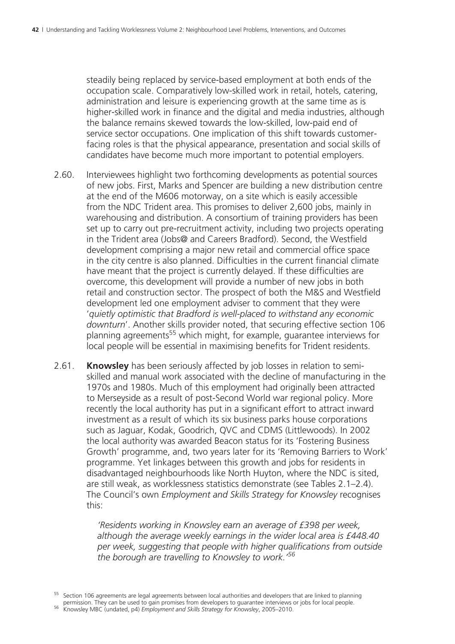steadily being replaced by service-based employment at both ends of the occupation scale. Comparatively low-skilled work in retail, hotels, catering, administration and leisure is experiencing growth at the same time as is higher-skilled work in finance and the digital and media industries, although the balance remains skewed towards the low-skilled, low-paid end of service sector occupations. One implication of this shift towards customerfacing roles is that the physical appearance, presentation and social skills of candidates have become much more important to potential employers.

- 2.60. Interviewees highlight two forthcoming developments as potential sources of new jobs. First, Marks and Spencer are building a new distribution centre at the end of the M606 motorway, on a site which is easily accessible from the NDC Trident area. This promises to deliver 2,600 jobs, mainly in warehousing and distribution. A consortium of training providers has been set up to carry out pre-recruitment activity, including two projects operating in the Trident area (Jobs@ and Careers Bradford). Second, the Westfield development comprising a major new retail and commercial office space in the city centre is also planned. Difficulties in the current financial climate have meant that the project is currently delayed. If these difficulties are overcome, this development will provide a number of new jobs in both retail and construction sector. The prospect of both the M&S and Westfield development led one employment adviser to comment that they were '*quietly optimistic that Bradford is well-placed to withstand any economic downturn*'. Another skills provider noted, that securing effective section 106 planning agreements<sup>55</sup> which might, for example, guarantee interviews for local people will be essential in maximising benefits for Trident residents.
- 2.61. **Knowsley** has been seriously affected by job losses in relation to semiskilled and manual work associated with the decline of manufacturing in the 1970s and 1980s. Much of this employment had originally been attracted to Merseyside as a result of post-Second World war regional policy. More recently the local authority has put in a significant effort to attract inward investment as a result of which its six business parks house corporations such as Jaguar, Kodak, Goodrich, QVC and CDMS (Littlewoods). In 2002 the local authority was awarded Beacon status for its 'Fostering Business Growth' programme, and, two years later for its 'Removing Barriers to Work' programme. Yet linkages between this growth and jobs for residents in disadvantaged neighbourhoods like North Huyton, where the NDC is sited, are still weak, as worklessness statistics demonstrate (see Tables 2.1–2.4). The Council's own *Employment and Skills Strategy for Knowsley* recognises this:

*'Residents working in Knowsley earn an average of £398 per week, although the average weekly earnings in the wider local area is £448.40 per week, suggesting that people with higher qualifications from outside the borough are travelling to Knowsley to work.'56*

<sup>&</sup>lt;sup>55</sup> Section 106 agreements are legal agreements between local authorities and developers that are linked to planning

permission. They can be used to gain promises from developers to guarantee interviews or jobs for local people. 56 Knowsley MBC (undated, p4) *Employment and Skills Strategy for Knowsley*, 2005–2010.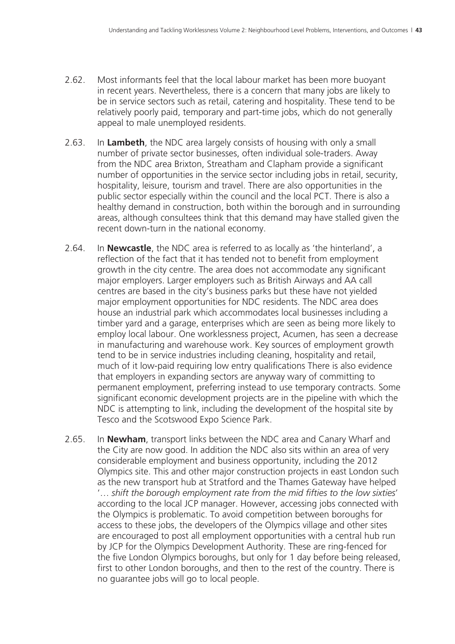- 2.62. Most informants feel that the local labour market has been more buoyant in recent years. Nevertheless, there is a concern that many jobs are likely to be in service sectors such as retail, catering and hospitality. These tend to be relatively poorly paid, temporary and part-time jobs, which do not generally appeal to male unemployed residents.
- 2.63. In **Lambeth**, the NDC area largely consists of housing with only a small number of private sector businesses, often individual sole-traders. Away from the NDC area Brixton, Streatham and Clapham provide a significant number of opportunities in the service sector including jobs in retail, security, hospitality, leisure, tourism and travel. There are also opportunities in the public sector especially within the council and the local PCT. There is also a healthy demand in construction, both within the borough and in surrounding areas, although consultees think that this demand may have stalled given the recent down-turn in the national economy.
- 2.64. In **Newcastle**, the NDC area is referred to as locally as 'the hinterland', a reflection of the fact that it has tended not to benefit from employment growth in the city centre. The area does not accommodate any significant major employers. Larger employers such as British Airways and AA call centres are based in the city's business parks but these have not yielded major employment opportunities for NDC residents. The NDC area does house an industrial park which accommodates local businesses including a timber yard and a garage, enterprises which are seen as being more likely to employ local labour. One worklessness project, Acumen, has seen a decrease in manufacturing and warehouse work. Key sources of employment growth tend to be in service industries including cleaning, hospitality and retail, much of it low-paid requiring low entry qualifications There is also evidence that employers in expanding sectors are anyway wary of committing to permanent employment, preferring instead to use temporary contracts. Some significant economic development projects are in the pipeline with which the NDC is attempting to link, including the development of the hospital site by Tesco and the Scotswood Expo Science Park.
- 2.65. In **Newham**, transport links between the NDC area and Canary Wharf and the City are now good. In addition the NDC also sits within an area of very considerable employment and business opportunity, including the 2012 Olympics site. This and other major construction projects in east London such as the new transport hub at Stratford and the Thames Gateway have helped '… *shift the borough employment rate from the mid fifties to the low sixties*' according to the local JCP manager. However, accessing jobs connected with the Olympics is problematic. To avoid competition between boroughs for access to these jobs, the developers of the Olympics village and other sites are encouraged to post all employment opportunities with a central hub run by JCP for the Olympics Development Authority. These are ring-fenced for the five London Olympics boroughs, but only for 1 day before being released, first to other London boroughs, and then to the rest of the country. There is no guarantee jobs will go to local people.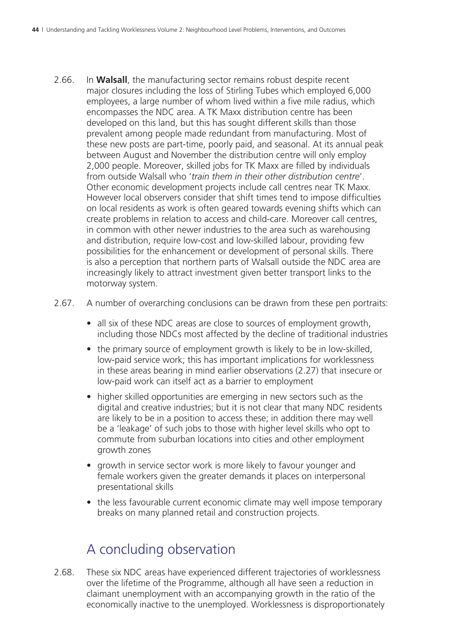- 2.66. In **Walsall**, the manufacturing sector remains robust despite recent major closures including the loss of Stirling Tubes which employed 6,000 employees, a large number of whom lived within a five mile radius, which encompasses the NDC area. A TK Maxx distribution centre has been developed on this land, but this has sought different skills than those prevalent among people made redundant from manufacturing. Most of these new posts are part-time, poorly paid, and seasonal. At its annual peak between August and November the distribution centre will only employ 2,000 people. Moreover, skilled jobs for TK Maxx are filled by individuals from outside Walsall who '*train them in their other distribution centre*'. Other economic development projects include call centres near TK Maxx. However local observers consider that shift times tend to impose difficulties on local residents as work is often geared towards evening shifts which can create problems in relation to access and child-care. Moreover call centres, in common with other newer industries to the area such as warehousing and distribution, require low-cost and low-skilled labour, providing few possibilities for the enhancement or development of personal skills. There is also a perception that northern parts of Walsall outside the NDC area are increasingly likely to attract investment given better transport links to the motorway system.
- 2.67. A number of overarching conclusions can be drawn from these pen portraits:
	- all six of these NDC areas are close to sources of employment growth, including those NDCs most affected by the decline of traditional industries
	- the primary source of employment growth is likely to be in low-skilled. low-paid service work; this has important implications for worklessness in these areas bearing in mind earlier observations (2.27) that insecure or low-paid work can itself act as a barrier to employment
	- higher skilled opportunities are emerging in new sectors such as the digital and creative industries; but it is not clear that many NDC residents are likely to be in a position to access these; in addition there may well be a 'leakage' of such jobs to those with higher level skills who opt to commute from suburban locations into cities and other employment growth zones
	- growth in service sector work is more likely to favour younger and female workers given the greater demands it places on interpersonal presentational skills
	- the less favourable current economic climate may well impose temporary breaks on many planned retail and construction projects.

### A concluding observation

2.68. These six NDC areas have experienced different trajectories of worklessness over the lifetime of the Programme, although all have seen a reduction in claimant unemployment with an accompanying growth in the ratio of the economically inactive to the unemployed. Worklessness is disproportionately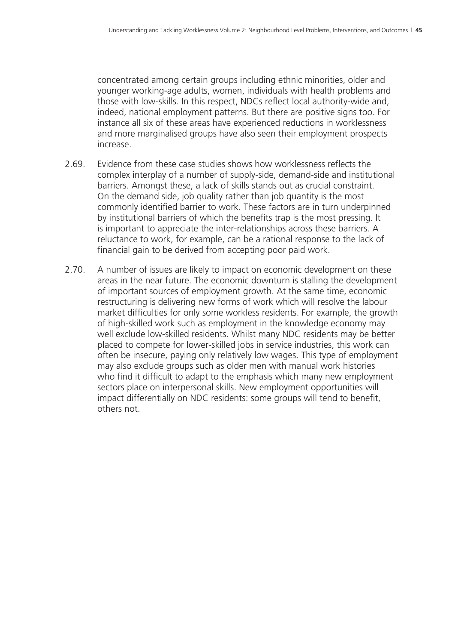concentrated among certain groups including ethnic minorities, older and younger working-age adults, women, individuals with health problems and those with low-skills. In this respect, NDCs reflect local authority-wide and, indeed, national employment patterns. But there are positive signs too. For instance all six of these areas have experienced reductions in worklessness and more marginalised groups have also seen their employment prospects increase.

- 2.69. Evidence from these case studies shows how worklessness reflects the complex interplay of a number of supply-side, demand-side and institutional barriers. Amongst these, a lack of skills stands out as crucial constraint. On the demand side, job quality rather than job quantity is the most commonly identified barrier to work. These factors are in turn underpinned by institutional barriers of which the benefits trap is the most pressing. It is important to appreciate the inter-relationships across these barriers. A reluctance to work, for example, can be a rational response to the lack of financial gain to be derived from accepting poor paid work.
- 2.70. A number of issues are likely to impact on economic development on these areas in the near future. The economic downturn is stalling the development of important sources of employment growth. At the same time, economic restructuring is delivering new forms of work which will resolve the labour market difficulties for only some workless residents. For example, the growth of high-skilled work such as employment in the knowledge economy may well exclude low-skilled residents. Whilst many NDC residents may be better placed to compete for lower-skilled jobs in service industries, this work can often be insecure, paying only relatively low wages. This type of employment may also exclude groups such as older men with manual work histories who find it difficult to adapt to the emphasis which many new employment sectors place on interpersonal skills. New employment opportunities will impact differentially on NDC residents: some groups will tend to benefit, others not.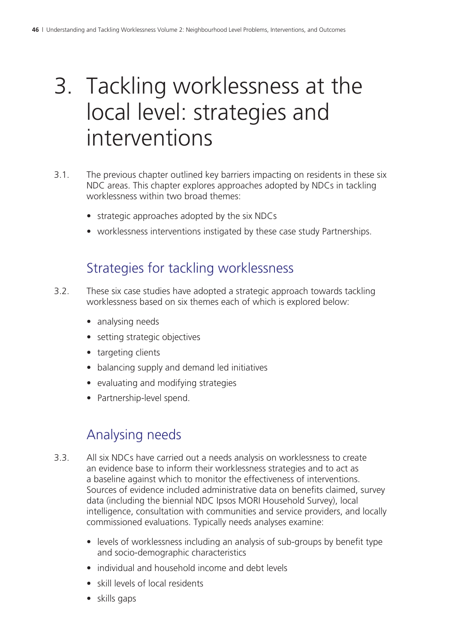# 3. Tackling worklessness at the local level: strategies and interventions

- 3.1. The previous chapter outlined key barriers impacting on residents in these six NDC areas. This chapter explores approaches adopted by NDCs in tackling worklessness within two broad themes:
	- strategic approaches adopted by the six NDCs
	- worklessness interventions instigated by these case study Partnerships.

## Strategies for tackling worklessness

- 3.2. These six case studies have adopted a strategic approach towards tackling worklessness based on six themes each of which is explored below:
	- analysing needs
	- setting strategic objectives
	- targeting clients
	- balancing supply and demand led initiatives
	- evaluating and modifying strategies
	- Partnership-level spend.

# Analysing needs

- 3.3. All six NDCs have carried out a needs analysis on worklessness to create an evidence base to inform their worklessness strategies and to act as a baseline against which to monitor the effectiveness of interventions. Sources of evidence included administrative data on benefits claimed, survey data (including the biennial NDC Ipsos MORI Household Survey), local intelligence, consultation with communities and service providers, and locally commissioned evaluations. Typically needs analyses examine:
	- levels of worklessness including an analysis of sub-groups by benefit type and socio-demographic characteristics
	- individual and household income and debt levels
	- skill levels of local residents
	- skills gaps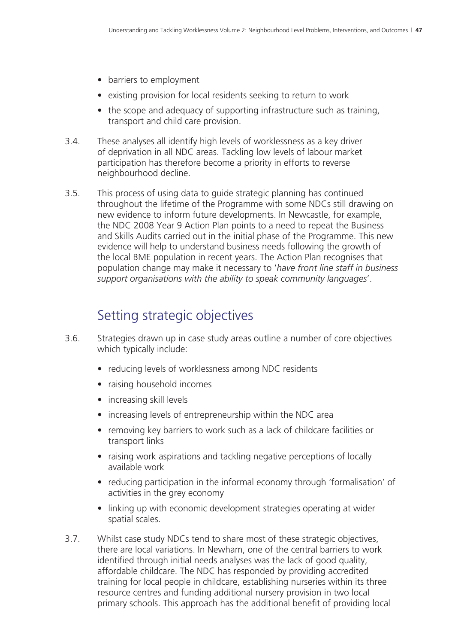- barriers to employment
- existing provision for local residents seeking to return to work
- the scope and adequacy of supporting infrastructure such as training, transport and child care provision.
- 3.4. These analyses all identify high levels of worklessness as a key driver of deprivation in all NDC areas. Tackling low levels of labour market participation has therefore become a priority in efforts to reverse neighbourhood decline.
- 3.5. This process of using data to guide strategic planning has continued throughout the lifetime of the Programme with some NDCs still drawing on new evidence to inform future developments. In Newcastle, for example, the NDC 2008 Year 9 Action Plan points to a need to repeat the Business and Skills Audits carried out in the initial phase of the Programme. This new evidence will help to understand business needs following the growth of the local BME population in recent years. The Action Plan recognises that population change may make it necessary to '*have front line staff in business support organisations with the ability to speak community languages*'.

## Setting strategic objectives

- 3.6. Strategies drawn up in case study areas outline a number of core objectives which typically include:
	- reducing levels of worklessness among NDC residents
	- raising household incomes
	- increasing skill levels
	- increasing levels of entrepreneurship within the NDC area
	- removing key barriers to work such as a lack of childcare facilities or transport links
	- raising work aspirations and tackling negative perceptions of locally available work
	- reducing participation in the informal economy through 'formalisation' of activities in the grey economy
	- linking up with economic development strategies operating at wider spatial scales.
- 3.7. Whilst case study NDCs tend to share most of these strategic objectives, there are local variations. In Newham, one of the central barriers to work identified through initial needs analyses was the lack of good quality, affordable childcare. The NDC has responded by providing accredited training for local people in childcare, establishing nurseries within its three resource centres and funding additional nursery provision in two local primary schools. This approach has the additional benefit of providing local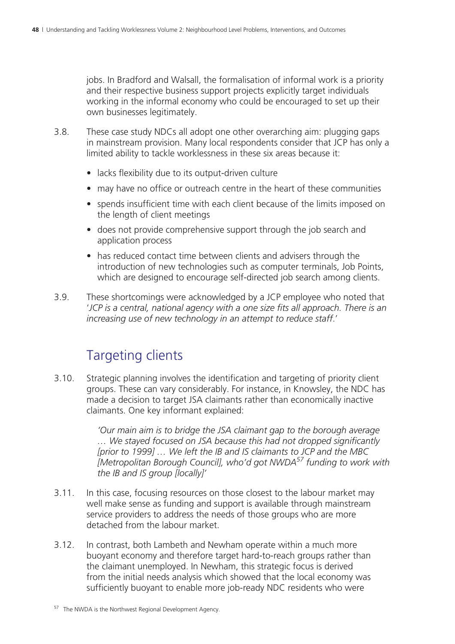jobs. In Bradford and Walsall, the formalisation of informal work is a priority and their respective business support projects explicitly target individuals working in the informal economy who could be encouraged to set up their own businesses legitimately.

- 3.8. These case study NDCs all adopt one other overarching aim: plugging gaps in mainstream provision. Many local respondents consider that JCP has only a limited ability to tackle worklessness in these six areas because it:
	- lacks flexibility due to its output-driven culture
	- may have no office or outreach centre in the heart of these communities
	- spends insufficient time with each client because of the limits imposed on the length of client meetings
	- does not provide comprehensive support through the job search and application process
	- has reduced contact time between clients and advisers through the introduction of new technologies such as computer terminals, Job Points, which are designed to encourage self-directed job search among clients.
- 3.9. These shortcomings were acknowledged by a JCP employee who noted that '*JCP is a central, national agency with a one size fits all approach. There is an increasing use of new technology in an attempt to reduce staff*.'

# Targeting clients

3.10. Strategic planning involves the identification and targeting of priority client groups. These can vary considerably. For instance, in Knowsley, the NDC has made a decision to target JSA claimants rather than economically inactive claimants. One key informant explained:

> *'Our main aim is to bridge the JSA claimant gap to the borough average … We stayed focused on JSA because this had not dropped significantly [prior to 1999] … We left the IB and IS claimants to JCP and the MBC [Metropolitan Borough Council], who'd got NWDA57 funding to work with the IB and IS group [locally]'*

- 3.11. In this case, focusing resources on those closest to the labour market may well make sense as funding and support is available through mainstream service providers to address the needs of those groups who are more detached from the labour market.
- 3.12. In contrast, both Lambeth and Newham operate within a much more buoyant economy and therefore target hard-to-reach groups rather than the claimant unemployed. In Newham, this strategic focus is derived from the initial needs analysis which showed that the local economy was sufficiently buoyant to enable more job-ready NDC residents who were

<sup>57</sup> The NWDA is the Northwest Regional Development Agency.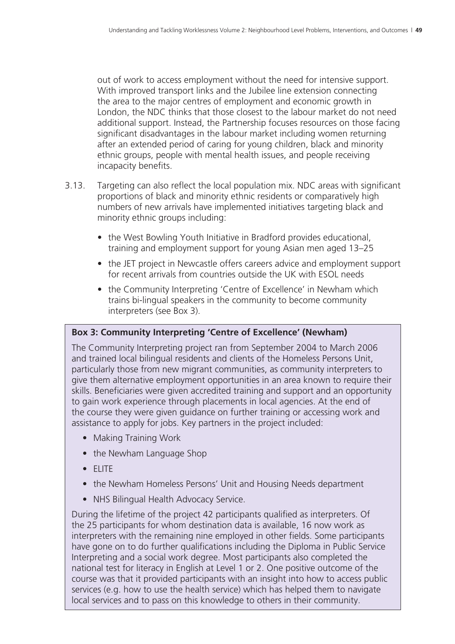out of work to access employment without the need for intensive support. With improved transport links and the Jubilee line extension connecting the area to the major centres of employment and economic growth in London, the NDC thinks that those closest to the labour market do not need additional support. Instead, the Partnership focuses resources on those facing significant disadvantages in the labour market including women returning after an extended period of caring for young children, black and minority ethnic groups, people with mental health issues, and people receiving incapacity benefits.

- 3.13. Targeting can also reflect the local population mix. NDC areas with significant proportions of black and minority ethnic residents or comparatively high numbers of new arrivals have implemented initiatives targeting black and minority ethnic groups including:
	- the West Bowling Youth Initiative in Bradford provides educational, training and employment support for young Asian men aged 13–25
	- the JET project in Newcastle offers careers advice and employment support for recent arrivals from countries outside the UK with ESOL needs
	- the Community Interpreting 'Centre of Excellence' in Newham which trains bi-lingual speakers in the community to become community interpreters (see Box 3).

#### **Box 3: Community Interpreting 'Centre of Excellence' (Newham)**

The Community Interpreting project ran from September 2004 to March 2006 and trained local bilingual residents and clients of the Homeless Persons Unit, particularly those from new migrant communities, as community interpreters to give them alternative employment opportunities in an area known to require their skills. Beneficiaries were given accredited training and support and an opportunity to gain work experience through placements in local agencies. At the end of the course they were given guidance on further training or accessing work and assistance to apply for jobs. Key partners in the project included:

- Making Training Work
- the Newham Language Shop
- ELITE
- the Newham Homeless Persons' Unit and Housing Needs department
- NHS Bilingual Health Advocacy Service.

During the lifetime of the project 42 participants qualified as interpreters. Of the 25 participants for whom destination data is available, 16 now work as interpreters with the remaining nine employed in other fields. Some participants have gone on to do further qualifications including the Diploma in Public Service Interpreting and a social work degree. Most participants also completed the national test for literacy in English at Level 1 or 2. One positive outcome of the course was that it provided participants with an insight into how to access public services (e.g. how to use the health service) which has helped them to navigate local services and to pass on this knowledge to others in their community.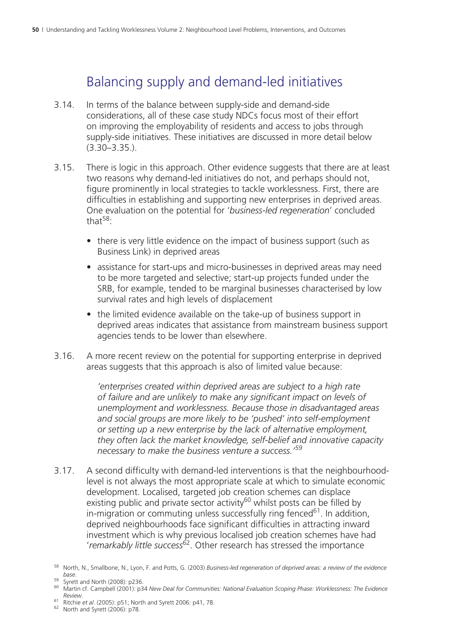## Balancing supply and demand-led initiatives

- 3.14. In terms of the balance between supply-side and demand-side considerations, all of these case study NDCs focus most of their effort on improving the employability of residents and access to jobs through supply-side initiatives. These initiatives are discussed in more detail below (3.30–3.35.).
- 3.15. There is logic in this approach. Other evidence suggests that there are at least two reasons why demand-led initiatives do not, and perhaps should not, figure prominently in local strategies to tackle worklessness. First, there are difficulties in establishing and supporting new enterprises in deprived areas. One evaluation on the potential for '*business-led regeneration*' concluded that $58$ 
	- there is very little evidence on the impact of business support (such as Business Link) in deprived areas
	- assistance for start-ups and micro-businesses in deprived areas may need to be more targeted and selective; start-up projects funded under the SRB, for example, tended to be marginal businesses characterised by low survival rates and high levels of displacement
	- the limited evidence available on the take-up of business support in deprived areas indicates that assistance from mainstream business support agencies tends to be lower than elsewhere.
- 3.16. A more recent review on the potential for supporting enterprise in deprived areas suggests that this approach is also of limited value because:

*'enterprises created within deprived areas are subject to a high rate of failure and are unlikely to make any significant impact on levels of unemployment and worklessness. Because those in disadvantaged areas and social groups are more likely to be 'pushed' into self-employment or setting up a new enterprise by the lack of alternative employment, they often lack the market knowledge, self-belief and innovative capacity necessary to make the business venture a success.'59*

3.17. A second difficulty with demand-led interventions is that the neighbourhoodlevel is not always the most appropriate scale at which to simulate economic development. Localised, targeted job creation schemes can displace existing public and private sector activity<sup>60</sup> whilst posts can be filled by in-migration or commuting unless successfully ring fenced $61$ . In addition, deprived neighbourhoods face significant difficulties in attracting inward investment which is why previous localised job creation schemes have had '*remarkably little success*62. Other research has stressed the importance

<sup>58</sup> North, N., Smallbone, N., Lyon, F. and Potts, G. (2003) *Business-led regeneration of deprived areas: a review of the evidence base*. 59 Syrett and North (2008): p236. 60 Martin cf. Campbell (2001): p34 *New Deal for Communities: National Evaluation Scoping Phase: Worklessness: The Evidence* 

*Review*. 61 Ritchie *et al*. (2005): p51; North and Syrett 2006: p41, 78. 62 North and Syrett (2006): p78.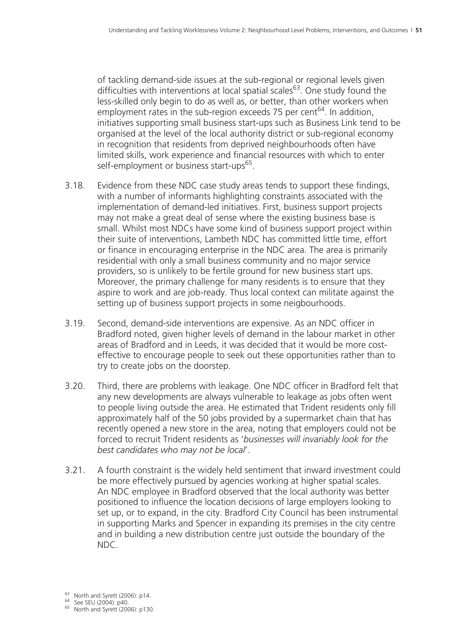of tackling demand-side issues at the sub-regional or regional levels given difficulties with interventions at local spatial scales<sup>63</sup>. One study found the less-skilled only begin to do as well as, or better, than other workers when employment rates in the sub-region exceeds 75 per cent $^{64}$ . In addition, initiatives supporting small business start-ups such as Business Link tend to be organised at the level of the local authority district or sub-regional economy in recognition that residents from deprived neighbourhoods often have limited skills, work experience and financial resources with which to enter self-employment or business start-ups<sup>65</sup>.

- 3.18. Evidence from these NDC case study areas tends to support these findings, with a number of informants highlighting constraints associated with the implementation of demand-led initiatives. First, business support projects may not make a great deal of sense where the existing business base is small. Whilst most NDCs have some kind of business support project within their suite of interventions, Lambeth NDC has committed little time, effort or finance in encouraging enterprise in the NDC area. The area is primarily residential with only a small business community and no major service providers, so is unlikely to be fertile ground for new business start ups. Moreover, the primary challenge for many residents is to ensure that they aspire to work and are job-ready. Thus local context can militate against the setting up of business support projects in some neigbourhoods.
- 3.19. Second, demand-side interventions are expensive. As an NDC officer in Bradford noted, given higher levels of demand in the labour market in other areas of Bradford and in Leeds, it was decided that it would be more costeffective to encourage people to seek out these opportunities rather than to try to create jobs on the doorstep.
- 3.20. Third, there are problems with leakage. One NDC officer in Bradford felt that any new developments are always vulnerable to leakage as jobs often went to people living outside the area. He estimated that Trident residents only fill approximately half of the 50 jobs provided by a supermarket chain that has recently opened a new store in the area, noting that employers could not be forced to recruit Trident residents as '*businesses will invariably look for the best candidates who may not be local*'.
- 3.21. A fourth constraint is the widely held sentiment that inward investment could be more effectively pursued by agencies working at higher spatial scales. An NDC employee in Bradford observed that the local authority was better positioned to influence the location decisions of large employers looking to set up, or to expand, in the city. Bradford City Council has been instrumental in supporting Marks and Spencer in expanding its premises in the city centre and in building a new distribution centre just outside the boundary of the NDC.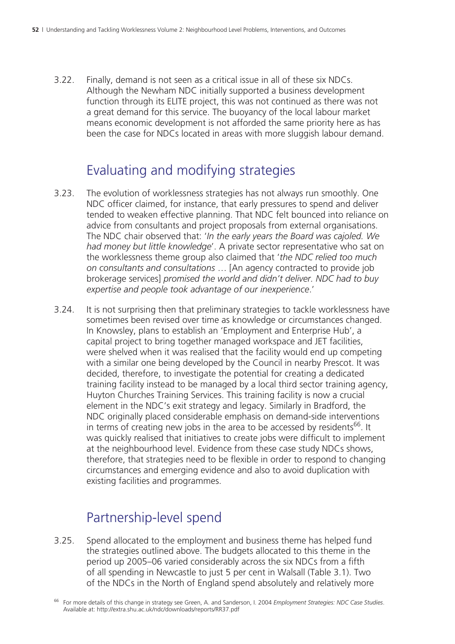3.22. Finally, demand is not seen as a critical issue in all of these six NDCs. Although the Newham NDC initially supported a business development function through its ELITE project, this was not continued as there was not a great demand for this service. The buoyancy of the local labour market means economic development is not afforded the same priority here as has been the case for NDCs located in areas with more sluggish labour demand.

# Evaluating and modifying strategies

- 3.23. The evolution of worklessness strategies has not always run smoothly. One NDC officer claimed, for instance, that early pressures to spend and deliver tended to weaken effective planning. That NDC felt bounced into reliance on advice from consultants and project proposals from external organisations. The NDC chair observed that: '*In the early years the Board was cajoled. We had money but little knowledge*'. A private sector representative who sat on the worklessness theme group also claimed that '*the NDC relied too much on consultants and consultations* … [An agency contracted to provide job brokerage services] *promised the world and didn't deliver. NDC had to buy expertise and people took advantage of our inexperience*.'
- 3.24. It is not surprising then that preliminary strategies to tackle worklessness have sometimes been revised over time as knowledge or circumstances changed. In Knowsley, plans to establish an 'Employment and Enterprise Hub', a capital project to bring together managed workspace and JET facilities, were shelved when it was realised that the facility would end up competing with a similar one being developed by the Council in nearby Prescot. It was decided, therefore, to investigate the potential for creating a dedicated training facility instead to be managed by a local third sector training agency, Huyton Churches Training Services. This training facility is now a crucial element in the NDC's exit strategy and legacy. Similarly in Bradford, the NDC originally placed considerable emphasis on demand-side interventions in terms of creating new jobs in the area to be accessed by residents<sup>66</sup>. It was quickly realised that initiatives to create jobs were difficult to implement at the neighbourhood level. Evidence from these case study NDCs shows, therefore, that strategies need to be flexible in order to respond to changing circumstances and emerging evidence and also to avoid duplication with existing facilities and programmes.

# Partnership-level spend

3.25. Spend allocated to the employment and business theme has helped fund the strategies outlined above. The budgets allocated to this theme in the period up 2005–06 varied considerably across the six NDCs from a fifth of all spending in Newcastle to just 5 per cent in Walsall (Table 3.1). Two of the NDCs in the North of England spend absolutely and relatively more

<sup>66</sup> For more details of this change in strategy see Green, A. and Sanderson, I. 2004 *Employment Strategies: NDC Case Studies*. Available at: http://extra.shu.ac.uk/ndc/downloads/reports/RR37.pdf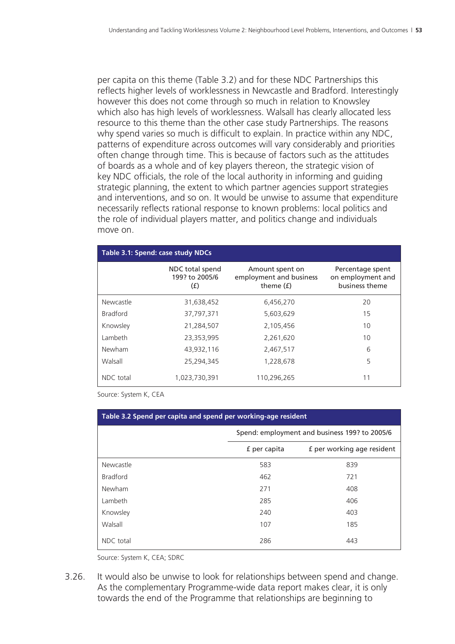per capita on this theme (Table 3.2) and for these NDC Partnerships this reflects higher levels of worklessness in Newcastle and Bradford. Interestingly however this does not come through so much in relation to Knowsley which also has high levels of worklessness. Walsall has clearly allocated less resource to this theme than the other case study Partnerships. The reasons why spend varies so much is difficult to explain. In practice within any NDC, patterns of expenditure across outcomes will vary considerably and priorities often change through time. This is because of factors such as the attitudes of boards as a whole and of key players thereon, the strategic vision of key NDC officials, the role of the local authority in informing and guiding strategic planning, the extent to which partner agencies support strategies and interventions, and so on. It would be unwise to assume that expenditure necessarily reflects rational response to known problems: local politics and the role of individual players matter, and politics change and individuals move on.

| Table 3.1: Spend: case study NDCs |                                          |                                                           |                                                         |  |  |
|-----------------------------------|------------------------------------------|-----------------------------------------------------------|---------------------------------------------------------|--|--|
|                                   | NDC total spend<br>199? to 2005/6<br>(f) | Amount spent on<br>employment and business<br>theme $(f)$ | Percentage spent<br>on employment and<br>business theme |  |  |
| Newcastle                         | 31,638,452                               | 6,456,270                                                 | 20                                                      |  |  |
| <b>Bradford</b>                   | 37,797,371                               | 5,603,629                                                 | 15                                                      |  |  |
| Knowsley                          | 21,284,507                               | 2,105,456                                                 | 10                                                      |  |  |
| Lambeth                           | 23,353,995                               | 2,261,620                                                 | 10                                                      |  |  |
| Newham                            | 43,932,116                               | 2,467,517                                                 | 6                                                       |  |  |
| Walsall                           | 25,294,345                               | 1,228,678                                                 | 5                                                       |  |  |
| NDC total                         | 1,023,730,391                            | 110,296,265                                               | 11                                                      |  |  |

Source: System K, CEA

| Table 3.2 Spend per capita and spend per working-age resident |                                               |                            |  |  |
|---------------------------------------------------------------|-----------------------------------------------|----------------------------|--|--|
|                                                               | Spend: employment and business 199? to 2005/6 |                            |  |  |
|                                                               | f per capita                                  | f per working age resident |  |  |
| Newcastle                                                     | 583                                           | 839                        |  |  |
| <b>Bradford</b>                                               | 462                                           | 721                        |  |  |
| Newham                                                        | 271                                           | 408                        |  |  |
| Lambeth                                                       | 285                                           | 406                        |  |  |
| Knowsley                                                      | 240                                           | 403                        |  |  |
| Walsall                                                       | 107                                           | 185                        |  |  |
| NDC total                                                     | 286                                           | 443                        |  |  |

Source: System K, CEA; SDRC

3.26. It would also be unwise to look for relationships between spend and change. As the complementary Programme-wide data report makes clear, it is only towards the end of the Programme that relationships are beginning to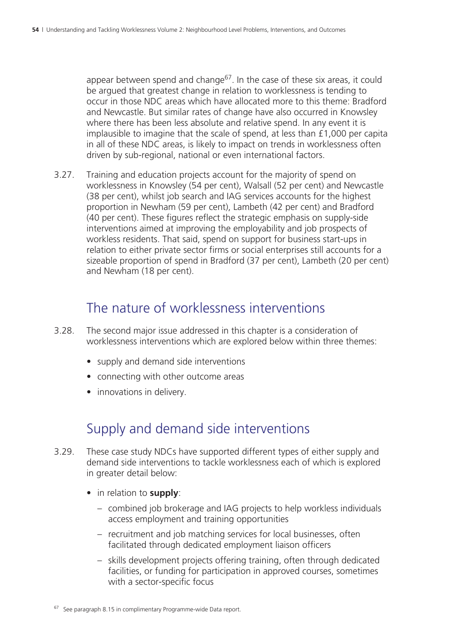appear between spend and change<sup>67</sup>. In the case of these six areas, it could be argued that greatest change in relation to worklessness is tending to occur in those NDC areas which have allocated more to this theme: Bradford and Newcastle. But similar rates of change have also occurred in Knowsley where there has been less absolute and relative spend. In any event it is implausible to imagine that the scale of spend, at less than £1,000 per capita in all of these NDC areas, is likely to impact on trends in worklessness often driven by sub-regional, national or even international factors.

3.27. Training and education projects account for the majority of spend on worklessness in Knowsley (54 per cent), Walsall (52 per cent) and Newcastle (38 per cent), whilst job search and IAG services accounts for the highest proportion in Newham (59 per cent), Lambeth (42 per cent) and Bradford (40 per cent). These figures reflect the strategic emphasis on supply-side interventions aimed at improving the employability and job prospects of workless residents. That said, spend on support for business start-ups in relation to either private sector firms or social enterprises still accounts for a sizeable proportion of spend in Bradford (37 per cent), Lambeth (20 per cent) and Newham (18 per cent).

### The nature of worklessness interventions

- 3.28. The second major issue addressed in this chapter is a consideration of worklessness interventions which are explored below within three themes:
	- supply and demand side interventions
	- connecting with other outcome areas
	- innovations in delivery.

### Supply and demand side interventions

- 3.29. These case study NDCs have supported different types of either supply and demand side interventions to tackle worklessness each of which is explored in greater detail below:
	- in relation to **supply**:
		- combined job brokerage and IAG projects to help workless individuals access employment and training opportunities
		- recruitment and job matching services for local businesses, often facilitated through dedicated employment liaison officers
		- skills development projects offering training, often through dedicated facilities, or funding for participation in approved courses, sometimes with a sector-specific focus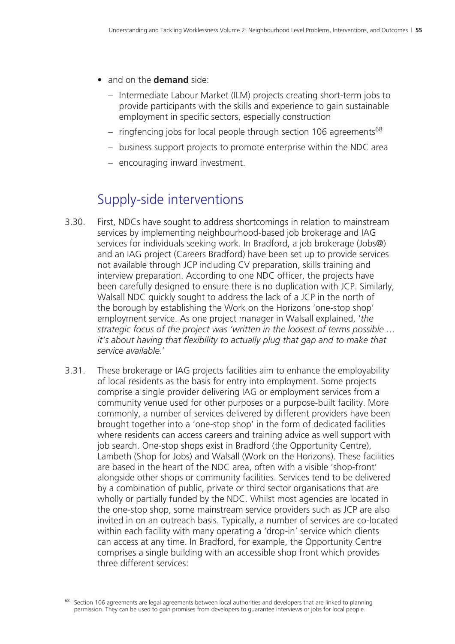- and on the **demand** side:
	- Intermediate Labour Market (ILM) projects creating short-term jobs to provide participants with the skills and experience to gain sustainable employment in specific sectors, especially construction
	- ringfencing jobs for local people through section 106 agreements<sup>68</sup>
	- business support projects to promote enterprise within the NDC area
	- encouraging inward investment.

### Supply-side interventions

- 3.30. First, NDCs have sought to address shortcomings in relation to mainstream services by implementing neighbourhood-based job brokerage and IAG services for individuals seeking work. In Bradford, a job brokerage (Jobs@) and an IAG project (Careers Bradford) have been set up to provide services not available through JCP including CV preparation, skills training and interview preparation. According to one NDC officer, the projects have been carefully designed to ensure there is no duplication with JCP. Similarly, Walsall NDC quickly sought to address the lack of a JCP in the north of the borough by establishing the Work on the Horizons 'one-stop shop' employment service. As one project manager in Walsall explained, '*the strategic focus of the project was 'written in the loosest of terms possible … it's about having that flexibility to actually plug that gap and to make that service available*.'
- 3.31. These brokerage or IAG projects facilities aim to enhance the employability of local residents as the basis for entry into employment. Some projects comprise a single provider delivering IAG or employment services from a community venue used for other purposes or a purpose-built facility. More commonly, a number of services delivered by different providers have been brought together into a 'one-stop shop' in the form of dedicated facilities where residents can access careers and training advice as well support with job search. One-stop shops exist in Bradford (the Opportunity Centre), Lambeth (Shop for Jobs) and Walsall (Work on the Horizons). These facilities are based in the heart of the NDC area, often with a visible 'shop-front' alongside other shops or community facilities. Services tend to be delivered by a combination of public, private or third sector organisations that are wholly or partially funded by the NDC. Whilst most agencies are located in the one-stop shop, some mainstream service providers such as JCP are also invited in on an outreach basis. Typically, a number of services are co-located within each facility with many operating a 'drop-in' service which clients can access at any time. In Bradford, for example, the Opportunity Centre comprises a single building with an accessible shop front which provides three different services:

 $68$  Section 106 agreements are legal agreements between local authorities and developers that are linked to planning permission. They can be used to gain promises from developers to guarantee interviews or jobs for local people.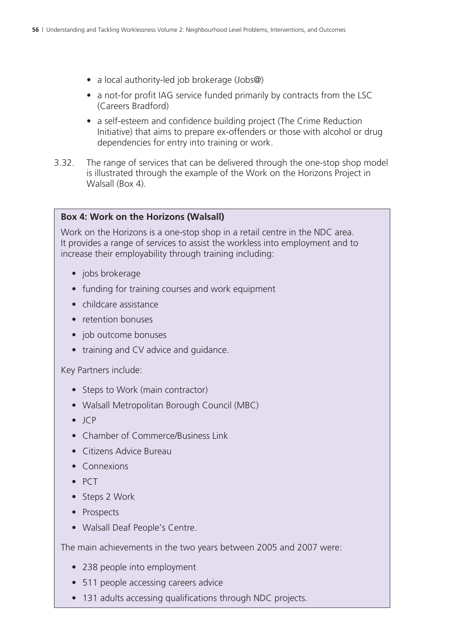- a local authority-led job brokerage (Jobs@)
- a not-for profit IAG service funded primarily by contracts from the LSC (Careers Bradford)
- a self-esteem and confidence building project (The Crime Reduction Initiative) that aims to prepare ex-offenders or those with alcohol or drug dependencies for entry into training or work.
- 3.32. The range of services that can be delivered through the one-stop shop model is illustrated through the example of the Work on the Horizons Project in Walsall (Box 4).

#### **Box 4: Work on the Horizons (Walsall)**

Work on the Horizons is a one-stop shop in a retail centre in the NDC area. It provides a range of services to assist the workless into employment and to increase their employability through training including:

- jobs brokerage
- funding for training courses and work equipment
- childcare assistance
- retention bonuses
- job outcome bonuses
- training and CV advice and guidance.

Key Partners include:

- Steps to Work (main contractor)
- Walsall Metropolitan Borough Council (MBC)
- JCP
- Chamber of Commerce/Business Link
- Citizens Advice Bureau
- Connexions
- PCT
- Steps 2 Work
- Prospects
- Walsall Deaf People's Centre.

The main achievements in the two years between 2005 and 2007 were:

- 238 people into employment
- 511 people accessing careers advice
- 131 adults accessing qualifications through NDC projects.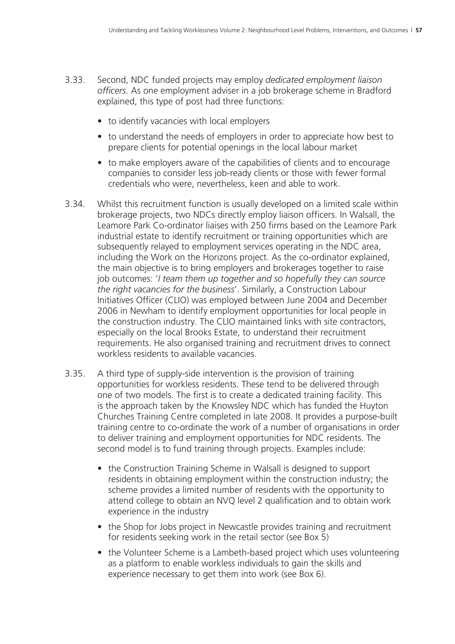- 3.33. Second, NDC funded projects may employ *dedicated employment liaison officers*. As one employment adviser in a job brokerage scheme in Bradford explained, this type of post had three functions:
	- to identify vacancies with local employers
	- to understand the needs of employers in order to appreciate how best to prepare clients for potential openings in the local labour market
	- to make employers aware of the capabilities of clients and to encourage companies to consider less job-ready clients or those with fewer formal credentials who were, nevertheless, keen and able to work.
- 3.34. Whilst this recruitment function is usually developed on a limited scale within brokerage projects, two NDCs directly employ liaison officers. In Walsall, the Leamore Park Co-ordinator liaises with 250 firms based on the Leamore Park industrial estate to identify recruitment or training opportunities which are subsequently relayed to employment services operating in the NDC area, including the Work on the Horizons project. As the co-ordinator explained, the main objective is to bring employers and brokerages together to raise job outcomes: '*I team them up together and so hopefully they can source the right vacancies for the business*'. Similarly, a Construction Labour Initiatives Officer (CLIO) was employed between June 2004 and December 2006 in Newham to identify employment opportunities for local people in the construction industry. The CLIO maintained links with site contractors, especially on the local Brooks Estate, to understand their recruitment requirements. He also organised training and recruitment drives to connect workless residents to available vacancies.
- 3.35. A third type of supply-side intervention is the provision of training opportunities for workless residents. These tend to be delivered through one of two models. The first is to create a dedicated training facility. This is the approach taken by the Knowsley NDC which has funded the Huyton Churches Training Centre completed in late 2008. It provides a purpose-built training centre to co-ordinate the work of a number of organisations in order to deliver training and employment opportunities for NDC residents. The second model is to fund training through projects. Examples include:
	- the Construction Training Scheme in Walsall is designed to support residents in obtaining employment within the construction industry; the scheme provides a limited number of residents with the opportunity to attend college to obtain an NVQ level 2 qualification and to obtain work experience in the industry
	- the Shop for Jobs project in Newcastle provides training and recruitment for residents seeking work in the retail sector (see Box 5)
	- the Volunteer Scheme is a Lambeth-based project which uses volunteering as a platform to enable workless individuals to gain the skills and experience necessary to get them into work (see Box 6).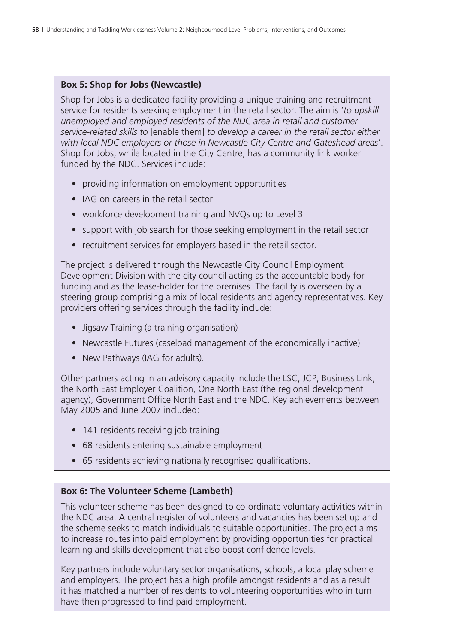#### **Box 5: Shop for Jobs (Newcastle)**

Shop for Jobs is a dedicated facility providing a unique training and recruitment service for residents seeking employment in the retail sector. The aim is '*to upskill unemployed and employed residents of the NDC area in retail and customer service-related skills to* [enable them] *to develop a career in the retail sector either with local NDC employers or those in Newcastle City Centre and Gateshead areas*'. Shop for Jobs, while located in the City Centre, has a community link worker funded by the NDC. Services include:

- providing information on employment opportunities
- IAG on careers in the retail sector
- workforce development training and NVQs up to Level 3
- support with job search for those seeking employment in the retail sector
- recruitment services for employers based in the retail sector.

The project is delivered through the Newcastle City Council Employment Development Division with the city council acting as the accountable body for funding and as the lease-holder for the premises. The facility is overseen by a steering group comprising a mix of local residents and agency representatives. Key providers offering services through the facility include:

- Jigsaw Training (a training organisation)
- Newcastle Futures (caseload management of the economically inactive)
- New Pathways (IAG for adults).

Other partners acting in an advisory capacity include the LSC, JCP, Business Link, the North East Employer Coalition, One North East (the regional development agency), Government Office North East and the NDC. Key achievements between May 2005 and June 2007 included:

- 141 residents receiving job training
- 68 residents entering sustainable employment
- 65 residents achieving nationally recognised qualifications.

#### **Box 6: The Volunteer Scheme (Lambeth)**

This volunteer scheme has been designed to co-ordinate voluntary activities within the NDC area. A central register of volunteers and vacancies has been set up and the scheme seeks to match individuals to suitable opportunities. The project aims to increase routes into paid employment by providing opportunities for practical learning and skills development that also boost confidence levels.

Key partners include voluntary sector organisations, schools, a local play scheme and employers. The project has a high profile amongst residents and as a result it has matched a number of residents to volunteering opportunities who in turn have then progressed to find paid employment.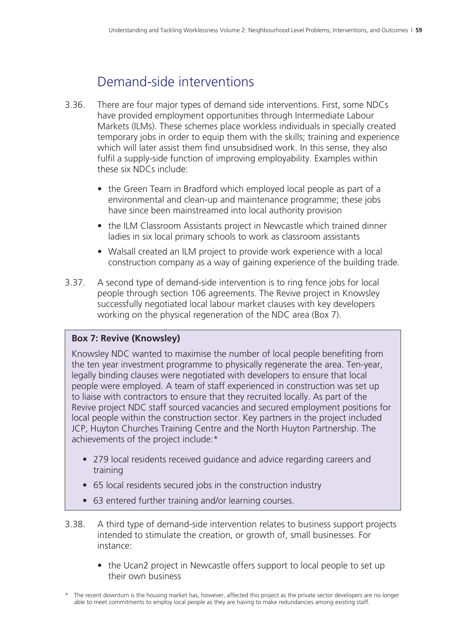# Demand-side interventions

- 3.36. There are four major types of demand side interventions. First, some NDCs have provided employment opportunities through Intermediate Labour Markets (ILMs). These schemes place workless individuals in specially created temporary jobs in order to equip them with the skills; training and experience which will later assist them find unsubsidised work. In this sense, they also fulfil a supply-side function of improving employability. Examples within these six NDCs include:
	- the Green Team in Bradford which employed local people as part of a environmental and clean-up and maintenance programme; these jobs have since been mainstreamed into local authority provision
	- the ILM Classroom Assistants project in Newcastle which trained dinner ladies in six local primary schools to work as classroom assistants
	- Walsall created an ILM project to provide work experience with a local construction company as a way of gaining experience of the building trade.
- 3.37. A second type of demand-side intervention is to ring fence jobs for local people through section 106 agreements. The Revive project in Knowsley successfully negotiated local labour market clauses with key developers working on the physical regeneration of the NDC area (Box 7).

#### **Box 7: Revive (Knowsley)**

Knowsley NDC wanted to maximise the number of local people benefiting from the ten year investment programme to physically regenerate the area. Ten-year, legally binding clauses were negotiated with developers to ensure that local people were employed. A team of staff experienced in construction was set up to liaise with contractors to ensure that they recruited locally. As part of the Revive project NDC staff sourced vacancies and secured employment positions for local people within the construction sector. Key partners in the project included JCP, Huyton Churches Training Centre and the North Huyton Partnership. The achievements of the project include:\*

- 279 local residents received guidance and advice regarding careers and training
- 65 local residents secured jobs in the construction industry
- 63 entered further training and/or learning courses.
- 3.38. A third type of demand-side intervention relates to business support projects intended to stimulate the creation, or growth of, small businesses. For instance:
	- the Ucan2 project in Newcastle offers support to local people to set up their own business

The recent downturn is the housing market has, however, affected this project as the private sector developers are no longer able to meet commitments to employ local people as they are having to make redundancies among existing staff.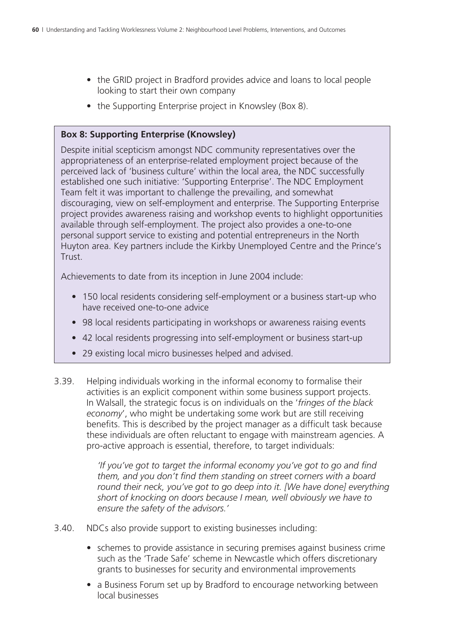- the GRID project in Bradford provides advice and loans to local people looking to start their own company
- the Supporting Enterprise project in Knowsley (Box 8).

#### **Box 8: Supporting Enterprise (Knowsley)**

Despite initial scepticism amongst NDC community representatives over the appropriateness of an enterprise-related employment project because of the perceived lack of 'business culture' within the local area, the NDC successfully established one such initiative: 'Supporting Enterprise'. The NDC Employment Team felt it was important to challenge the prevailing, and somewhat discouraging, view on self-employment and enterprise. The Supporting Enterprise project provides awareness raising and workshop events to highlight opportunities available through self-employment. The project also provides a one-to-one personal support service to existing and potential entrepreneurs in the North Huyton area. Key partners include the Kirkby Unemployed Centre and the Prince's **Trust** 

Achievements to date from its inception in June 2004 include:

- 150 local residents considering self-employment or a business start-up who have received one-to-one advice
- 98 local residents participating in workshops or awareness raising events
- 42 local residents progressing into self-employment or business start-up
- 29 existing local micro businesses helped and advised.
- 3.39. Helping individuals working in the informal economy to formalise their activities is an explicit component within some business support projects. In Walsall, the strategic focus is on individuals on the '*fringes of the black economy*', who might be undertaking some work but are still receiving benefits. This is described by the project manager as a difficult task because these individuals are often reluctant to engage with mainstream agencies. A pro-active approach is essential, therefore, to target individuals:

*'If you've got to target the informal economy you've got to go and find them, and you don't find them standing on street corners with a board round their neck, you've got to go deep into it. [We have done] everything short of knocking on doors because I mean, well obviously we have to ensure the safety of the advisors.'*

- 3.40. NDCs also provide support to existing businesses including:
	- schemes to provide assistance in securing premises against business crime such as the 'Trade Safe' scheme in Newcastle which offers discretionary grants to businesses for security and environmental improvements
	- a Business Forum set up by Bradford to encourage networking between local businesses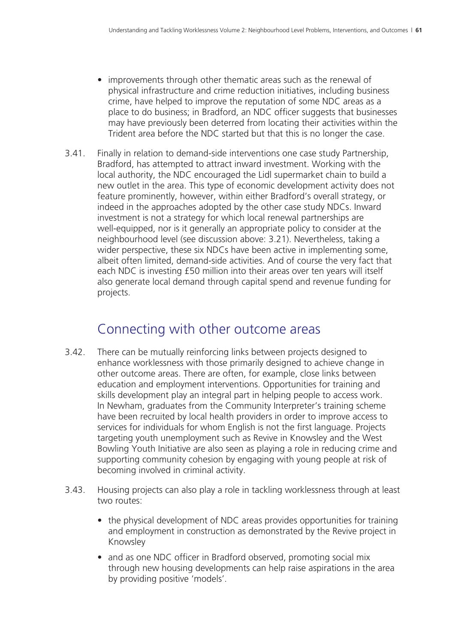- improvements through other thematic areas such as the renewal of physical infrastructure and crime reduction initiatives, including business crime, have helped to improve the reputation of some NDC areas as a place to do business; in Bradford, an NDC officer suggests that businesses may have previously been deterred from locating their activities within the Trident area before the NDC started but that this is no longer the case.
- 3.41. Finally in relation to demand-side interventions one case study Partnership, Bradford, has attempted to attract inward investment. Working with the local authority, the NDC encouraged the Lidl supermarket chain to build a new outlet in the area. This type of economic development activity does not feature prominently, however, within either Bradford's overall strategy, or indeed in the approaches adopted by the other case study NDCs. Inward investment is not a strategy for which local renewal partnerships are well-equipped, nor is it generally an appropriate policy to consider at the neighbourhood level (see discussion above: 3.21). Nevertheless, taking a wider perspective, these six NDCs have been active in implementing some, albeit often limited, demand-side activities. And of course the very fact that each NDC is investing £50 million into their areas over ten years will itself also generate local demand through capital spend and revenue funding for projects.

### Connecting with other outcome areas

- 3.42. There can be mutually reinforcing links between projects designed to enhance worklessness with those primarily designed to achieve change in other outcome areas. There are often, for example, close links between education and employment interventions. Opportunities for training and skills development play an integral part in helping people to access work. In Newham, graduates from the Community Interpreter's training scheme have been recruited by local health providers in order to improve access to services for individuals for whom English is not the first language. Projects targeting youth unemployment such as Revive in Knowsley and the West Bowling Youth Initiative are also seen as playing a role in reducing crime and supporting community cohesion by engaging with young people at risk of becoming involved in criminal activity.
- 3.43. Housing projects can also play a role in tackling worklessness through at least two routes:
	- the physical development of NDC areas provides opportunities for training and employment in construction as demonstrated by the Revive project in Knowsley
	- and as one NDC officer in Bradford observed, promoting social mix through new housing developments can help raise aspirations in the area by providing positive 'models'.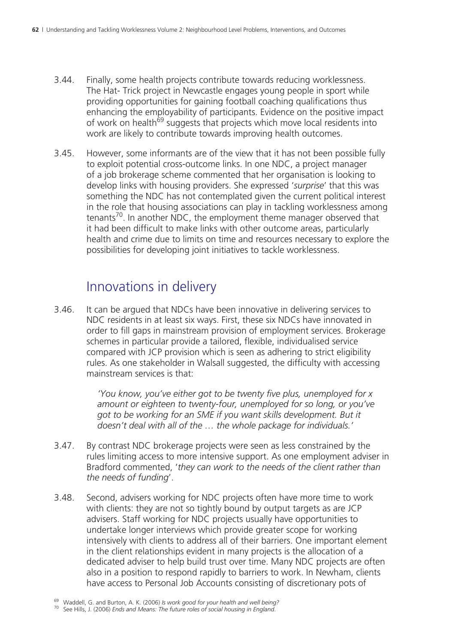- 3.44. Finally, some health projects contribute towards reducing worklessness. The Hat- Trick project in Newcastle engages young people in sport while providing opportunities for gaining football coaching qualifications thus enhancing the employability of participants. Evidence on the positive impact of work on health<sup>69</sup> suggests that projects which move local residents into work are likely to contribute towards improving health outcomes.
- 3.45. However, some informants are of the view that it has not been possible fully to exploit potential cross-outcome links. In one NDC, a project manager of a job brokerage scheme commented that her organisation is looking to develop links with housing providers. She expressed '*surprise*' that this was something the NDC has not contemplated given the current political interest in the role that housing associations can play in tackling worklessness among tenants<sup>70</sup>. In another NDC, the employment theme manager observed that it had been difficult to make links with other outcome areas, particularly health and crime due to limits on time and resources necessary to explore the possibilities for developing joint initiatives to tackle worklessness.

### Innovations in delivery

3.46. It can be argued that NDCs have been innovative in delivering services to NDC residents in at least six ways. First, these six NDCs have innovated in order to fill gaps in mainstream provision of employment services. Brokerage schemes in particular provide a tailored, flexible, individualised service compared with JCP provision which is seen as adhering to strict eligibility rules. As one stakeholder in Walsall suggested, the difficulty with accessing mainstream services is that:

> *'You know, you've either got to be twenty five plus, unemployed for x amount or eighteen to twenty-four, unemployed for so long, or you've got to be working for an SME if you want skills development. But it doesn't deal with all of the … the whole package for individuals.'*

- 3.47. By contrast NDC brokerage projects were seen as less constrained by the rules limiting access to more intensive support. As one employment adviser in Bradford commented, '*they can work to the needs of the client rather than the needs of funding*'.
- 3.48. Second, advisers working for NDC projects often have more time to work with clients: they are not so tightly bound by output targets as are JCP advisers. Staff working for NDC projects usually have opportunities to undertake longer interviews which provide greater scope for working intensively with clients to address all of their barriers. One important element in the client relationships evident in many projects is the allocation of a dedicated adviser to help build trust over time. Many NDC projects are often also in a position to respond rapidly to barriers to work. In Newham, clients have access to Personal Job Accounts consisting of discretionary pots of

<sup>69</sup> Waddell, G. and Burton, A. K. (2006) *Is work good for your health and well being?* 70 See Hills, J. (2006) *Ends and Means: The future roles of social housing in England*.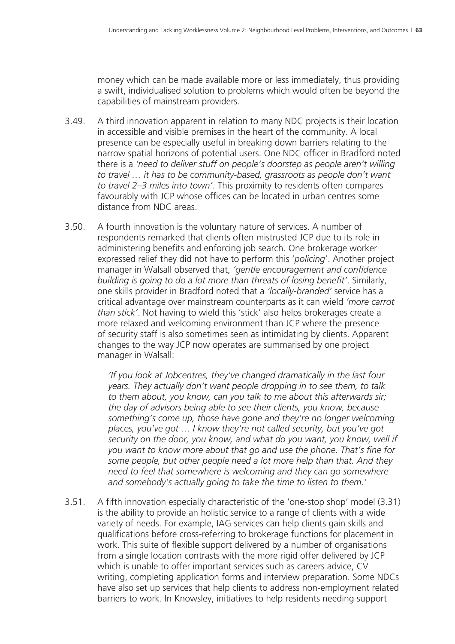money which can be made available more or less immediately, thus providing a swift, individualised solution to problems which would often be beyond the capabilities of mainstream providers.

- 3.49. A third innovation apparent in relation to many NDC projects is their location in accessible and visible premises in the heart of the community. A local presence can be especially useful in breaking down barriers relating to the narrow spatial horizons of potential users. One NDC officer in Bradford noted there is a *'need to deliver stuff on people's doorstep as people aren't willing to travel … it has to be community-based, grassroots as people don't want to travel 2–3 miles into town'*. This proximity to residents often compares favourably with JCP whose offices can be located in urban centres some distance from NDC areas.
- 3.50. A fourth innovation is the voluntary nature of services. A number of respondents remarked that clients often mistrusted JCP due to its role in administering benefits and enforcing job search. One brokerage worker expressed relief they did not have to perform this '*policing*'. Another project manager in Walsall observed that, *'gentle encouragement and confidence building is going to do a lot more than threats of losing benefit'*. Similarly, one skills provider in Bradford noted that a *'locally-branded'* service has a critical advantage over mainstream counterparts as it can wield *'more carrot than stick'*. Not having to wield this 'stick' also helps brokerages create a more relaxed and welcoming environment than JCP where the presence of security staff is also sometimes seen as intimidating by clients. Apparent changes to the way JCP now operates are summarised by one project manager in Walsall:

*'If you look at Jobcentres, they've changed dramatically in the last four years. They actually don't want people dropping in to see them, to talk to them about, you know, can you talk to me about this afterwards sir; the day of advisors being able to see their clients, you know, because something's come up, those have gone and they're no longer welcoming places, you've got … I know they're not called security, but you've got security on the door, you know, and what do you want, you know, well if you want to know more about that go and use the phone. That's fine for some people, but other people need a lot more help than that. And they need to feel that somewhere is welcoming and they can go somewhere and somebody's actually going to take the time to listen to them.'* 

3.51. A fifth innovation especially characteristic of the 'one-stop shop' model (3.31) is the ability to provide an holistic service to a range of clients with a wide variety of needs. For example, IAG services can help clients gain skills and qualifications before cross-referring to brokerage functions for placement in work. This suite of flexible support delivered by a number of organisations from a single location contrasts with the more rigid offer delivered by JCP which is unable to offer important services such as careers advice, CV writing, completing application forms and interview preparation. Some NDCs have also set up services that help clients to address non-employment related barriers to work. In Knowsley, initiatives to help residents needing support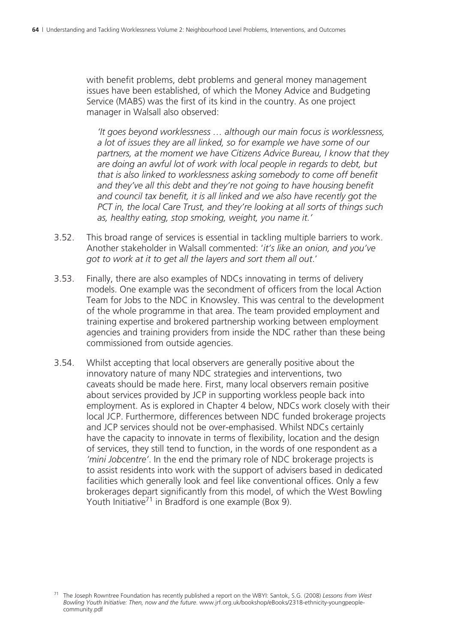with benefit problems, debt problems and general money management issues have been established, of which the Money Advice and Budgeting Service (MABS) was the first of its kind in the country. As one project manager in Walsall also observed:

*'It goes beyond worklessness … although our main focus is worklessness, a lot of issues they are all linked, so for example we have some of our partners, at the moment we have Citizens Advice Bureau, I know that they are doing an awful lot of work with local people in regards to debt, but that is also linked to worklessness asking somebody to come off benefit and they've all this debt and they're not going to have housing benefit and council tax benefit, it is all linked and we also have recently got the PCT in, the local Care Trust, and they're looking at all sorts of things such as, healthy eating, stop smoking, weight, you name it.'*

- 3.52. This broad range of services is essential in tackling multiple barriers to work. Another stakeholder in Walsall commented: '*it's like an onion, and you've got to work at it to get all the layers and sort them all out*.'
- 3.53. Finally, there are also examples of NDCs innovating in terms of delivery models. One example was the secondment of officers from the local Action Team for Jobs to the NDC in Knowsley. This was central to the development of the whole programme in that area. The team provided employment and training expertise and brokered partnership working between employment agencies and training providers from inside the NDC rather than these being commissioned from outside agencies.
- 3.54. Whilst accepting that local observers are generally positive about the innovatory nature of many NDC strategies and interventions, two caveats should be made here. First, many local observers remain positive about services provided by JCP in supporting workless people back into employment. As is explored in Chapter 4 below, NDCs work closely with their local JCP. Furthermore, differences between NDC funded brokerage projects and JCP services should not be over-emphasised. Whilst NDCs certainly have the capacity to innovate in terms of flexibility, location and the design of services, they still tend to function, in the words of one respondent as a *'mini Jobcentre'*. In the end the primary role of NDC brokerage projects is to assist residents into work with the support of advisers based in dedicated facilities which generally look and feel like conventional offices. Only a few brokerages depart significantly from this model, of which the West Bowling Youth Initiative<sup>71</sup> in Bradford is one example (Box 9).

<sup>71</sup> The Joseph Rowntree Foundation has recently published a report on the WBYI: Santok, S.G. (2008) *Lessons from West Bowling Youth Initiative: Then, now and the future*. www.jrf.org.uk/bookshop/eBooks/2318-ethnicity-youngpeoplecommunity.pdf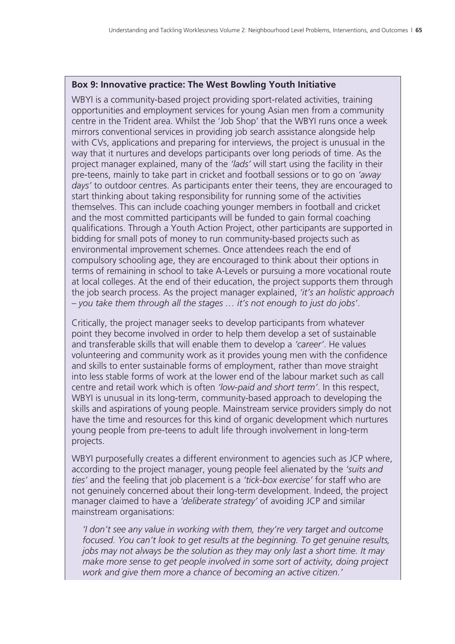#### **Box 9: Innovative practice: The West Bowling Youth Initiative**

WBYI is a community-based project providing sport-related activities, training opportunities and employment services for young Asian men from a community centre in the Trident area. Whilst the 'Job Shop' that the WBYI runs once a week mirrors conventional services in providing job search assistance alongside help with CVs, applications and preparing for interviews, the project is unusual in the way that it nurtures and develops participants over long periods of time. As the project manager explained, many of the *'lads'* will start using the facility in their pre-teens, mainly to take part in cricket and football sessions or to go on *'away days'* to outdoor centres. As participants enter their teens, they are encouraged to start thinking about taking responsibility for running some of the activities themselves. This can include coaching younger members in football and cricket and the most committed participants will be funded to gain formal coaching qualifications. Through a Youth Action Project, other participants are supported in bidding for small pots of money to run community-based projects such as environmental improvement schemes. Once attendees reach the end of compulsory schooling age, they are encouraged to think about their options in terms of remaining in school to take A-Levels or pursuing a more vocational route at local colleges. At the end of their education, the project supports them through the job search process. As the project manager explained, *'it's an holistic approach – you take them through all the stages … it's not enough to just do jobs'*.

Critically, the project manager seeks to develop participants from whatever point they become involved in order to help them develop a set of sustainable and transferable skills that will enable them to develop a *'career'*. He values volunteering and community work as it provides young men with the confidence and skills to enter sustainable forms of employment, rather than move straight into less stable forms of work at the lower end of the labour market such as call centre and retail work which is often *'low-paid and short term'*. In this respect, WBYI is unusual in its long-term, community-based approach to developing the skills and aspirations of young people. Mainstream service providers simply do not have the time and resources for this kind of organic development which nurtures young people from pre-teens to adult life through involvement in long-term projects.

WBYI purposefully creates a different environment to agencies such as JCP where, according to the project manager, young people feel alienated by the *'suits and ties'* and the feeling that job placement is a *'tick-box exercise'* for staff who are not genuinely concerned about their long-term development. Indeed, the project manager claimed to have a *'deliberate strategy'* of avoiding JCP and similar mainstream organisations:

*'I don't see any value in working with them, they're very target and outcome focused. You can't look to get results at the beginning. To get genuine results, jobs may not always be the solution as they may only last a short time. It may make more sense to get people involved in some sort of activity, doing project work and give them more a chance of becoming an active citizen.'*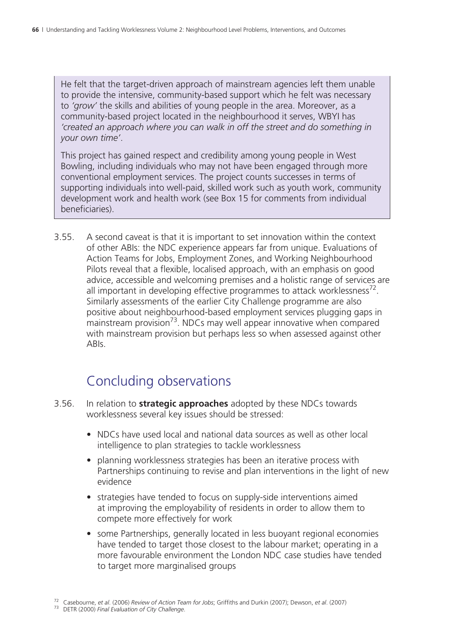He felt that the target-driven approach of mainstream agencies left them unable to provide the intensive, community-based support which he felt was necessary to *'grow'* the skills and abilities of young people in the area. Moreover, as a community-based project located in the neighbourhood it serves, WBYI has *'created an approach where you can walk in off the street and do something in your own time'*.

This project has gained respect and credibility among young people in West Bowling, including individuals who may not have been engaged through more conventional employment services. The project counts successes in terms of supporting individuals into well-paid, skilled work such as youth work, community development work and health work (see Box 15 for comments from individual beneficiaries).

3.55. A second caveat is that it is important to set innovation within the context of other ABIs: the NDC experience appears far from unique. Evaluations of Action Teams for Jobs, Employment Zones, and Working Neighbourhood Pilots reveal that a flexible, localised approach, with an emphasis on good advice, accessible and welcoming premises and a holistic range of services are all important in developing effective programmes to attack worklessness<sup>72</sup>. Similarly assessments of the earlier City Challenge programme are also positive about neighbourhood-based employment services plugging gaps in mainstream provision<sup>73</sup>. NDCs may well appear innovative when compared with mainstream provision but perhaps less so when assessed against other ABIs.

# Concluding observations

- 3.56. In relation to **strategic approaches** adopted by these NDCs towards worklessness several key issues should be stressed:
	- NDCs have used local and national data sources as well as other local intelligence to plan strategies to tackle worklessness
	- planning worklessness strategies has been an iterative process with Partnerships continuing to revise and plan interventions in the light of new evidence
	- strategies have tended to focus on supply-side interventions aimed at improving the employability of residents in order to allow them to compete more effectively for work
	- some Partnerships, generally located in less buoyant regional economies have tended to target those closest to the labour market; operating in a more favourable environment the London NDC case studies have tended to target more marginalised groups

<sup>72</sup> Casebourne, *et al*. (2006) *Review of Action Team for Jobs*; Griffiths and Durkin (2007); Dewson, *et al*. (2007) 73 DETR (2000) *Final Evaluation of City Challenge*.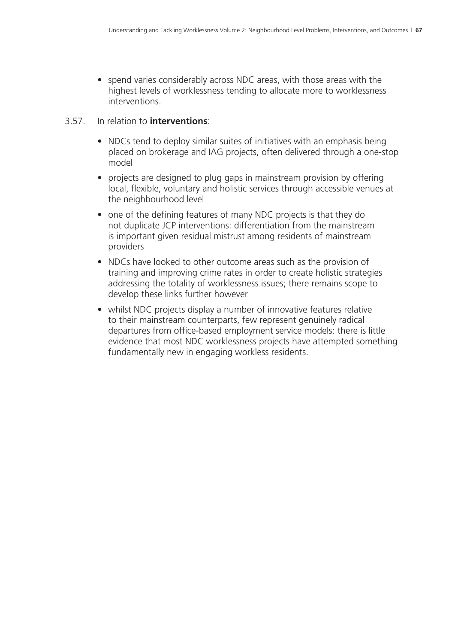• spend varies considerably across NDC areas, with those areas with the highest levels of worklessness tending to allocate more to worklessness interventions.

#### 3.57. In relation to **interventions**:

- NDCs tend to deploy similar suites of initiatives with an emphasis being placed on brokerage and IAG projects, often delivered through a one-stop model
- projects are designed to plug gaps in mainstream provision by offering local, flexible, voluntary and holistic services through accessible venues at the neighbourhood level
- one of the defining features of many NDC projects is that they do not duplicate JCP interventions: differentiation from the mainstream is important given residual mistrust among residents of mainstream providers
- NDCs have looked to other outcome areas such as the provision of training and improving crime rates in order to create holistic strategies addressing the totality of worklessness issues; there remains scope to develop these links further however
- whilst NDC projects display a number of innovative features relative to their mainstream counterparts, few represent genuinely radical departures from office-based employment service models: there is little evidence that most NDC worklessness projects have attempted something fundamentally new in engaging workless residents.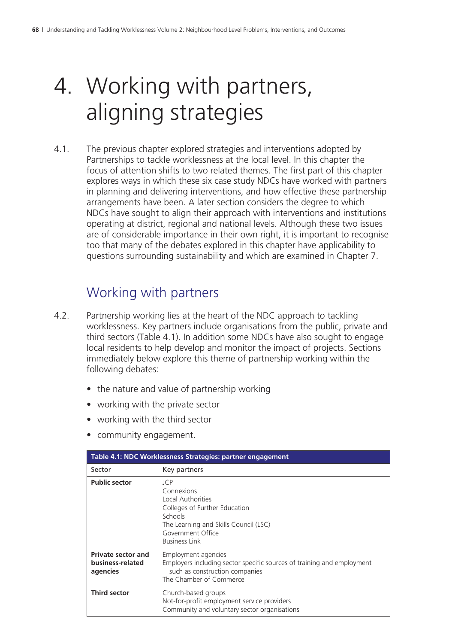# 4. Working with partners, aligning strategies

4.1. The previous chapter explored strategies and interventions adopted by Partnerships to tackle worklessness at the local level. In this chapter the focus of attention shifts to two related themes. The first part of this chapter explores ways in which these six case study NDCs have worked with partners in planning and delivering interventions, and how effective these partnership arrangements have been. A later section considers the degree to which NDCs have sought to align their approach with interventions and institutions operating at district, regional and national levels. Although these two issues are of considerable importance in their own right, it is important to recognise too that many of the debates explored in this chapter have applicability to questions surrounding sustainability and which are examined in Chapter 7.

### Working with partners

- 4.2. Partnership working lies at the heart of the NDC approach to tackling worklessness. Key partners include organisations from the public, private and third sectors (Table 4.1). In addition some NDCs have also sought to engage local residents to help develop and monitor the impact of projects. Sections immediately below explore this theme of partnership working within the following debates:
	- the nature and value of partnership working
	- working with the private sector
	- working with the third sector
	- community engagement.

| Table 4.1: NDC Worklessness Strategies: partner engagement |                                                                                                                                                                          |  |
|------------------------------------------------------------|--------------------------------------------------------------------------------------------------------------------------------------------------------------------------|--|
| Sector                                                     | Key partners                                                                                                                                                             |  |
| <b>Public sector</b>                                       | ICP<br>Connexions<br>Local Authorities<br>Colleges of Further Education<br>Schools<br>The Learning and Skills Council (LSC)<br>Government Office<br><b>Business Link</b> |  |
| <b>Private sector and</b><br>business-related<br>agencies  | Employment agencies<br>Employers including sector specific sources of training and employment<br>such as construction companies<br>The Chamber of Commerce               |  |
| <b>Third sector</b>                                        | Church-based groups<br>Not-for-profit employment service providers<br>Community and voluntary sector organisations                                                       |  |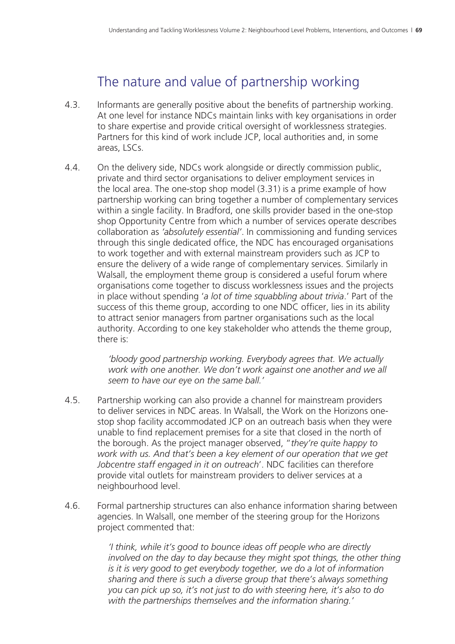# The nature and value of partnership working

- 4.3. Informants are generally positive about the benefits of partnership working. At one level for instance NDCs maintain links with key organisations in order to share expertise and provide critical oversight of worklessness strategies. Partners for this kind of work include JCP, local authorities and, in some areas, LSCs.
- 4.4. On the delivery side, NDCs work alongside or directly commission public, private and third sector organisations to deliver employment services in the local area. The one-stop shop model (3.31) is a prime example of how partnership working can bring together a number of complementary services within a single facility. In Bradford, one skills provider based in the one-stop shop Opportunity Centre from which a number of services operate describes collaboration as *'absolutely essential'*. In commissioning and funding services through this single dedicated office, the NDC has encouraged organisations to work together and with external mainstream providers such as JCP to ensure the delivery of a wide range of complementary services. Similarly in Walsall, the employment theme group is considered a useful forum where organisations come together to discuss worklessness issues and the projects in place without spending '*a lot of time squabbling about trivia*.' Part of the success of this theme group, according to one NDC officer, lies in its ability to attract senior managers from partner organisations such as the local authority. According to one key stakeholder who attends the theme group, there is:

*'bloody good partnership working. Everybody agrees that. We actually work with one another. We don't work against one another and we all seem to have our eye on the same ball.'*

- 4.5. Partnership working can also provide a channel for mainstream providers to deliver services in NDC areas. In Walsall, the Work on the Horizons onestop shop facility accommodated JCP on an outreach basis when they were unable to find replacement premises for a site that closed in the north of the borough. As the project manager observed, "*they're quite happy to work with us. And that's been a key element of our operation that we get Jobcentre staff engaged in it on outreach*'. NDC facilities can therefore provide vital outlets for mainstream providers to deliver services at a neighbourhood level.
- 4.6. Formal partnership structures can also enhance information sharing between agencies. In Walsall, one member of the steering group for the Horizons project commented that:

*'I think, while it's good to bounce ideas off people who are directly involved on the day to day because they might spot things, the other thing is it is very good to get everybody together, we do a lot of information sharing and there is such a diverse group that there's always something you can pick up so, it's not just to do with steering here, it's also to do with the partnerships themselves and the information sharing.'*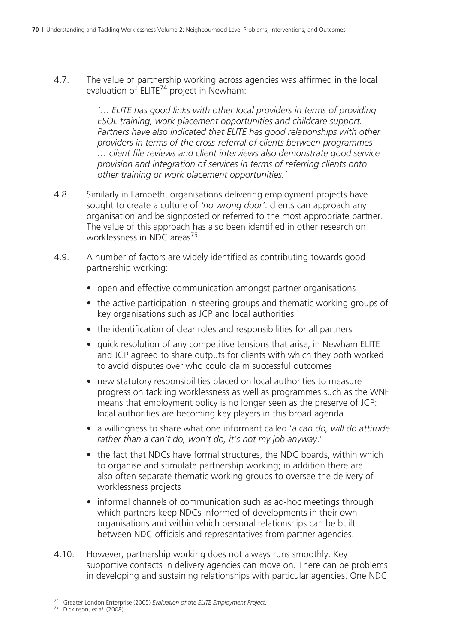4.7. The value of partnership working across agencies was affirmed in the local evaluation of  $ELITE^{74}$  project in Newham:

> *'… ELITE has good links with other local providers in terms of providing ESOL training, work placement opportunities and childcare support. Partners have also indicated that ELITE has good relationships with other providers in terms of the cross-referral of clients between programmes … client file reviews and client interviews also demonstrate good service provision and integration of services in terms of referring clients onto other training or work placement opportunities.'*

- 4.8. Similarly in Lambeth, organisations delivering employment projects have sought to create a culture of *'no wrong door'*: clients can approach any organisation and be signposted or referred to the most appropriate partner. The value of this approach has also been identified in other research on worklessness in NDC areas<sup>75</sup>.
- 4.9. A number of factors are widely identified as contributing towards good partnership working:
	- open and effective communication amongst partner organisations
	- the active participation in steering groups and thematic working groups of key organisations such as JCP and local authorities
	- the identification of clear roles and responsibilities for all partners
	- quick resolution of any competitive tensions that arise; in Newham ELITE and JCP agreed to share outputs for clients with which they both worked to avoid disputes over who could claim successful outcomes
	- new statutory responsibilities placed on local authorities to measure progress on tackling worklessness as well as programmes such as the WNF means that employment policy is no longer seen as the preserve of JCP: local authorities are becoming key players in this broad agenda
	- a willingness to share what one informant called '*a can do, will do attitude rather than a can't do, won't do, it's not my job anyway*.'
	- the fact that NDCs have formal structures, the NDC boards, within which to organise and stimulate partnership working; in addition there are also often separate thematic working groups to oversee the delivery of worklessness projects
	- informal channels of communication such as ad-hoc meetings through which partners keep NDCs informed of developments in their own organisations and within which personal relationships can be built between NDC officials and representatives from partner agencies.
- 4.10. However, partnership working does not always runs smoothly. Key supportive contacts in delivery agencies can move on. There can be problems in developing and sustaining relationships with particular agencies. One NDC

<sup>74</sup> Greater London Enterprise (2005) *Evaluation of the ELITE Employment Project*. 75 Dickinson, *et al*. (2008).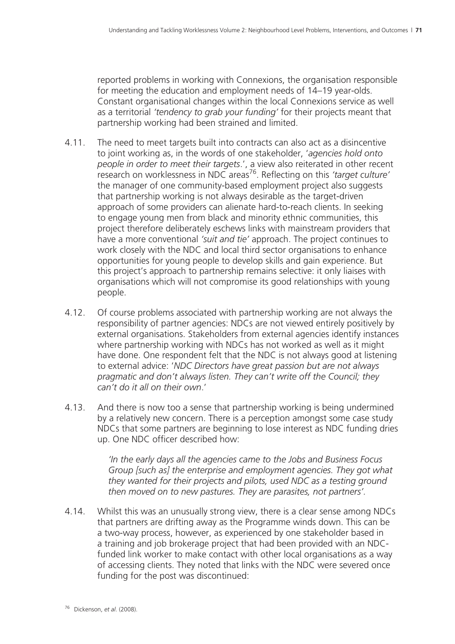reported problems in working with Connexions, the organisation responsible for meeting the education and employment needs of 14–19 year-olds. Constant organisational changes within the local Connexions service as well as a territorial *'tendency to grab your funding'* for their projects meant that partnership working had been strained and limited.

- 4.11. The need to meet targets built into contracts can also act as a disincentive to joint working as, in the words of one stakeholder, '*agencies hold onto people in order to meet their targets*.', a view also reiterated in other recent research on worklessness in NDC areas<sup>76</sup>. Reflecting on this *'target culture'* the manager of one community-based employment project also suggests that partnership working is not always desirable as the target-driven approach of some providers can alienate hard-to-reach clients. In seeking to engage young men from black and minority ethnic communities, this project therefore deliberately eschews links with mainstream providers that have a more conventional *'suit and tie'* approach. The project continues to work closely with the NDC and local third sector organisations to enhance opportunities for young people to develop skills and gain experience. But this project's approach to partnership remains selective: it only liaises with organisations which will not compromise its good relationships with young people.
- 4.12. Of course problems associated with partnership working are not always the responsibility of partner agencies: NDCs are not viewed entirely positively by external organisations. Stakeholders from external agencies identify instances where partnership working with NDCs has not worked as well as it might have done. One respondent felt that the NDC is not always good at listening to external advice: '*NDC Directors have great passion but are not always pragmatic and don't always listen. They can't write off the Council; they can't do it all on their own*.'
- 4.13. And there is now too a sense that partnership working is being undermined by a relatively new concern. There is a perception amongst some case study NDCs that some partners are beginning to lose interest as NDC funding dries up. One NDC officer described how:

*'In the early days all the agencies came to the Jobs and Business Focus Group [such as] the enterprise and employment agencies. They got what they wanted for their projects and pilots, used NDC as a testing ground then moved on to new pastures. They are parasites, not partners'.*

4.14. Whilst this was an unusually strong view, there is a clear sense among NDCs that partners are drifting away as the Programme winds down. This can be a two-way process, however, as experienced by one stakeholder based in a training and job brokerage project that had been provided with an NDCfunded link worker to make contact with other local organisations as a way of accessing clients. They noted that links with the NDC were severed once funding for the post was discontinued: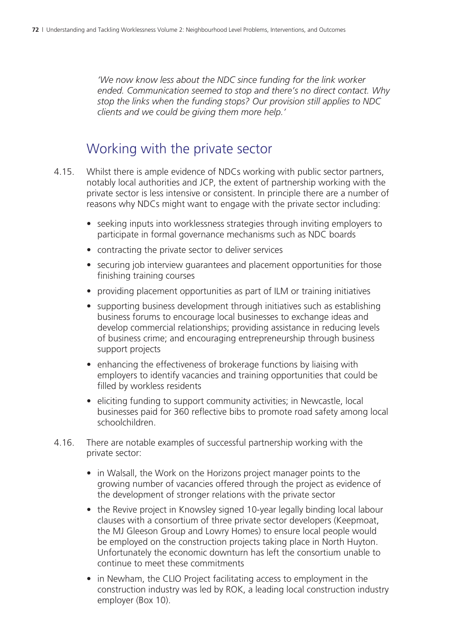*'We now know less about the NDC since funding for the link worker ended. Communication seemed to stop and there's no direct contact. Why stop the links when the funding stops? Our provision still applies to NDC clients and we could be giving them more help.'*

#### Working with the private sector

- 4.15. Whilst there is ample evidence of NDCs working with public sector partners, notably local authorities and JCP, the extent of partnership working with the private sector is less intensive or consistent. In principle there are a number of reasons why NDCs might want to engage with the private sector including:
	- seeking inputs into worklessness strategies through inviting employers to participate in formal governance mechanisms such as NDC boards
	- contracting the private sector to deliver services
	- securing job interview guarantees and placement opportunities for those finishing training courses
	- providing placement opportunities as part of ILM or training initiatives
	- supporting business development through initiatives such as establishing business forums to encourage local businesses to exchange ideas and develop commercial relationships; providing assistance in reducing levels of business crime; and encouraging entrepreneurship through business support projects
	- enhancing the effectiveness of brokerage functions by liaising with employers to identify vacancies and training opportunities that could be filled by workless residents
	- eliciting funding to support community activities; in Newcastle, local businesses paid for 360 reflective bibs to promote road safety among local schoolchildren.
- 4.16. There are notable examples of successful partnership working with the private sector:
	- in Walsall, the Work on the Horizons project manager points to the growing number of vacancies offered through the project as evidence of the development of stronger relations with the private sector
	- the Revive project in Knowsley signed 10-year legally binding local labour clauses with a consortium of three private sector developers (Keepmoat, the MJ Gleeson Group and Lowry Homes) to ensure local people would be employed on the construction projects taking place in North Huyton. Unfortunately the economic downturn has left the consortium unable to continue to meet these commitments
	- in Newham, the CLIO Project facilitating access to employment in the construction industry was led by ROK, a leading local construction industry employer (Box 10).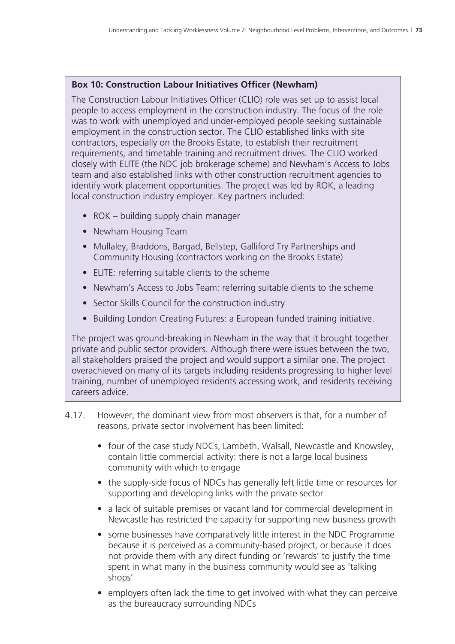#### **Box 10: Construction Labour Initiatives Officer (Newham)**

The Construction Labour Initiatives Officer (CLIO) role was set up to assist local people to access employment in the construction industry. The focus of the role was to work with unemployed and under-employed people seeking sustainable employment in the construction sector. The CLIO established links with site contractors, especially on the Brooks Estate, to establish their recruitment requirements, and timetable training and recruitment drives. The CLIO worked closely with ELITE (the NDC job brokerage scheme) and Newham's Access to Jobs team and also established links with other construction recruitment agencies to identify work placement opportunities. The project was led by ROK, a leading local construction industry employer. Key partners included:

- ROK building supply chain manager
- Newham Housing Team
- Mullaley, Braddons, Bargad, Bellstep, Galliford Try Partnerships and Community Housing (contractors working on the Brooks Estate)
- ELITE: referring suitable clients to the scheme
- Newham's Access to Jobs Team: referring suitable clients to the scheme
- Sector Skills Council for the construction industry
- Building London Creating Futures: a European funded training initiative.

The project was ground-breaking in Newham in the way that it brought together private and public sector providers. Although there were issues between the two, all stakeholders praised the project and would support a similar one. The project overachieved on many of its targets including residents progressing to higher level training, number of unemployed residents accessing work, and residents receiving careers advice.

- 4.17. However, the dominant view from most observers is that, for a number of reasons, private sector involvement has been limited:
	- four of the case study NDCs, Lambeth, Walsall, Newcastle and Knowsley, contain little commercial activity: there is not a large local business community with which to engage
	- the supply-side focus of NDCs has generally left little time or resources for supporting and developing links with the private sector
	- a lack of suitable premises or vacant land for commercial development in Newcastle has restricted the capacity for supporting new business growth
	- some businesses have comparatively little interest in the NDC Programme because it is perceived as a community-based project, or because it does not provide them with any direct funding or 'rewards' to justify the time spent in what many in the business community would see as 'talking shops'
	- employers often lack the time to get involved with what they can perceive as the bureaucracy surrounding NDCs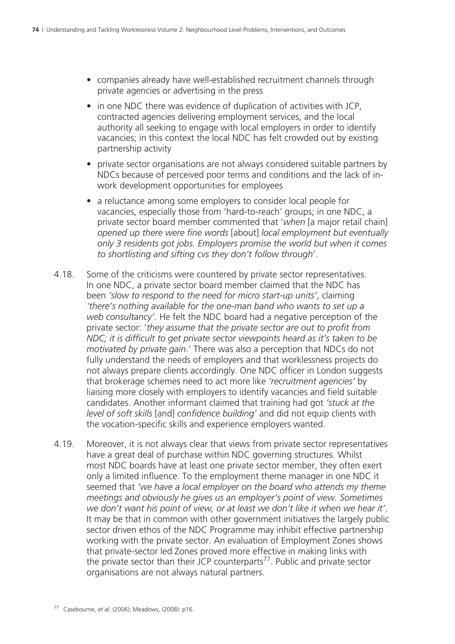- companies already have well-established recruitment channels through private agencies or advertising in the press
- in one NDC there was evidence of duplication of activities with JCP. contracted agencies delivering employment services, and the local authority all seeking to engage with local employers in order to identify vacancies; in this context the local NDC has felt crowded out by existing partnership activity
- private sector organisations are not always considered suitable partners by NDCs because of perceived poor terms and conditions and the lack of inwork development opportunities for employees
- a reluctance among some employers to consider local people for vacancies, especially those from 'hard-to-reach' groups; in one NDC, a private sector board member commented that '*when* [a major retail chain] *opened up there were fine words* [about] *local employment but eventually only 3 residents got jobs. Employers promise the world but when it comes to shortlisting and sifting cvs they don't follow through*'.
- 4.18. Some of the criticisms were countered by private sector representatives. In one NDC, a private sector board member claimed that the NDC has been *'slow to respond to the need for micro start-up units'*, claiming *'there's nothing available for the one-man band who wants to set up a web consultancy'*. He felt the NDC board had a negative perception of the private sector: '*they assume that the private sector are out to profit from NDC; it is difficult to get private sector viewpoints heard as it's taken to be motivated by private gain*.' There was also a perception that NDCs do not fully understand the needs of employers and that worklessness projects do not always prepare clients accordingly. One NDC officer in London suggests that brokerage schemes need to act more like *'recruitment agencies'* by liaising more closely with employers to identify vacancies and field suitable candidates. Another informant claimed that training had got *'stuck at the level of soft skills* [and] *confidence building'* and did not equip clients with the vocation-specific skills and experience employers wanted.
- 4.19. Moreover, it is not always clear that views from private sector representatives have a great deal of purchase within NDC governing structures. Whilst most NDC boards have at least one private sector member, they often exert only a limited influence. To the employment theme manager in one NDC it seemed that *'we have a local employer on the board who attends my theme meetings and obviously he gives us an employer's point of view. Sometimes we don't want his point of view, or at least we don't like it when we hear it'*. It may be that in common with other government initiatives the largely public sector driven ethos of the NDC Programme may inhibit effective partnership working with the private sector. An evaluation of Employment Zones shows that private-sector led Zones proved more effective in making links with the private sector than their JCP counterparts<sup>77</sup>. Public and private sector organisations are not always natural partners.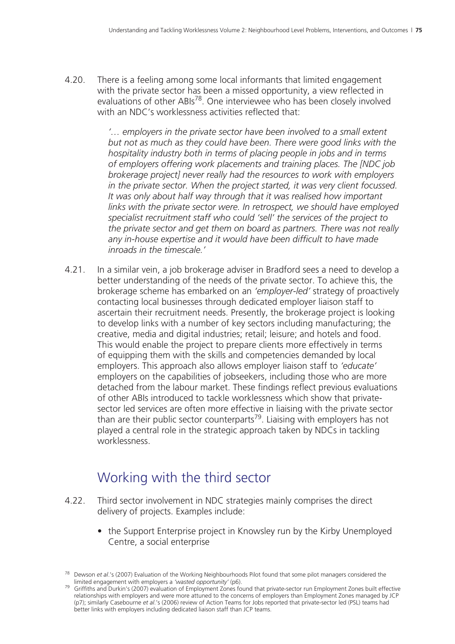4.20. There is a feeling among some local informants that limited engagement with the private sector has been a missed opportunity, a view reflected in evaluations of other ABIs<sup>78</sup>. One interviewee who has been closely involved with an NDC's worklessness activities reflected that:

> *'… employers in the private sector have been involved to a small extent but not as much as they could have been. There were good links with the hospitality industry both in terms of placing people in jobs and in terms of employers offering work placements and training places. The [NDC job brokerage project] never really had the resources to work with employers in the private sector. When the project started, it was very client focussed. It was only about half way through that it was realised how important links with the private sector were. In retrospect, we should have employed specialist recruitment staff who could 'sell' the services of the project to the private sector and get them on board as partners. There was not really any in-house expertise and it would have been difficult to have made inroads in the timescale.'*

4.21. In a similar vein, a job brokerage adviser in Bradford sees a need to develop a better understanding of the needs of the private sector. To achieve this, the brokerage scheme has embarked on an *'employer-led'* strategy of proactively contacting local businesses through dedicated employer liaison staff to ascertain their recruitment needs. Presently, the brokerage project is looking to develop links with a number of key sectors including manufacturing; the creative, media and digital industries; retail; leisure; and hotels and food. This would enable the project to prepare clients more effectively in terms of equipping them with the skills and competencies demanded by local employers. This approach also allows employer liaison staff to *'educate'* employers on the capabilities of jobseekers, including those who are more detached from the labour market. These findings reflect previous evaluations of other ABIs introduced to tackle worklessness which show that privatesector led services are often more effective in liaising with the private sector than are their public sector counterparts<sup>79</sup>. Liaising with employers has not played a central role in the strategic approach taken by NDCs in tackling worklessness.

### Working with the third sector

- 4.22. Third sector involvement in NDC strategies mainly comprises the direct delivery of projects. Examples include:
	- the Support Enterprise project in Knowsley run by the Kirby Unemployed Centre, a social enterprise

<sup>78</sup> Dewson *et al*.'s (2007) Evaluation of the Working Neighbourhoods Pilot found that some pilot managers considered the

<sup>&</sup>lt;sup>79</sup> Griffiths and Durkin's (2007) evaluation of Employment Zones found that private-sector run Employment Zones built effective relationships with employers and were more attuned to the concerns of employers than Employment Zones managed by JCP (p7); similarly Casebourne *et al*.'s (2006) review of Action Teams for Jobs reported that private-sector led (PSL) teams had better links with employers including dedicated liaison staff than JCP teams.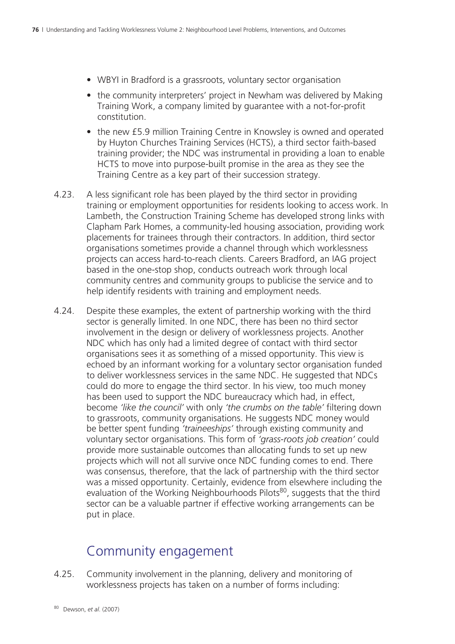- WBYI in Bradford is a grassroots, voluntary sector organisation
- the community interpreters' project in Newham was delivered by Making Training Work, a company limited by guarantee with a not-for-profit constitution.
- the new £5.9 million Training Centre in Knowsley is owned and operated by Huyton Churches Training Services (HCTS), a third sector faith-based training provider; the NDC was instrumental in providing a loan to enable HCTS to move into purpose-built promise in the area as they see the Training Centre as a key part of their succession strategy.
- 4.23. A less significant role has been played by the third sector in providing training or employment opportunities for residents looking to access work. In Lambeth, the Construction Training Scheme has developed strong links with Clapham Park Homes, a community-led housing association, providing work placements for trainees through their contractors. In addition, third sector organisations sometimes provide a channel through which worklessness projects can access hard-to-reach clients. Careers Bradford, an IAG project based in the one-stop shop, conducts outreach work through local community centres and community groups to publicise the service and to help identify residents with training and employment needs.
- 4.24. Despite these examples, the extent of partnership working with the third sector is generally limited. In one NDC, there has been no third sector involvement in the design or delivery of worklessness projects. Another NDC which has only had a limited degree of contact with third sector organisations sees it as something of a missed opportunity. This view is echoed by an informant working for a voluntary sector organisation funded to deliver worklessness services in the same NDC. He suggested that NDCs could do more to engage the third sector. In his view, too much money has been used to support the NDC bureaucracy which had, in effect, become *'like the council'* with only *'the crumbs on the table'* filtering down to grassroots, community organisations. He suggests NDC money would be better spent funding *'traineeships'* through existing community and voluntary sector organisations. This form of *'grass-roots job creation'* could provide more sustainable outcomes than allocating funds to set up new projects which will not all survive once NDC funding comes to end. There was consensus, therefore, that the lack of partnership with the third sector was a missed opportunity. Certainly, evidence from elsewhere including the evaluation of the Working Neighbourhoods Pilots<sup>80</sup>, suggests that the third sector can be a valuable partner if effective working arrangements can be put in place.

### Community engagement

4.25. Community involvement in the planning, delivery and monitoring of worklessness projects has taken on a number of forms including: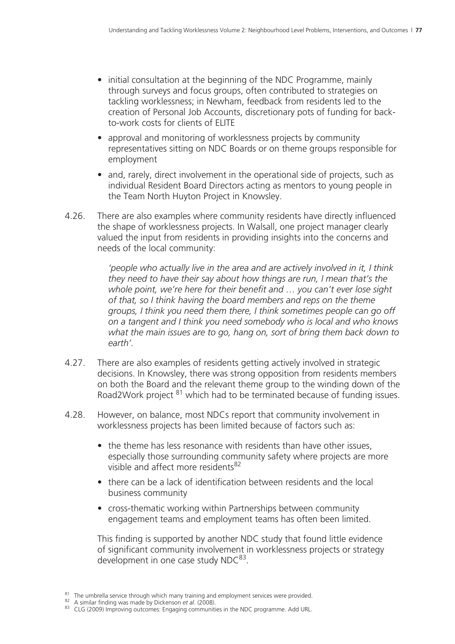- initial consultation at the beginning of the NDC Programme, mainly through surveys and focus groups, often contributed to strategies on tackling worklessness; in Newham, feedback from residents led to the creation of Personal Job Accounts, discretionary pots of funding for backto-work costs for clients of ELITE
- approval and monitoring of worklessness projects by community representatives sitting on NDC Boards or on theme groups responsible for employment
- and, rarely, direct involvement in the operational side of projects, such as individual Resident Board Directors acting as mentors to young people in the Team North Huyton Project in Knowsley.
- 4.26. There are also examples where community residents have directly influenced the shape of worklessness projects. In Walsall, one project manager clearly valued the input from residents in providing insights into the concerns and needs of the local community:

*'people who actually live in the area and are actively involved in it, I think they need to have their say about how things are run, I mean that's the whole point, we're here for their benefit and … you can't ever lose sight of that, so I think having the board members and reps on the theme groups, I think you need them there, I think sometimes people can go off on a tangent and I think you need somebody who is local and who knows what the main issues are to go, hang on, sort of bring them back down to earth'.*

- 4.27. There are also examples of residents getting actively involved in strategic decisions. In Knowsley, there was strong opposition from residents members on both the Board and the relevant theme group to the winding down of the Road2Work project <sup>81</sup> which had to be terminated because of funding issues.
- 4.28. However, on balance, most NDCs report that community involvement in worklessness projects has been limited because of factors such as:
	- the theme has less resonance with residents than have other issues. especially those surrounding community safety where projects are more visible and affect more residents $82$
	- there can be a lack of identification between residents and the local business community
	- cross-thematic working within Partnerships between community engagement teams and employment teams has often been limited.

 This finding is supported by another NDC study that found little evidence of significant community involvement in worklessness projects or strategy development in one case study NDC<sup>83</sup>.

<sup>&</sup>lt;sup>81</sup> The umbrella service through which many training and employment services were provided.<br><sup>82</sup> A similar finding was made by Dickenson et *al.* (2008).<br><sup>83</sup> CLG (2009) Improving outcomes: Engaging communities in the ND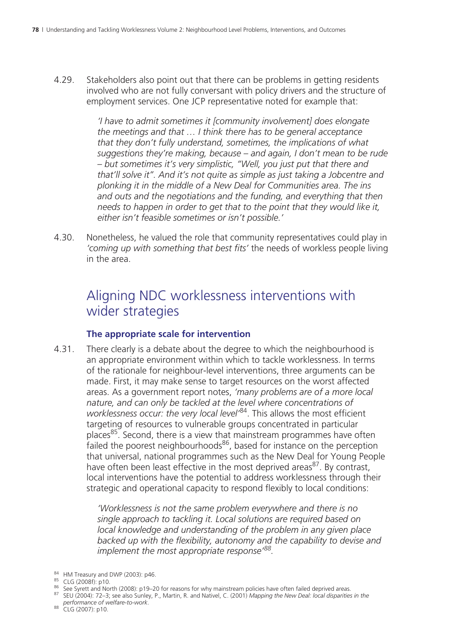4.29. Stakeholders also point out that there can be problems in getting residents involved who are not fully conversant with policy drivers and the structure of employment services. One JCP representative noted for example that:

> *'I have to admit sometimes it [community involvement] does elongate the meetings and that … I think there has to be general acceptance that they don't fully understand, sometimes, the implications of what suggestions they're making, because – and again, I don't mean to be rude – but sometimes it's very simplistic, "Well, you just put that there and that'll solve it". And it's not quite as simple as just taking a Jobcentre and plonking it in the middle of a New Deal for Communities area. The ins and outs and the negotiations and the funding, and everything that then needs to happen in order to get that to the point that they would like it, either isn't feasible sometimes or isn't possible.'*

4.30. Nonetheless, he valued the role that community representatives could play in *'coming up with something that best fits'* the needs of workless people living in the area.

### Aligning NDC worklessness interventions with wider strategies

#### **The appropriate scale for intervention**

4.31. There clearly is a debate about the degree to which the neighbourhood is an appropriate environment within which to tackle worklessness. In terms of the rationale for neighbour-level interventions, three arguments can be made. First, it may make sense to target resources on the worst affected areas. As a government report notes, *'many problems are of a more local nature, and can only be tackled at the level where concentrations of worklessness occur: the very local level'*84. This allows the most efficient targeting of resources to vulnerable groups concentrated in particular places<sup>85</sup>. Second, there is a view that mainstream programmes have often failed the poorest neighbourhoods<sup>86</sup>, based for instance on the perception that universal, national programmes such as the New Deal for Young People have often been least effective in the most deprived areas<sup>87</sup>. By contrast, local interventions have the potential to address worklessness through their strategic and operational capacity to respond flexibly to local conditions:

> *'Worklessness is not the same problem everywhere and there is no single approach to tackling it. Local solutions are required based on local knowledge and understanding of the problem in any given place backed up with the flexibility, autonomy and the capability to devise and implement the most appropriate response'88.*

<sup>84</sup> HM Treasury and DWP (2003): p46.<br><sup>85</sup> CLG (2008f): p10.<br><sup>86</sup> See Syrett and North (2008): p19–20 for reasons for why mainstream policies have often failed deprived areas.<br><sup>86</sup> See Syrett and North (2008): p19–20 for *performance of welfare-to-work*. 88 CLG (2007): p10.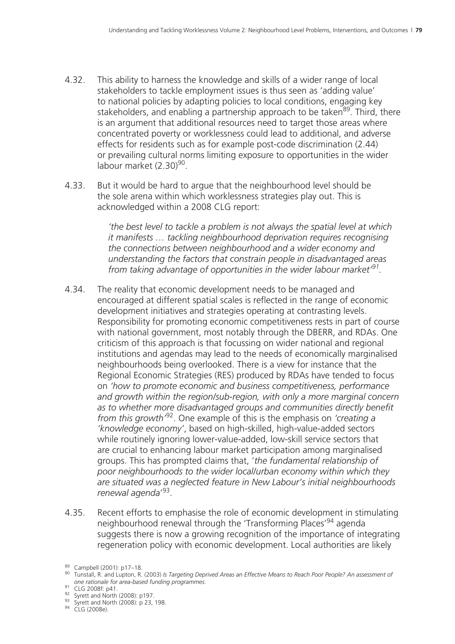- 4.32. This ability to harness the knowledge and skills of a wider range of local stakeholders to tackle employment issues is thus seen as 'adding value' to national policies by adapting policies to local conditions, engaging key stakeholders, and enabling a partnership approach to be taken<sup>89</sup>. Third, there is an argument that additional resources need to target those areas where concentrated poverty or worklessness could lead to additional, and adverse effects for residents such as for example post-code discrimination (2.44) or prevailing cultural norms limiting exposure to opportunities in the wider labour market (2.30)<sup>90</sup>.
- 4.33. But it would be hard to argue that the neighbourhood level should be the sole arena within which worklessness strategies play out. This is acknowledged within a 2008 CLG report:

*'the best level to tackle a problem is not always the spatial level at which it manifests … tackling neighbourhood deprivation requires recognising the connections between neighbourhood and a wider economy and understanding the factors that constrain people in disadvantaged areas from taking advantage of opportunities in the wider labour market'91.*

- 4.34. The reality that economic development needs to be managed and encouraged at different spatial scales is reflected in the range of economic development initiatives and strategies operating at contrasting levels. Responsibility for promoting economic competitiveness rests in part of course with national government, most notably through the DBERR, and RDAs. One criticism of this approach is that focussing on wider national and regional institutions and agendas may lead to the needs of economically marginalised neighbourhoods being overlooked. There is a view for instance that the Regional Economic Strategies (RES) produced by RDAs have tended to focus on *'how to promote economic and business competitiveness, performance and growth within the region/sub-region, with only a more marginal concern as to whether more disadvantaged groups and communities directly benefit from this growth'*92. One example of this is the emphasis on *'creating a 'knowledge economy'*, based on high-skilled, high-value-added sectors while routinely ignoring lower-value-added, low-skill service sectors that are crucial to enhancing labour market participation among marginalised groups. This has prompted claims that, '*the fundamental relationship of poor neighbourhoods to the wider local/urban economy within which they are situated was a neglected feature in New Labour's initial neighbourhoods renewal agenda*' 93.
- 4.35. Recent efforts to emphasise the role of economic development in stimulating neighbourhood renewal through the 'Transforming Places'94 agenda suggests there is now a growing recognition of the importance of integrating regeneration policy with economic development. Local authorities are likely

<sup>89</sup> Campbell (2001): p17–18.<br><sup>90</sup> Tunstall, R. and Lupton, R. (2003) *Is Targeting Deprived Areas an Effective Means to Reach Poor People? An assessment of*<br>one rationale for area-based funding programmes.

<sup>&</sup>lt;sup>91</sup> CLG 2008f: p41.<br><sup>92</sup> Syrett and North (2008): p197.<br><sup>93</sup> Syrett and North (2008): p 23, 198.<br><sup>94</sup> CLG (2008e).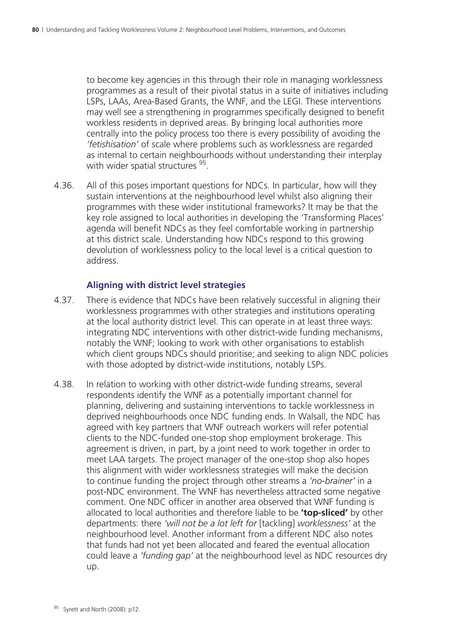to become key agencies in this through their role in managing worklessness programmes as a result of their pivotal status in a suite of initiatives including LSPs, LAAs, Area-Based Grants, the WNF, and the LEGI. These interventions may well see a strengthening in programmes specifically designed to benefit workless residents in deprived areas. By bringing local authorities more centrally into the policy process too there is every possibility of avoiding the *'fetishisation'* of scale where problems such as worklessness are regarded as internal to certain neighbourhoods without understanding their interplay with wider spatial structures <sup>95</sup>.

4.36. All of this poses important questions for NDCs. In particular, how will they sustain interventions at the neighbourhood level whilst also aligning their programmes with these wider institutional frameworks? It may be that the key role assigned to local authorities in developing the 'Transforming Places' agenda will benefit NDCs as they feel comfortable working in partnership at this district scale. Understanding how NDCs respond to this growing devolution of worklessness policy to the local level is a critical question to address.

#### **Aligning with district level strategies**

- 4.37. There is evidence that NDCs have been relatively successful in aligning their worklessness programmes with other strategies and institutions operating at the local authority district level. This can operate in at least three ways: integrating NDC interventions with other district-wide funding mechanisms, notably the WNF; looking to work with other organisations to establish which client groups NDCs should prioritise; and seeking to align NDC policies with those adopted by district-wide institutions, notably LSPs.
- 4.38. In relation to working with other district-wide funding streams, several respondents identify the WNF as a potentially important channel for planning, delivering and sustaining interventions to tackle worklessness in deprived neighbourhoods once NDC funding ends. In Walsall, the NDC has agreed with key partners that WNF outreach workers will refer potential clients to the NDC-funded one-stop shop employment brokerage. This agreement is driven, in part, by a joint need to work together in order to meet LAA targets. The project manager of the one-stop shop also hopes this alignment with wider worklessness strategies will make the decision to continue funding the project through other streams a *'no-brainer'* in a post-NDC environment. The WNF has nevertheless attracted some negative comment. One NDC officer in another area observed that WNF funding is allocated to local authorities and therefore liable to be **'top-sliced'** by other departments: there *'will not be a lot left for* [tackling] *worklessness'* at the neighbourhood level. Another informant from a different NDC also notes that funds had not yet been allocated and feared the eventual allocation could leave a *'funding gap'* at the neighbourhood level as NDC resources dry up.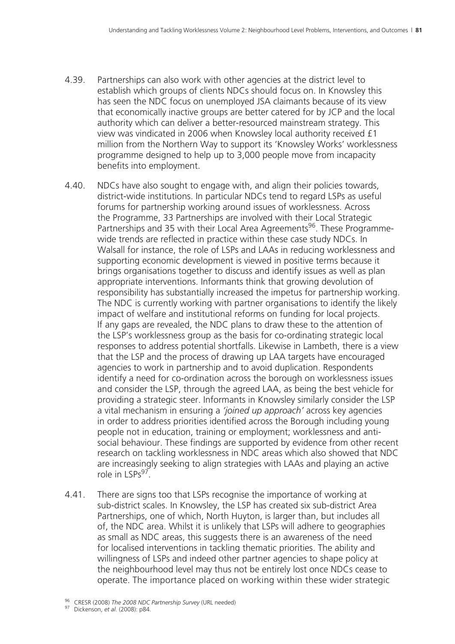- 4.39. Partnerships can also work with other agencies at the district level to establish which groups of clients NDCs should focus on. In Knowsley this has seen the NDC focus on unemployed JSA claimants because of its view that economically inactive groups are better catered for by JCP and the local authority which can deliver a better-resourced mainstream strategy. This view was vindicated in 2006 when Knowsley local authority received £1 million from the Northern Way to support its 'Knowsley Works' worklessness programme designed to help up to 3,000 people move from incapacity benefits into employment.
- 4.40. NDCs have also sought to engage with, and align their policies towards, district-wide institutions. In particular NDCs tend to regard LSPs as useful forums for partnership working around issues of worklessness. Across the Programme, 33 Partnerships are involved with their Local Strategic Partnerships and 35 with their Local Area Agreements<sup>96</sup>. These Programmewide trends are reflected in practice within these case study NDCs. In Walsall for instance, the role of LSPs and LAAs in reducing worklessness and supporting economic development is viewed in positive terms because it brings organisations together to discuss and identify issues as well as plan appropriate interventions. Informants think that growing devolution of responsibility has substantially increased the impetus for partnership working. The NDC is currently working with partner organisations to identify the likely impact of welfare and institutional reforms on funding for local projects. If any gaps are revealed, the NDC plans to draw these to the attention of the LSP's worklessness group as the basis for co-ordinating strategic local responses to address potential shortfalls. Likewise in Lambeth, there is a view that the LSP and the process of drawing up LAA targets have encouraged agencies to work in partnership and to avoid duplication. Respondents identify a need for co-ordination across the borough on worklessness issues and consider the LSP, through the agreed LAA, as being the best vehicle for providing a strategic steer. Informants in Knowsley similarly consider the LSP a vital mechanism in ensuring a *'joined up approach'* across key agencies in order to address priorities identified across the Borough including young people not in education, training or employment; worklessness and antisocial behaviour. These findings are supported by evidence from other recent research on tackling worklessness in NDC areas which also showed that NDC are increasingly seeking to align strategies with LAAs and playing an active role in  $15Ps^{97}$ .
- 4.41. There are signs too that LSPs recognise the importance of working at sub-district scales. In Knowsley, the LSP has created six sub-district Area Partnerships, one of which, North Huyton, is larger than, but includes all of, the NDC area. Whilst it is unlikely that LSPs will adhere to geographies as small as NDC areas, this suggests there is an awareness of the need for localised interventions in tackling thematic priorities. The ability and willingness of LSPs and indeed other partner agencies to shape policy at the neighbourhood level may thus not be entirely lost once NDCs cease to operate. The importance placed on working within these wider strategic

<sup>96</sup> CRESR (2008) *The 2008 NDC Partnership Survey* (URL needed) 97 Dickenson, *et al*. (2008): p84.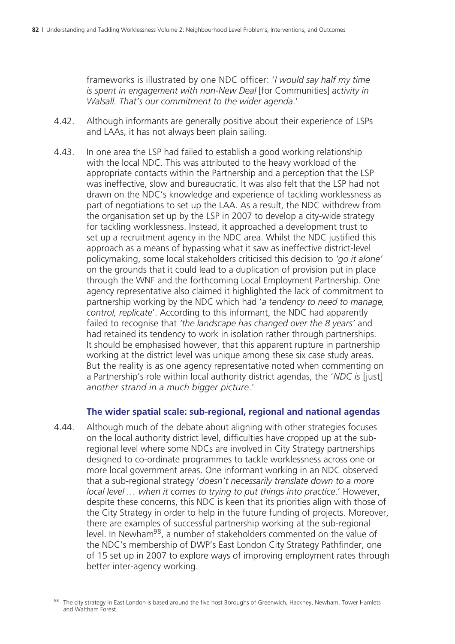frameworks is illustrated by one NDC officer: '*I would say half my time is spent in engagement with non-New Deal* [for Communities] *activity in Walsall. That's our commitment to the wider agenda*.'

- 4.42. Although informants are generally positive about their experience of LSPs and LAAs, it has not always been plain sailing.
- 4.43. In one area the LSP had failed to establish a good working relationship with the local NDC. This was attributed to the heavy workload of the appropriate contacts within the Partnership and a perception that the LSP was ineffective, slow and bureaucratic. It was also felt that the LSP had not drawn on the NDC's knowledge and experience of tackling worklessness as part of negotiations to set up the LAA. As a result, the NDC withdrew from the organisation set up by the LSP in 2007 to develop a city-wide strategy for tackling worklessness. Instead, it approached a development trust to set up a recruitment agency in the NDC area. Whilst the NDC justified this approach as a means of bypassing what it saw as ineffective district-level policymaking, some local stakeholders criticised this decision to *'go it alone'* on the grounds that it could lead to a duplication of provision put in place through the WNF and the forthcoming Local Employment Partnership. One agency representative also claimed it highlighted the lack of commitment to partnership working by the NDC which had '*a tendency to need to manage, control, replicate*'. According to this informant, the NDC had apparently failed to recognise that *'the landscape has changed over the 8 years'* and had retained its tendency to work in isolation rather through partnerships. It should be emphasised however, that this apparent rupture in partnership working at the district level was unique among these six case study areas. But the reality is as one agency representative noted when commenting on a Partnership's role within local authority district agendas, the '*NDC is* [just] *another strand in a much bigger picture*.'

#### **The wider spatial scale: sub-regional, regional and national agendas**

4.44. Although much of the debate about aligning with other strategies focuses on the local authority district level, difficulties have cropped up at the subregional level where some NDCs are involved in City Strategy partnerships designed to co-ordinate programmes to tackle worklessness across one or more local government areas. One informant working in an NDC observed that a sub-regional strategy '*doesn't necessarily translate down to a more local level … when it comes to trying to put things into practice*.' However, despite these concerns, this NDC is keen that its priorities align with those of the City Strategy in order to help in the future funding of projects. Moreover, there are examples of successful partnership working at the sub-regional level. In Newham98, a number of stakeholders commented on the value of the NDC's membership of DWP's East London City Strategy Pathfinder, one of 15 set up in 2007 to explore ways of improving employment rates through better inter-agency working.

The city strategy in East London is based around the five host Boroughs of Greenwich, Hackney, Newham, Tower Hamlets and Waltham Forest.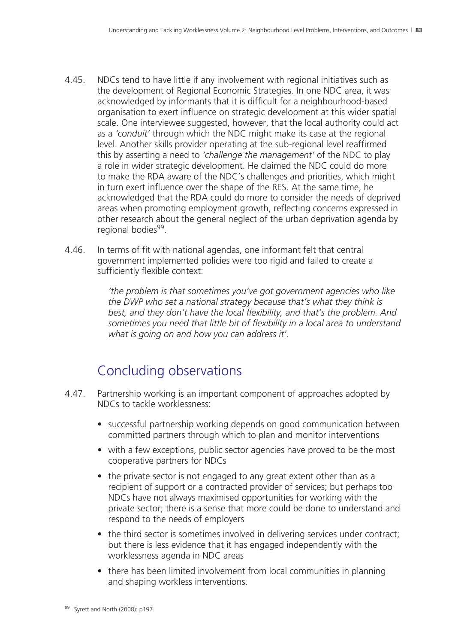- 4.45. NDCs tend to have little if any involvement with regional initiatives such as the development of Regional Economic Strategies. In one NDC area, it was acknowledged by informants that it is difficult for a neighbourhood-based organisation to exert influence on strategic development at this wider spatial scale. One interviewee suggested, however, that the local authority could act as a *'conduit'* through which the NDC might make its case at the regional level. Another skills provider operating at the sub-regional level reaffirmed this by asserting a need to *'challenge the management'* of the NDC to play a role in wider strategic development. He claimed the NDC could do more to make the RDA aware of the NDC's challenges and priorities, which might in turn exert influence over the shape of the RES. At the same time, he acknowledged that the RDA could do more to consider the needs of deprived areas when promoting employment growth, reflecting concerns expressed in other research about the general neglect of the urban deprivation agenda by regional bodies<sup>99</sup>.
- 4.46. In terms of fit with national agendas, one informant felt that central government implemented policies were too rigid and failed to create a sufficiently flexible context:

*'the problem is that sometimes you've got government agencies who like the DWP who set a national strategy because that's what they think is best, and they don't have the local flexibility, and that's the problem. And sometimes you need that little bit of flexibility in a local area to understand what is going on and how you can address it'.*

# Concluding observations

- 4.47. Partnership working is an important component of approaches adopted by NDCs to tackle worklessness:
	- successful partnership working depends on good communication between committed partners through which to plan and monitor interventions
	- with a few exceptions, public sector agencies have proved to be the most cooperative partners for NDCs
	- the private sector is not engaged to any great extent other than as a recipient of support or a contracted provider of services; but perhaps too NDCs have not always maximised opportunities for working with the private sector; there is a sense that more could be done to understand and respond to the needs of employers
	- the third sector is sometimes involved in delivering services under contract; but there is less evidence that it has engaged independently with the worklessness agenda in NDC areas
	- there has been limited involvement from local communities in planning and shaping workless interventions.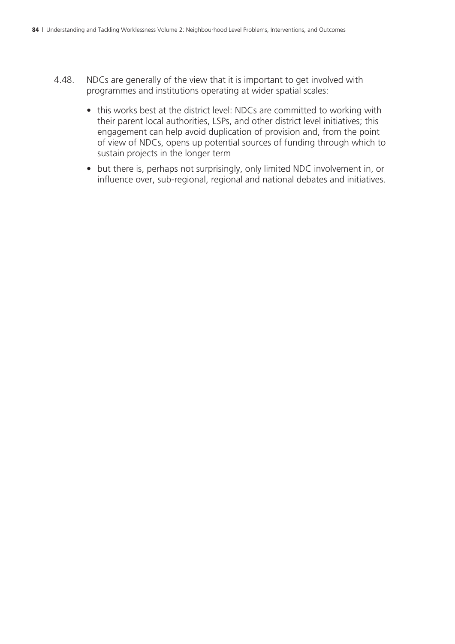- 4.48. NDCs are generally of the view that it is important to get involved with programmes and institutions operating at wider spatial scales:
	- this works best at the district level: NDCs are committed to working with their parent local authorities, LSPs, and other district level initiatives; this engagement can help avoid duplication of provision and, from the point of view of NDCs, opens up potential sources of funding through which to sustain projects in the longer term
	- but there is, perhaps not surprisingly, only limited NDC involvement in, or influence over, sub-regional, regional and national debates and initiatives.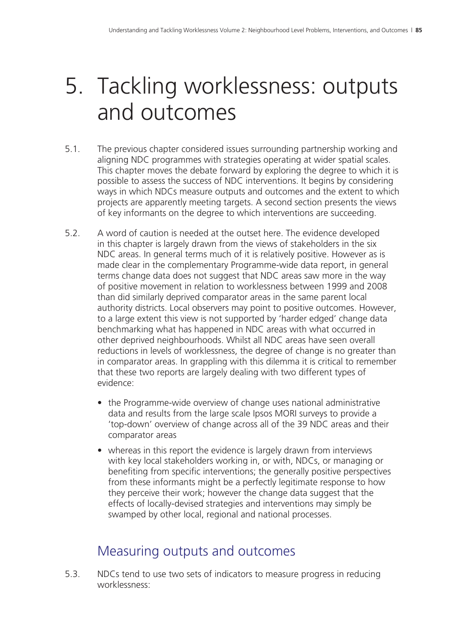# 5. Tackling worklessness: outputs and outcomes

- 5.1. The previous chapter considered issues surrounding partnership working and aligning NDC programmes with strategies operating at wider spatial scales. This chapter moves the debate forward by exploring the degree to which it is possible to assess the success of NDC interventions. It begins by considering ways in which NDCs measure outputs and outcomes and the extent to which projects are apparently meeting targets. A second section presents the views of key informants on the degree to which interventions are succeeding.
- 5.2. A word of caution is needed at the outset here. The evidence developed in this chapter is largely drawn from the views of stakeholders in the six NDC areas. In general terms much of it is relatively positive. However as is made clear in the complementary Programme-wide data report, in general terms change data does not suggest that NDC areas saw more in the way of positive movement in relation to worklessness between 1999 and 2008 than did similarly deprived comparator areas in the same parent local authority districts. Local observers may point to positive outcomes. However, to a large extent this view is not supported by 'harder edged' change data benchmarking what has happened in NDC areas with what occurred in other deprived neighbourhoods. Whilst all NDC areas have seen overall reductions in levels of worklessness, the degree of change is no greater than in comparator areas. In grappling with this dilemma it is critical to remember that these two reports are largely dealing with two different types of evidence:
	- the Programme-wide overview of change uses national administrative data and results from the large scale Ipsos MORI surveys to provide a 'top-down' overview of change across all of the 39 NDC areas and their comparator areas
	- whereas in this report the evidence is largely drawn from interviews with key local stakeholders working in, or with, NDCs, or managing or benefiting from specific interventions; the generally positive perspectives from these informants might be a perfectly legitimate response to how they perceive their work; however the change data suggest that the effects of locally-devised strategies and interventions may simply be swamped by other local, regional and national processes.

# Measuring outputs and outcomes

5.3. NDCs tend to use two sets of indicators to measure progress in reducing worklessness: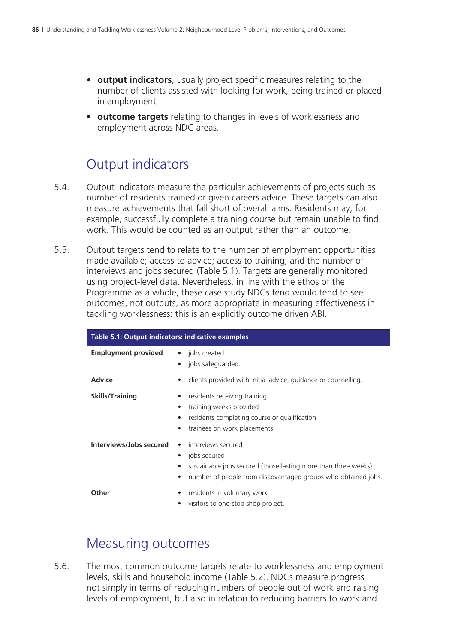- **output indicators**, usually project specific measures relating to the number of clients assisted with looking for work, being trained or placed in employment
- **outcome targets** relating to changes in levels of worklessness and employment across NDC areas.

## Output indicators

- 5.4. Output indicators measure the particular achievements of projects such as number of residents trained or given careers advice. These targets can also measure achievements that fall short of overall aims. Residents may, for example, successfully complete a training course but remain unable to find work. This would be counted as an output rather than an outcome.
- 5.5. Output targets tend to relate to the number of employment opportunities made available; access to advice; access to training; and the number of interviews and jobs secured (Table 5.1). Targets are generally monitored using project-level data. Nevertheless, in line with the ethos of the Programme as a whole, these case study NDCs tend would tend to see outcomes, not outputs, as more appropriate in measuring effectiveness in tackling worklessness: this is an explicitly outcome driven ABI.

| Table 5.1: Output indicators: indicative examples |                                                                                                                                                                       |
|---------------------------------------------------|-----------------------------------------------------------------------------------------------------------------------------------------------------------------------|
| <b>Employment provided</b>                        | jobs created<br>jobs safeguarded.                                                                                                                                     |
| <b>Advice</b>                                     | clients provided with initial advice, guidance or counselling.                                                                                                        |
| <b>Skills/Training</b>                            | residents receiving training<br>training weeks provided<br>residents completing course or qualification<br>trainees on work placements.                               |
| Interviews/Jobs secured                           | interviews secured<br>jobs secured<br>sustainable jobs secured (those lasting more than three weeks)<br>number of people from disadvantaged groups who obtained jobs. |
| Other                                             | residents in voluntary work<br>visitors to one-stop shop project.                                                                                                     |

### Measuring outcomes

5.6. The most common outcome targets relate to worklessness and employment levels, skills and household income (Table 5.2). NDCs measure progress not simply in terms of reducing numbers of people out of work and raising levels of employment, but also in relation to reducing barriers to work and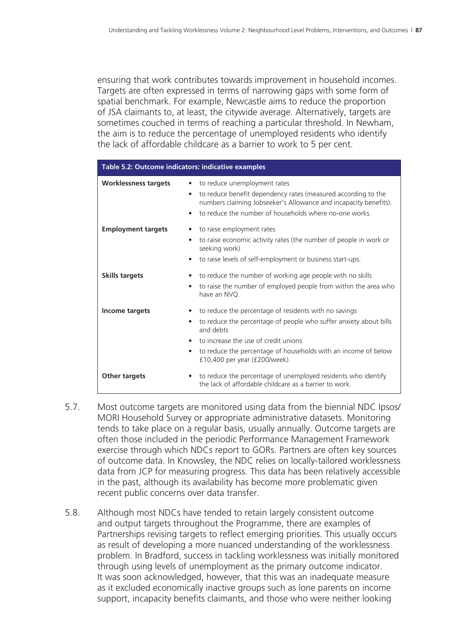ensuring that work contributes towards improvement in household incomes. Targets are often expressed in terms of narrowing gaps with some form of spatial benchmark. For example, Newcastle aims to reduce the proportion of JSA claimants to, at least, the citywide average. Alternatively, targets are sometimes couched in terms of reaching a particular threshold. In Newham, the aim is to reduce the percentage of unemployed residents who identify the lack of affordable childcare as a barrier to work to 5 per cent.

| Table 5.2: Outcome indicators: indicative examples |                                                                                                                                                                                                                                                                                                   |
|----------------------------------------------------|---------------------------------------------------------------------------------------------------------------------------------------------------------------------------------------------------------------------------------------------------------------------------------------------------|
| <b>Worklessness targets</b>                        | • to reduce unemployment rates<br>to reduce benefit dependency rates (measured according to the<br>٠<br>numbers claiming Jobseeker's Allowance and incapacity benefits).<br>to reduce the number of households where no-one works.<br>$\bullet$                                                   |
| <b>Employment targets</b>                          | to raise employment rates<br>to raise economic activity rates (the number of people in work or<br>seeking work)<br>to raise levels of self-employment or business start-ups.                                                                                                                      |
| <b>Skills targets</b>                              | to reduce the number of working age people with no skills<br>to raise the number of employed people from within the area who<br>$\bullet$<br>have an NVO.                                                                                                                                         |
| Income targets                                     | to reduce the percentage of residents with no savings<br>to reduce the percentage of people who suffer anxiety about bills<br>and debts<br>• to increase the use of credit unions<br>to reduce the percentage of households with an income of below<br>$\bullet$<br>£10,400 per year (£200/week). |
| <b>Other targets</b>                               | • to reduce the percentage of unemployed residents who identify<br>the lack of affordable childcare as a barrier to work.                                                                                                                                                                         |

- 5.7. Most outcome targets are monitored using data from the biennial NDC Ipsos/ MORI Household Survey or appropriate administrative datasets. Monitoring tends to take place on a regular basis, usually annually. Outcome targets are often those included in the periodic Performance Management Framework exercise through which NDCs report to GORs. Partners are often key sources of outcome data. In Knowsley, the NDC relies on locally-tailored worklessness data from JCP for measuring progress. This data has been relatively accessible in the past, although its availability has become more problematic given recent public concerns over data transfer.
- 5.8. Although most NDCs have tended to retain largely consistent outcome and output targets throughout the Programme, there are examples of Partnerships revising targets to reflect emerging priorities. This usually occurs as result of developing a more nuanced understanding of the worklessness problem. In Bradford, success in tackling worklessness was initially monitored through using levels of unemployment as the primary outcome indicator. It was soon acknowledged, however, that this was an inadequate measure as it excluded economically inactive groups such as lone parents on income support, incapacity benefits claimants, and those who were neither looking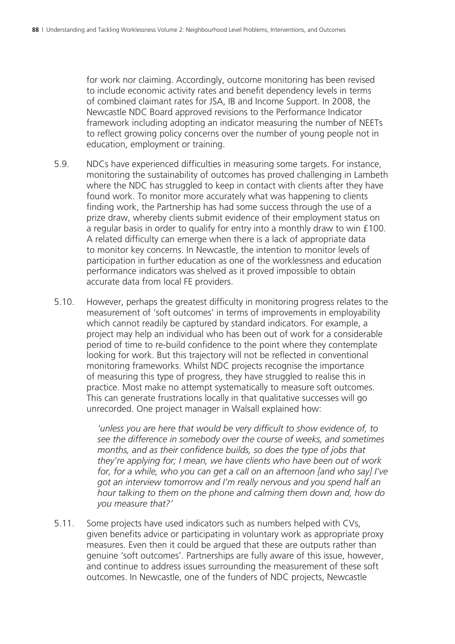for work nor claiming. Accordingly, outcome monitoring has been revised to include economic activity rates and benefit dependency levels in terms of combined claimant rates for JSA, IB and Income Support. In 2008, the Newcastle NDC Board approved revisions to the Performance Indicator framework including adopting an indicator measuring the number of NEETs to reflect growing policy concerns over the number of young people not in education, employment or training.

- 5.9. NDCs have experienced difficulties in measuring some targets. For instance, monitoring the sustainability of outcomes has proved challenging in Lambeth where the NDC has struggled to keep in contact with clients after they have found work. To monitor more accurately what was happening to clients finding work, the Partnership has had some success through the use of a prize draw, whereby clients submit evidence of their employment status on a regular basis in order to qualify for entry into a monthly draw to win £100. A related difficulty can emerge when there is a lack of appropriate data to monitor key concerns. In Newcastle, the intention to monitor levels of participation in further education as one of the worklessness and education performance indicators was shelved as it proved impossible to obtain accurate data from local FE providers.
- 5.10. However, perhaps the greatest difficulty in monitoring progress relates to the measurement of 'soft outcomes' in terms of improvements in employability which cannot readily be captured by standard indicators. For example, a project may help an individual who has been out of work for a considerable period of time to re-build confidence to the point where they contemplate looking for work. But this trajectory will not be reflected in conventional monitoring frameworks. Whilst NDC projects recognise the importance of measuring this type of progress, they have struggled to realise this in practice. Most make no attempt systematically to measure soft outcomes. This can generate frustrations locally in that qualitative successes will go unrecorded. One project manager in Walsall explained how:

*'unless you are here that would be very difficult to show evidence of, to see the difference in somebody over the course of weeks, and sometimes months, and as their confidence builds, so does the type of jobs that they're applying for; I mean, we have clients who have been out of work for, for a while, who you can get a call on an afternoon [and who say] I've got an interview tomorrow and I'm really nervous and you spend half an hour talking to them on the phone and calming them down and, how do you measure that?'*

5.11. Some projects have used indicators such as numbers helped with CVs, given benefits advice or participating in voluntary work as appropriate proxy measures. Even then it could be argued that these are outputs rather than genuine 'soft outcomes'. Partnerships are fully aware of this issue, however, and continue to address issues surrounding the measurement of these soft outcomes. In Newcastle, one of the funders of NDC projects, Newcastle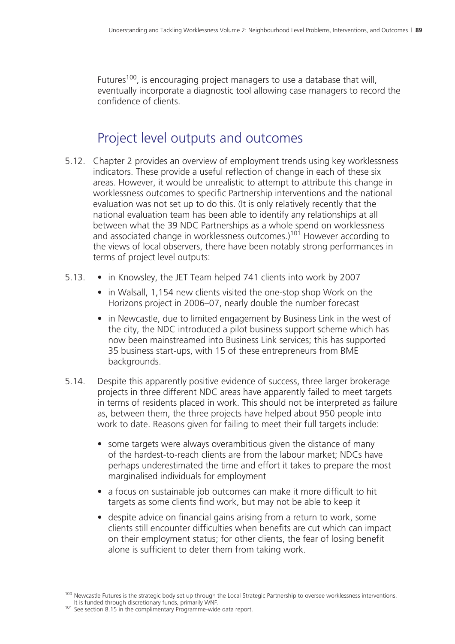Futures<sup>100</sup>, is encouraging project managers to use a database that will, eventually incorporate a diagnostic tool allowing case managers to record the confidence of clients.

# Project level outputs and outcomes

- 5.12. Chapter 2 provides an overview of employment trends using key worklessness indicators. These provide a useful reflection of change in each of these six areas. However, it would be unrealistic to attempt to attribute this change in worklessness outcomes to specific Partnership interventions and the national evaluation was not set up to do this. (It is only relatively recently that the national evaluation team has been able to identify any relationships at all between what the 39 NDC Partnerships as a whole spend on worklessness and associated change in worklessness outcomes.)<sup>101</sup> However according to the views of local observers, there have been notably strong performances in terms of project level outputs:
- 5.13. in Knowsley, the JET Team helped 741 clients into work by 2007
	- in Walsall, 1,154 new clients visited the one-stop shop Work on the Horizons project in 2006–07, nearly double the number forecast
	- in Newcastle, due to limited engagement by Business Link in the west of the city, the NDC introduced a pilot business support scheme which has now been mainstreamed into Business Link services; this has supported 35 business start-ups, with 15 of these entrepreneurs from BME backgrounds.
- 5.14. Despite this apparently positive evidence of success, three larger brokerage projects in three different NDC areas have apparently failed to meet targets in terms of residents placed in work. This should not be interpreted as failure as, between them, the three projects have helped about 950 people into work to date. Reasons given for failing to meet their full targets include:
	- some targets were always overambitious given the distance of many of the hardest-to-reach clients are from the labour market; NDCs have perhaps underestimated the time and effort it takes to prepare the most marginalised individuals for employment
	- a focus on sustainable job outcomes can make it more difficult to hit targets as some clients find work, but may not be able to keep it
	- despite advice on financial gains arising from a return to work, some clients still encounter difficulties when benefits are cut which can impact on their employment status; for other clients, the fear of losing benefit alone is sufficient to deter them from taking work.

<sup>&</sup>lt;sup>100</sup> Newcastle Futures is the strategic body set up through the Local Strategic Partnership to oversee worklessness interventions.<br>It is funded through discretionary funds, primarily WNF.

<sup>101</sup> See section 8.15 in the complimentary Programme-wide data report.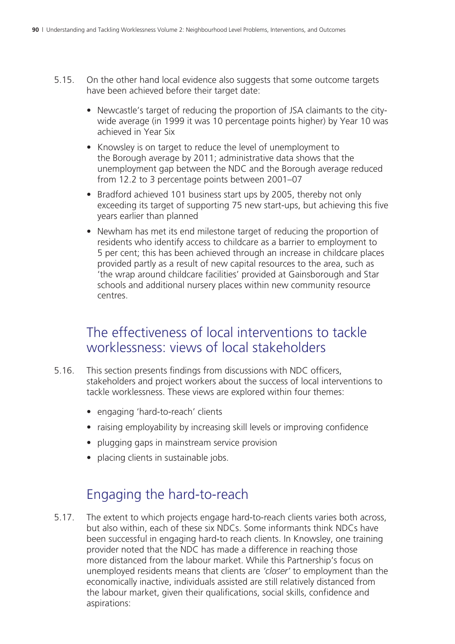- 5.15. On the other hand local evidence also suggests that some outcome targets have been achieved before their target date:
	- Newcastle's target of reducing the proportion of JSA claimants to the citywide average (in 1999 it was 10 percentage points higher) by Year 10 was achieved in Year Six
	- Knowsley is on target to reduce the level of unemployment to the Borough average by 2011; administrative data shows that the unemployment gap between the NDC and the Borough average reduced from 12.2 to 3 percentage points between 2001–07
	- Bradford achieved 101 business start ups by 2005, thereby not only exceeding its target of supporting 75 new start-ups, but achieving this five years earlier than planned
	- Newham has met its end milestone target of reducing the proportion of residents who identify access to childcare as a barrier to employment to 5 per cent; this has been achieved through an increase in childcare places provided partly as a result of new capital resources to the area, such as 'the wrap around childcare facilities' provided at Gainsborough and Star schools and additional nursery places within new community resource centres.

#### The effectiveness of local interventions to tackle worklessness: views of local stakeholders

- 5.16. This section presents findings from discussions with NDC officers, stakeholders and project workers about the success of local interventions to tackle worklessness. These views are explored within four themes:
	- engaging 'hard-to-reach' clients
	- raising employability by increasing skill levels or improving confidence
	- plugging gaps in mainstream service provision
	- placing clients in sustainable jobs.

# Engaging the hard-to-reach

5.17. The extent to which projects engage hard-to-reach clients varies both across, but also within, each of these six NDCs. Some informants think NDCs have been successful in engaging hard-to reach clients. In Knowsley, one training provider noted that the NDC has made a difference in reaching those more distanced from the labour market. While this Partnership's focus on unemployed residents means that clients are *'closer'* to employment than the economically inactive, individuals assisted are still relatively distanced from the labour market, given their qualifications, social skills, confidence and aspirations: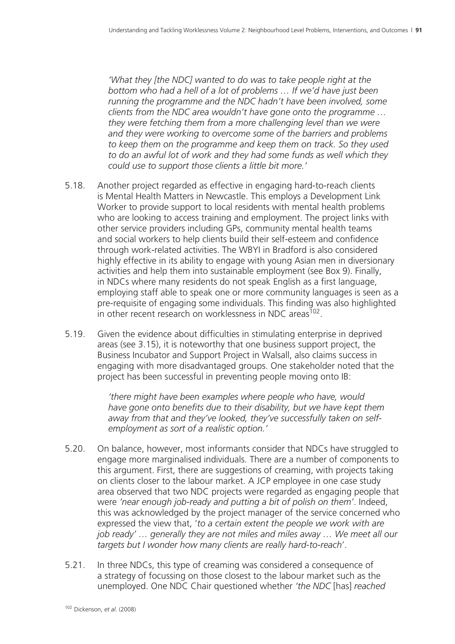*'What they [the NDC] wanted to do was to take people right at the bottom who had a hell of a lot of problems … If we'd have just been running the programme and the NDC hadn't have been involved, some clients from the NDC area wouldn't have gone onto the programme … they were fetching them from a more challenging level than we were and they were working to overcome some of the barriers and problems to keep them on the programme and keep them on track. So they used to do an awful lot of work and they had some funds as well which they could use to support those clients a little bit more.'*

- 5.18. Another project regarded as effective in engaging hard-to-reach clients is Mental Health Matters in Newcastle. This employs a Development Link Worker to provide support to local residents with mental health problems who are looking to access training and employment. The project links with other service providers including GPs, community mental health teams and social workers to help clients build their self-esteem and confidence through work-related activities. The WBYI in Bradford is also considered highly effective in its ability to engage with young Asian men in diversionary activities and help them into sustainable employment (see Box 9). Finally, in NDCs where many residents do not speak English as a first language, employing staff able to speak one or more community languages is seen as a pre-requisite of engaging some individuals. This finding was also highlighted in other recent research on worklessness in NDC areas<sup>102</sup>.
- 5.19. Given the evidence about difficulties in stimulating enterprise in deprived areas (see 3.15), it is noteworthy that one business support project, the Business Incubator and Support Project in Walsall, also claims success in engaging with more disadvantaged groups. One stakeholder noted that the project has been successful in preventing people moving onto IB:

*'there might have been examples where people who have, would have gone onto benefits due to their disability, but we have kept them away from that and they've looked, they've successfully taken on selfemployment as sort of a realistic option.'*

- 5.20. On balance, however, most informants consider that NDCs have struggled to engage more marginalised individuals. There are a number of components to this argument. First, there are suggestions of creaming, with projects taking on clients closer to the labour market. A JCP employee in one case study area observed that two NDC projects were regarded as engaging people that were *'near enough job-ready and putting a bit of polish on them'*. Indeed, this was acknowledged by the project manager of the service concerned who expressed the view that, '*to a certain extent the people we work with are job ready' … generally they are not miles and miles away … We meet all our targets but I wonder how many clients are really hard-to-reach*'.
- 5.21. In three NDCs, this type of creaming was considered a consequence of a strategy of focussing on those closest to the labour market such as the unemployed. One NDC Chair questioned whether *'the NDC* [has] *reached*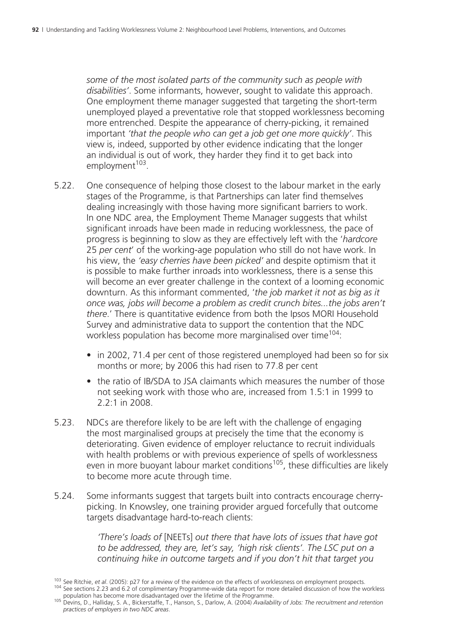*some of the most isolated parts of the community such as people with disabilities'*. Some informants, however, sought to validate this approach. One employment theme manager suggested that targeting the short-term unemployed played a preventative role that stopped worklessness becoming more entrenched. Despite the appearance of cherry-picking, it remained important *'that the people who can get a job get one more quickly'*. This view is, indeed, supported by other evidence indicating that the longer an individual is out of work, they harder they find it to get back into employment<sup>103</sup>.

- 5.22. One consequence of helping those closest to the labour market in the early stages of the Programme, is that Partnerships can later find themselves dealing increasingly with those having more significant barriers to work. In one NDC area, the Employment Theme Manager suggests that whilst significant inroads have been made in reducing worklessness, the pace of progress is beginning to slow as they are effectively left with the '*hardcore* 25 *per cent*' of the working-age population who still do not have work. In his view, the *'easy cherries have been picked'* and despite optimism that it is possible to make further inroads into worklessness, there is a sense this will become an ever greater challenge in the context of a looming economic downturn. As this informant commented, '*the job market it not as big as it once was, jobs will become a problem as credit crunch bites...the jobs aren't there*.' There is quantitative evidence from both the Ipsos MORI Household Survey and administrative data to support the contention that the NDC workless population has become more marginalised over time<sup>104</sup>:
	- in 2002, 71.4 per cent of those registered unemployed had been so for six months or more; by 2006 this had risen to 77.8 per cent
	- the ratio of IB/SDA to JSA claimants which measures the number of those not seeking work with those who are, increased from 1.5:1 in 1999 to 2.2:1 in 2008.
- 5.23. NDCs are therefore likely to be are left with the challenge of engaging the most marginalised groups at precisely the time that the economy is deteriorating. Given evidence of employer reluctance to recruit individuals with health problems or with previous experience of spells of worklessness even in more buoyant labour market conditions<sup>105</sup>, these difficulties are likely to become more acute through time.
- 5.24. Some informants suggest that targets built into contracts encourage cherrypicking. In Knowsley, one training provider argued forcefully that outcome targets disadvantage hard-to-reach clients:

*'There's loads of* [NEETs] *out there that have lots of issues that have got to be addressed, they are, let's say, 'high risk clients'. The LSC put on a continuing hike in outcome targets and if you don't hit that target you* 

<sup>&</sup>lt;sup>103</sup> See Ritchie, *et al.* (2005): p27 for a review of the evidence on the effects of worklessness on employment prospects.<br><sup>104</sup> See sections 2.23 and 6.2 of complimentary Programme-wide data report for more detailed di

population has become more disadvantaged over the lifetime of the Programme. 105 Devins, D., Halliday, S. A., Bickerstaffe, T., Hanson, S., Darlow, A. (2004) *Availability of Jobs: The recruitment and retention practices of employers in two NDC areas*.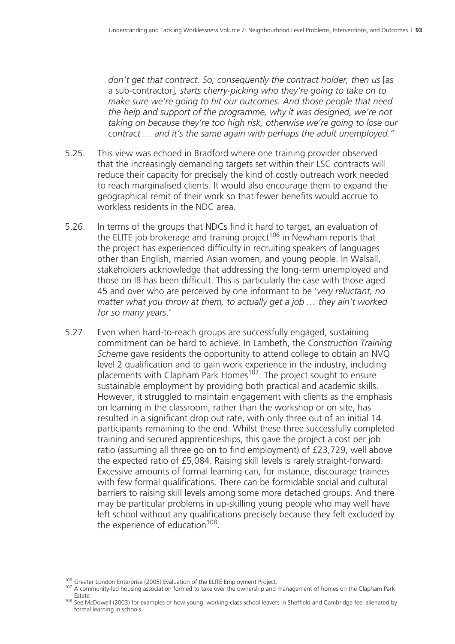*don't get that contract. So, consequently the contract holder, then us* [as a sub-contractor]*, starts cherry-picking who they're going to take on to make sure we're going to hit our outcomes. And those people that need the help and support of the programme, why it was designed, we're not taking on because they're too high risk, otherwise we're going to lose our contract … and it's the same again with perhaps the adult unemployed."*

- 5.25. This view was echoed in Bradford where one training provider observed that the increasingly demanding targets set within their LSC contracts will reduce their capacity for precisely the kind of costly outreach work needed to reach marginalised clients. It would also encourage them to expand the geographical remit of their work so that fewer benefits would accrue to workless residents in the NDC area.
- 5.26. In terms of the groups that NDCs find it hard to target, an evaluation of the ELITE job brokerage and training project<sup>106</sup> in Newham reports that the project has experienced difficulty in recruiting speakers of languages other than English, married Asian women, and young people. In Walsall, stakeholders acknowledge that addressing the long-term unemployed and those on IB has been difficult. This is particularly the case with those aged 45 and over who are perceived by one informant to be '*very reluctant, no matter what you throw at them, to actually get a job … they ain't worked for so many years*.'
- 5.27. Even when hard-to-reach groups are successfully engaged, sustaining commitment can be hard to achieve. In Lambeth, the *Construction Training Scheme* gave residents the opportunity to attend college to obtain an NVQ level 2 qualification and to gain work experience in the industry, including placements with Clapham Park Homes<sup>107</sup>. The project sought to ensure sustainable employment by providing both practical and academic skills. However, it struggled to maintain engagement with clients as the emphasis on learning in the classroom, rather than the workshop or on site, has resulted in a significant drop out rate, with only three out of an initial 14 participants remaining to the end. Whilst these three successfully completed training and secured apprenticeships, this gave the project a cost per job ratio (assuming all three go on to find employment) of £23,729, well above the expected ratio of £5,084. Raising skill levels is rarely straight-forward. Excessive amounts of formal learning can, for instance, discourage trainees with few formal qualifications. There can be formidable social and cultural barriers to raising skill levels among some more detached groups. And there may be particular problems in up-skilling young people who may well have left school without any qualifications precisely because they felt excluded by the experience of education $108$ .

<sup>&</sup>lt;sup>106</sup> Greater London Enterprise (2005) Evaluation of the ELITE Employment Project.<br><sup>107</sup> A community-led housing association formed to take over the ownership and management of homes on the Clapham Park

Estate<br><sup>108</sup> See McDowell (2003) for examples of how young, working-class school leavers in Sheffield and Cambridge feel alienated by formal learning in schools.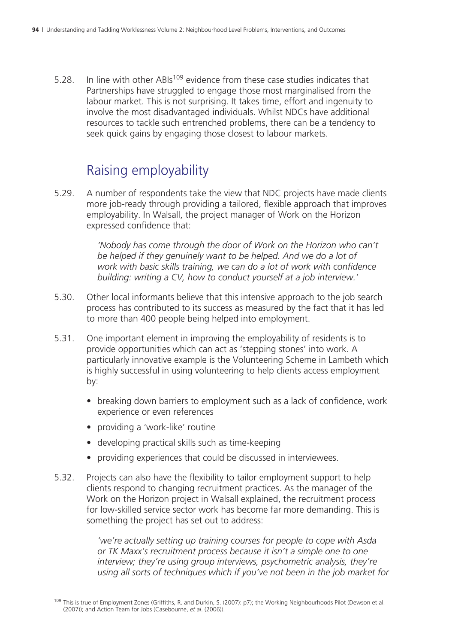5.28. In line with other ABIs<sup>109</sup> evidence from these case studies indicates that Partnerships have struggled to engage those most marginalised from the labour market. This is not surprising. It takes time, effort and ingenuity to involve the most disadvantaged individuals. Whilst NDCs have additional resources to tackle such entrenched problems, there can be a tendency to seek quick gains by engaging those closest to labour markets.

### Raising employability

5.29. A number of respondents take the view that NDC projects have made clients more job-ready through providing a tailored, flexible approach that improves employability. In Walsall, the project manager of Work on the Horizon expressed confidence that:

> *'Nobody has come through the door of Work on the Horizon who can't*  be helped if they genuinely want to be helped. And we do a lot of *work with basic skills training, we can do a lot of work with confidence building: writing a CV, how to conduct yourself at a job interview.'*

- 5.30. Other local informants believe that this intensive approach to the job search process has contributed to its success as measured by the fact that it has led to more than 400 people being helped into employment.
- 5.31. One important element in improving the employability of residents is to provide opportunities which can act as 'stepping stones' into work. A particularly innovative example is the Volunteering Scheme in Lambeth which is highly successful in using volunteering to help clients access employment by:
	- breaking down barriers to employment such as a lack of confidence, work experience or even references
	- providing a 'work-like' routine
	- developing practical skills such as time-keeping
	- providing experiences that could be discussed in interviewees.
- 5.32. Projects can also have the flexibility to tailor employment support to help clients respond to changing recruitment practices. As the manager of the Work on the Horizon project in Walsall explained, the recruitment process for low-skilled service sector work has become far more demanding. This is something the project has set out to address:

*'we're actually setting up training courses for people to cope with Asda or TK Maxx's recruitment process because it isn't a simple one to one interview; they're using group interviews, psychometric analysis, they're using all sorts of techniques which if you've not been in the job market for* 

<sup>109</sup> This is true of Employment Zones (Griffiths, R. and Durkin, S. (2007): p7); the Working Neighbourhoods Pilot (Dewson et al. (2007)); and Action Team for Jobs (Casebourne, *et al*. (2006)).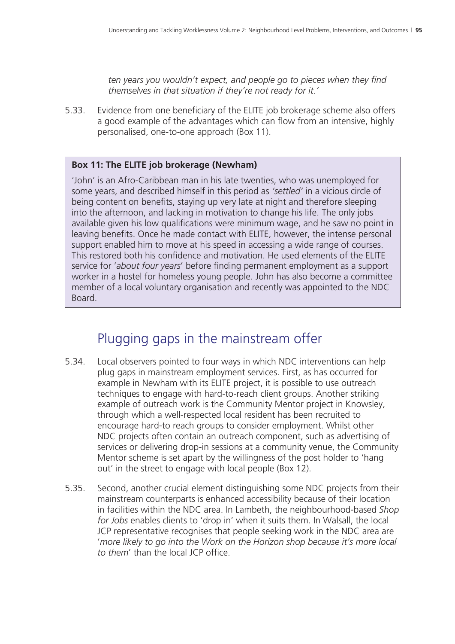*ten years you wouldn't expect, and people go to pieces when they find themselves in that situation if they're not ready for it.'*

5.33. Evidence from one beneficiary of the ELITE job brokerage scheme also offers a good example of the advantages which can flow from an intensive, highly personalised, one-to-one approach (Box 11).

#### **Box 11: The ELITE job brokerage (Newham)**

'John' is an Afro-Caribbean man in his late twenties, who was unemployed for some years, and described himself in this period as *'settled'* in a vicious circle of being content on benefits, staying up very late at night and therefore sleeping into the afternoon, and lacking in motivation to change his life. The only jobs available given his low qualifications were minimum wage, and he saw no point in leaving benefits. Once he made contact with ELITE, however, the intense personal support enabled him to move at his speed in accessing a wide range of courses. This restored both his confidence and motivation. He used elements of the ELITE service for '*about four years*' before finding permanent employment as a support worker in a hostel for homeless young people. John has also become a committee member of a local voluntary organisation and recently was appointed to the NDC Board.

### Plugging gaps in the mainstream offer

- 5.34. Local observers pointed to four ways in which NDC interventions can help plug gaps in mainstream employment services. First, as has occurred for example in Newham with its ELITE project, it is possible to use outreach techniques to engage with hard-to-reach client groups. Another striking example of outreach work is the Community Mentor project in Knowsley, through which a well-respected local resident has been recruited to encourage hard-to reach groups to consider employment. Whilst other NDC projects often contain an outreach component, such as advertising of services or delivering drop-in sessions at a community venue, the Community Mentor scheme is set apart by the willingness of the post holder to 'hang out' in the street to engage with local people (Box 12).
- 5.35. Second, another crucial element distinguishing some NDC projects from their mainstream counterparts is enhanced accessibility because of their location in facilities within the NDC area. In Lambeth, the neighbourhood-based *Shop for Jobs* enables clients to 'drop in' when it suits them. In Walsall, the local JCP representative recognises that people seeking work in the NDC area are '*more likely to go into the Work on the Horizon shop because it's more local to them*' than the local JCP office.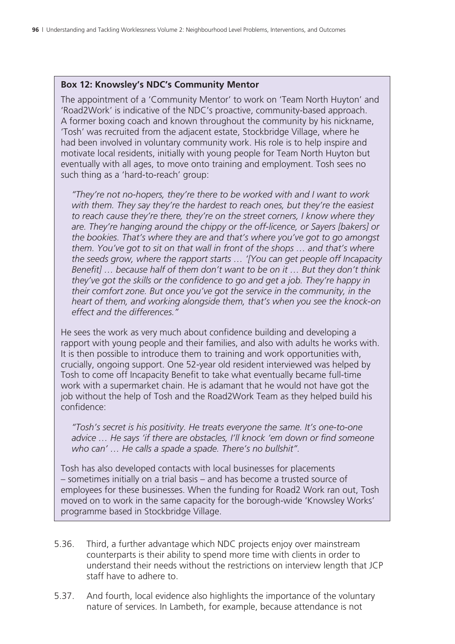#### **Box 12: Knowsley's NDC's Community Mentor**

The appointment of a 'Community Mentor' to work on 'Team North Huyton' and 'Road2Work' is indicative of the NDC's proactive, community-based approach. A former boxing coach and known throughout the community by his nickname, 'Tosh' was recruited from the adjacent estate, Stockbridge Village, where he had been involved in voluntary community work. His role is to help inspire and motivate local residents, initially with young people for Team North Huyton but eventually with all ages, to move onto training and employment. Tosh sees no such thing as a 'hard-to-reach' group:

 *"They're not no-hopers, they're there to be worked with and I want to work with them. They say they're the hardest to reach ones, but they're the easiest to reach cause they're there, they're on the street corners, I know where they are. They're hanging around the chippy or the off-licence, or Sayers [bakers] or the bookies. That's where they are and that's where you've got to go amongst them. You've got to sit on that wall in front of the shops … and that's where the seeds grow, where the rapport starts … '[You can get people off Incapacity Benefit] … because half of them don't want to be on it … But they don't think they've got the skills or the confidence to go and get a job. They're happy in their comfort zone. But once you've got the service in the community, in the heart of them, and working alongside them, that's when you see the knock-on effect and the differences."* 

He sees the work as very much about confidence building and developing a rapport with young people and their families, and also with adults he works with. It is then possible to introduce them to training and work opportunities with, crucially, ongoing support. One 52-year old resident interviewed was helped by Tosh to come off Incapacity Benefit to take what eventually became full-time work with a supermarket chain. He is adamant that he would not have got the job without the help of Tosh and the Road2Work Team as they helped build his confidence:

 *"Tosh's secret is his positivity. He treats everyone the same. It's one-to-one advice … He says 'if there are obstacles, I'll knock 'em down or find someone who can' … He calls a spade a spade. There's no bullshit".* 

Tosh has also developed contacts with local businesses for placements – sometimes initially on a trial basis – and has become a trusted source of employees for these businesses. When the funding for Road2 Work ran out, Tosh moved on to work in the same capacity for the borough-wide 'Knowsley Works' programme based in Stockbridge Village.

- 5.36. Third, a further advantage which NDC projects enjoy over mainstream counterparts is their ability to spend more time with clients in order to understand their needs without the restrictions on interview length that JCP staff have to adhere to.
- 5.37. And fourth, local evidence also highlights the importance of the voluntary nature of services. In Lambeth, for example, because attendance is not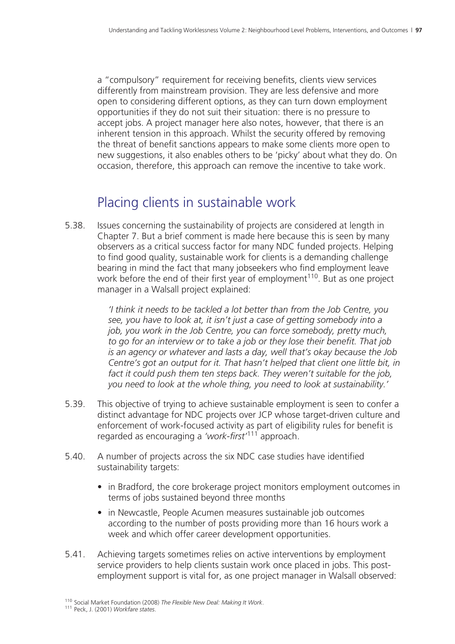a "compulsory" requirement for receiving benefits, clients view services differently from mainstream provision. They are less defensive and more open to considering different options, as they can turn down employment opportunities if they do not suit their situation: there is no pressure to accept jobs. A project manager here also notes, however, that there is an inherent tension in this approach. Whilst the security offered by removing the threat of benefit sanctions appears to make some clients more open to new suggestions, it also enables others to be 'picky' about what they do. On occasion, therefore, this approach can remove the incentive to take work.

# Placing clients in sustainable work

5.38. Issues concerning the sustainability of projects are considered at length in Chapter 7. But a brief comment is made here because this is seen by many observers as a critical success factor for many NDC funded projects. Helping to find good quality, sustainable work for clients is a demanding challenge bearing in mind the fact that many jobseekers who find employment leave work before the end of their first year of employment<sup>110</sup>. But as one project manager in a Walsall project explained:

> *'I think it needs to be tackled a lot better than from the Job Centre, you see, you have to look at, it isn't just a case of getting somebody into a job, you work in the Job Centre, you can force somebody, pretty much, to go for an interview or to take a job or they lose their benefit. That job is an agency or whatever and lasts a day, well that's okay because the Job Centre's got an output for it. That hasn't helped that client one little bit, in fact it could push them ten steps back. They weren't suitable for the job, you need to look at the whole thing, you need to look at sustainability.'*

- 5.39. This objective of trying to achieve sustainable employment is seen to confer a distinct advantage for NDC projects over JCP whose target-driven culture and enforcement of work-focused activity as part of eligibility rules for benefit is regarded as encouraging a *'work-first'*111 approach.
- 5.40. A number of projects across the six NDC case studies have identified sustainability targets:
	- in Bradford, the core brokerage project monitors employment outcomes in terms of jobs sustained beyond three months
	- in Newcastle, People Acumen measures sustainable job outcomes according to the number of posts providing more than 16 hours work a week and which offer career development opportunities.
- 5.41. Achieving targets sometimes relies on active interventions by employment service providers to help clients sustain work once placed in jobs. This postemployment support is vital for, as one project manager in Walsall observed:

<sup>110</sup> Social Market Foundation (2008) *The Flexible New Deal: Making It Work*. 111 Peck, J. (2001) *Workfare states*.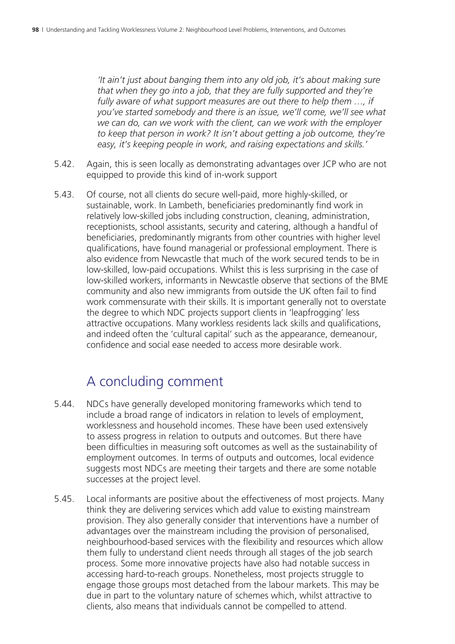*'It ain't just about banging them into any old job, it's about making sure that when they go into a job, that they are fully supported and they're fully aware of what support measures are out there to help them …, if you've started somebody and there is an issue, we'll come, we'll see what we can do, can we work with the client, can we work with the employer to keep that person in work? It isn't about getting a job outcome, they're easy, it's keeping people in work, and raising expectations and skills.'*

- 5.42. Again, this is seen locally as demonstrating advantages over JCP who are not equipped to provide this kind of in-work support
- 5.43. Of course, not all clients do secure well-paid, more highly-skilled, or sustainable, work. In Lambeth, beneficiaries predominantly find work in relatively low-skilled jobs including construction, cleaning, administration, receptionists, school assistants, security and catering, although a handful of beneficiaries, predominantly migrants from other countries with higher level qualifications, have found managerial or professional employment. There is also evidence from Newcastle that much of the work secured tends to be in low-skilled, low-paid occupations. Whilst this is less surprising in the case of low-skilled workers, informants in Newcastle observe that sections of the BME community and also new immigrants from outside the UK often fail to find work commensurate with their skills. It is important generally not to overstate the degree to which NDC projects support clients in 'leapfrogging' less attractive occupations. Many workless residents lack skills and qualifications, and indeed often the 'cultural capital' such as the appearance, demeanour, confidence and social ease needed to access more desirable work.

### A concluding comment

- 5.44. NDCs have generally developed monitoring frameworks which tend to include a broad range of indicators in relation to levels of employment, worklessness and household incomes. These have been used extensively to assess progress in relation to outputs and outcomes. But there have been difficulties in measuring soft outcomes as well as the sustainability of employment outcomes. In terms of outputs and outcomes, local evidence suggests most NDCs are meeting their targets and there are some notable successes at the project level.
- 5.45. Local informants are positive about the effectiveness of most projects. Many think they are delivering services which add value to existing mainstream provision. They also generally consider that interventions have a number of advantages over the mainstream including the provision of personalised, neighbourhood-based services with the flexibility and resources which allow them fully to understand client needs through all stages of the job search process. Some more innovative projects have also had notable success in accessing hard-to-reach groups. Nonetheless, most projects struggle to engage those groups most detached from the labour markets. This may be due in part to the voluntary nature of schemes which, whilst attractive to clients, also means that individuals cannot be compelled to attend.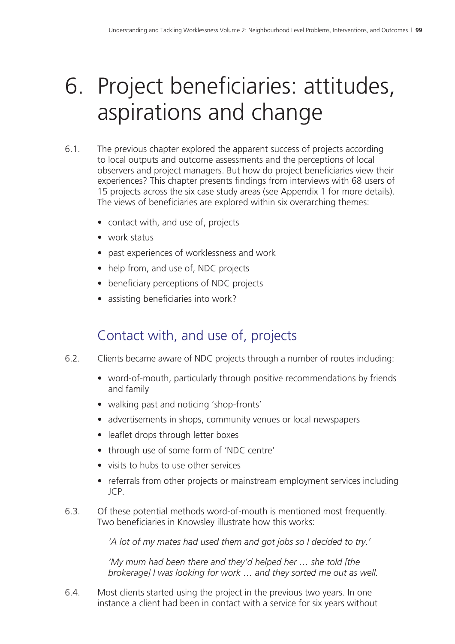# 6. Project beneficiaries: attitudes, aspirations and change

- 6.1. The previous chapter explored the apparent success of projects according to local outputs and outcome assessments and the perceptions of local observers and project managers. But how do project beneficiaries view their experiences? This chapter presents findings from interviews with 68 users of 15 projects across the six case study areas (see Appendix 1 for more details). The views of beneficiaries are explored within six overarching themes:
	- contact with, and use of, projects
	- work status
	- past experiences of worklessness and work
	- help from, and use of, NDC projects
	- beneficiary perceptions of NDC projects
	- assisting beneficiaries into work?

# Contact with, and use of, projects

- 6.2. Clients became aware of NDC projects through a number of routes including:
	- word-of-mouth, particularly through positive recommendations by friends and family
	- walking past and noticing 'shop-fronts'
	- advertisements in shops, community venues or local newspapers
	- leaflet drops through letter boxes
	- through use of some form of 'NDC centre'
	- visits to hubs to use other services
	- referrals from other projects or mainstream employment services including JCP.
- 6.3. Of these potential methods word-of-mouth is mentioned most frequently. Two beneficiaries in Knowsley illustrate how this works:

*'A lot of my mates had used them and got jobs so I decided to try.'*

*'My mum had been there and they'd helped her … she told [the brokerage] I was looking for work … and they sorted me out as well.* 

6.4. Most clients started using the project in the previous two years. In one instance a client had been in contact with a service for six years without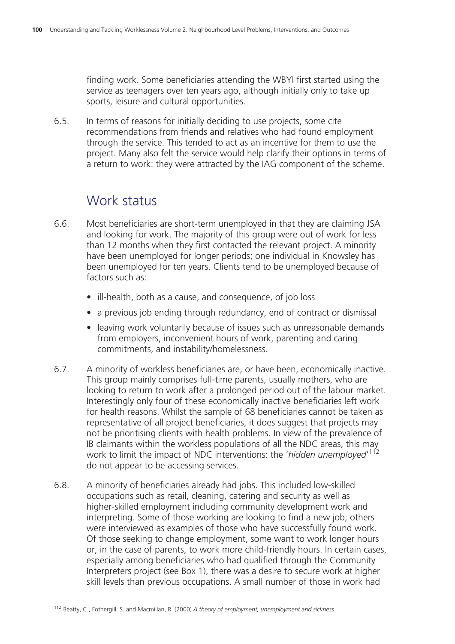finding work. Some beneficiaries attending the WBYI first started using the service as teenagers over ten years ago, although initially only to take up sports, leisure and cultural opportunities.

6.5. In terms of reasons for initially deciding to use projects, some cite recommendations from friends and relatives who had found employment through the service. This tended to act as an incentive for them to use the project. Many also felt the service would help clarify their options in terms of a return to work: they were attracted by the IAG component of the scheme.

#### Work status

- 6.6. Most beneficiaries are short-term unemployed in that they are claiming JSA and looking for work. The majority of this group were out of work for less than 12 months when they first contacted the relevant project. A minority have been unemployed for longer periods; one individual in Knowsley has been unemployed for ten years. Clients tend to be unemployed because of factors such as:
	- ill-health, both as a cause, and consequence, of job loss
	- a previous job ending through redundancy, end of contract or dismissal
	- leaving work voluntarily because of issues such as unreasonable demands from employers, inconvenient hours of work, parenting and caring commitments, and instability/homelessness.
- 6.7. A minority of workless beneficiaries are, or have been, economically inactive. This group mainly comprises full-time parents, usually mothers, who are looking to return to work after a prolonged period out of the labour market. Interestingly only four of these economically inactive beneficiaries left work for health reasons. Whilst the sample of 68 beneficiaries cannot be taken as representative of all project beneficiaries, it does suggest that projects may not be prioritising clients with health problems. In view of the prevalence of IB claimants within the workless populations of all the NDC areas, this may work to limit the impact of NDC interventions: the 'hidden unemployed'<sup>112</sup> do not appear to be accessing services.
- 6.8. A minority of beneficiaries already had jobs. This included low-skilled occupations such as retail, cleaning, catering and security as well as higher-skilled employment including community development work and interpreting. Some of those working are looking to find a new job; others were interviewed as examples of those who have successfully found work. Of those seeking to change employment, some want to work longer hours or, in the case of parents, to work more child-friendly hours. In certain cases, especially among beneficiaries who had qualified through the Community Interpreters project (see Box 1), there was a desire to secure work at higher skill levels than previous occupations. A small number of those in work had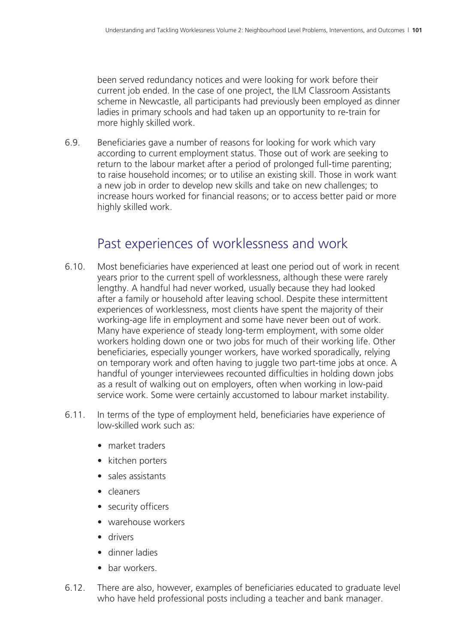been served redundancy notices and were looking for work before their current job ended. In the case of one project, the ILM Classroom Assistants scheme in Newcastle, all participants had previously been employed as dinner ladies in primary schools and had taken up an opportunity to re-train for more highly skilled work.

6.9. Beneficiaries gave a number of reasons for looking for work which vary according to current employment status. Those out of work are seeking to return to the labour market after a period of prolonged full-time parenting; to raise household incomes; or to utilise an existing skill. Those in work want a new job in order to develop new skills and take on new challenges; to increase hours worked for financial reasons; or to access better paid or more highly skilled work.

#### Past experiences of worklessness and work

- 6.10. Most beneficiaries have experienced at least one period out of work in recent years prior to the current spell of worklessness, although these were rarely lengthy. A handful had never worked, usually because they had looked after a family or household after leaving school. Despite these intermittent experiences of worklessness, most clients have spent the majority of their working-age life in employment and some have never been out of work. Many have experience of steady long-term employment, with some older workers holding down one or two jobs for much of their working life. Other beneficiaries, especially younger workers, have worked sporadically, relying on temporary work and often having to juggle two part-time jobs at once. A handful of younger interviewees recounted difficulties in holding down jobs as a result of walking out on employers, often when working in low-paid service work. Some were certainly accustomed to labour market instability.
- 6.11. In terms of the type of employment held, beneficiaries have experience of low-skilled work such as:
	- market traders
	- kitchen porters
	- sales assistants
	- cleaners
	- security officers
	- warehouse workers
	- drivers
	- dinner ladies
	- bar workers.
- 6.12. There are also, however, examples of beneficiaries educated to graduate level who have held professional posts including a teacher and bank manager.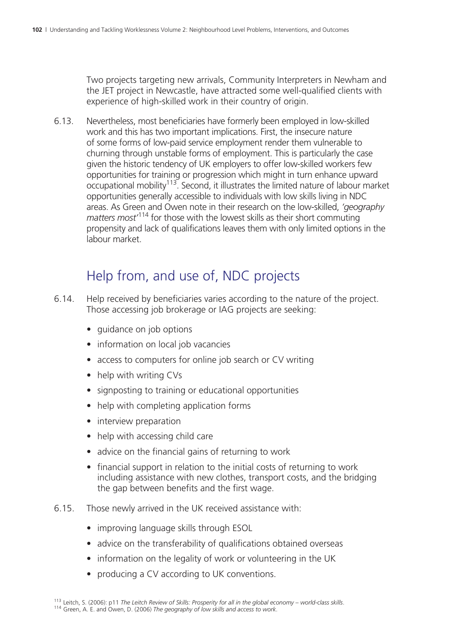Two projects targeting new arrivals, Community Interpreters in Newham and the JET project in Newcastle, have attracted some well-qualified clients with experience of high-skilled work in their country of origin.

6.13. Nevertheless, most beneficiaries have formerly been employed in low-skilled work and this has two important implications. First, the insecure nature of some forms of low-paid service employment render them vulnerable to churning through unstable forms of employment. This is particularly the case given the historic tendency of UK employers to offer low-skilled workers few opportunities for training or progression which might in turn enhance upward occupational mobility<sup>113</sup>. Second, it illustrates the limited nature of labour market opportunities generally accessible to individuals with low skills living in NDC areas. As Green and Owen note in their research on the low-skilled, *'geography matters most'*114 for those with the lowest skills as their short commuting propensity and lack of qualifications leaves them with only limited options in the labour market.

## Help from, and use of, NDC projects

- 6.14. Help received by beneficiaries varies according to the nature of the project. Those accessing job brokerage or IAG projects are seeking:
	- guidance on job options
	- information on local job vacancies
	- access to computers for online job search or CV writing
	- help with writing CVs
	- signposting to training or educational opportunities
	- help with completing application forms
	- interview preparation
	- help with accessing child care
	- advice on the financial gains of returning to work
	- financial support in relation to the initial costs of returning to work including assistance with new clothes, transport costs, and the bridging the gap between benefits and the first wage.

#### 6.15. Those newly arrived in the UK received assistance with:

- improving language skills through ESOL
- advice on the transferability of qualifications obtained overseas
- information on the legality of work or volunteering in the UK
- producing a CV according to UK conventions.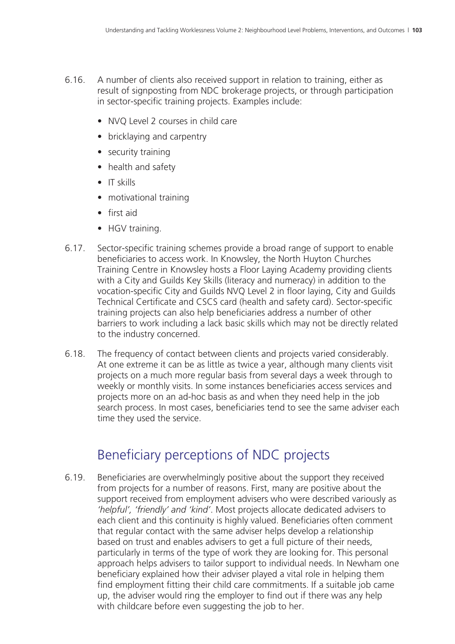- 6.16. A number of clients also received support in relation to training, either as result of signposting from NDC brokerage projects, or through participation in sector-specific training projects. Examples include:
	- NVQ Level 2 courses in child care
	- bricklaying and carpentry
	- security training
	- health and safety
	- IT skills
	- motivational training
	- first aid
	- HGV training.
- 6.17. Sector-specific training schemes provide a broad range of support to enable beneficiaries to access work. In Knowsley, the North Huyton Churches Training Centre in Knowsley hosts a Floor Laying Academy providing clients with a City and Guilds Key Skills (literacy and numeracy) in addition to the vocation-specific City and Guilds NVQ Level 2 in floor laying, City and Guilds Technical Certificate and CSCS card (health and safety card). Sector-specific training projects can also help beneficiaries address a number of other barriers to work including a lack basic skills which may not be directly related to the industry concerned.
- 6.18. The frequency of contact between clients and projects varied considerably. At one extreme it can be as little as twice a year, although many clients visit projects on a much more regular basis from several days a week through to weekly or monthly visits. In some instances beneficiaries access services and projects more on an ad-hoc basis as and when they need help in the job search process. In most cases, beneficiaries tend to see the same adviser each time they used the service.

### Beneficiary perceptions of NDC projects

6.19. Beneficiaries are overwhelmingly positive about the support they received from projects for a number of reasons. First, many are positive about the support received from employment advisers who were described variously as *'helpful', 'friendly' and 'kind'*. Most projects allocate dedicated advisers to each client and this continuity is highly valued. Beneficiaries often comment that regular contact with the same adviser helps develop a relationship based on trust and enables advisers to get a full picture of their needs, particularly in terms of the type of work they are looking for. This personal approach helps advisers to tailor support to individual needs. In Newham one beneficiary explained how their adviser played a vital role in helping them find employment fitting their child care commitments. If a suitable job came up, the adviser would ring the employer to find out if there was any help with childcare before even suggesting the job to her.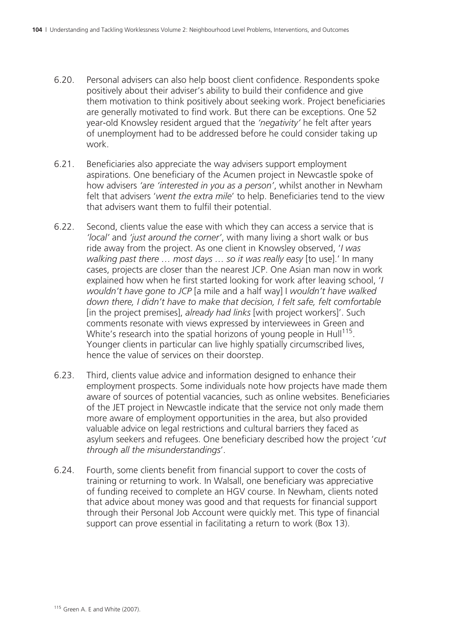- 6.20. Personal advisers can also help boost client confidence. Respondents spoke positively about their adviser's ability to build their confidence and give them motivation to think positively about seeking work. Project beneficiaries are generally motivated to find work. But there can be exceptions. One 52 year-old Knowsley resident argued that the *'negativity'* he felt after years of unemployment had to be addressed before he could consider taking up work.
- 6.21. Beneficiaries also appreciate the way advisers support employment aspirations. One beneficiary of the Acumen project in Newcastle spoke of how advisers *'are 'interested in you as a person'*, whilst another in Newham felt that advisers '*went the extra mile*' to help. Beneficiaries tend to the view that advisers want them to fulfil their potential.
- 6.22. Second, clients value the ease with which they can access a service that is *'local'* and *'just around the corner'*, with many living a short walk or bus ride away from the project. As one client in Knowsley observed, '*I was walking past there … most days … so it was really easy* [to use].' In many cases, projects are closer than the nearest JCP. One Asian man now in work explained how when he first started looking for work after leaving school, '*I wouldn't have gone to JCP* [a mile and a half way] I *wouldn't have walked down there, I didn't have to make that decision, I felt safe, felt comfortable* [in the project premises], *already had links* [with project workers]'. Such comments resonate with views expressed by interviewees in Green and White's research into the spatial horizons of young people in  $Hull<sup>115</sup>$ . Younger clients in particular can live highly spatially circumscribed lives, hence the value of services on their doorstep.
- 6.23. Third, clients value advice and information designed to enhance their employment prospects. Some individuals note how projects have made them aware of sources of potential vacancies, such as online websites. Beneficiaries of the JET project in Newcastle indicate that the service not only made them more aware of employment opportunities in the area, but also provided valuable advice on legal restrictions and cultural barriers they faced as asylum seekers and refugees. One beneficiary described how the project '*cut through all the misunderstandings*'.
- 6.24. Fourth, some clients benefit from financial support to cover the costs of training or returning to work. In Walsall, one beneficiary was appreciative of funding received to complete an HGV course. In Newham, clients noted that advice about money was good and that requests for financial support through their Personal Job Account were quickly met. This type of financial support can prove essential in facilitating a return to work (Box 13).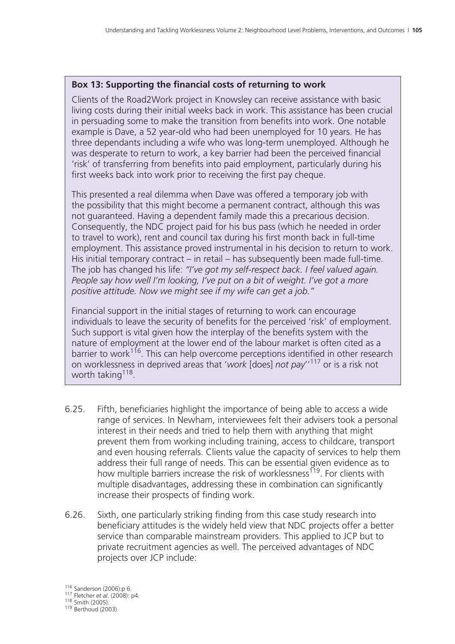#### **Box 13: Supporting the financial costs of returning to work**

Clients of the Road2Work project in Knowsley can receive assistance with basic living costs during their initial weeks back in work. This assistance has been crucial in persuading some to make the transition from benefits into work. One notable example is Dave, a 52 year-old who had been unemployed for 10 years. He has three dependants including a wife who was long-term unemployed. Although he was desperate to return to work, a key barrier had been the perceived financial 'risk' of transferring from benefits into paid employment, particularly during his first weeks back into work prior to receiving the first pay cheque.

This presented a real dilemma when Dave was offered a temporary job with the possibility that this might become a permanent contract, although this was not guaranteed. Having a dependent family made this a precarious decision. Consequently, the NDC project paid for his bus pass (which he needed in order to travel to work), rent and council tax during his first month back in full-time employment. This assistance proved instrumental in his decision to return to work. His initial temporary contract – in retail – has subsequently been made full-time. The job has changed his life: *"I've got my self-respect back. I feel valued again. People say how well I'm looking, I've put on a bit of weight. I've got a more positive attitude. Now we might see if my wife can get a job."*

Financial support in the initial stages of returning to work can encourage individuals to leave the security of benefits for the perceived 'risk' of employment. Such support is vital given how the interplay of the benefits system with the nature of employment at the lower end of the labour market is often cited as a barrier to work<sup>116</sup>. This can help overcome perceptions identified in other research on worklessness in deprived areas that '*work* [does] *not pay*''117 or is a risk not worth taking<sup>118</sup>.

- 6.25. Fifth, beneficiaries highlight the importance of being able to access a wide range of services. In Newham, interviewees felt their advisers took a personal interest in their needs and tried to help them with anything that might prevent them from working including training, access to childcare, transport and even housing referrals. Clients value the capacity of services to help them address their full range of needs. This can be essential given evidence as to how multiple barriers increase the risk of worklessness<sup>119</sup>. For clients with multiple disadvantages, addressing these in combination can significantly increase their prospects of finding work.
- 6.26. Sixth, one particularly striking finding from this case study research into beneficiary attitudes is the widely held view that NDC projects offer a better service than comparable mainstream providers. This applied to JCP but to private recruitment agencies as well. The perceived advantages of NDC projects over JCP include:

<sup>116</sup> Sanderson (2006):p 6. 117 Fletcher *et al*. (2008): p4. 118 Smith (2005). 119 Berthoud (2003).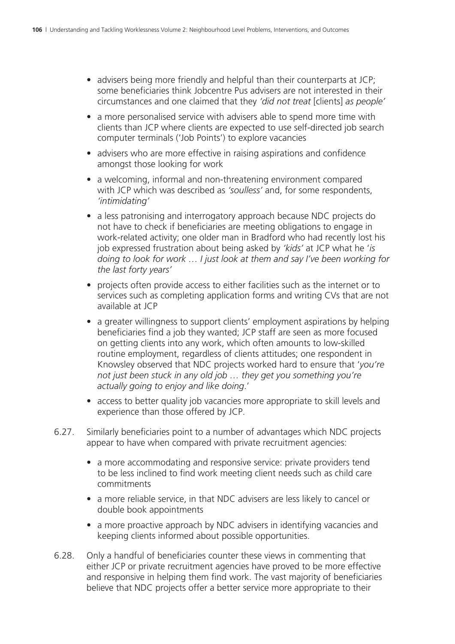- advisers being more friendly and helpful than their counterparts at JCP; some beneficiaries think Jobcentre Pus advisers are not interested in their circumstances and one claimed that they *'did not treat* [clients] *as people'*
- a more personalised service with advisers able to spend more time with clients than JCP where clients are expected to use self-directed job search computer terminals ('Job Points') to explore vacancies
- advisers who are more effective in raising aspirations and confidence amongst those looking for work
- a welcoming, informal and non-threatening environment compared with JCP which was described as *'soulless'* and, for some respondents, *'intimidating'*
- a less patronising and interrogatory approach because NDC projects do not have to check if beneficiaries are meeting obligations to engage in work-related activity; one older man in Bradford who had recently lost his job expressed frustration about being asked by *'kids'* at JCP what he '*is doing to look for work … I just look at them and say I've been working for the last forty years'*
- projects often provide access to either facilities such as the internet or to services such as completing application forms and writing CVs that are not available at JCP
- a greater willingness to support clients' employment aspirations by helping beneficiaries find a job they wanted; JCP staff are seen as more focused on getting clients into any work, which often amounts to low-skilled routine employment, regardless of clients attitudes; one respondent in Knowsley observed that NDC projects worked hard to ensure that '*you're not just been stuck in any old job … they get you something you're actually going to enjoy and like doing*.'
- access to better quality job vacancies more appropriate to skill levels and experience than those offered by JCP.
- 6.27. Similarly beneficiaries point to a number of advantages which NDC projects appear to have when compared with private recruitment agencies:
	- a more accommodating and responsive service: private providers tend to be less inclined to find work meeting client needs such as child care commitments
	- a more reliable service, in that NDC advisers are less likely to cancel or double book appointments
	- a more proactive approach by NDC advisers in identifying vacancies and keeping clients informed about possible opportunities.
- 6.28. Only a handful of beneficiaries counter these views in commenting that either JCP or private recruitment agencies have proved to be more effective and responsive in helping them find work. The vast majority of beneficiaries believe that NDC projects offer a better service more appropriate to their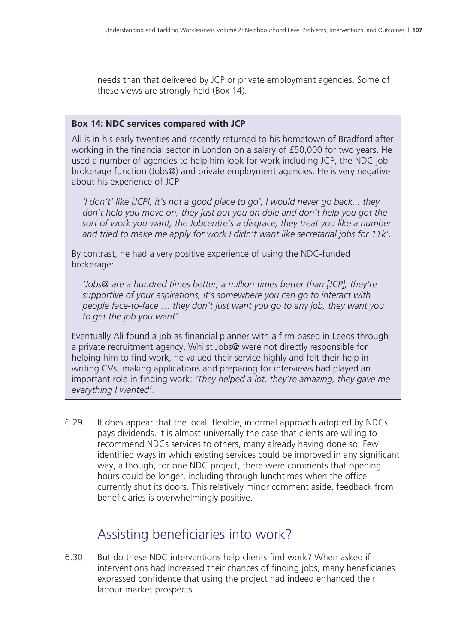needs than that delivered by JCP or private employment agencies. Some of these views are strongly held (Box 14).

#### **Box 14: NDC services compared with JCP**

Ali is in his early twenties and recently returned to his hometown of Bradford after working in the financial sector in London on a salary of £50,000 for two years. He used a number of agencies to help him look for work including JCP, the NDC job brokerage function (Jobs@) and private employment agencies. He is very negative about his experience of JCP

 *'I don't' like [JCP], it's not a good place to go', I would never go back... they don't help you move on, they just put you on dole and don't help you got the sort of work you want, the Jobcentre's a disgrace, they treat you like a number and tried to make me apply for work I didn't want like secretarial jobs for 11k'.*

By contrast, he had a very positive experience of using the NDC-funded brokerage:

 *'Jobs@ are a hundred times better, a million times better than [JCP], they're supportive of your aspirations, it's somewhere you can go to interact with people face-to-face … they don't just want you go to any job, they want you to get the job you want'.*

Eventually Ali found a job as financial planner with a firm based in Leeds through a private recruitment agency. Whilst Jobs@ were not directly responsible for helping him to find work, he valued their service highly and felt their help in writing CVs, making applications and preparing for interviews had played an important role in finding work: *'They helped a lot, they're amazing, they gave me everything I wanted'*.

6.29. It does appear that the local, flexible, informal approach adopted by NDCs pays dividends. It is almost universally the case that clients are willing to recommend NDCs services to others, many already having done so. Few identified ways in which existing services could be improved in any significant way, although, for one NDC project, there were comments that opening hours could be longer, including through lunchtimes when the office currently shut its doors. This relatively minor comment aside, feedback from beneficiaries is overwhelmingly positive.

#### Assisting beneficiaries into work?

6.30. But do these NDC interventions help clients find work? When asked if interventions had increased their chances of finding jobs, many beneficiaries expressed confidence that using the project had indeed enhanced their labour market prospects.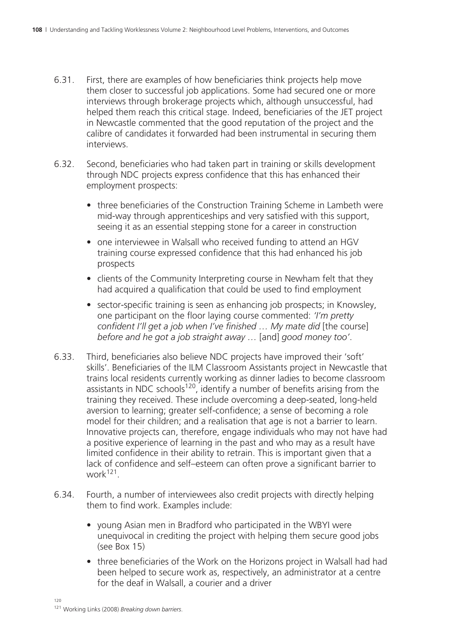- 6.31. First, there are examples of how beneficiaries think projects help move them closer to successful job applications. Some had secured one or more interviews through brokerage projects which, although unsuccessful, had helped them reach this critical stage. Indeed, beneficiaries of the JET project in Newcastle commented that the good reputation of the project and the calibre of candidates it forwarded had been instrumental in securing them interviews.
- 6.32. Second, beneficiaries who had taken part in training or skills development through NDC projects express confidence that this has enhanced their employment prospects:
	- three beneficiaries of the Construction Training Scheme in Lambeth were mid-way through apprenticeships and very satisfied with this support, seeing it as an essential stepping stone for a career in construction
	- one interviewee in Walsall who received funding to attend an HGV training course expressed confidence that this had enhanced his job prospects
	- clients of the Community Interpreting course in Newham felt that they had acquired a qualification that could be used to find employment
	- sector-specific training is seen as enhancing job prospects; in Knowsley, one participant on the floor laying course commented: *'I'm pretty confident I'll get a job when I've finished … My mate did* [the course] *before and he got a job straight away …* [and] *good money too'*.
- 6.33. Third, beneficiaries also believe NDC projects have improved their 'soft' skills'. Beneficiaries of the ILM Classroom Assistants project in Newcastle that trains local residents currently working as dinner ladies to become classroom assistants in NDC schools<sup>120</sup>, identify a number of benefits arising from the training they received. These include overcoming a deep-seated, long-held aversion to learning; greater self-confidence; a sense of becoming a role model for their children; and a realisation that age is not a barrier to learn. Innovative projects can, therefore, engage individuals who may not have had a positive experience of learning in the past and who may as a result have limited confidence in their ability to retrain. This is important given that a lack of confidence and self–esteem can often prove a significant barrier to work $121$ .
- 6.34. Fourth, a number of interviewees also credit projects with directly helping them to find work. Examples include:
	- young Asian men in Bradford who participated in the WBYI were unequivocal in crediting the project with helping them secure good jobs (see Box 15)
	- three beneficiaries of the Work on the Horizons project in Walsall had had been helped to secure work as, respectively, an administrator at a centre for the deaf in Walsall, a courier and a driver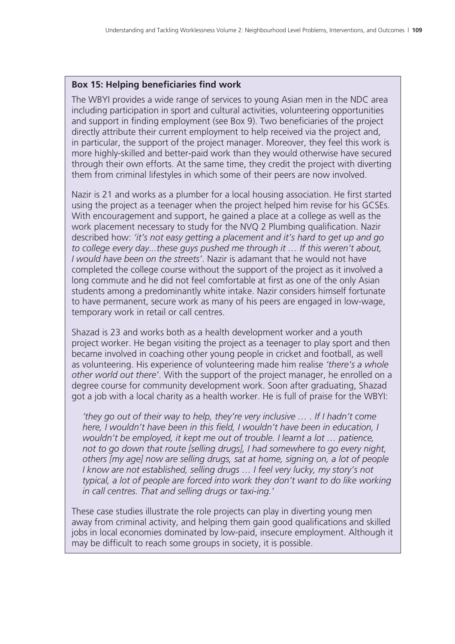#### **Box 15: Helping beneficiaries find work**

The WBYI provides a wide range of services to young Asian men in the NDC area including participation in sport and cultural activities, volunteering opportunities and support in finding employment (see Box 9). Two beneficiaries of the project directly attribute their current employment to help received via the project and, in particular, the support of the project manager. Moreover, they feel this work is more highly-skilled and better-paid work than they would otherwise have secured through their own efforts. At the same time, they credit the project with diverting them from criminal lifestyles in which some of their peers are now involved.

Nazir is 21 and works as a plumber for a local housing association. He first started using the project as a teenager when the project helped him revise for his GCSEs. With encouragement and support, he gained a place at a college as well as the work placement necessary to study for the NVQ 2 Plumbing qualification. Nazir described how: *'it's not easy getting a placement and it's hard to get up and go to college every day...these guys pushed me through it … If this weren't about, I would have been on the streets'*. Nazir is adamant that he would not have completed the college course without the support of the project as it involved a long commute and he did not feel comfortable at first as one of the only Asian students among a predominantly white intake. Nazir considers himself fortunate to have permanent, secure work as many of his peers are engaged in low-wage, temporary work in retail or call centres.

Shazad is 23 and works both as a health development worker and a youth project worker. He began visiting the project as a teenager to play sport and then became involved in coaching other young people in cricket and football, as well as volunteering. His experience of volunteering made him realise *'there's a whole other world out there'*. With the support of the project manager, he enrolled on a degree course for community development work. Soon after graduating, Shazad got a job with a local charity as a health worker. He is full of praise for the WBYI:

 *'they go out of their way to help, they're very inclusive … . If I hadn't come here, I wouldn't have been in this field, I wouldn't have been in education, I wouldn't be employed, it kept me out of trouble. I learnt a lot … patience, not to go down that route [selling drugs], I had somewhere to go every night, others [my age] now are selling drugs, sat at home, signing on, a lot of people I know are not established, selling drugs ... I feel very lucky, my story's not typical, a lot of people are forced into work they don't want to do like working in call centres. That and selling drugs or taxi-ing.'*

These case studies illustrate the role projects can play in diverting young men away from criminal activity, and helping them gain good qualifications and skilled jobs in local economies dominated by low-paid, insecure employment. Although it may be difficult to reach some groups in society, it is possible.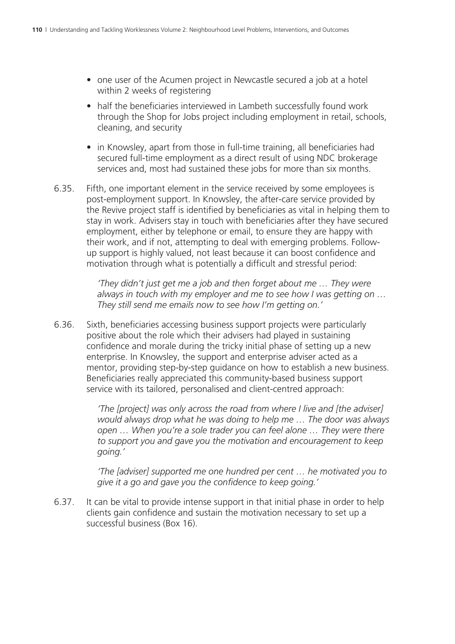- one user of the Acumen project in Newcastle secured a job at a hotel within 2 weeks of registering
- half the beneficiaries interviewed in Lambeth successfully found work through the Shop for Jobs project including employment in retail, schools, cleaning, and security
- in Knowsley, apart from those in full-time training, all beneficiaries had secured full-time employment as a direct result of using NDC brokerage services and, most had sustained these jobs for more than six months.
- 6.35. Fifth, one important element in the service received by some employees is post-employment support. In Knowsley, the after-care service provided by the Revive project staff is identified by beneficiaries as vital in helping them to stay in work. Advisers stay in touch with beneficiaries after they have secured employment, either by telephone or email, to ensure they are happy with their work, and if not, attempting to deal with emerging problems. Followup support is highly valued, not least because it can boost confidence and motivation through what is potentially a difficult and stressful period:

*'They didn't just get me a job and then forget about me … They were always in touch with my employer and me to see how I was getting on … They still send me emails now to see how I'm getting on.'* 

6.36. Sixth, beneficiaries accessing business support projects were particularly positive about the role which their advisers had played in sustaining confidence and morale during the tricky initial phase of setting up a new enterprise. In Knowsley, the support and enterprise adviser acted as a mentor, providing step-by-step guidance on how to establish a new business. Beneficiaries really appreciated this community-based business support service with its tailored, personalised and client-centred approach:

> *'The [project] was only across the road from where I live and [the adviser] would always drop what he was doing to help me … The door was always open … When you're a sole trader you can feel alone … They were there to support you and gave you the motivation and encouragement to keep going.'*

> *'The [adviser] supported me one hundred per cent … he motivated you to give it a go and gave you the confidence to keep going.'*

6.37. It can be vital to provide intense support in that initial phase in order to help clients gain confidence and sustain the motivation necessary to set up a successful business (Box 16).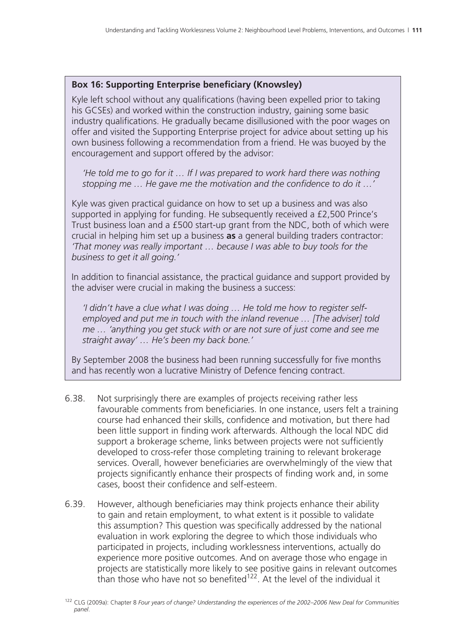#### **Box 16: Supporting Enterprise beneficiary (Knowsley)**

Kyle left school without any qualifications (having been expelled prior to taking his GCSEs) and worked within the construction industry, gaining some basic industry qualifications. He gradually became disillusioned with the poor wages on offer and visited the Supporting Enterprise project for advice about setting up his own business following a recommendation from a friend. He was buoyed by the encouragement and support offered by the advisor:

 *'He told me to go for it … If I was prepared to work hard there was nothing stopping me … He gave me the motivation and the confidence to do it …'*

Kyle was given practical guidance on how to set up a business and was also supported in applying for funding. He subsequently received a £2,500 Prince's Trust business loan and a £500 start-up grant from the NDC, both of which were crucial in helping him set up a business **as** a general building traders contractor: *'That money was really important … because I was able to buy tools for the business to get it all going.'*

In addition to financial assistance, the practical guidance and support provided by the adviser were crucial in making the business a success:

 *'I didn't have a clue what I was doing … He told me how to register selfemployed and put me in touch with the inland revenue … [The adviser] told me … 'anything you get stuck with or are not sure of just come and see me straight away' … He's been my back bone.'*

By September 2008 the business had been running successfully for five months and has recently won a lucrative Ministry of Defence fencing contract.

- 6.38. Not surprisingly there are examples of projects receiving rather less favourable comments from beneficiaries. In one instance, users felt a training course had enhanced their skills, confidence and motivation, but there had been little support in finding work afterwards. Although the local NDC did support a brokerage scheme, links between projects were not sufficiently developed to cross-refer those completing training to relevant brokerage services. Overall, however beneficiaries are overwhelmingly of the view that projects significantly enhance their prospects of finding work and, in some cases, boost their confidence and self-esteem.
- 6.39. However, although beneficiaries may think projects enhance their ability to gain and retain employment, to what extent is it possible to validate this assumption? This question was specifically addressed by the national evaluation in work exploring the degree to which those individuals who participated in projects, including worklessness interventions, actually do experience more positive outcomes. And on average those who engage in projects are statistically more likely to see positive gains in relevant outcomes than those who have not so benefited<sup>122</sup>. At the level of the individual it

<sup>122</sup> CLG (2009a): Chapter 8 *Four years of change? Understanding the experiences of the 2002–2006 New Deal for Communities panel*.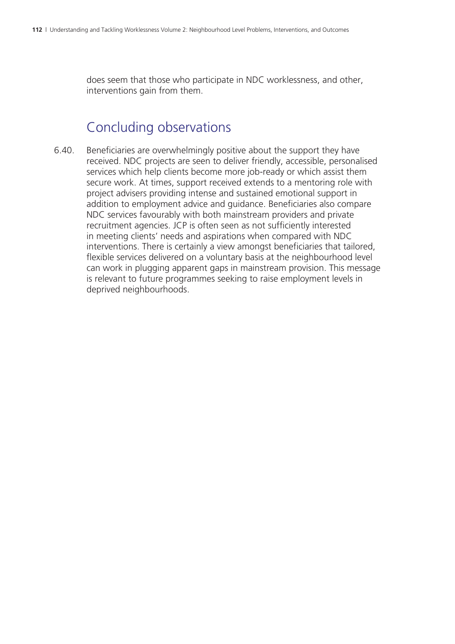does seem that those who participate in NDC worklessness, and other, interventions gain from them.

#### Concluding observations

6.40. Beneficiaries are overwhelmingly positive about the support they have received. NDC projects are seen to deliver friendly, accessible, personalised services which help clients become more job-ready or which assist them secure work. At times, support received extends to a mentoring role with project advisers providing intense and sustained emotional support in addition to employment advice and guidance. Beneficiaries also compare NDC services favourably with both mainstream providers and private recruitment agencies. JCP is often seen as not sufficiently interested in meeting clients' needs and aspirations when compared with NDC interventions. There is certainly a view amongst beneficiaries that tailored, flexible services delivered on a voluntary basis at the neighbourhood level can work in plugging apparent gaps in mainstream provision. This message is relevant to future programmes seeking to raise employment levels in deprived neighbourhoods.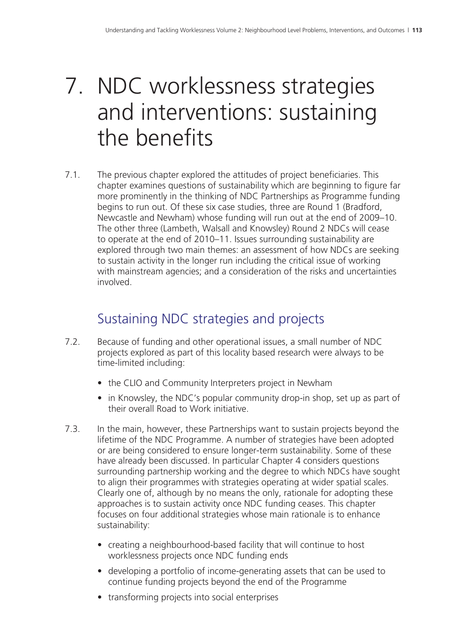## 7. NDC worklessness strategies and interventions: sustaining the benefits

7.1. The previous chapter explored the attitudes of project beneficiaries. This chapter examines questions of sustainability which are beginning to figure far more prominently in the thinking of NDC Partnerships as Programme funding begins to run out. Of these six case studies, three are Round 1 (Bradford, Newcastle and Newham) whose funding will run out at the end of 2009–10. The other three (Lambeth, Walsall and Knowsley) Round 2 NDCs will cease to operate at the end of 2010–11. Issues surrounding sustainability are explored through two main themes: an assessment of how NDCs are seeking to sustain activity in the longer run including the critical issue of working with mainstream agencies; and a consideration of the risks and uncertainties involved.

### Sustaining NDC strategies and projects

- 7.2. Because of funding and other operational issues, a small number of NDC projects explored as part of this locality based research were always to be time-limited including:
	- the CLIO and Community Interpreters project in Newham
	- in Knowsley, the NDC's popular community drop-in shop, set up as part of their overall Road to Work initiative.
- 7.3. In the main, however, these Partnerships want to sustain projects beyond the lifetime of the NDC Programme. A number of strategies have been adopted or are being considered to ensure longer-term sustainability. Some of these have already been discussed. In particular Chapter 4 considers questions surrounding partnership working and the degree to which NDCs have sought to align their programmes with strategies operating at wider spatial scales. Clearly one of, although by no means the only, rationale for adopting these approaches is to sustain activity once NDC funding ceases. This chapter focuses on four additional strategies whose main rationale is to enhance sustainability:
	- creating a neighbourhood-based facility that will continue to host worklessness projects once NDC funding ends
	- developing a portfolio of income-generating assets that can be used to continue funding projects beyond the end of the Programme
	- transforming projects into social enterprises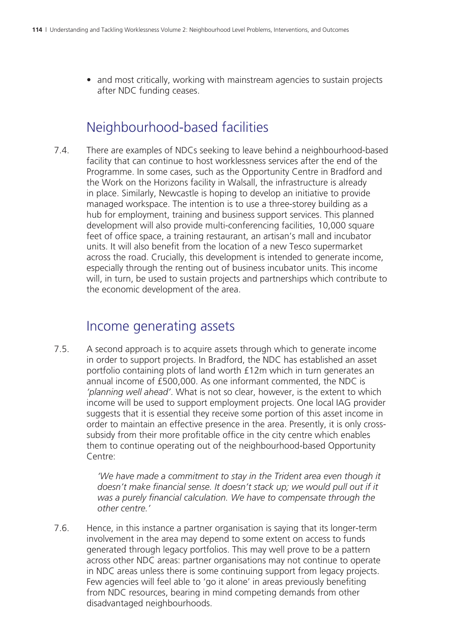• and most critically, working with mainstream agencies to sustain projects after NDC funding ceases.

#### Neighbourhood-based facilities

7.4. There are examples of NDCs seeking to leave behind a neighbourhood-based facility that can continue to host worklessness services after the end of the Programme. In some cases, such as the Opportunity Centre in Bradford and the Work on the Horizons facility in Walsall, the infrastructure is already in place. Similarly, Newcastle is hoping to develop an initiative to provide managed workspace. The intention is to use a three-storey building as a hub for employment, training and business support services. This planned development will also provide multi-conferencing facilities, 10,000 square feet of office space, a training restaurant, an artisan's mall and incubator units. It will also benefit from the location of a new Tesco supermarket across the road. Crucially, this development is intended to generate income, especially through the renting out of business incubator units. This income will, in turn, be used to sustain projects and partnerships which contribute to the economic development of the area.

#### Income generating assets

7.5. A second approach is to acquire assets through which to generate income in order to support projects. In Bradford, the NDC has established an asset portfolio containing plots of land worth £12m which in turn generates an annual income of £500,000. As one informant commented, the NDC is *'planning well ahead'*. What is not so clear, however, is the extent to which income will be used to support employment projects. One local IAG provider suggests that it is essential they receive some portion of this asset income in order to maintain an effective presence in the area. Presently, it is only crosssubsidy from their more profitable office in the city centre which enables them to continue operating out of the neighbourhood-based Opportunity Centre:

> *'We have made a commitment to stay in the Trident area even though it*  doesn't make financial sense. It doesn't stack up; we would pull out if it *was a purely financial calculation. We have to compensate through the other centre.'*

7.6. Hence, in this instance a partner organisation is saying that its longer-term involvement in the area may depend to some extent on access to funds generated through legacy portfolios. This may well prove to be a pattern across other NDC areas: partner organisations may not continue to operate in NDC areas unless there is some continuing support from legacy projects. Few agencies will feel able to 'go it alone' in areas previously benefiting from NDC resources, bearing in mind competing demands from other disadvantaged neighbourhoods.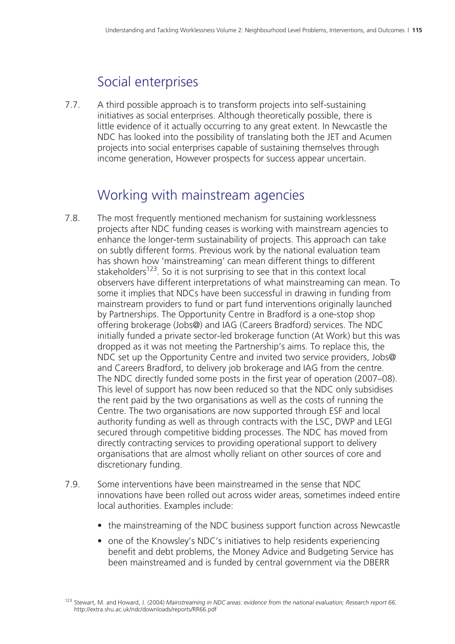#### Social enterprises

7.7. A third possible approach is to transform projects into self-sustaining initiatives as social enterprises. Although theoretically possible, there is little evidence of it actually occurring to any great extent. In Newcastle the NDC has looked into the possibility of translating both the JET and Acumen projects into social enterprises capable of sustaining themselves through income generation, However prospects for success appear uncertain.

#### Working with mainstream agencies

- 7.8. The most frequently mentioned mechanism for sustaining worklessness projects after NDC funding ceases is working with mainstream agencies to enhance the longer-term sustainability of projects. This approach can take on subtly different forms. Previous work by the national evaluation team has shown how 'mainstreaming' can mean different things to different stakeholders<sup>123</sup>. So it is not surprising to see that in this context local observers have different interpretations of what mainstreaming can mean. To some it implies that NDCs have been successful in drawing in funding from mainstream providers to fund or part fund interventions originally launched by Partnerships. The Opportunity Centre in Bradford is a one-stop shop offering brokerage (Jobs@) and IAG (Careers Bradford) services. The NDC initially funded a private sector-led brokerage function (At Work) but this was dropped as it was not meeting the Partnership's aims. To replace this, the NDC set up the Opportunity Centre and invited two service providers, Jobs@ and Careers Bradford, to delivery job brokerage and IAG from the centre. The NDC directly funded some posts in the first year of operation (2007–08). This level of support has now been reduced so that the NDC only subsidises the rent paid by the two organisations as well as the costs of running the Centre. The two organisations are now supported through ESF and local authority funding as well as through contracts with the LSC, DWP and LEGI secured through competitive bidding processes. The NDC has moved from directly contracting services to providing operational support to delivery organisations that are almost wholly reliant on other sources of core and discretionary funding.
- 7.9. Some interventions have been mainstreamed in the sense that NDC innovations have been rolled out across wider areas, sometimes indeed entire local authorities. Examples include:
	- the mainstreaming of the NDC business support function across Newcastle
	- one of the Knowsley's NDC's initiatives to help residents experiencing benefit and debt problems, the Money Advice and Budgeting Service has been mainstreamed and is funded by central government via the DBERR

<sup>123</sup> Stewart, M. and Howard, J. (2004) *Mainstreaming in NDC areas: evidence from the national evaluation; Research report 66*. http://extra.shu.ac.uk/ndc/downloads/reports/RR66.pdf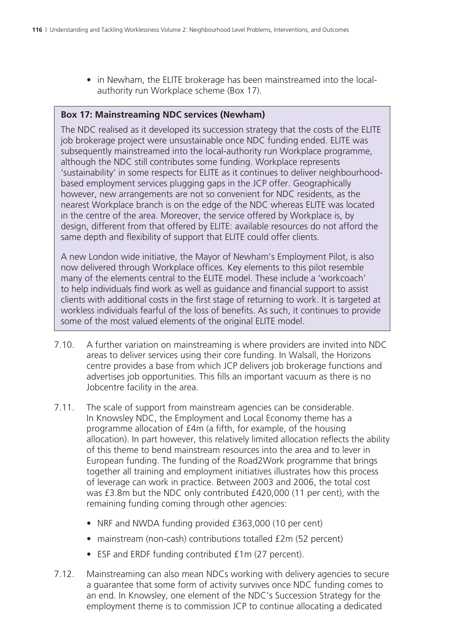• in Newham, the ELITE brokerage has been mainstreamed into the localauthority run Workplace scheme (Box 17).

#### **Box 17: Mainstreaming NDC services (Newham)**

The NDC realised as it developed its succession strategy that the costs of the ELITE job brokerage project were unsustainable once NDC funding ended. ELITE was subsequently mainstreamed into the local-authority run Workplace programme, although the NDC still contributes some funding. Workplace represents 'sustainability' in some respects for ELITE as it continues to deliver neighbourhoodbased employment services plugging gaps in the JCP offer. Geographically however, new arrangements are not so convenient for NDC residents, as the nearest Workplace branch is on the edge of the NDC whereas ELITE was located in the centre of the area. Moreover, the service offered by Workplace is, by design, different from that offered by ELITE: available resources do not afford the same depth and flexibility of support that ELITE could offer clients.

A new London wide initiative, the Mayor of Newham's Employment Pilot, is also now delivered through Workplace offices. Key elements to this pilot resemble many of the elements central to the ELITE model. These include a 'workcoach' to help individuals find work as well as guidance and financial support to assist clients with additional costs in the first stage of returning to work. It is targeted at workless individuals fearful of the loss of benefits. As such, it continues to provide some of the most valued elements of the original ELITE model.

- 7.10. A further variation on mainstreaming is where providers are invited into NDC areas to deliver services using their core funding. In Walsall, the Horizons centre provides a base from which JCP delivers job brokerage functions and advertises job opportunities. This fills an important vacuum as there is no Jobcentre facility in the area.
- 7.11. The scale of support from mainstream agencies can be considerable. In Knowsley NDC, the Employment and Local Economy theme has a programme allocation of £4m (a fifth, for example, of the housing allocation). In part however, this relatively limited allocation reflects the ability of this theme to bend mainstream resources into the area and to lever in European funding. The funding of the Road2Work programme that brings together all training and employment initiatives illustrates how this process of leverage can work in practice. Between 2003 and 2006, the total cost was £3.8m but the NDC only contributed £420,000 (11 per cent), with the remaining funding coming through other agencies:
	- NRF and NWDA funding provided £363,000 (10 per cent)
	- mainstream (non-cash) contributions totalled £2m (52 percent)
	- ESF and ERDF funding contributed £1m (27 percent).
- 7.12. Mainstreaming can also mean NDCs working with delivery agencies to secure a guarantee that some form of activity survives once NDC funding comes to an end. In Knowsley, one element of the NDC's Succession Strategy for the employment theme is to commission JCP to continue allocating a dedicated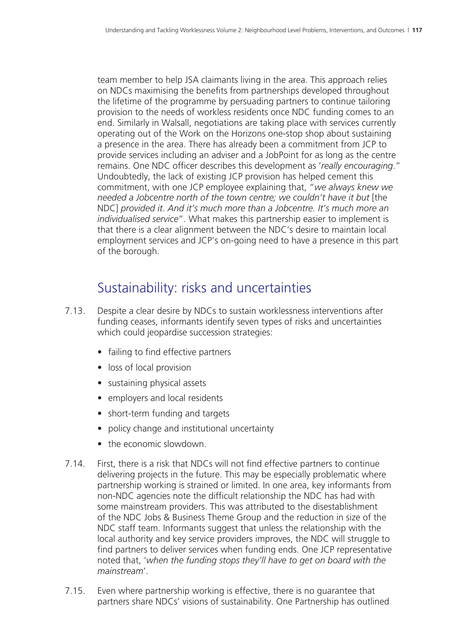team member to help JSA claimants living in the area. This approach relies on NDCs maximising the benefits from partnerships developed throughout the lifetime of the programme by persuading partners to continue tailoring provision to the needs of workless residents once NDC funding comes to an end. Similarly in Walsall, negotiations are taking place with services currently operating out of the Work on the Horizons one-stop shop about sustaining a presence in the area. There has already been a commitment from JCP to provide services including an adviser and a JobPoint for as long as the centre remains. One NDC officer describes this development as '*really encouraging*." Undoubtedly, the lack of existing JCP provision has helped cement this commitment, with one JCP employee explaining that, "*we always knew we needed a Jobcentre north of the town centre; we couldn't have it but* [the NDC] *provided it*. *And it's much more than a Jobcentre. It's much more an individualised service*". What makes this partnership easier to implement is that there is a clear alignment between the NDC's desire to maintain local employment services and JCP's on-going need to have a presence in this part of the borough.

#### Sustainability: risks and uncertainties

- 7.13. Despite a clear desire by NDCs to sustain worklessness interventions after funding ceases, informants identify seven types of risks and uncertainties which could jeopardise succession strategies:
	- failing to find effective partners
	- loss of local provision
	- sustaining physical assets
	- employers and local residents
	- short-term funding and targets
	- policy change and institutional uncertainty
	- the economic slowdown
- 7.14. First, there is a risk that NDCs will not find effective partners to continue delivering projects in the future. This may be especially problematic where partnership working is strained or limited. In one area, key informants from non-NDC agencies note the difficult relationship the NDC has had with some mainstream providers. This was attributed to the disestablishment of the NDC Jobs & Business Theme Group and the reduction in size of the NDC staff team. Informants suggest that unless the relationship with the local authority and key service providers improves, the NDC will struggle to find partners to deliver services when funding ends. One JCP representative noted that, '*when the funding stops they'll have to get on board with the mainstream*'.
- 7.15. Even where partnership working is effective, there is no guarantee that partners share NDCs' visions of sustainability. One Partnership has outlined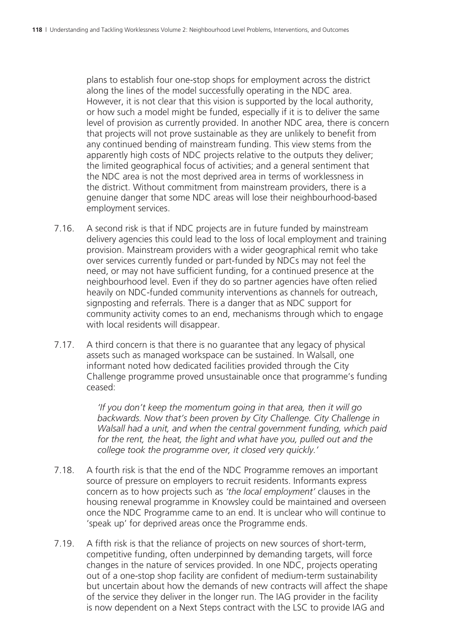plans to establish four one-stop shops for employment across the district along the lines of the model successfully operating in the NDC area. However, it is not clear that this vision is supported by the local authority, or how such a model might be funded, especially if it is to deliver the same level of provision as currently provided. In another NDC area, there is concern that projects will not prove sustainable as they are unlikely to benefit from any continued bending of mainstream funding. This view stems from the apparently high costs of NDC projects relative to the outputs they deliver; the limited geographical focus of activities; and a general sentiment that the NDC area is not the most deprived area in terms of worklessness in the district. Without commitment from mainstream providers, there is a genuine danger that some NDC areas will lose their neighbourhood-based employment services.

- 7.16. A second risk is that if NDC projects are in future funded by mainstream delivery agencies this could lead to the loss of local employment and training provision. Mainstream providers with a wider geographical remit who take over services currently funded or part-funded by NDCs may not feel the need, or may not have sufficient funding, for a continued presence at the neighbourhood level. Even if they do so partner agencies have often relied heavily on NDC-funded community interventions as channels for outreach, signposting and referrals. There is a danger that as NDC support for community activity comes to an end, mechanisms through which to engage with local residents will disappear.
- 7.17. A third concern is that there is no guarantee that any legacy of physical assets such as managed workspace can be sustained. In Walsall, one informant noted how dedicated facilities provided through the City Challenge programme proved unsustainable once that programme's funding ceased:

*'If you don't keep the momentum going in that area, then it will go backwards. Now that's been proven by City Challenge. City Challenge in Walsall had a unit, and when the central government funding, which paid for the rent, the heat, the light and what have you, pulled out and the college took the programme over, it closed very quickly.'*

- 7.18. A fourth risk is that the end of the NDC Programme removes an important source of pressure on employers to recruit residents. Informants express concern as to how projects such as *'the local employment'* clauses in the housing renewal programme in Knowsley could be maintained and overseen once the NDC Programme came to an end. It is unclear who will continue to 'speak up' for deprived areas once the Programme ends.
- 7.19. A fifth risk is that the reliance of projects on new sources of short-term, competitive funding, often underpinned by demanding targets, will force changes in the nature of services provided. In one NDC, projects operating out of a one-stop shop facility are confident of medium-term sustainability but uncertain about how the demands of new contracts will affect the shape of the service they deliver in the longer run. The IAG provider in the facility is now dependent on a Next Steps contract with the LSC to provide IAG and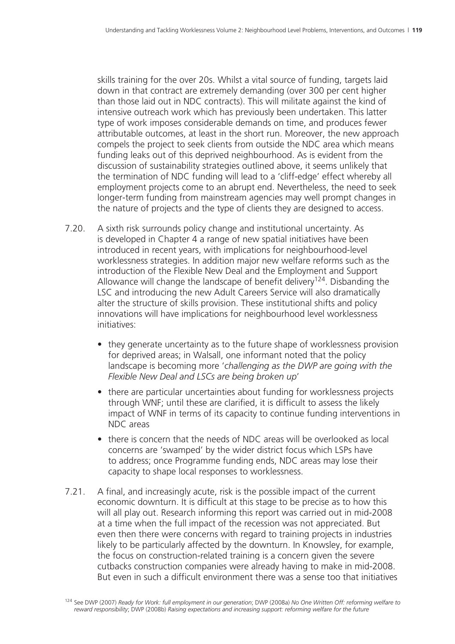skills training for the over 20s. Whilst a vital source of funding, targets laid down in that contract are extremely demanding (over 300 per cent higher than those laid out in NDC contracts). This will militate against the kind of intensive outreach work which has previously been undertaken. This latter type of work imposes considerable demands on time, and produces fewer attributable outcomes, at least in the short run. Moreover, the new approach compels the project to seek clients from outside the NDC area which means funding leaks out of this deprived neighbourhood. As is evident from the discussion of sustainability strategies outlined above, it seems unlikely that the termination of NDC funding will lead to a 'cliff-edge' effect whereby all employment projects come to an abrupt end. Nevertheless, the need to seek longer-term funding from mainstream agencies may well prompt changes in the nature of projects and the type of clients they are designed to access.

- 7.20. A sixth risk surrounds policy change and institutional uncertainty. As is developed in Chapter 4 a range of new spatial initiatives have been introduced in recent years, with implications for neighbourhood-level worklessness strategies. In addition major new welfare reforms such as the introduction of the Flexible New Deal and the Employment and Support Allowance will change the landscape of benefit delivery<sup>124</sup>. Disbanding the LSC and introducing the new Adult Careers Service will also dramatically alter the structure of skills provision. These institutional shifts and policy innovations will have implications for neighbourhood level worklessness initiatives:
	- they generate uncertainty as to the future shape of worklessness provision for deprived areas; in Walsall, one informant noted that the policy landscape is becoming more '*challenging as the DWP are going with the Flexible New Deal and LSCs are being broken up*'
	- there are particular uncertainties about funding for worklessness projects through WNF; until these are clarified, it is difficult to assess the likely impact of WNF in terms of its capacity to continue funding interventions in NDC areas
	- there is concern that the needs of NDC areas will be overlooked as local concerns are 'swamped' by the wider district focus which LSPs have to address; once Programme funding ends, NDC areas may lose their capacity to shape local responses to worklessness.
- 7.21. A final, and increasingly acute, risk is the possible impact of the current economic downturn. It is difficult at this stage to be precise as to how this will all play out. Research informing this report was carried out in mid-2008 at a time when the full impact of the recession was not appreciated. But even then there were concerns with regard to training projects in industries likely to be particularly affected by the downturn. In Knowsley, for example, the focus on construction-related training is a concern given the severe cutbacks construction companies were already having to make in mid-2008. But even in such a difficult environment there was a sense too that initiatives

<sup>124</sup> See DWP (2007) *Ready for Work: full employment in our generation*; DWP (2008a) *No One Written Off: reforming welfare to reward responsibility*; DWP (2008b) *Raising expectations and increasing support: reforming welfare for the future*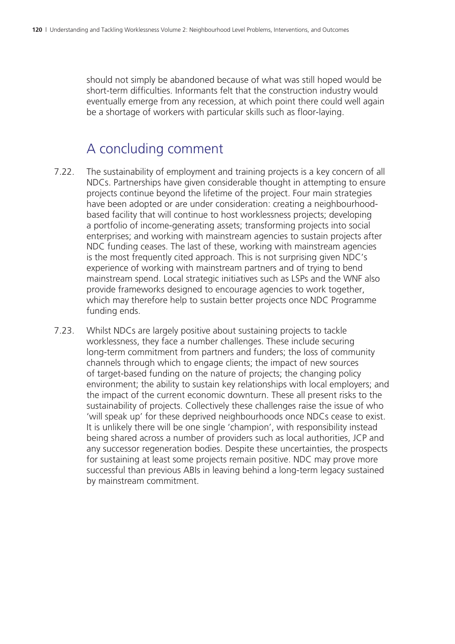should not simply be abandoned because of what was still hoped would be short-term difficulties. Informants felt that the construction industry would eventually emerge from any recession, at which point there could well again be a shortage of workers with particular skills such as floor-laying.

#### A concluding comment

- 7.22. The sustainability of employment and training projects is a key concern of all NDCs. Partnerships have given considerable thought in attempting to ensure projects continue beyond the lifetime of the project. Four main strategies have been adopted or are under consideration: creating a neighbourhoodbased facility that will continue to host worklessness projects; developing a portfolio of income-generating assets; transforming projects into social enterprises; and working with mainstream agencies to sustain projects after NDC funding ceases. The last of these, working with mainstream agencies is the most frequently cited approach. This is not surprising given NDC's experience of working with mainstream partners and of trying to bend mainstream spend. Local strategic initiatives such as LSPs and the WNF also provide frameworks designed to encourage agencies to work together, which may therefore help to sustain better projects once NDC Programme funding ends.
- 7.23. Whilst NDCs are largely positive about sustaining projects to tackle worklessness, they face a number challenges. These include securing long-term commitment from partners and funders; the loss of community channels through which to engage clients; the impact of new sources of target-based funding on the nature of projects; the changing policy environment; the ability to sustain key relationships with local employers; and the impact of the current economic downturn. These all present risks to the sustainability of projects. Collectively these challenges raise the issue of who 'will speak up' for these deprived neighbourhoods once NDCs cease to exist. It is unlikely there will be one single 'champion', with responsibility instead being shared across a number of providers such as local authorities, JCP and any successor regeneration bodies. Despite these uncertainties, the prospects for sustaining at least some projects remain positive. NDC may prove more successful than previous ABIs in leaving behind a long-term legacy sustained by mainstream commitment.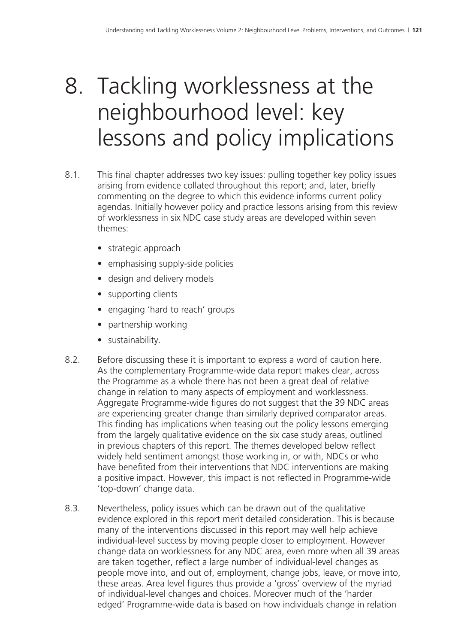## 8. Tackling worklessness at the neighbourhood level: key lessons and policy implications

- 8.1. This final chapter addresses two key issues: pulling together key policy issues arising from evidence collated throughout this report; and, later, briefly commenting on the degree to which this evidence informs current policy agendas. Initially however policy and practice lessons arising from this review of worklessness in six NDC case study areas are developed within seven themes:
	- strategic approach
	- emphasising supply-side policies
	- design and delivery models
	- supporting clients
	- engaging 'hard to reach' groups
	- partnership working
	- sustainability.
- 8.2. Before discussing these it is important to express a word of caution here. As the complementary Programme-wide data report makes clear, across the Programme as a whole there has not been a great deal of relative change in relation to many aspects of employment and worklessness. Aggregate Programme-wide figures do not suggest that the 39 NDC areas are experiencing greater change than similarly deprived comparator areas. This finding has implications when teasing out the policy lessons emerging from the largely qualitative evidence on the six case study areas, outlined in previous chapters of this report. The themes developed below reflect widely held sentiment amongst those working in, or with, NDCs or who have benefited from their interventions that NDC interventions are making a positive impact. However, this impact is not reflected in Programme-wide 'top-down' change data.
- 8.3. Nevertheless, policy issues which can be drawn out of the qualitative evidence explored in this report merit detailed consideration. This is because many of the interventions discussed in this report may well help achieve individual-level success by moving people closer to employment. However change data on worklessness for any NDC area, even more when all 39 areas are taken together, reflect a large number of individual-level changes as people move into, and out of, employment, change jobs, leave, or move into, these areas. Area level figures thus provide a 'gross' overview of the myriad of individual-level changes and choices. Moreover much of the 'harder edged' Programme-wide data is based on how individuals change in relation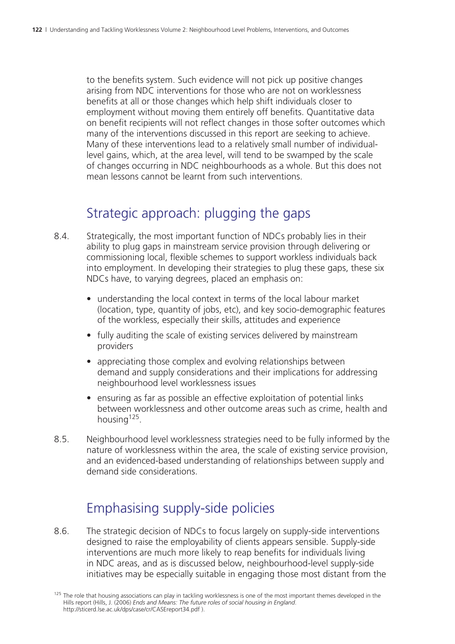to the benefits system. Such evidence will not pick up positive changes arising from NDC interventions for those who are not on worklessness benefits at all or those changes which help shift individuals closer to employment without moving them entirely off benefits. Quantitative data on benefit recipients will not reflect changes in those softer outcomes which many of the interventions discussed in this report are seeking to achieve. Many of these interventions lead to a relatively small number of individuallevel gains, which, at the area level, will tend to be swamped by the scale of changes occurring in NDC neighbourhoods as a whole. But this does not mean lessons cannot be learnt from such interventions.

#### Strategic approach: plugging the gaps

- 8.4. Strategically, the most important function of NDCs probably lies in their ability to plug gaps in mainstream service provision through delivering or commissioning local, flexible schemes to support workless individuals back into employment. In developing their strategies to plug these gaps, these six NDCs have, to varying degrees, placed an emphasis on:
	- understanding the local context in terms of the local labour market (location, type, quantity of jobs, etc), and key socio-demographic features of the workless, especially their skills, attitudes and experience
	- fully auditing the scale of existing services delivered by mainstream providers
	- appreciating those complex and evolving relationships between demand and supply considerations and their implications for addressing neighbourhood level worklessness issues
	- ensuring as far as possible an effective exploitation of potential links between worklessness and other outcome areas such as crime, health and housing  $125$ .
- 8.5. Neighbourhood level worklessness strategies need to be fully informed by the nature of worklessness within the area, the scale of existing service provision, and an evidenced-based understanding of relationships between supply and demand side considerations.

## Emphasising supply-side policies

8.6. The strategic decision of NDCs to focus largely on supply-side interventions designed to raise the employability of clients appears sensible. Supply-side interventions are much more likely to reap benefits for individuals living in NDC areas, and as is discussed below, neighbourhood-level supply-side initiatives may be especially suitable in engaging those most distant from the

<sup>&</sup>lt;sup>125</sup> The role that housing associations can play in tackling worklessness is one of the most important themes developed in the Hills report (Hills, J. (2006) *Ends and Means: The future roles of social housing in England*. http://sticerd.lse.ac.uk/dps/case/cr/CASEreport34.pdf ).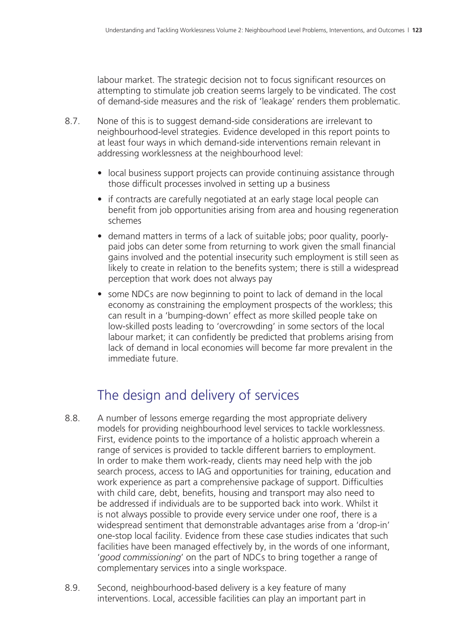labour market. The strategic decision not to focus significant resources on attempting to stimulate job creation seems largely to be vindicated. The cost of demand-side measures and the risk of 'leakage' renders them problematic.

- 8.7. None of this is to suggest demand-side considerations are irrelevant to neighbourhood-level strategies. Evidence developed in this report points to at least four ways in which demand-side interventions remain relevant in addressing worklessness at the neighbourhood level:
	- local business support projects can provide continuing assistance through those difficult processes involved in setting up a business
	- if contracts are carefully negotiated at an early stage local people can benefit from job opportunities arising from area and housing regeneration schemes
	- demand matters in terms of a lack of suitable jobs; poor quality, poorlypaid jobs can deter some from returning to work given the small financial gains involved and the potential insecurity such employment is still seen as likely to create in relation to the benefits system; there is still a widespread perception that work does not always pay
	- some NDCs are now beginning to point to lack of demand in the local economy as constraining the employment prospects of the workless; this can result in a 'bumping-down' effect as more skilled people take on low-skilled posts leading to 'overcrowding' in some sectors of the local labour market; it can confidently be predicted that problems arising from lack of demand in local economies will become far more prevalent in the immediate future.

#### The design and delivery of services

- 8.8. A number of lessons emerge regarding the most appropriate delivery models for providing neighbourhood level services to tackle worklessness. First, evidence points to the importance of a holistic approach wherein a range of services is provided to tackle different barriers to employment. In order to make them work-ready, clients may need help with the job search process, access to IAG and opportunities for training, education and work experience as part a comprehensive package of support. Difficulties with child care, debt, benefits, housing and transport may also need to be addressed if individuals are to be supported back into work. Whilst it is not always possible to provide every service under one roof, there is a widespread sentiment that demonstrable advantages arise from a 'drop-in' one-stop local facility. Evidence from these case studies indicates that such facilities have been managed effectively by, in the words of one informant, '*good commissioning*' on the part of NDCs to bring together a range of complementary services into a single workspace.
- 8.9. Second, neighbourhood-based delivery is a key feature of many interventions. Local, accessible facilities can play an important part in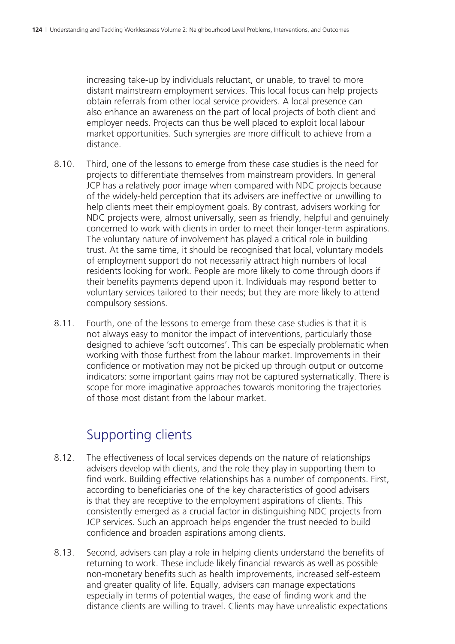increasing take-up by individuals reluctant, or unable, to travel to more distant mainstream employment services. This local focus can help projects obtain referrals from other local service providers. A local presence can also enhance an awareness on the part of local projects of both client and employer needs. Projects can thus be well placed to exploit local labour market opportunities. Such synergies are more difficult to achieve from a distance.

- 8.10. Third, one of the lessons to emerge from these case studies is the need for projects to differentiate themselves from mainstream providers. In general JCP has a relatively poor image when compared with NDC projects because of the widely-held perception that its advisers are ineffective or unwilling to help clients meet their employment goals. By contrast, advisers working for NDC projects were, almost universally, seen as friendly, helpful and genuinely concerned to work with clients in order to meet their longer-term aspirations. The voluntary nature of involvement has played a critical role in building trust. At the same time, it should be recognised that local, voluntary models of employment support do not necessarily attract high numbers of local residents looking for work. People are more likely to come through doors if their benefits payments depend upon it. Individuals may respond better to voluntary services tailored to their needs; but they are more likely to attend compulsory sessions.
- 8.11. Fourth, one of the lessons to emerge from these case studies is that it is not always easy to monitor the impact of interventions, particularly those designed to achieve 'soft outcomes'. This can be especially problematic when working with those furthest from the labour market. Improvements in their confidence or motivation may not be picked up through output or outcome indicators: some important gains may not be captured systematically. There is scope for more imaginative approaches towards monitoring the trajectories of those most distant from the labour market.

#### Supporting clients

- 8.12. The effectiveness of local services depends on the nature of relationships advisers develop with clients, and the role they play in supporting them to find work. Building effective relationships has a number of components. First, according to beneficiaries one of the key characteristics of good advisers is that they are receptive to the employment aspirations of clients. This consistently emerged as a crucial factor in distinguishing NDC projects from JCP services. Such an approach helps engender the trust needed to build confidence and broaden aspirations among clients.
- 8.13. Second, advisers can play a role in helping clients understand the benefits of returning to work. These include likely financial rewards as well as possible non-monetary benefits such as health improvements, increased self-esteem and greater quality of life. Equally, advisers can manage expectations especially in terms of potential wages, the ease of finding work and the distance clients are willing to travel. Clients may have unrealistic expectations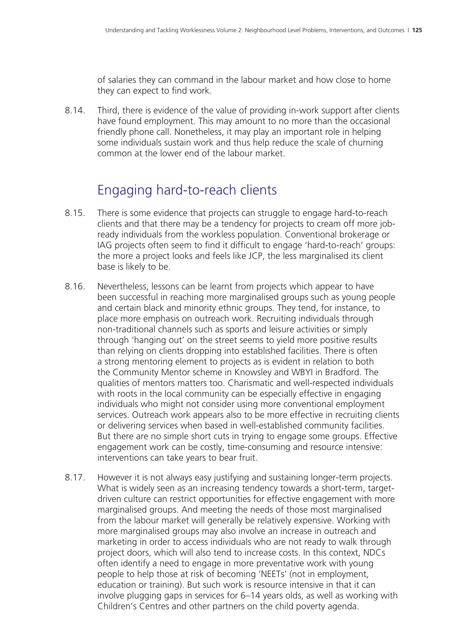of salaries they can command in the labour market and how close to home they can expect to find work.

8.14. Third, there is evidence of the value of providing in-work support after clients have found employment. This may amount to no more than the occasional friendly phone call. Nonetheless, it may play an important role in helping some individuals sustain work and thus help reduce the scale of churning common at the lower end of the labour market.

#### Engaging hard-to-reach clients

- 8.15. There is some evidence that projects can struggle to engage hard-to-reach clients and that there may be a tendency for projects to cream off more jobready individuals from the workless population. Conventional brokerage or IAG projects often seem to find it difficult to engage 'hard-to-reach' groups: the more a project looks and feels like JCP, the less marginalised its client base is likely to be.
- 8.16. Nevertheless, lessons can be learnt from projects which appear to have been successful in reaching more marginalised groups such as young people and certain black and minority ethnic groups. They tend, for instance, to place more emphasis on outreach work. Recruiting individuals through non-traditional channels such as sports and leisure activities or simply through 'hanging out' on the street seems to yield more positive results than relying on clients dropping into established facilities. There is often a strong mentoring element to projects as is evident in relation to both the Community Mentor scheme in Knowsley and WBYI in Bradford. The qualities of mentors matters too. Charismatic and well-respected individuals with roots in the local community can be especially effective in engaging individuals who might not consider using more conventional employment services. Outreach work appears also to be more effective in recruiting clients or delivering services when based in well-established community facilities. But there are no simple short cuts in trying to engage some groups. Effective engagement work can be costly, time-consuming and resource intensive: interventions can take years to bear fruit.
- 8.17. However it is not always easy justifying and sustaining longer-term projects. What is widely seen as an increasing tendency towards a short-term, targetdriven culture can restrict opportunities for effective engagement with more marginalised groups. And meeting the needs of those most marginalised from the labour market will generally be relatively expensive. Working with more marginalised groups may also involve an increase in outreach and marketing in order to access individuals who are not ready to walk through project doors, which will also tend to increase costs. In this context, NDCs often identify a need to engage in more preventative work with young people to help those at risk of becoming 'NEETs' (not in employment, education or training). But such work is resource intensive in that it can involve plugging gaps in services for 6–14 years olds, as well as working with Children's Centres and other partners on the child poverty agenda.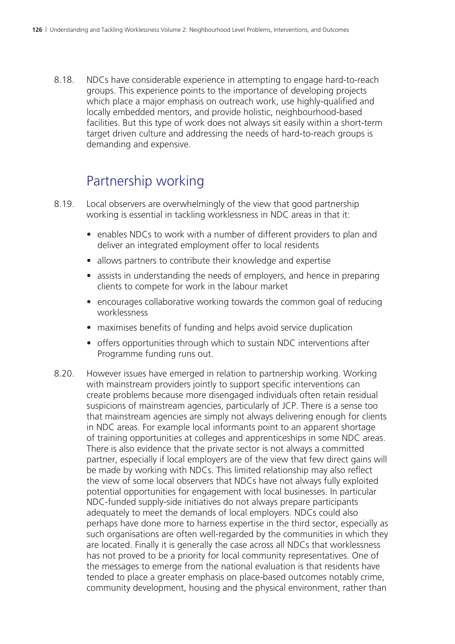8.18. NDCs have considerable experience in attempting to engage hard-to-reach groups. This experience points to the importance of developing projects which place a major emphasis on outreach work, use highly-qualified and locally embedded mentors, and provide holistic, neighbourhood-based facilities. But this type of work does not always sit easily within a short-term target driven culture and addressing the needs of hard-to-reach groups is demanding and expensive.

### Partnership working

- 8.19. Local observers are overwhelmingly of the view that good partnership working is essential in tackling worklessness in NDC areas in that it:
	- enables NDCs to work with a number of different providers to plan and deliver an integrated employment offer to local residents
	- allows partners to contribute their knowledge and expertise
	- assists in understanding the needs of employers, and hence in preparing clients to compete for work in the labour market
	- encourages collaborative working towards the common goal of reducing worklessness
	- maximises benefits of funding and helps avoid service duplication
	- offers opportunities through which to sustain NDC interventions after Programme funding runs out.
- 8.20. However issues have emerged in relation to partnership working. Working with mainstream providers jointly to support specific interventions can create problems because more disengaged individuals often retain residual suspicions of mainstream agencies, particularly of JCP. There is a sense too that mainstream agencies are simply not always delivering enough for clients in NDC areas. For example local informants point to an apparent shortage of training opportunities at colleges and apprenticeships in some NDC areas. There is also evidence that the private sector is not always a committed partner, especially if local employers are of the view that few direct gains will be made by working with NDCs. This limited relationship may also reflect the view of some local observers that NDCs have not always fully exploited potential opportunities for engagement with local businesses. In particular NDC-funded supply-side initiatives do not always prepare participants adequately to meet the demands of local employers. NDCs could also perhaps have done more to harness expertise in the third sector, especially as such organisations are often well-regarded by the communities in which they are located. Finally it is generally the case across all NDCs that worklessness has not proved to be a priority for local community representatives. One of the messages to emerge from the national evaluation is that residents have tended to place a greater emphasis on place-based outcomes notably crime, community development, housing and the physical environment, rather than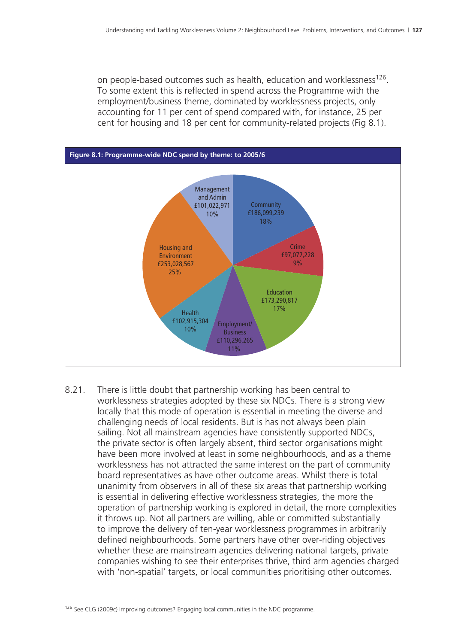on people-based outcomes such as health, education and worklessness<sup>126</sup>. To some extent this is reflected in spend across the Programme with the employment/business theme, dominated by worklessness projects, only accounting for 11 per cent of spend compared with, for instance, 25 per cent for housing and 18 per cent for community-related projects (Fig 8.1).



8.21. There is little doubt that partnership working has been central to worklessness strategies adopted by these six NDCs. There is a strong view locally that this mode of operation is essential in meeting the diverse and challenging needs of local residents. But is has not always been plain sailing. Not all mainstream agencies have consistently supported NDCs, the private sector is often largely absent, third sector organisations might have been more involved at least in some neighbourhoods, and as a theme worklessness has not attracted the same interest on the part of community board representatives as have other outcome areas. Whilst there is total unanimity from observers in all of these six areas that partnership working is essential in delivering effective worklessness strategies, the more the operation of partnership working is explored in detail, the more complexities it throws up. Not all partners are willing, able or committed substantially to improve the delivery of ten-year worklessness programmes in arbitrarily defined neighbourhoods. Some partners have other over-riding objectives whether these are mainstream agencies delivering national targets, private companies wishing to see their enterprises thrive, third arm agencies charged with 'non-spatial' targets, or local communities prioritising other outcomes.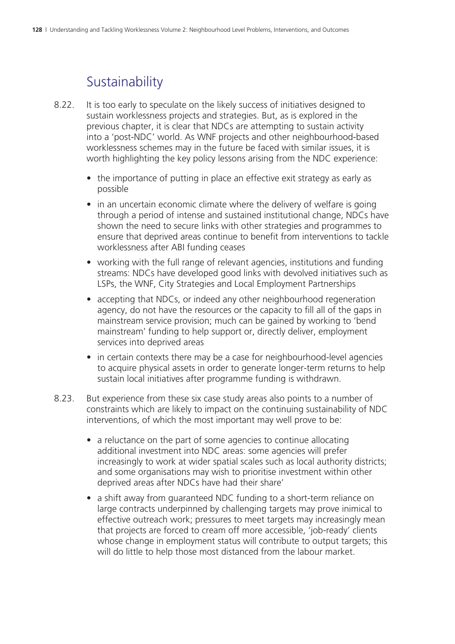#### **Sustainability**

- 8.22. It is too early to speculate on the likely success of initiatives designed to sustain worklessness projects and strategies. But, as is explored in the previous chapter, it is clear that NDCs are attempting to sustain activity into a 'post-NDC' world. As WNF projects and other neighbourhood-based worklessness schemes may in the future be faced with similar issues, it is worth highlighting the key policy lessons arising from the NDC experience:
	- the importance of putting in place an effective exit strategy as early as possible
	- in an uncertain economic climate where the delivery of welfare is going through a period of intense and sustained institutional change, NDCs have shown the need to secure links with other strategies and programmes to ensure that deprived areas continue to benefit from interventions to tackle worklessness after ABI funding ceases
	- working with the full range of relevant agencies, institutions and funding streams: NDCs have developed good links with devolved initiatives such as LSPs, the WNF, City Strategies and Local Employment Partnerships
	- accepting that NDCs, or indeed any other neighbourhood regeneration agency, do not have the resources or the capacity to fill all of the gaps in mainstream service provision; much can be gained by working to 'bend mainstream' funding to help support or, directly deliver, employment services into deprived areas
	- in certain contexts there may be a case for neighbourhood-level agencies to acquire physical assets in order to generate longer-term returns to help sustain local initiatives after programme funding is withdrawn.
- 8.23. But experience from these six case study areas also points to a number of constraints which are likely to impact on the continuing sustainability of NDC interventions, of which the most important may well prove to be:
	- a reluctance on the part of some agencies to continue allocating additional investment into NDC areas: some agencies will prefer increasingly to work at wider spatial scales such as local authority districts; and some organisations may wish to prioritise investment within other deprived areas after NDCs have had their share'
	- a shift away from guaranteed NDC funding to a short-term reliance on large contracts underpinned by challenging targets may prove inimical to effective outreach work; pressures to meet targets may increasingly mean that projects are forced to cream off more accessible, 'job-ready' clients whose change in employment status will contribute to output targets; this will do little to help those most distanced from the labour market.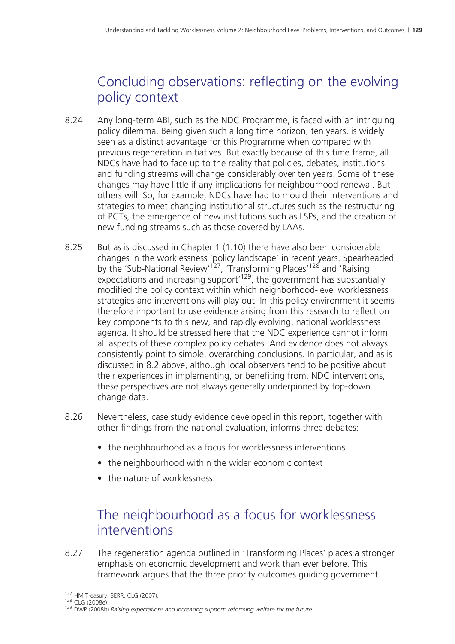### Concluding observations: reflecting on the evolving policy context

- 8.24. Any long-term ABI, such as the NDC Programme, is faced with an intriguing policy dilemma. Being given such a long time horizon, ten years, is widely seen as a distinct advantage for this Programme when compared with previous regeneration initiatives. But exactly because of this time frame, all NDCs have had to face up to the reality that policies, debates, institutions and funding streams will change considerably over ten years. Some of these changes may have little if any implications for neighbourhood renewal. But others will. So, for example, NDCs have had to mould their interventions and strategies to meet changing institutional structures such as the restructuring of PCTs, the emergence of new institutions such as LSPs, and the creation of new funding streams such as those covered by LAAs.
- 8.25. But as is discussed in Chapter 1 (1.10) there have also been considerable changes in the worklessness 'policy landscape' in recent years. Spearheaded by the 'Sub-National Review'<sup>127</sup>, 'Transforming Places'<sup>128</sup> and 'Raising expectations and increasing support<sup>'129</sup>, the government has substantially modified the policy context within which neighborhood-level worklessness strategies and interventions will play out. In this policy environment it seems therefore important to use evidence arising from this research to reflect on key components to this new, and rapidly evolving, national worklessness agenda. It should be stressed here that the NDC experience cannot inform all aspects of these complex policy debates. And evidence does not always consistently point to simple, overarching conclusions. In particular, and as is discussed in 8.2 above, although local observers tend to be positive about their experiences in implementing, or benefiting from, NDC interventions, these perspectives are not always generally underpinned by top-down change data.
- 8.26. Nevertheless, case study evidence developed in this report, together with other findings from the national evaluation, informs three debates:
	- the neighbourhood as a focus for worklessness interventions
	- the neighbourhood within the wider economic context
	- the nature of worklessness.

#### The neighbourhood as a focus for worklessness interventions

8.27. The regeneration agenda outlined in 'Transforming Places' places a stronger emphasis on economic development and work than ever before. This framework argues that the three priority outcomes guiding government

<sup>1&</sup>lt;sup>27</sup> HM Treasury, BERR, CLG (2007).<br><sup>128</sup> CLG (2008e).<br><sup>129</sup> DWP (2008b) *Raising expectations and increasing support: reforming welfare for the future.*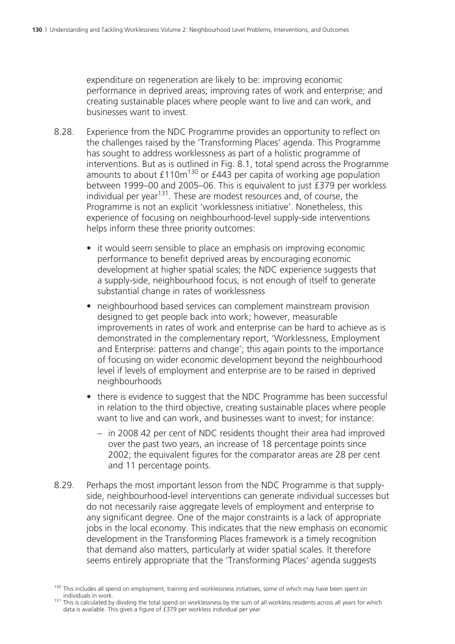expenditure on regeneration are likely to be: improving economic performance in deprived areas; improving rates of work and enterprise; and creating sustainable places where people want to live and can work, and businesses want to invest.

- 8.28. Experience from the NDC Programme provides an opportunity to reflect on the challenges raised by the 'Transforming Places' agenda. This Programme has sought to address worklessness as part of a holistic programme of interventions. But as is outlined in Fig. 8.1, total spend across the Programme amounts to about  $£110m^{130}$  or  $£443$  per capita of working age population between 1999–00 and 2005–06. This is equivalent to just £379 per workless individual per year<sup>131</sup>. These are modest resources and, of course, the Programme is not an explicit 'worklessness initiative'. Nonetheless, this experience of focusing on neighbourhood-level supply-side interventions helps inform these three priority outcomes:
	- it would seem sensible to place an emphasis on improving economic performance to benefit deprived areas by encouraging economic development at higher spatial scales; the NDC experience suggests that a supply-side, neighbourhood focus, is not enough of itself to generate substantial change in rates of worklessness
	- neighbourhood based services can complement mainstream provision designed to get people back into work; however, measurable improvements in rates of work and enterprise can be hard to achieve as is demonstrated in the complementary report, 'Worklessness, Employment and Enterprise: patterns and change'; this again points to the importance of focusing on wider economic development beyond the neighbourhood level if levels of employment and enterprise are to be raised in deprived neighbourhoods
	- there is evidence to suggest that the NDC Programme has been successful in relation to the third objective, creating sustainable places where people want to live and can work, and businesses want to invest; for instance:
		- in 2008 42 per cent of NDC residents thought their area had improved over the past two years, an increase of 18 percentage points since 2002; the equivalent figures for the comparator areas are 28 per cent and 11 percentage points.
- 8.29. Perhaps the most important lesson from the NDC Programme is that supplyside, neighbourhood-level interventions can generate individual successes but do not necessarily raise aggregate levels of employment and enterprise to any significant degree. One of the major constraints is a lack of appropriate jobs in the local economy. This indicates that the new emphasis on economic development in the Transforming Places framework is a timely recognition that demand also matters, particularly at wider spatial scales. It therefore seems entirely appropriate that the 'Transforming Places' agenda suggests

 $130$  This includes all spend on employment, training and worklessness initiatives, some of which may have been spent on individuals in work.

<sup>131</sup> This is calculated by dividing the total spend on worklessness by the sum of all workless residents across all years for which data is available. This gives a figure of  $\angle$  £379 per workless individual per year.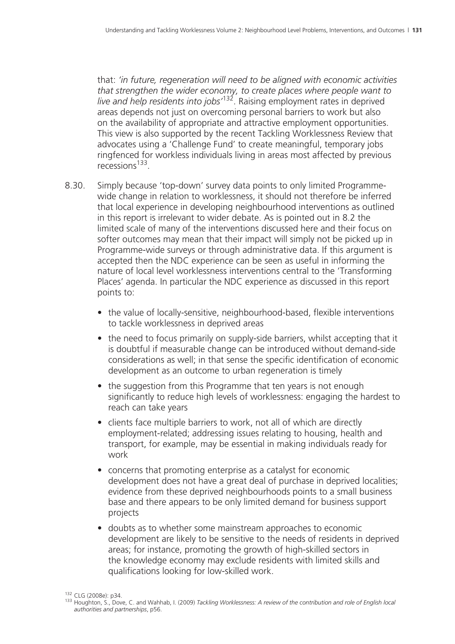that: *'in future, regeneration will need to be aligned with economic activities that strengthen the wider economy, to create places where people want to live and help residents into jobs'*132. Raising employment rates in deprived areas depends not just on overcoming personal barriers to work but also on the availability of appropriate and attractive employment opportunities. This view is also supported by the recent Tackling Worklessness Review that advocates using a 'Challenge Fund' to create meaningful, temporary jobs ringfenced for workless individuals living in areas most affected by previous recessions133.

- 8.30. Simply because 'top-down' survey data points to only limited Programmewide change in relation to worklessness, it should not therefore be inferred that local experience in developing neighbourhood interventions as outlined in this report is irrelevant to wider debate. As is pointed out in 8.2 the limited scale of many of the interventions discussed here and their focus on softer outcomes may mean that their impact will simply not be picked up in Programme-wide surveys or through administrative data. If this argument is accepted then the NDC experience can be seen as useful in informing the nature of local level worklessness interventions central to the 'Transforming Places' agenda. In particular the NDC experience as discussed in this report points to:
	- the value of locally-sensitive, neighbourhood-based, flexible interventions to tackle worklessness in deprived areas
	- the need to focus primarily on supply-side barriers, whilst accepting that it is doubtful if measurable change can be introduced without demand-side considerations as well; in that sense the specific identification of economic development as an outcome to urban regeneration is timely
	- the suggestion from this Programme that ten years is not enough significantly to reduce high levels of worklessness: engaging the hardest to reach can take years
	- clients face multiple barriers to work, not all of which are directly employment-related; addressing issues relating to housing, health and transport, for example, may be essential in making individuals ready for work
	- concerns that promoting enterprise as a catalyst for economic development does not have a great deal of purchase in deprived localities; evidence from these deprived neighbourhoods points to a small business base and there appears to be only limited demand for business support projects
	- doubts as to whether some mainstream approaches to economic development are likely to be sensitive to the needs of residents in deprived areas; for instance, promoting the growth of high-skilled sectors in the knowledge economy may exclude residents with limited skills and qualifications looking for low-skilled work.

<sup>&</sup>lt;sup>132</sup> CLG (2008e): p34.<br><sup>133</sup> Houghton, S., Dove, C. and Wahhab, I. (2009) *Tackling Worklessness: A review of the contribution and role of English local authorities and partnerships*, p56.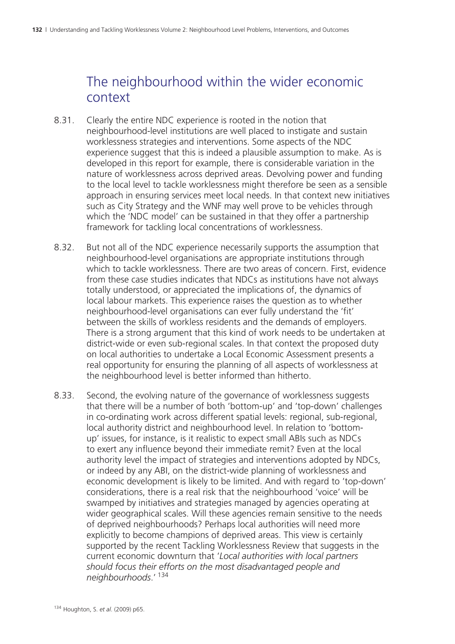#### The neighbourhood within the wider economic context

- 8.31. Clearly the entire NDC experience is rooted in the notion that neighbourhood-level institutions are well placed to instigate and sustain worklessness strategies and interventions. Some aspects of the NDC experience suggest that this is indeed a plausible assumption to make. As is developed in this report for example, there is considerable variation in the nature of worklessness across deprived areas. Devolving power and funding to the local level to tackle worklessness might therefore be seen as a sensible approach in ensuring services meet local needs. In that context new initiatives such as City Strategy and the WNF may well prove to be vehicles through which the 'NDC model' can be sustained in that they offer a partnership framework for tackling local concentrations of worklessness.
- 8.32. But not all of the NDC experience necessarily supports the assumption that neighbourhood-level organisations are appropriate institutions through which to tackle worklessness. There are two areas of concern. First, evidence from these case studies indicates that NDCs as institutions have not always totally understood, or appreciated the implications of, the dynamics of local labour markets. This experience raises the question as to whether neighbourhood-level organisations can ever fully understand the 'fit' between the skills of workless residents and the demands of employers. There is a strong argument that this kind of work needs to be undertaken at district-wide or even sub-regional scales. In that context the proposed duty on local authorities to undertake a Local Economic Assessment presents a real opportunity for ensuring the planning of all aspects of worklessness at the neighbourhood level is better informed than hitherto.
- 8.33. Second, the evolving nature of the governance of worklessness suggests that there will be a number of both 'bottom-up' and 'top-down' challenges in co-ordinating work across different spatial levels: regional, sub-regional, local authority district and neighbourhood level. In relation to 'bottomup' issues, for instance, is it realistic to expect small ABIs such as NDCs to exert any influence beyond their immediate remit? Even at the local authority level the impact of strategies and interventions adopted by NDCs, or indeed by any ABI, on the district-wide planning of worklessness and economic development is likely to be limited. And with regard to 'top-down' considerations, there is a real risk that the neighbourhood 'voice' will be swamped by initiatives and strategies managed by agencies operating at wider geographical scales. Will these agencies remain sensitive to the needs of deprived neighbourhoods? Perhaps local authorities will need more explicitly to become champions of deprived areas. This view is certainly supported by the recent Tackling Worklessness Review that suggests in the current economic downturn that '*Local authorities with local partners should focus their efforts on the most disadvantaged people and neighbourhoods*.'<sup>134</sup>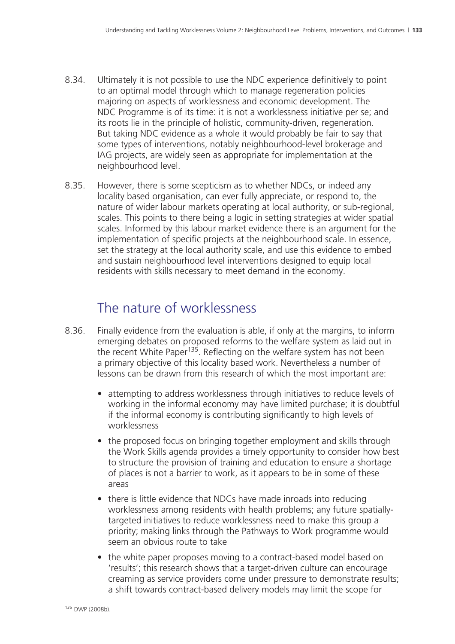- 8.34. Ultimately it is not possible to use the NDC experience definitively to point to an optimal model through which to manage regeneration policies majoring on aspects of worklessness and economic development. The NDC Programme is of its time: it is not a worklessness initiative per se; and its roots lie in the principle of holistic, community-driven, regeneration. But taking NDC evidence as a whole it would probably be fair to say that some types of interventions, notably neighbourhood-level brokerage and IAG projects, are widely seen as appropriate for implementation at the neighbourhood level.
- 8.35. However, there is some scepticism as to whether NDCs, or indeed any locality based organisation, can ever fully appreciate, or respond to, the nature of wider labour markets operating at local authority, or sub-regional, scales. This points to there being a logic in setting strategies at wider spatial scales. Informed by this labour market evidence there is an argument for the implementation of specific projects at the neighbourhood scale. In essence, set the strategy at the local authority scale, and use this evidence to embed and sustain neighbourhood level interventions designed to equip local residents with skills necessary to meet demand in the economy.

#### The nature of worklessness

- 8.36. Finally evidence from the evaluation is able, if only at the margins, to inform emerging debates on proposed reforms to the welfare system as laid out in the recent White Paper<sup>135</sup>. Reflecting on the welfare system has not been a primary objective of this locality based work. Nevertheless a number of lessons can be drawn from this research of which the most important are:
	- attempting to address worklessness through initiatives to reduce levels of working in the informal economy may have limited purchase; it is doubtful if the informal economy is contributing significantly to high levels of worklessness
	- the proposed focus on bringing together employment and skills through the Work Skills agenda provides a timely opportunity to consider how best to structure the provision of training and education to ensure a shortage of places is not a barrier to work, as it appears to be in some of these areas
	- there is little evidence that NDCs have made inroads into reducing worklessness among residents with health problems; any future spatiallytargeted initiatives to reduce worklessness need to make this group a priority; making links through the Pathways to Work programme would seem an obvious route to take
	- the white paper proposes moving to a contract-based model based on 'results'; this research shows that a target-driven culture can encourage creaming as service providers come under pressure to demonstrate results; a shift towards contract-based delivery models may limit the scope for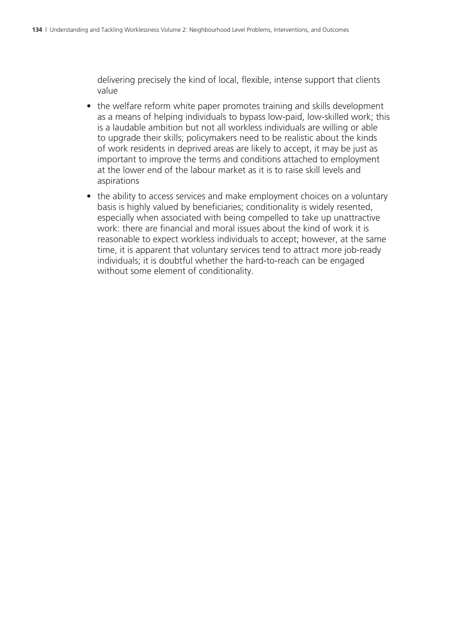delivering precisely the kind of local, flexible, intense support that clients value

- the welfare reform white paper promotes training and skills development as a means of helping individuals to bypass low-paid, low-skilled work; this is a laudable ambition but not all workless individuals are willing or able to upgrade their skills; policymakers need to be realistic about the kinds of work residents in deprived areas are likely to accept, it may be just as important to improve the terms and conditions attached to employment at the lower end of the labour market as it is to raise skill levels and aspirations
- the ability to access services and make employment choices on a voluntary basis is highly valued by beneficiaries; conditionality is widely resented, especially when associated with being compelled to take up unattractive work: there are financial and moral issues about the kind of work it is reasonable to expect workless individuals to accept; however, at the same time, it is apparent that voluntary services tend to attract more job-ready individuals; it is doubtful whether the hard-to-reach can be engaged without some element of conditionality.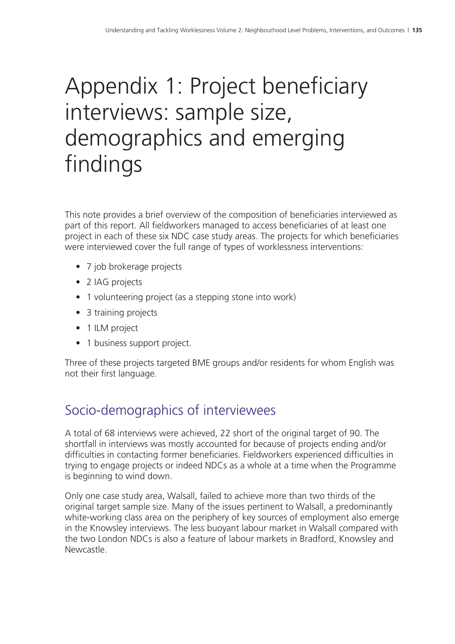## Appendix 1: Project beneficiary interviews: sample size, demographics and emerging findings

This note provides a brief overview of the composition of beneficiaries interviewed as part of this report. All fieldworkers managed to access beneficiaries of at least one project in each of these six NDC case study areas. The projects for which beneficiaries were interviewed cover the full range of types of worklessness interventions:

- 7 job brokerage projects
- 2 IAG projects
- 1 volunteering project (as a stepping stone into work)
- 3 training projects
- 1 ILM project
- 1 business support project.

Three of these projects targeted BME groups and/or residents for whom English was not their first language.

### Socio-demographics of interviewees

A total of 68 interviews were achieved, 22 short of the original target of 90. The shortfall in interviews was mostly accounted for because of projects ending and/or difficulties in contacting former beneficiaries. Fieldworkers experienced difficulties in trying to engage projects or indeed NDCs as a whole at a time when the Programme is beginning to wind down.

Only one case study area, Walsall, failed to achieve more than two thirds of the original target sample size. Many of the issues pertinent to Walsall, a predominantly white-working class area on the periphery of key sources of employment also emerge in the Knowsley interviews. The less buoyant labour market in Walsall compared with the two London NDCs is also a feature of labour markets in Bradford, Knowsley and Newcastle.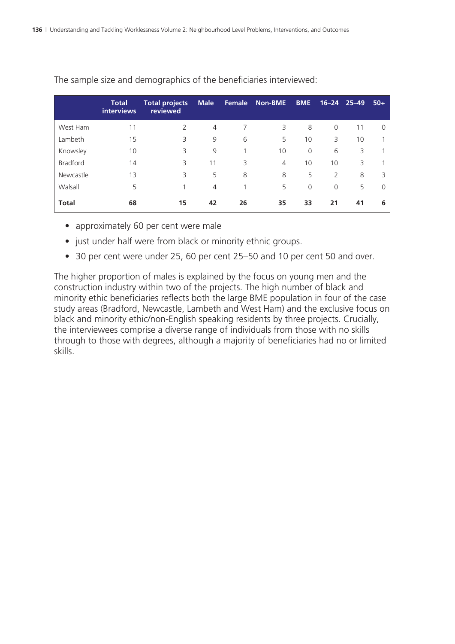|                 | <b>Total</b><br>interviews | <b>Total projects</b><br>reviewed | <b>Male</b> |    | <b>Female Non-BME</b> | <b>BME</b> |          | $16 - 24$ 25-49 | $50+$    |
|-----------------|----------------------------|-----------------------------------|-------------|----|-----------------------|------------|----------|-----------------|----------|
| West Ham        | 11                         | $\mathcal{L}$                     | 4           |    | 3                     | 8          | $\Omega$ | 11              | $\Omega$ |
| Lambeth         | 15                         | 3                                 | 9           | 6  | 5                     | 10         | 3        | 10              |          |
| Knowsley        | 10                         | 3                                 | 9           |    | 10                    | $\Omega$   | 6        | 3               |          |
| <b>Bradford</b> | 14                         | 3                                 | 11          | 3  | $\overline{4}$        | 10         | 10       | 3               |          |
| Newcastle       | 13                         | 3                                 | 5           | 8  | 8                     | 5          | 2        | 8               | 3        |
| Walsall         | 5                          |                                   | 4           |    | 5                     | $\Omega$   | $\Omega$ | 5               | $\Omega$ |
| <b>Total</b>    | 68                         | 15                                | 42          | 26 | 35                    | 33         | 21       | 41              | 6        |

The sample size and demographics of the beneficiaries interviewed:

- approximately 60 per cent were male
- just under half were from black or minority ethnic groups.
- 30 per cent were under 25, 60 per cent 25–50 and 10 per cent 50 and over.

The higher proportion of males is explained by the focus on young men and the construction industry within two of the projects. The high number of black and minority ethic beneficiaries reflects both the large BME population in four of the case study areas (Bradford, Newcastle, Lambeth and West Ham) and the exclusive focus on black and minority ethic/non-English speaking residents by three projects. Crucially, the interviewees comprise a diverse range of individuals from those with no skills through to those with degrees, although a majority of beneficiaries had no or limited skills.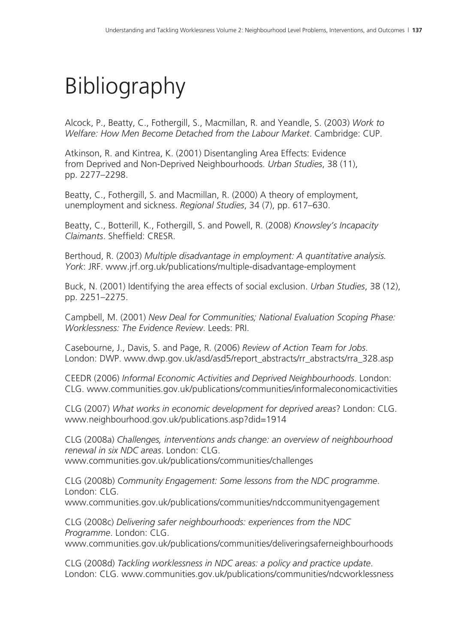# Bibliography

Alcock, P., Beatty, C., Fothergill, S., Macmillan, R. and Yeandle, S. (2003) *Work to Welfare: How Men Become Detached from the Labour Market*. Cambridge: CUP.

Atkinson, R. and Kintrea, K. (2001) Disentangling Area Effects: Evidence from Deprived and Non-Deprived Neighbourhoods. *Urban Studies*, 38 (11), pp. 2277–2298.

Beatty, C., Fothergill, S. and Macmillan, R. (2000) A theory of employment, unemployment and sickness. *Regional Studies*, 34 (7), pp. 617–630.

Beatty, C., Botterill, K., Fothergill, S. and Powell, R. (2008) *Knowsley's Incapacity Claimants*. Sheffield: CRESR.

Berthoud, R. (2003) *Multiple disadvantage in employment: A quantitative analysis. York*: JRF. www.jrf.org.uk/publications/multiple-disadvantage-employment

Buck, N. (2001) Identifying the area effects of social exclusion. *Urban Studies*, 38 (12), pp. 2251–2275.

Campbell, M. (2001) *New Deal for Communities; National Evaluation Scoping Phase: Worklessness: The Evidence Review*. Leeds: PRI.

Casebourne, J., Davis, S. and Page, R. (2006) *Review of Action Team for Jobs*. London: DWP. www.dwp.gov.uk/asd/asd5/report\_abstracts/rr\_abstracts/rra\_328.asp

CEEDR (2006) *Informal Economic Activities and Deprived Neighbourhoods*. London: CLG. www.communities.gov.uk/publications/communities/informaleconomicactivities

CLG (2007) *What works in economic development for deprived areas*? London: CLG. www.neighbourhood.gov.uk/publications.asp?did=1914

CLG (2008a) *Challenges, interventions ands change: an overview of neighbourhood renewal in six NDC areas*. London: CLG. www.communities.gov.uk/publications/communities/challenges

CLG (2008b) *Community Engagement: Some lessons from the NDC programme*. London: CLG. www.communities.gov.uk/publications/communities/ndccommunityengagement

CLG (2008c) *Delivering safer neighbourhoods: experiences from the NDC Programme*. London: CLG. www.communities.gov.uk/publications/communities/deliveringsaferneighbourhoods

CLG (2008d) *Tackling worklessness in NDC areas: a policy and practice update*. London: CLG. www.communities.gov.uk/publications/communities/ndcworklessness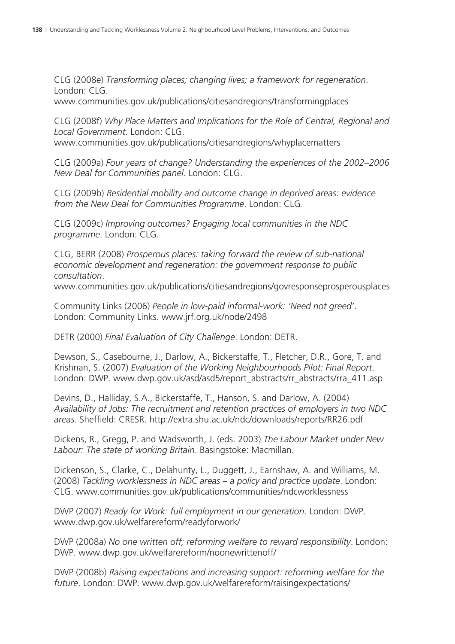CLG (2008e) *Transforming places; changing lives; a framework for regeneration*. London: CLG. www.communities.gov.uk/publications/citiesandregions/transformingplaces

CLG (2008f) *Why Place Matters and Implications for the Role of Central, Regional and Local Government*. London: CLG.

www.communities.gov.uk/publications/citiesandregions/whyplacematters

CLG (2009a) *Four years of change? Understanding the experiences of the 2002–2006 New Deal for Communities panel*. London: CLG.

CLG (2009b) *Residential mobility and outcome change in deprived areas: evidence from the New Deal for Communities Programme*. London: CLG.

CLG (2009c) *Improving outcomes? Engaging local communities in the NDC programme*. London: CLG.

CLG, BERR (2008) *Prosperous places: taking forward the review of sub-national economic development and regeneration: the government response to public consultation*.

www.communities.gov.uk/publications/citiesandregions/govresponseprosperousplaces

Community Links (2006) *People in low-paid informal-work: 'Need not greed'*. London: Community Links. www.jrf.org.uk/node/2498

DETR (2000) *Final Evaluation of City Challenge*. London: DETR.

Dewson, S., Casebourne, J., Darlow, A., Bickerstaffe, T., Fletcher, D.R., Gore, T. and Krishnan, S. (2007) *Evaluation of the Working Neighbourhoods Pilot: Final Report*. London: DWP. www.dwp.gov.uk/asd/asd5/report\_abstracts/rr\_abstracts/rra\_411.asp

Devins, D., Halliday, S.A., Bickerstaffe, T., Hanson, S. and Darlow, A. (2004) *Availability of Jobs: The recruitment and retention practices of employers in two NDC areas*. Sheffield: CRESR. http://extra.shu.ac.uk/ndc/downloads/reports/RR26.pdf

Dickens, R., Gregg, P. and Wadsworth, J. (eds. 2003) *The Labour Market under New Labour: The state of working Britain*. Basingstoke: Macmillan.

Dickenson, S., Clarke, C., Delahunty, L., Duggett, J., Earnshaw, A. and Williams, M. (2008) *Tackling worklessness in NDC areas – a policy and practice update*. London: CLG. www.communities.gov.uk/publications/communities/ndcworklessness

DWP (2007) *Ready for Work: full employment in our generation*. London: DWP. www.dwp.gov.uk/welfarereform/readyforwork/

DWP (2008a) *No one written off; reforming welfare to reward responsibility*. London: DWP. www.dwp.gov.uk/welfarereform/noonewrittenoff/

DWP (2008b) *Raising expectations and increasing support: reforming welfare for the future*. London: DWP. www.dwp.gov.uk/welfarereform/raisingexpectations/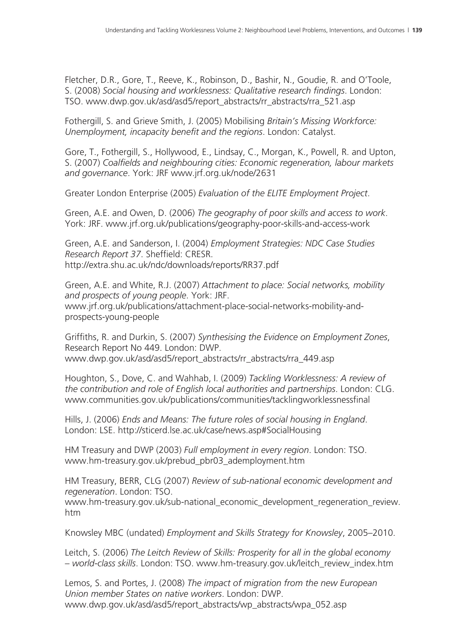Fletcher, D.R., Gore, T., Reeve, K., Robinson, D., Bashir, N., Goudie, R. and O'Toole, S. (2008) *Social housing and worklessness: Qualitative research findings*. London: TSO. www.dwp.gov.uk/asd/asd5/report\_abstracts/rr\_abstracts/rra\_521.asp

Fothergill, S. and Grieve Smith, J. (2005) Mobilising *Britain's Missing Workforce: Unemployment, incapacity benefit and the regions*. London: Catalyst.

Gore, T., Fothergill, S., Hollywood, E., Lindsay, C., Morgan, K., Powell, R. and Upton, S. (2007) *Coalfields and neighbouring cities: Economic regeneration, labour markets and governance*. York: JRF www.jrf.org.uk/node/2631

Greater London Enterprise (2005) *Evaluation of the ELITE Employment Project*.

Green, A.E. and Owen, D. (2006) *The geography of poor skills and access to work*. York: JRF. www.jrf.org.uk/publications/geography-poor-skills-and-access-work

Green, A.E. and Sanderson, I. (2004) *Employment Strategies: NDC Case Studies Research Report 37*. Sheffield: CRESR. http://extra.shu.ac.uk/ndc/downloads/reports/RR37.pdf

Green, A.E. and White, R.J. (2007) *Attachment to place: Social networks, mobility and prospects of young people*. York: JRF. www.jrf.org.uk/publications/attachment-place-social-networks-mobility-andprospects-young-people

Griffiths, R. and Durkin, S. (2007) *Synthesising the Evidence on Employment Zones*, Research Report No 449. London: DWP. www.dwp.gov.uk/asd/asd5/report\_abstracts/rr\_abstracts/rra\_449.asp

Houghton, S., Dove, C. and Wahhab, I. (2009) *Tackling Worklessness: A review of the contribution and role of English local authorities and partnerships*. London: CLG. www.communities.gov.uk/publications/communities/tacklingworklessnessfinal

Hills, J. (2006) *Ends and Means: The future roles of social housing in England*. London: LSE. http://sticerd.lse.ac.uk/case/news.asp#SocialHousing

HM Treasury and DWP (2003) *Full employment in every region*. London: TSO. www.hm-treasury.gov.uk/prebud\_pbr03\_ademployment.htm

HM Treasury, BERR, CLG (2007) *Review of sub-national economic development and regeneration*. London: TSO.

www.hm-treasury.gov.uk/sub-national\_economic\_development\_regeneration\_review. htm

Knowsley MBC (undated) *Employment and Skills Strategy for Knowsley*, 2005–2010.

Leitch, S. (2006) *The Leitch Review of Skills: Prosperity for all in the global economy – world-class skills*. London: TSO. www.hm-treasury.gov.uk/leitch\_review\_index.htm

Lemos, S. and Portes, J. (2008) *The impact of migration from the new European Union member States on native workers*. London: DWP. www.dwp.gov.uk/asd/asd5/report\_abstracts/wp\_abstracts/wpa\_052.asp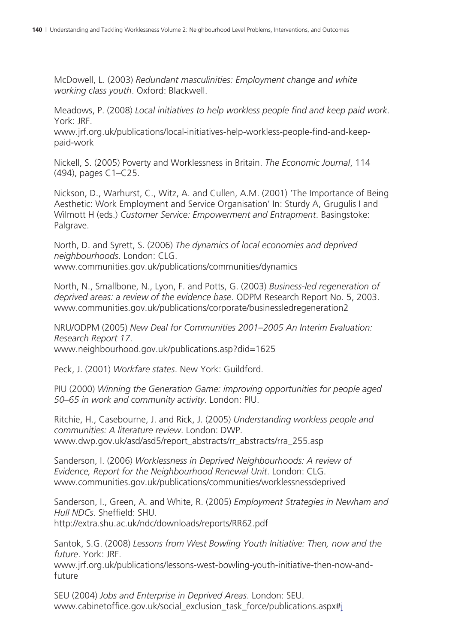McDowell, L. (2003) *Redundant masculinities: Employment change and white working class youth*. Oxford: Blackwell.

Meadows, P. (2008) *Local initiatives to help workless people find and keep paid work*. York: JRF.

www.jrf.org.uk/publications/local-initiatives-help-workless-people-find-and-keeppaid-work

Nickell, S. (2005) Poverty and Worklessness in Britain. *The Economic Journal*, 114 (494), pages C1–C25.

Nickson, D., Warhurst, C., Witz, A. and Cullen, A.M. (2001) 'The Importance of Being Aesthetic: Work Employment and Service Organisation' In: Sturdy A, Grugulis I and Wilmott H (eds.) *Customer Service: Empowerment and Entrapment*. Basingstoke: Palgrave.

North, D. and Syrett, S. (2006) *The dynamics of local economies and deprived neighbourhoods*. London: CLG. www.communities.gov.uk/publications/communities/dynamics

North, N., Smallbone, N., Lyon, F. and Potts, G. (2003) *Business-led regeneration of deprived areas: a review of the evidence base*. ODPM Research Report No. 5, 2003. www.communities.gov.uk/publications/corporate/businessledregeneration2

NRU/ODPM (2005) *New Deal for Communities 2001–2005 An Interim Evaluation: Research Report 17*. www.neighbourhood.gov.uk/publications.asp?did=1625

Peck, J. (2001) *Workfare states*. New York: Guildford.

PIU (2000) *Winning the Generation Game: improving opportunities for people aged 50–65 in work and community activity*. London: PIU.

Ritchie, H., Casebourne, J. and Rick, J. (2005) *Understanding workless people and communities: A literature review*. London: DWP. www.dwp.gov.uk/asd/asd5/report\_abstracts/rr\_abstracts/rra\_255.asp

Sanderson, I. (2006) *Worklessness in Deprived Neighbourhoods: A review of Evidence, Report for the Neighbourhood Renewal Unit*. London: CLG. www.communities.gov.uk/publications/communities/worklessnessdeprived

Sanderson, I., Green, A. and White, R. (2005) *Employment Strategies in Newham and Hull NDCs*. Sheffield: SHU. http://extra.shu.ac.uk/ndc/downloads/reports/RR62.pdf

Santok, S.G. (2008) *Lessons from West Bowling Youth Initiative: Then, now and the future*. York: JRF.

www.jrf.org.uk/publications/lessons-west-bowling-youth-initiative-then-now-andfuture

SEU (2004) *Jobs and Enterprise in Deprived Areas*. London: SEU. www.cabinetoffice.gov.uk/social\_exclusion\_task\_force/publications.aspx#j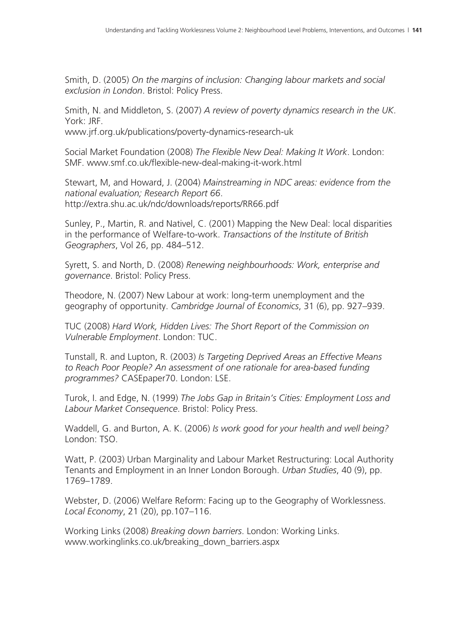Smith, D. (2005) *On the margins of inclusion: Changing labour markets and social exclusion in London*. Bristol: Policy Press.

Smith, N. and Middleton, S. (2007) *A review of poverty dynamics research in the UK*. York: JRF.

www.jrf.org.uk/publications/poverty-dynamics-research-uk

Social Market Foundation (2008) *The Flexible New Deal: Making It Work*. London: SMF. www.smf.co.uk/flexible-new-deal-making-it-work.html

Stewart, M, and Howard, J. (2004) *Mainstreaming in NDC areas: evidence from the national evaluation; Research Report 66*. http://extra.shu.ac.uk/ndc/downloads/reports/RR66.pdf

Sunley, P., Martin, R. and Nativel, C. (2001) Mapping the New Deal: local disparities in the performance of Welfare-to-work. *Transactions of the Institute of British Geographers*, Vol 26, pp. 484–512.

Syrett, S. and North, D. (2008) *Renewing neighbourhoods: Work, enterprise and governance*. Bristol: Policy Press.

Theodore, N. (2007) New Labour at work: long-term unemployment and the geography of opportunity. *Cambridge Journal of Economics*, 31 (6), pp. 927–939.

TUC (2008) *Hard Work, Hidden Lives: The Short Report of the Commission on Vulnerable Employment*. London: TUC.

Tunstall, R. and Lupton, R. (2003) *Is Targeting Deprived Areas an Effective Means to Reach Poor People? An assessment of one rationale for area-based funding programmes?* CASEpaper70. London: LSE.

Turok, I. and Edge, N. (1999) *The Jobs Gap in Britain's Cities: Employment Loss and Labour Market Consequence*. Bristol: Policy Press.

Waddell, G. and Burton, A. K. (2006) *Is work good for your health and well being?* London: TSO.

Watt, P. (2003) Urban Marginality and Labour Market Restructuring: Local Authority Tenants and Employment in an Inner London Borough. *Urban Studies*, 40 (9), pp. 1769–1789.

Webster, D. (2006) Welfare Reform: Facing up to the Geography of Worklessness. *Local Economy*, 21 (20), pp.107–116.

Working Links (2008) *Breaking down barriers*. London: Working Links. www.workinglinks.co.uk/breaking\_down\_barriers.aspx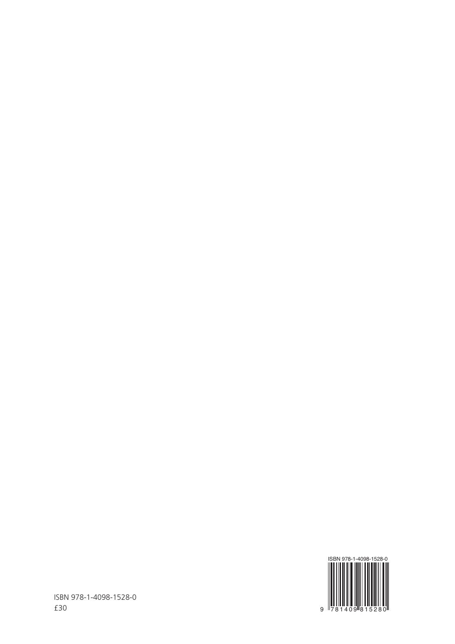